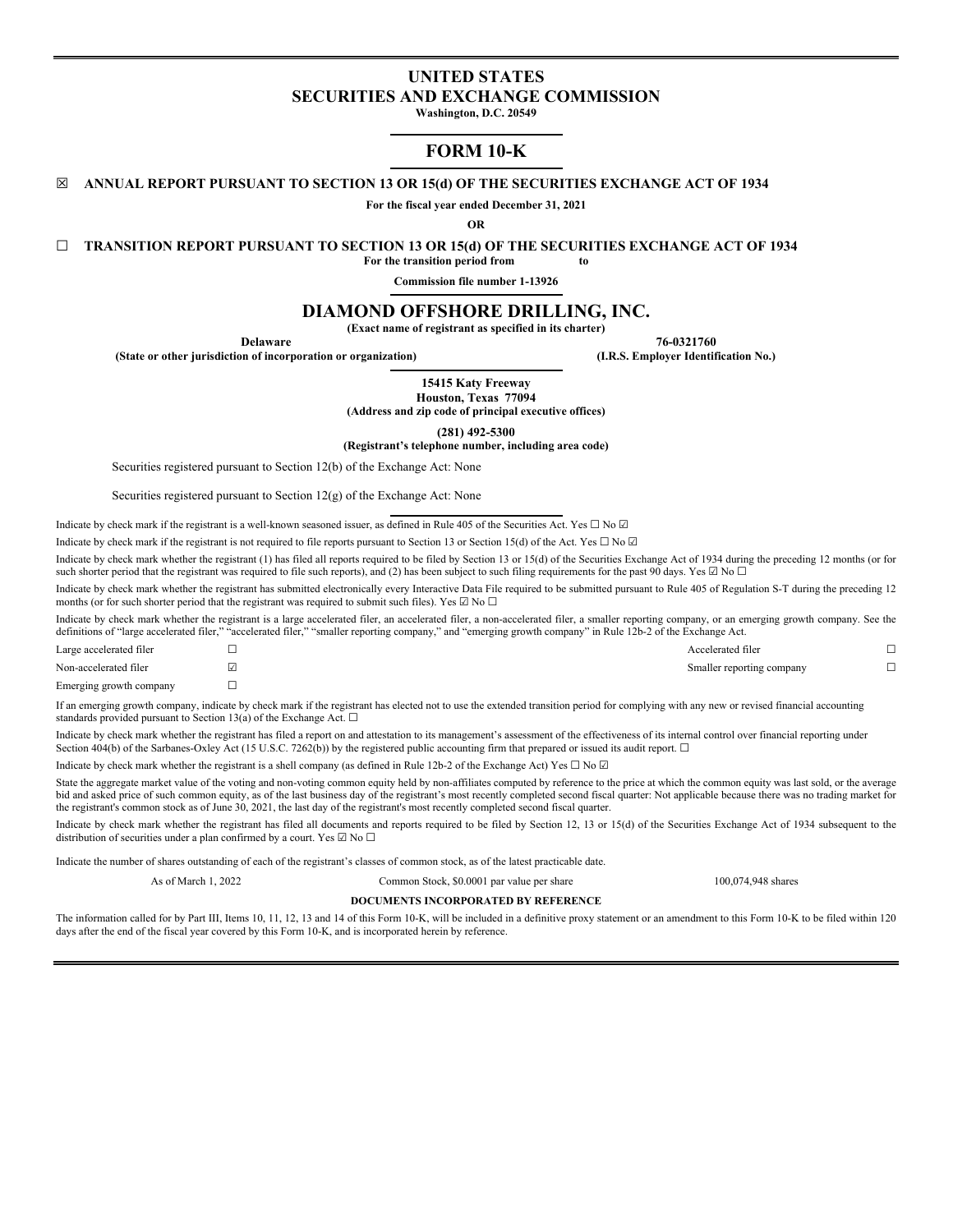## **UNITED STATES SECURITIES AND EXCHANGE COMMISSION**

<span id="page-0-0"></span>**Washington, D.C. 20549**

### **FORM 10-K**

**☒ ANNUAL REPORT PURSUANT TO SECTION 13 OR 15(d) OF THE SECURITIES EXCHANGE ACT OF 1934**

**For the fiscal year ended December 31, 2021**

**OR**

**☐ TRANSITION REPORT PURSUANT TO SECTION 13 OR 15(d) OF THE SECURITIES EXCHANGE ACT OF 1934**

**For the transition period from to** 

**Commission file number 1-13926**

### **DIAMOND OFFSHORE DRILLING, INC.**

**(Exact name of registrant as specified in its charter)**

**Delaware 76-0321760**<br> **16-0321760**<br> **16-0321760**<br> **16-0321760**<br> **16-0321760**<br> **16-0321760**<br> **16-0321760**<br> **16-0321760 (State or other jurisdiction of incorporation or organization)** 

**15415 Katy Freeway Houston, Texas 77094**

**(Address and zip code of principal executive offices)**

**(281) 492-5300**

**(Registrant's telephone number, including area code)**

Securities registered pursuant to Section 12(b) of the Exchange Act: None

Securities registered pursuant to Section 12(g) of the Exchange Act: None

Indicate by check mark if the registrant is a well-known seasoned issuer, as defined in Rule 405 of the Securities Act. Yes  $\Box$  No  $\Box$ 

Indicate by check mark if the registrant is not required to file reports pursuant to Section 13 or Section 15(d) of the Act. Yes  $\Box$  No  $\Box$ 

Indicate by check mark whether the registrant (1) has filed all reports required to be filed by Section 13 or 15(d) of the Securities Exchange Act of 1934 during the preceding 12 months (or for such shorter period that the registrant was required to file such reports), and (2) has been subject to such filing requirements for the past 90 days. Yes  $\boxtimes$  No  $\Box$ 

Indicate by check mark whether the registrant has submitted electronically every Interactive Data File required to be submitted pursuant to Rule 405 of Regulation S-T during the preceding 12 months (or for such shorter period that the registrant was required to submit such files). Yes  $\Box$  No  $\Box$ 

Indicate by check mark whether the registrant is a large accelerated filer, an accelerated filer, a non-accelerated filer, a smaller reporting company, or an emerging growth company. See the definitions of "large accelerated filer," "accelerated filer," "smaller reporting company," and "emerging growth company" in Rule 12b-2 of the Exchange Act.

| Large accelerated filer | Accelerated filer         |  |
|-------------------------|---------------------------|--|
| Non-accelerated filer   | Smaller reporting company |  |
| Emerging growth company |                           |  |

If an emerging growth company, indicate by check mark if the registrant has elected not to use the extended transition period for complying with any new or revised financial accounting standards provided pursuant to Section 13(a) of the Exchange Act.  $\Box$ 

Indicate by check mark whether the registrant has filed a report on and attestation to its management's assessment of the effectiveness of its internal control over financial reporting under Section 404(b) of the Sarbanes-Oxley Act (15 U.S.C. 7262(b)) by the registered public accounting firm that prepared or issued its audit report.  $\Box$ 

Indicate by check mark whether the registrant is a shell company (as defined in Rule 12b-2 of the Exchange Act) Yes  $\Box$  No  $\Box$ 

State the aggregate market value of the voting and non-voting common equity held by non-affiliates computed by reference to the price at which the common equity was last sold, or the average bid and asked price of such common equity, as of the last business day of the registrant's most recently completed second fiscal quarter: Not applicable because there was no trading market for the registrant's common stock as of June 30, 2021, the last day of the registrant's most recently completed second fiscal quarter.

Indicate by check mark whether the registrant has filed all documents and reports required to be filed by Section 12, 13 or 15(d) of the Securities Exchange Act of 1934 subsequent to the distribution of securities under a plan confirmed by a court. Yes  $\boxtimes$  No  $\Box$ 

Indicate the number of shares outstanding of each of the registrant's classes of common stock, as of the latest practicable date.

As of March 1, 2022 Common Stock, \$0.0001 par value per share 100,074,948 shares

#### **DOCUMENTS INCORPORATED BY REFERENCE**

The information called for by Part III, Items 10, 11, 12, 13 and 14 of this Form 10-K, will be included in a definitive proxy statement or an amendment to this Form 10-K to be filed within 120 days after the end of the fiscal year covered by this Form 10-K, and is incorporated herein by reference.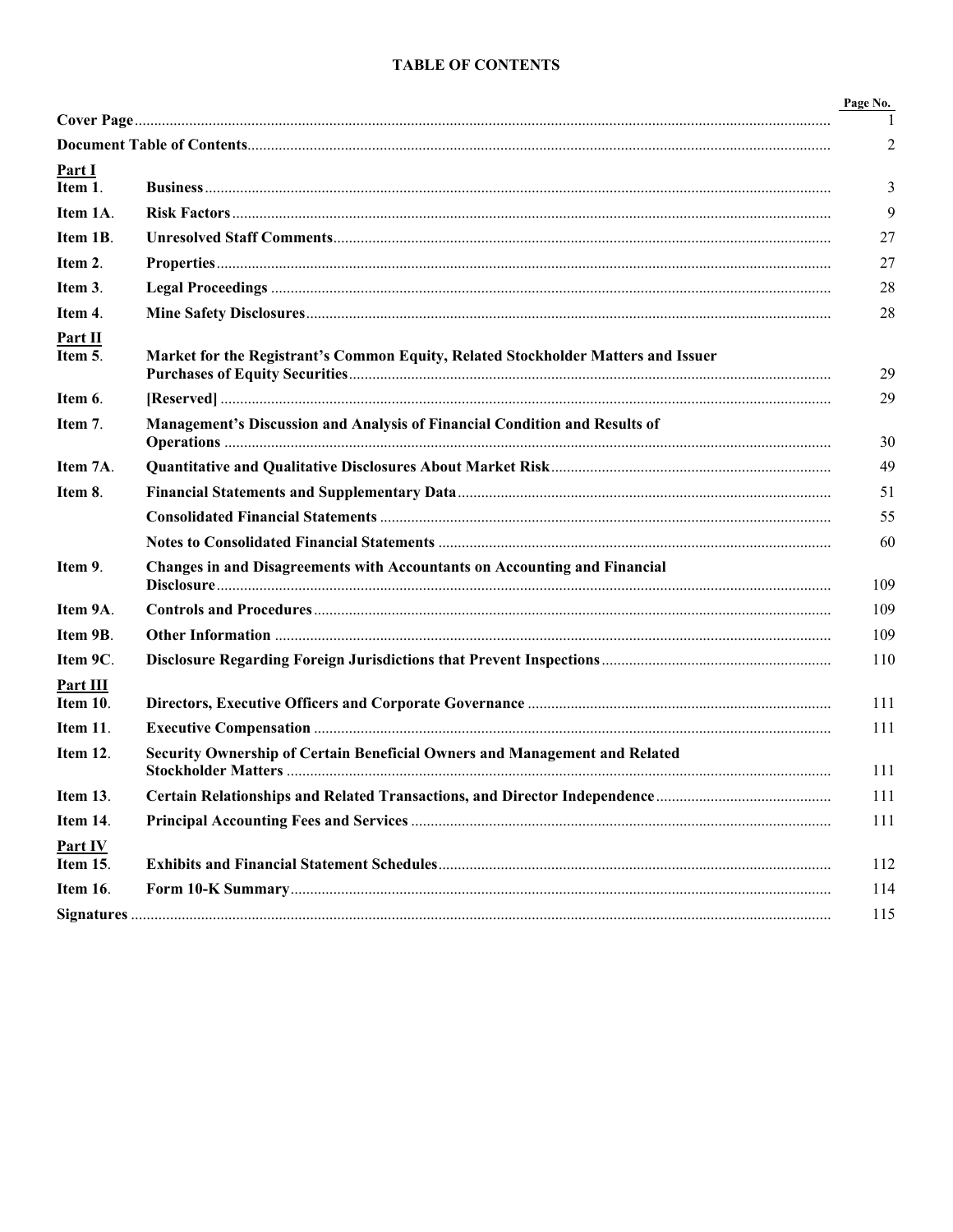# <span id="page-1-0"></span>**TABLE OF CONTENTS**

|                      |                                                                                   | Page No. |
|----------------------|-----------------------------------------------------------------------------------|----------|
|                      |                                                                                   |          |
|                      |                                                                                   | 2        |
| Part I               |                                                                                   |          |
| Item 1.              |                                                                                   | 3        |
| Item 1A.             |                                                                                   | 9        |
| Item 1B.             |                                                                                   | 27       |
| Item 2.              |                                                                                   | 27       |
| Item 3.              |                                                                                   | 28       |
| Item 4.              |                                                                                   | 28       |
| Part II<br>Item 5.   | Market for the Registrant's Common Equity, Related Stockholder Matters and Issuer | 29       |
| Item 6.              |                                                                                   | 29       |
| Item 7.              | Management's Discussion and Analysis of Financial Condition and Results of        | 30       |
| Item 7A.             |                                                                                   | 49       |
| Item 8.              |                                                                                   | 51       |
|                      |                                                                                   | 55       |
|                      |                                                                                   | 60       |
| Item 9.              | <b>Changes in and Disagreements with Accountants on Accounting and Financial</b>  | 109      |
| Item 9A.             |                                                                                   | 109      |
| Item 9B.             |                                                                                   | 109      |
| Item 9C.             |                                                                                   | 110      |
| Part III<br>Item 10. |                                                                                   | 111      |
| Item 11.             |                                                                                   | 111      |
| Item 12.             | <b>Security Ownership of Certain Beneficial Owners and Management and Related</b> | 111      |
| Item 13.             |                                                                                   | 111      |
| Item 14.             |                                                                                   | 111      |
| Part IV<br>Item 15.  |                                                                                   | 112      |
| Item 16.             |                                                                                   | 114      |
|                      |                                                                                   | 115      |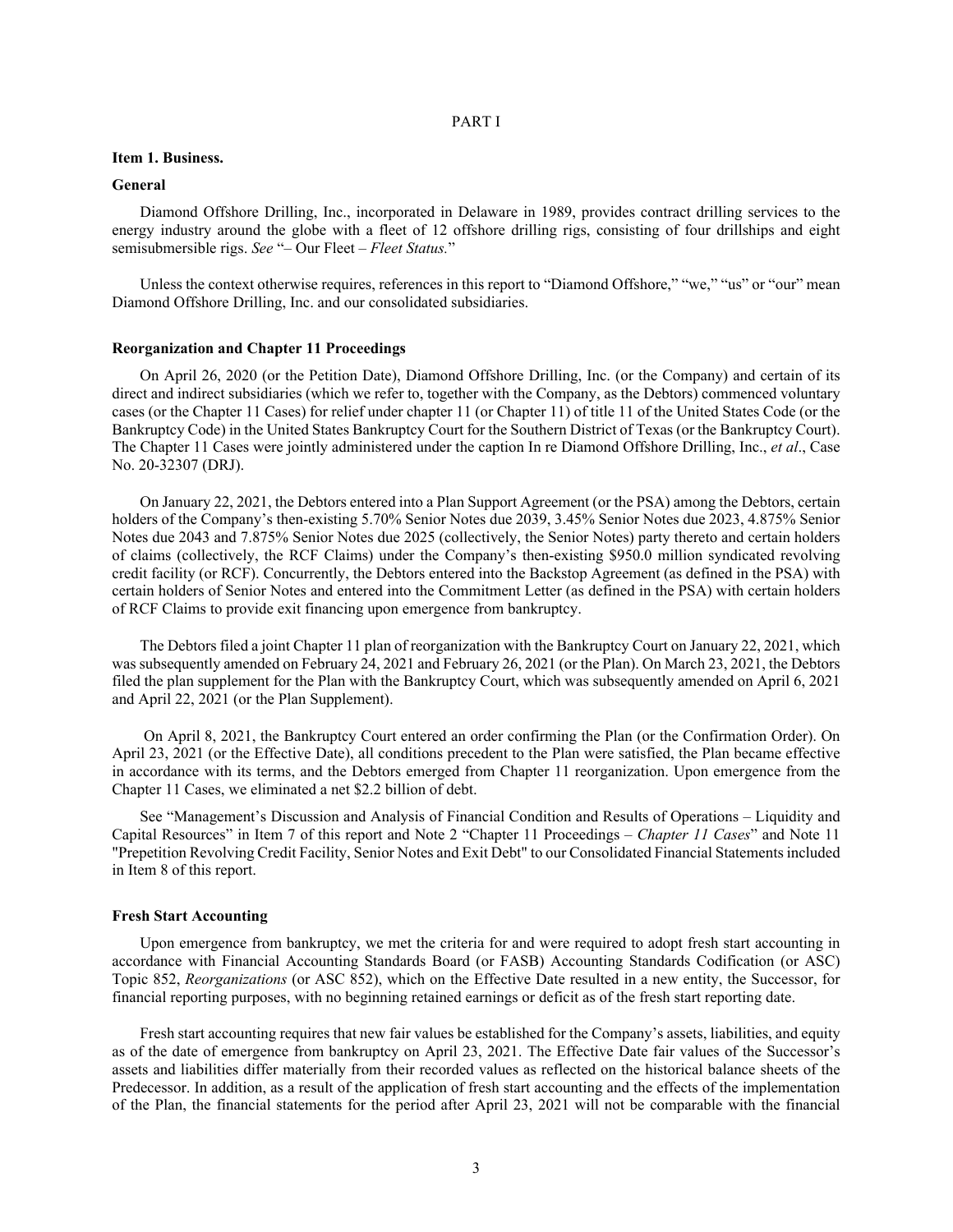## PART I

#### <span id="page-2-0"></span>**Item 1. Business.**

#### **General**

Diamond Offshore Drilling, Inc., incorporated in Delaware in 1989, provides contract drilling services to the energy industry around the globe with a fleet of 12 offshore drilling rigs, consisting of four drillships and eight semisubmersible rigs. *See* "– Our Fleet *– Fleet Status.*"

Unless the context otherwise requires, references in this report to "Diamond Offshore," "we," "us" or "our" mean Diamond Offshore Drilling, Inc. and our consolidated subsidiaries.

#### **Reorganization and Chapter 11 Proceedings**

On April 26, 2020 (or the Petition Date), Diamond Offshore Drilling, Inc. (or the Company) and certain of its direct and indirect subsidiaries (which we refer to, together with the Company, as the Debtors) commenced voluntary cases (or the Chapter 11 Cases) for relief under chapter 11 (or Chapter 11) of title 11 of the United States Code (or the Bankruptcy Code) in the United States Bankruptcy Court for the Southern District of Texas (or the Bankruptcy Court). The Chapter 11 Cases were jointly administered under the caption In re Diamond Offshore Drilling, Inc., *et al*., Case No. 20-32307 (DRJ).

On January 22, 2021, the Debtors entered into a Plan Support Agreement (or the PSA) among the Debtors, certain holders of the Company's then-existing 5.70% Senior Notes due 2039, 3.45% Senior Notes due 2023, 4.875% Senior Notes due 2043 and 7.875% Senior Notes due 2025 (collectively, the Senior Notes) party thereto and certain holders of claims (collectively, the RCF Claims) under the Company's then-existing \$950.0 million syndicated revolving credit facility (or RCF). Concurrently, the Debtors entered into the Backstop Agreement (as defined in the PSA) with certain holders of Senior Notes and entered into the Commitment Letter (as defined in the PSA) with certain holders of RCF Claims to provide exit financing upon emergence from bankruptcy.

The Debtors filed a joint Chapter 11 plan of reorganization with the Bankruptcy Court on January 22, 2021, which was subsequently amended on February 24, 2021 and February 26, 2021 (or the Plan). On March 23, 2021, the Debtors filed the plan supplement for the Plan with the Bankruptcy Court, which was subsequently amended on April 6, 2021 and April 22, 2021 (or the Plan Supplement).

 On April 8, 2021, the Bankruptcy Court entered an order confirming the Plan (or the Confirmation Order). On April 23, 2021 (or the Effective Date), all conditions precedent to the Plan were satisfied, the Plan became effective in accordance with its terms, and the Debtors emerged from Chapter 11 reorganization. Upon emergence from the Chapter 11 Cases, we eliminated a net \$2.2 billion of debt.

See "Management's Discussion and Analysis of Financial Condition and Results of Operations – Liquidity and Capital Resources" in Item 7 of this report and Note 2 "Chapter 11 Proceedings – *Chapter 11 Cases*" and Note 11 "Prepetition Revolving Credit Facility, Senior Notes and Exit Debt" to our Consolidated Financial Statements included in Item 8 of this report.

## **Fresh Start Accounting**

Upon emergence from bankruptcy, we met the criteria for and were required to adopt fresh start accounting in accordance with Financial Accounting Standards Board (or FASB) Accounting Standards Codification (or ASC) Topic 852, *Reorganizations* (or ASC 852), which on the Effective Date resulted in a new entity, the Successor, for financial reporting purposes, with no beginning retained earnings or deficit as of the fresh start reporting date.

Fresh start accounting requires that new fair values be established for the Company's assets, liabilities, and equity as of the date of emergence from bankruptcy on April 23, 2021. The Effective Date fair values of the Successor's assets and liabilities differ materially from their recorded values as reflected on the historical balance sheets of the Predecessor. In addition, as a result of the application of fresh start accounting and the effects of the implementation of the Plan, the financial statements for the period after April 23, 2021 will not be comparable with the financial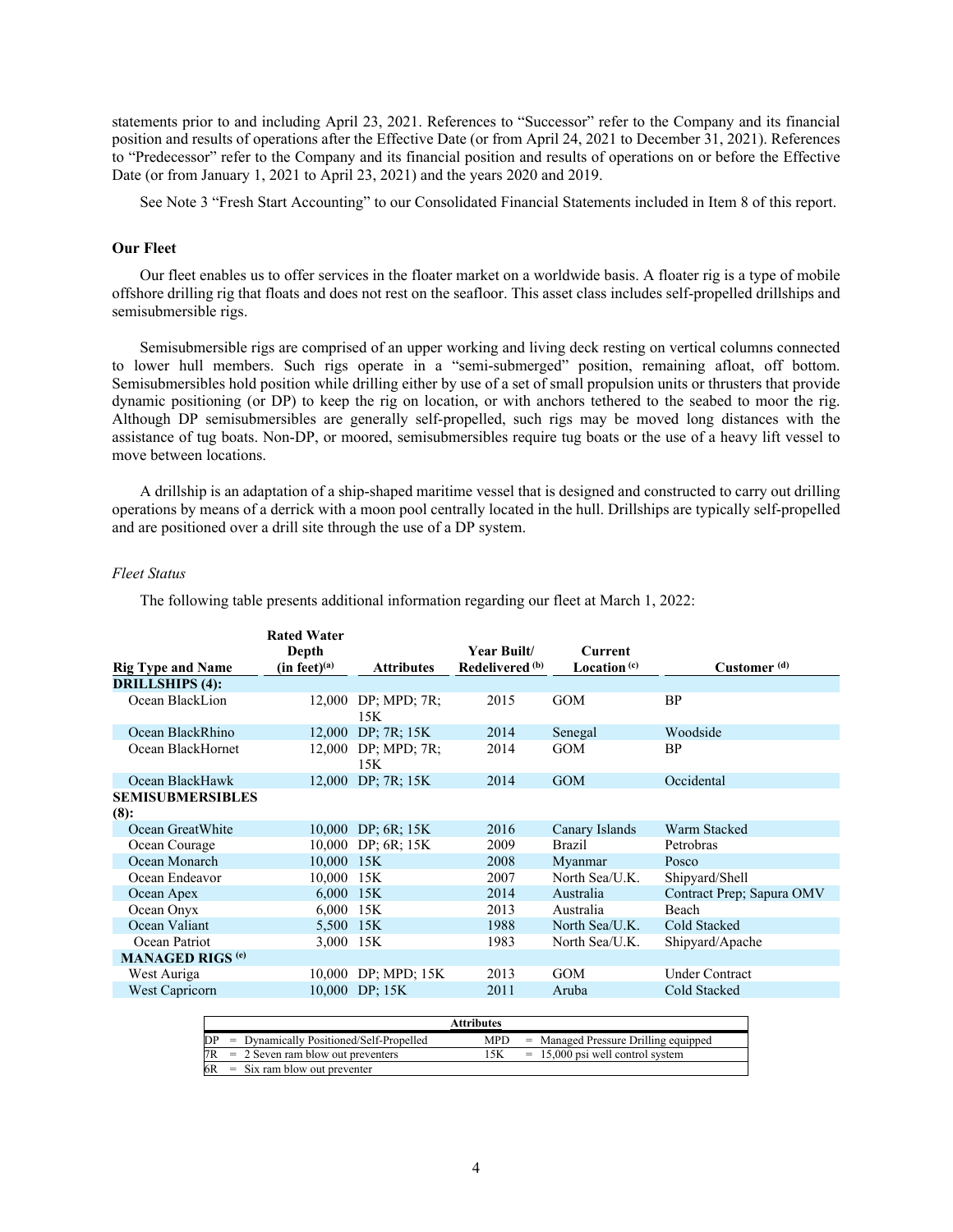statements prior to and including April 23, 2021. References to "Successor" refer to the Company and its financial position and results of operations after the Effective Date (or from April 24, 2021 to December 31, 2021). References to "Predecessor" refer to the Company and its financial position and results of operations on or before the Effective Date (or from January 1, 2021 to April 23, 2021) and the years 2020 and 2019.

See Note 3 "Fresh Start Accounting" to our Consolidated Financial Statements included in Item 8 of this report.

## **Our Fleet**

Our fleet enables us to offer services in the floater market on a worldwide basis. A floater rig is a type of mobile offshore drilling rig that floats and does not rest on the seafloor. This asset class includes self-propelled drillships and semisubmersible rigs.

Semisubmersible rigs are comprised of an upper working and living deck resting on vertical columns connected to lower hull members. Such rigs operate in a "semi-submerged" position, remaining afloat, off bottom. Semisubmersibles hold position while drilling either by use of a set of small propulsion units or thrusters that provide dynamic positioning (or DP) to keep the rig on location, or with anchors tethered to the seabed to moor the rig. Although DP semisubmersibles are generally self-propelled, such rigs may be moved long distances with the assistance of tug boats. Non-DP, or moored, semisubmersibles require tug boats or the use of a heavy lift vessel to move between locations.

A drillship is an adaptation of a ship-shaped maritime vessel that is designed and constructed to carry out drilling operations by means of a derrick with a moon pool centrally located in the hull. Drillships are typically self-propelled and are positioned over a drill site through the use of a DP system.

## *Fleet Status*

The following table presents additional information regarding our fleet at March 1, 2022:

|                          | <b>Rated Water</b>       |                            |                            |                |                           |
|--------------------------|--------------------------|----------------------------|----------------------------|----------------|---------------------------|
|                          | Depth                    |                            | Year Built/                | Current        |                           |
| <b>Rig Type and Name</b> | (in feet) <sup>(a)</sup> | <b>Attributes</b>          | Redelivered <sup>(b)</sup> | Location $(c)$ | Customer <sup>(d)</sup>   |
| <b>DRILLSHIPS (4):</b>   |                          |                            |                            |                |                           |
| Ocean BlackLion          |                          | 12,000 DP; MPD; 7R;<br>15K | 2015                       | <b>GOM</b>     | <b>BP</b>                 |
| Ocean BlackRhino         | 12,000                   | DP: 7R: 15K                | 2014                       | Senegal        | Woodside                  |
| Ocean BlackHornet        |                          | 12,000 DP; MPD; 7R;<br>15K | 2014                       | <b>GOM</b>     | <b>BP</b>                 |
| Ocean BlackHawk          |                          | 12,000 DP; 7R; 15K         | 2014                       | <b>GOM</b>     | Occidental                |
| <b>SEMISUBMERSIBLES</b>  |                          |                            |                            |                |                           |
| (8):                     |                          |                            |                            |                |                           |
| Ocean Great White        |                          | $10,000$ DP; $6R$ ; $15K$  | 2016                       | Canary Islands | Warm Stacked              |
| Ocean Courage            |                          | 10,000 DP; 6R; 15K         | 2009                       | <b>Brazil</b>  | Petrobras                 |
| Ocean Monarch            | 10,000 15K               |                            | 2008                       | Myanmar        | Posco                     |
| Ocean Endeavor           | 10,000 15K               |                            | 2007                       | North Sea/U.K. | Shipyard/Shell            |
| Ocean Apex               | 6,000 15K                |                            | 2014                       | Australia      | Contract Prep; Sapura OMV |
| Ocean Onyx               | 6,000 15K                |                            | 2013                       | Australia      | Beach                     |
| Ocean Valiant            | 5,500 15K                |                            | 1988                       | North Sea/U.K. | Cold Stacked              |
| Ocean Patriot            | 3,000 15K                |                            | 1983                       | North Sea/U.K. | Shipyard/Apache           |
| <b>MANAGED RIGS (e)</b>  |                          |                            |                            |                |                           |
| West Auriga              |                          | 10,000 DP; MPD; 15K        | 2013                       | <b>GOM</b>     | <b>Under Contract</b>     |
| West Capricorn           |                          | 10,000 DP; 15K             | 2011                       | Aruba          | Cold Stacked              |
|                          |                          |                            |                            |                |                           |

| <b>Attributes</b>                            |                                               |  |
|----------------------------------------------|-----------------------------------------------|--|
| $DP = Dynamically Positioned/Self-Propelled$ | MPD<br>$=$ Managed Pressure Drilling equipped |  |
| $7R = 2$ Seven ram blow out preventers       | $= 15,000$ psi well control system<br>15K     |  |
| $6R = Six ram blow out preventer$            |                                               |  |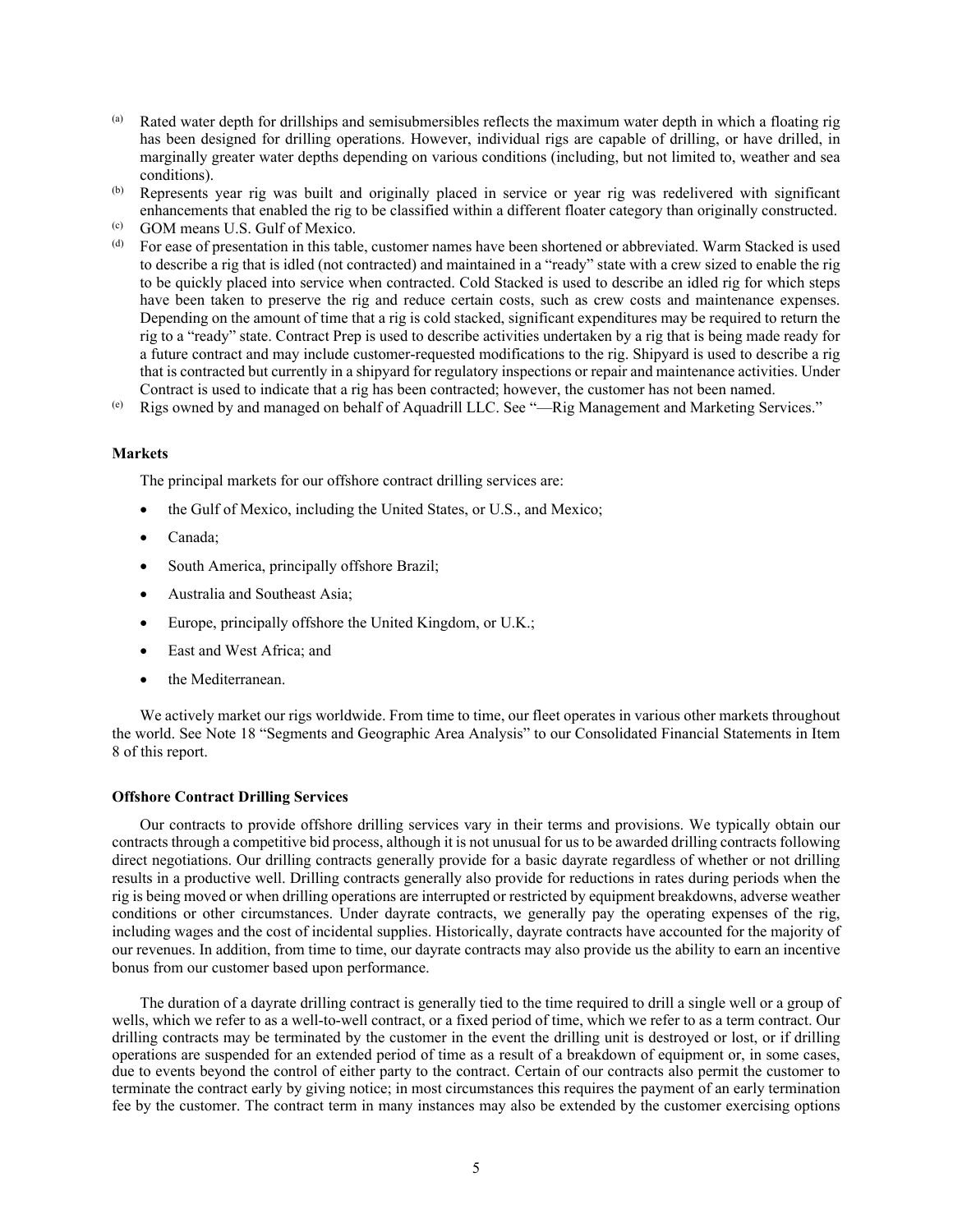- Rated water depth for drillships and semisubmersibles reflects the maximum water depth in which a floating rig has been designed for drilling operations. However, individual rigs are capable of drilling, or have drilled, in marginally greater water depths depending on various conditions (including, but not limited to, weather and sea conditions).
- (b) Represents year rig was built and originally placed in service or year rig was redelivered with significant enhancements that enabled the rig to be classified within a different floater category than originally constructed.
- (c) GOM means U.S. Gulf of Mexico.
- (d) For ease of presentation in this table, customer names have been shortened or abbreviated. Warm Stacked is used to describe a rig that is idled (not contracted) and maintained in a "ready" state with a crew sized to enable the rig to be quickly placed into service when contracted. Cold Stacked is used to describe an idled rig for which steps have been taken to preserve the rig and reduce certain costs, such as crew costs and maintenance expenses. Depending on the amount of time that a rig is cold stacked, significant expenditures may be required to return the rig to a "ready" state. Contract Prep is used to describe activities undertaken by a rig that is being made ready for a future contract and may include customer-requested modifications to the rig. Shipyard is used to describe a rig that is contracted but currently in a shipyard for regulatory inspections or repair and maintenance activities. Under Contract is used to indicate that a rig has been contracted; however, the customer has not been named.
- (e) Rigs owned by and managed on behalf of Aquadrill LLC. See "—Rig Management and Marketing Services."

### **Markets**

The principal markets for our offshore contract drilling services are:

- the Gulf of Mexico, including the United States, or U.S., and Mexico;
- Canada;
- South America, principally offshore Brazil;
- Australia and Southeast Asia;
- Europe, principally offshore the United Kingdom, or U.K.;
- East and West Africa; and
- the Mediterranean.

We actively market our rigs worldwide. From time to time, our fleet operates in various other markets throughout the world. See Note 18 "Segments and Geographic Area Analysis" to our Consolidated Financial Statements in Item 8 of this report.

## **Offshore Contract Drilling Services**

Our contracts to provide offshore drilling services vary in their terms and provisions. We typically obtain our contracts through a competitive bid process, although it is not unusual for us to be awarded drilling contracts following direct negotiations. Our drilling contracts generally provide for a basic dayrate regardless of whether or not drilling results in a productive well. Drilling contracts generally also provide for reductions in rates during periods when the rig is being moved or when drilling operations are interrupted or restricted by equipment breakdowns, adverse weather conditions or other circumstances. Under dayrate contracts, we generally pay the operating expenses of the rig, including wages and the cost of incidental supplies. Historically, dayrate contracts have accounted for the majority of our revenues. In addition, from time to time, our dayrate contracts may also provide us the ability to earn an incentive bonus from our customer based upon performance.

The duration of a dayrate drilling contract is generally tied to the time required to drill a single well or a group of wells, which we refer to as a well-to-well contract, or a fixed period of time, which we refer to as a term contract. Our drilling contracts may be terminated by the customer in the event the drilling unit is destroyed or lost, or if drilling operations are suspended for an extended period of time as a result of a breakdown of equipment or, in some cases, due to events beyond the control of either party to the contract. Certain of our contracts also permit the customer to terminate the contract early by giving notice; in most circumstances this requires the payment of an early termination fee by the customer. The contract term in many instances may also be extended by the customer exercising options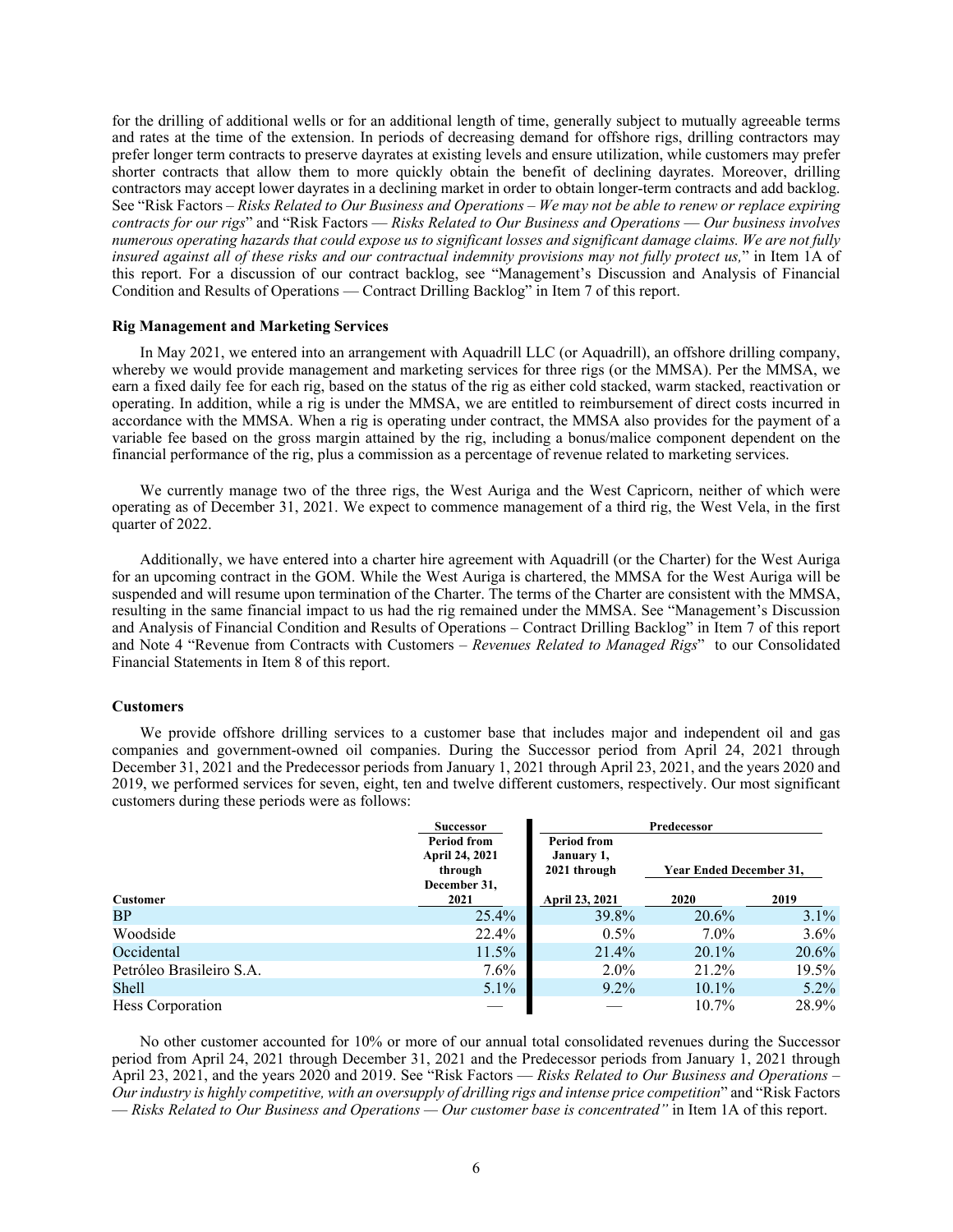for the drilling of additional wells or for an additional length of time, generally subject to mutually agreeable terms and rates at the time of the extension. In periods of decreasing demand for offshore rigs, drilling contractors may prefer longer term contracts to preserve dayrates at existing levels and ensure utilization, while customers may prefer shorter contracts that allow them to more quickly obtain the benefit of declining dayrates. Moreover, drilling contractors may accept lower dayrates in a declining market in order to obtain longer-term contracts and add backlog. See "Risk Factors – *Risks Related to Our Business and Operations* – *We may not be able to renew or replace expiring contracts for our rigs*" and "Risk Factors — *Risks Related to Our Business and Operations* — *Our business involves numerous operating hazards that could expose us to significant losses and significant damage claims. We are not fully insured against all of these risks and our contractual indemnity provisions may not fully protect us,*" in Item 1A of this report. For a discussion of our contract backlog, see "Management's Discussion and Analysis of Financial Condition and Results of Operations — Contract Drilling Backlog" in Item 7 of this report.

### **Rig Management and Marketing Services**

In May 2021, we entered into an arrangement with Aquadrill LLC (or Aquadrill), an offshore drilling company, whereby we would provide management and marketing services for three rigs (or the MMSA). Per the MMSA, we earn a fixed daily fee for each rig, based on the status of the rig as either cold stacked, warm stacked, reactivation or operating. In addition, while a rig is under the MMSA, we are entitled to reimbursement of direct costs incurred in accordance with the MMSA. When a rig is operating under contract, the MMSA also provides for the payment of a variable fee based on the gross margin attained by the rig, including a bonus/malice component dependent on the financial performance of the rig, plus a commission as a percentage of revenue related to marketing services.

We currently manage two of the three rigs, the West Auriga and the West Capricorn, neither of which were operating as of December 31, 2021. We expect to commence management of a third rig, the West Vela, in the first quarter of 2022.

Additionally, we have entered into a charter hire agreement with Aquadrill (or the Charter) for the West Auriga for an upcoming contract in the GOM. While the West Auriga is chartered, the MMSA for the West Auriga will be suspended and will resume upon termination of the Charter. The terms of the Charter are consistent with the MMSA, resulting in the same financial impact to us had the rig remained under the MMSA. See "Management's Discussion and Analysis of Financial Condition and Results of Operations – Contract Drilling Backlog" in Item 7 of this report and Note 4 "Revenue from Contracts with Customers – *Revenues Related to Managed Rigs*" to our Consolidated Financial Statements in Item 8 of this report.

#### **Customers**

We provide offshore drilling services to a customer base that includes major and independent oil and gas companies and government-owned oil companies. During the Successor period from April 24, 2021 through December 31, 2021 and the Predecessor periods from January 1, 2021 through April 23, 2021, and the years 2020 and 2019, we performed services for seven, eight, ten and twelve different customers, respectively. Our most significant customers during these periods were as follows:

|                          | <b>Successor</b>                                                       | Predecessor                                      |                                |       |  |
|--------------------------|------------------------------------------------------------------------|--------------------------------------------------|--------------------------------|-------|--|
|                          | <b>Period from</b><br><b>April 24, 2021</b><br>through<br>December 31, | <b>Period from</b><br>January 1,<br>2021 through | <b>Year Ended December 31,</b> |       |  |
| <b>Customer</b>          | 2021                                                                   | April 23, 2021                                   | 2020                           | 2019  |  |
| <b>BP</b>                | 25.4%                                                                  | 39.8%                                            | 20.6%                          | 3.1%  |  |
| Woodside                 | 22.4%                                                                  | $0.5\%$                                          | $7.0\%$                        | 3.6%  |  |
| Occidental               | 11.5%                                                                  | 21.4%                                            | $20.1\%$                       | 20.6% |  |
| Petróleo Brasileiro S.A. | $7.6\%$                                                                | $2.0\%$                                          | 21.2%                          | 19.5% |  |
| <b>Shell</b>             | $5.1\%$                                                                | $9.2\%$                                          | $10.1\%$                       | 5.2%  |  |
| Hess Corporation         |                                                                        |                                                  | $10.7\%$                       | 28.9% |  |

No other customer accounted for 10% or more of our annual total consolidated revenues during the Successor period from April 24, 2021 through December 31, 2021 and the Predecessor periods from January 1, 2021 through April 23, 2021, and the years 2020 and 2019. See "Risk Factors — *Risks Related to Our Business and Operations* – *Our industry is highly competitive, with an oversupply of drilling rigs and intense price competition*" and "Risk Factors — *Risks Related to Our Business and Operations — Our customer base is concentrated"* in Item 1A of this report.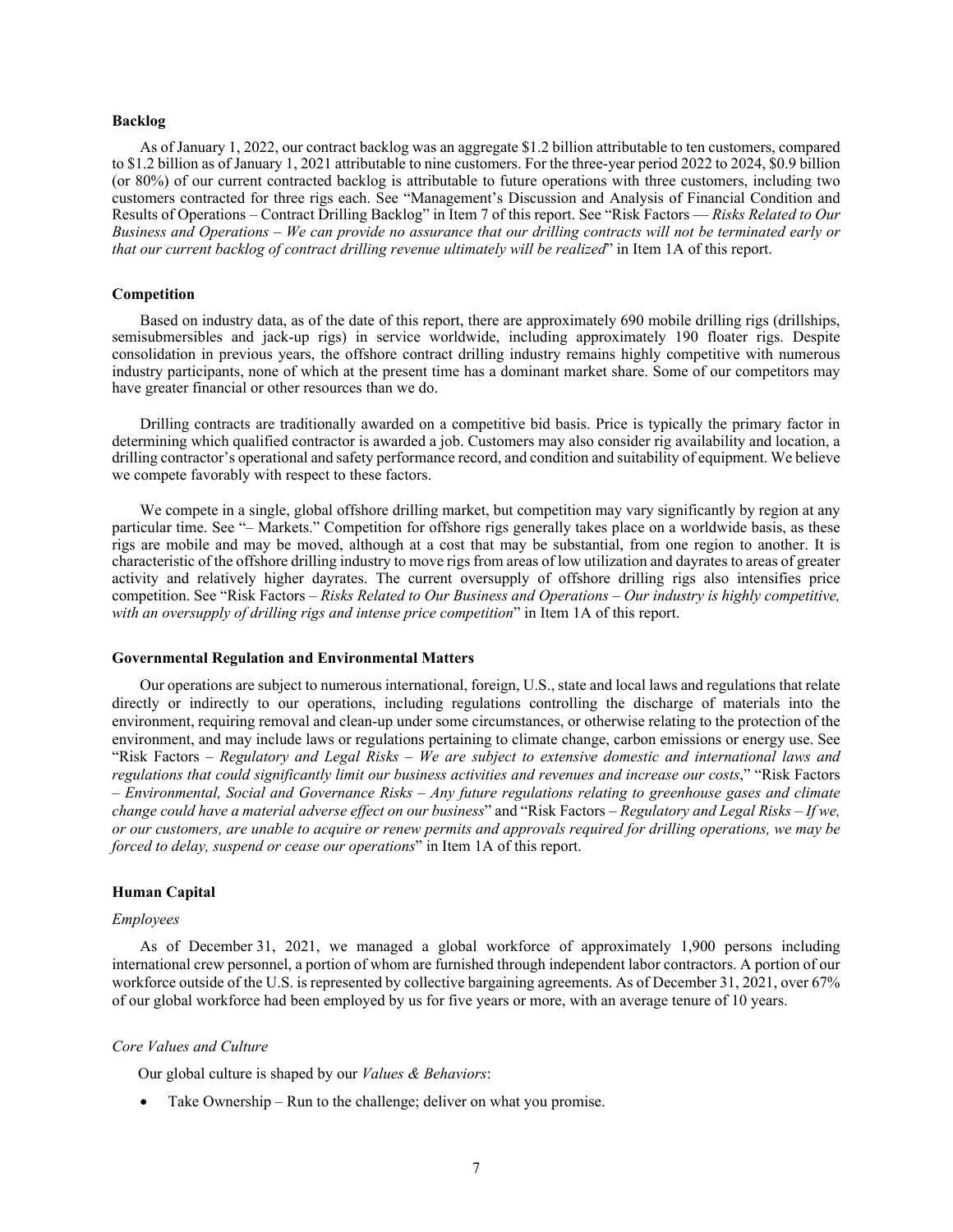#### **Backlog**

As of January 1, 2022, our contract backlog was an aggregate \$1.2 billion attributable to ten customers, compared to \$1.2 billion as of January 1, 2021 attributable to nine customers. For the three-year period 2022 to 2024, \$0.9 billion (or 80%) of our current contracted backlog is attributable to future operations with three customers, including two customers contracted for three rigs each. See "Management's Discussion and Analysis of Financial Condition and Results of Operations – Contract Drilling Backlog" in Item 7 of this report. See "Risk Factors — *Risks Related to Our Business and Operations* – *We can provide no assurance that our drilling contracts will not be terminated early or that our current backlog of contract drilling revenue ultimately will be realized*" in Item 1A of this report.

#### **Competition**

Based on industry data, as of the date of this report, there are approximately 690 mobile drilling rigs (drillships, semisubmersibles and jack-up rigs) in service worldwide, including approximately 190 floater rigs. Despite consolidation in previous years, the offshore contract drilling industry remains highly competitive with numerous industry participants, none of which at the present time has a dominant market share. Some of our competitors may have greater financial or other resources than we do.

Drilling contracts are traditionally awarded on a competitive bid basis. Price is typically the primary factor in determining which qualified contractor is awarded a job. Customers may also consider rig availability and location, a drilling contractor's operational and safety performance record, and condition and suitability of equipment. We believe we compete favorably with respect to these factors.

We compete in a single, global offshore drilling market, but competition may vary significantly by region at any particular time. See "– Markets." Competition for offshore rigs generally takes place on a worldwide basis, as these rigs are mobile and may be moved, although at a cost that may be substantial, from one region to another. It is characteristic of the offshore drilling industry to move rigs from areas of low utilization and dayrates to areas of greater activity and relatively higher dayrates. The current oversupply of offshore drilling rigs also intensifies price competition. See "Risk Factors – *Risks Related to Our Business and Operations – Our industry is highly competitive, with an oversupply of drilling rigs and intense price competition*" in Item 1A of this report.

### **Governmental Regulation and Environmental Matters**

Our operations are subject to numerous international, foreign, U.S., state and local laws and regulations that relate directly or indirectly to our operations, including regulations controlling the discharge of materials into the environment, requiring removal and clean-up under some circumstances, or otherwise relating to the protection of the environment, and may include laws or regulations pertaining to climate change, carbon emissions or energy use. See "Risk Factors – *Regulatory and Legal Risks* – *We are subject to extensive domestic and international laws and regulations that could significantly limit our business activities and revenues and increase our costs*," "Risk Factors – *Environmental, Social and Governance Risks* – *Any future regulations relating to greenhouse gases and climate change could have a material adverse effect on our business*" and "Risk Factors *– Regulatory and Legal Risks – If we, or our customers, are unable to acquire or renew permits and approvals required for drilling operations, we may be forced to delay, suspend or cease our operations*" in Item 1A of this report.

## **Human Capital**

#### *Employees*

As of December 31, 2021, we managed a global workforce of approximately 1,900 persons including international crew personnel, a portion of whom are furnished through independent labor contractors. A portion of our workforce outside of the U.S. is represented by collective bargaining agreements. As of December 31, 2021, over 67% of our global workforce had been employed by us for five years or more, with an average tenure of 10 years.

#### *Core Values and Culture*

Our global culture is shaped by our *Values & Behaviors*:

Take Ownership – Run to the challenge; deliver on what you promise.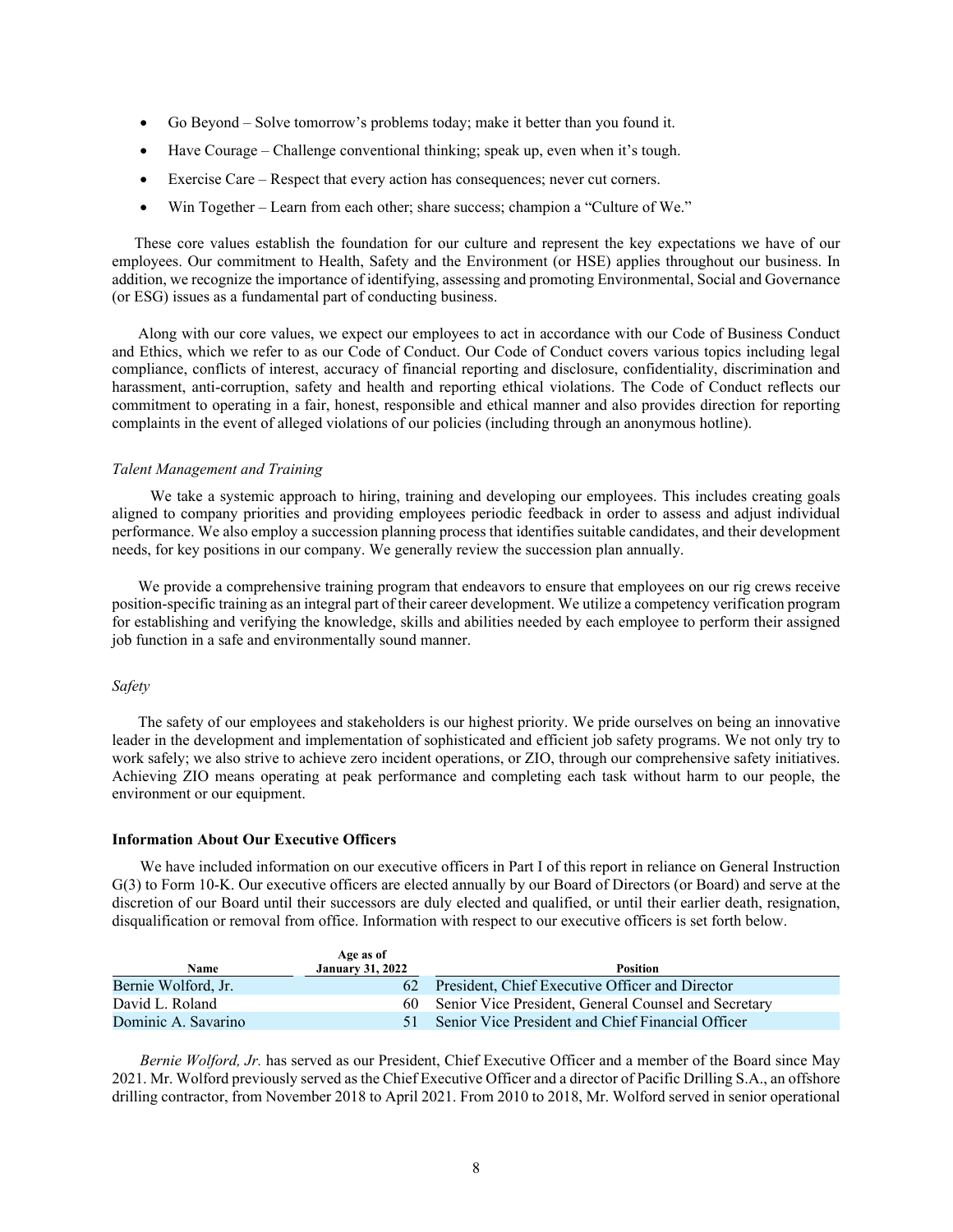- Go Beyond Solve tomorrow's problems today; make it better than you found it.
- Have Courage Challenge conventional thinking; speak up, even when it's tough.
- Exercise Care Respect that every action has consequences; never cut corners.
- Win Together Learn from each other; share success; champion a "Culture of We."

These core values establish the foundation for our culture and represent the key expectations we have of our employees. Our commitment to Health, Safety and the Environment (or HSE) applies throughout our business. In addition, we recognize the importance of identifying, assessing and promoting Environmental, Social and Governance (or ESG) issues as a fundamental part of conducting business.

Along with our core values, we expect our employees to act in accordance with our Code of Business Conduct and Ethics, which we refer to as our Code of Conduct. Our Code of Conduct covers various topics including legal compliance, conflicts of interest, accuracy of financial reporting and disclosure, confidentiality, discrimination and harassment, anti-corruption, safety and health and reporting ethical violations. The Code of Conduct reflects our commitment to operating in a fair, honest, responsible and ethical manner and also provides direction for reporting complaints in the event of alleged violations of our policies (including through an anonymous hotline).

#### *Talent Management and Training*

We take a systemic approach to hiring, training and developing our employees. This includes creating goals aligned to company priorities and providing employees periodic feedback in order to assess and adjust individual performance. We also employ a succession planning process that identifies suitable candidates, and their development needs, for key positions in our company. We generally review the succession plan annually.

We provide a comprehensive training program that endeavors to ensure that employees on our rig crews receive position-specific training as an integral part of their career development. We utilize a competency verification program for establishing and verifying the knowledge, skills and abilities needed by each employee to perform their assigned job function in a safe and environmentally sound manner.

#### *Safety*

The safety of our employees and stakeholders is our highest priority. We pride ourselves on being an innovative leader in the development and implementation of sophisticated and efficient job safety programs. We not only try to work safely; we also strive to achieve zero incident operations, or ZIO, through our comprehensive safety initiatives. Achieving ZIO means operating at peak performance and completing each task without harm to our people, the environment or our equipment.

### **Information About Our Executive Officers**

We have included information on our executive officers in Part I of this report in reliance on General Instruction G(3) to Form 10-K. Our executive officers are elected annually by our Board of Directors (or Board) and serve at the discretion of our Board until their successors are duly elected and qualified, or until their earlier death, resignation, disqualification or removal from office. Information with respect to our executive officers is set forth below.

|                     | Age as of               |                                                         |
|---------------------|-------------------------|---------------------------------------------------------|
| Name                | <b>January 31, 2022</b> | <b>Position</b>                                         |
| Bernie Wolford, Jr. | 62                      | President, Chief Executive Officer and Director         |
| David L. Roland     |                         | 60 Senior Vice President, General Counsel and Secretary |
| Dominic A. Savarino |                         | Senior Vice President and Chief Financial Officer       |

*Bernie Wolford, Jr.* has served as our President, Chief Executive Officer and a member of the Board since May 2021. Mr. Wolford previously served as the Chief Executive Officer and a director of Pacific Drilling S.A., an offshore drilling contractor, from November 2018 to April 2021. From 2010 to 2018, Mr. Wolford served in senior operational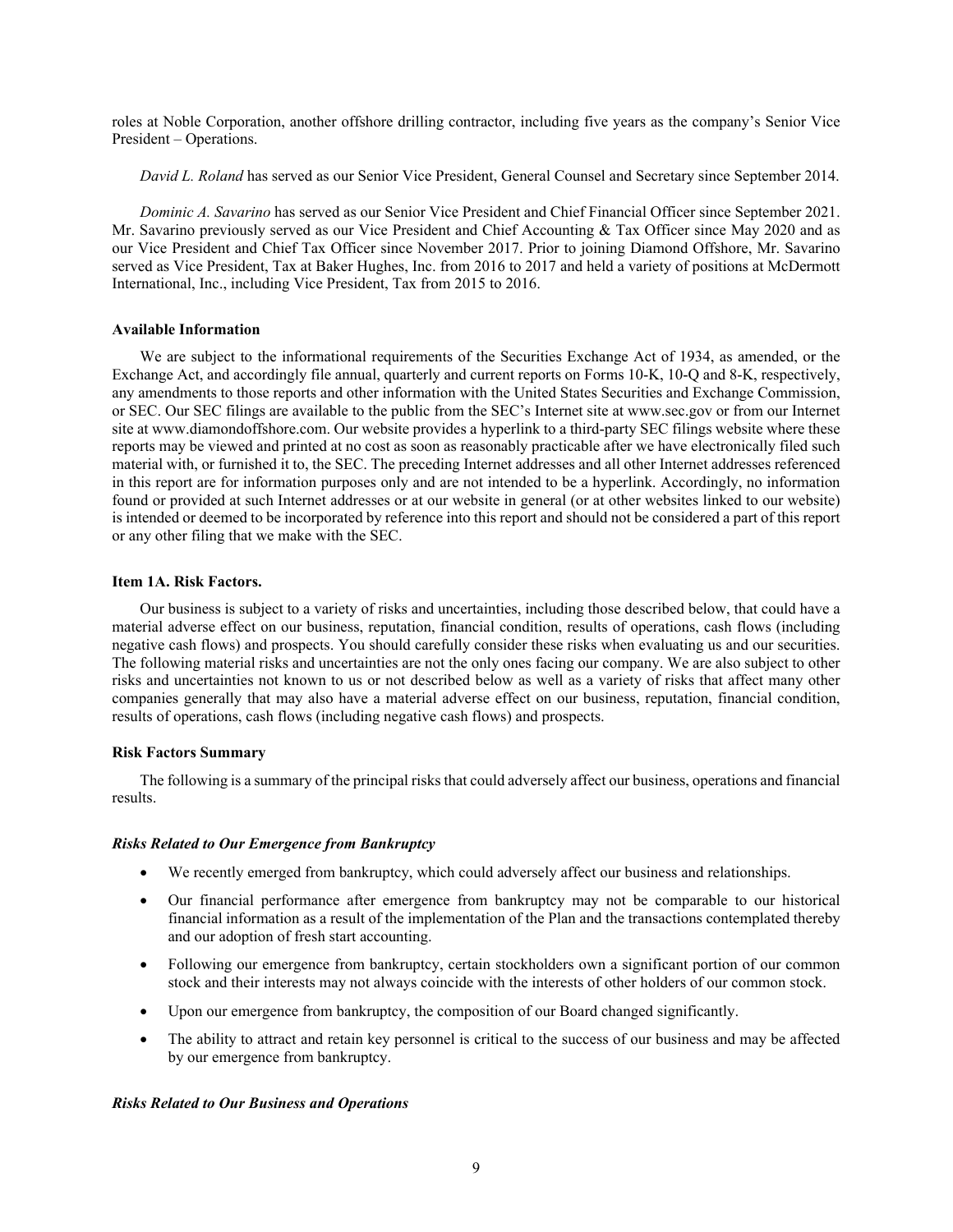roles at Noble Corporation, another offshore drilling contractor, including five years as the company's Senior Vice President – Operations.

*David L. Roland* has served as our Senior Vice President, General Counsel and Secretary since September 2014.

*Dominic A. Savarino* has served as our Senior Vice President and Chief Financial Officer since September 2021. Mr. Savarino previously served as our Vice President and Chief Accounting & Tax Officer since May 2020 and as our Vice President and Chief Tax Officer since November 2017. Prior to joining Diamond Offshore, Mr. Savarino served as Vice President, Tax at Baker Hughes, Inc. from 2016 to 2017 and held a variety of positions at McDermott International, Inc., including Vice President, Tax from 2015 to 2016.

## **Available Information**

We are subject to the informational requirements of the Securities Exchange Act of 1934, as amended, or the Exchange Act, and accordingly file annual, quarterly and current reports on Forms 10-K, 10-Q and 8-K, respectively, any amendments to those reports and other information with the United States Securities and Exchange Commission, or SEC. Our SEC filings are available to the public from the SEC's Internet site at www.sec.gov or from our Internet site at www.diamondoffshore.com. Our website provides a hyperlink to a third-party SEC filings website where these reports may be viewed and printed at no cost as soon as reasonably practicable after we have electronically filed such material with, or furnished it to, the SEC. The preceding Internet addresses and all other Internet addresses referenced in this report are for information purposes only and are not intended to be a hyperlink. Accordingly, no information found or provided at such Internet addresses or at our website in general (or at other websites linked to our website) is intended or deemed to be incorporated by reference into this report and should not be considered a part of this report or any other filing that we make with the SEC.

## <span id="page-8-0"></span>**Item 1A. Risk Factors.**

Our business is subject to a variety of risks and uncertainties, including those described below, that could have a material adverse effect on our business, reputation, financial condition, results of operations, cash flows (including negative cash flows) and prospects. You should carefully consider these risks when evaluating us and our securities. The following material risks and uncertainties are not the only ones facing our company. We are also subject to other risks and uncertainties not known to us or not described below as well as a variety of risks that affect many other companies generally that may also have a material adverse effect on our business, reputation, financial condition, results of operations, cash flows (including negative cash flows) and prospects.

## **Risk Factors Summary**

The following is a summary of the principal risks that could adversely affect our business, operations and financial results.

## *Risks Related to Our Emergence from Bankruptcy*

- We recently emerged from bankruptcy, which could adversely affect our business and relationships.
- Our financial performance after emergence from bankruptcy may not be comparable to our historical financial information as a result of the implementation of the Plan and the transactions contemplated thereby and our adoption of fresh start accounting.
- Following our emergence from bankruptcy, certain stockholders own a significant portion of our common stock and their interests may not always coincide with the interests of other holders of our common stock.
- Upon our emergence from bankruptcy, the composition of our Board changed significantly.
- The ability to attract and retain key personnel is critical to the success of our business and may be affected by our emergence from bankruptcy.

## *Risks Related to Our Business and Operations*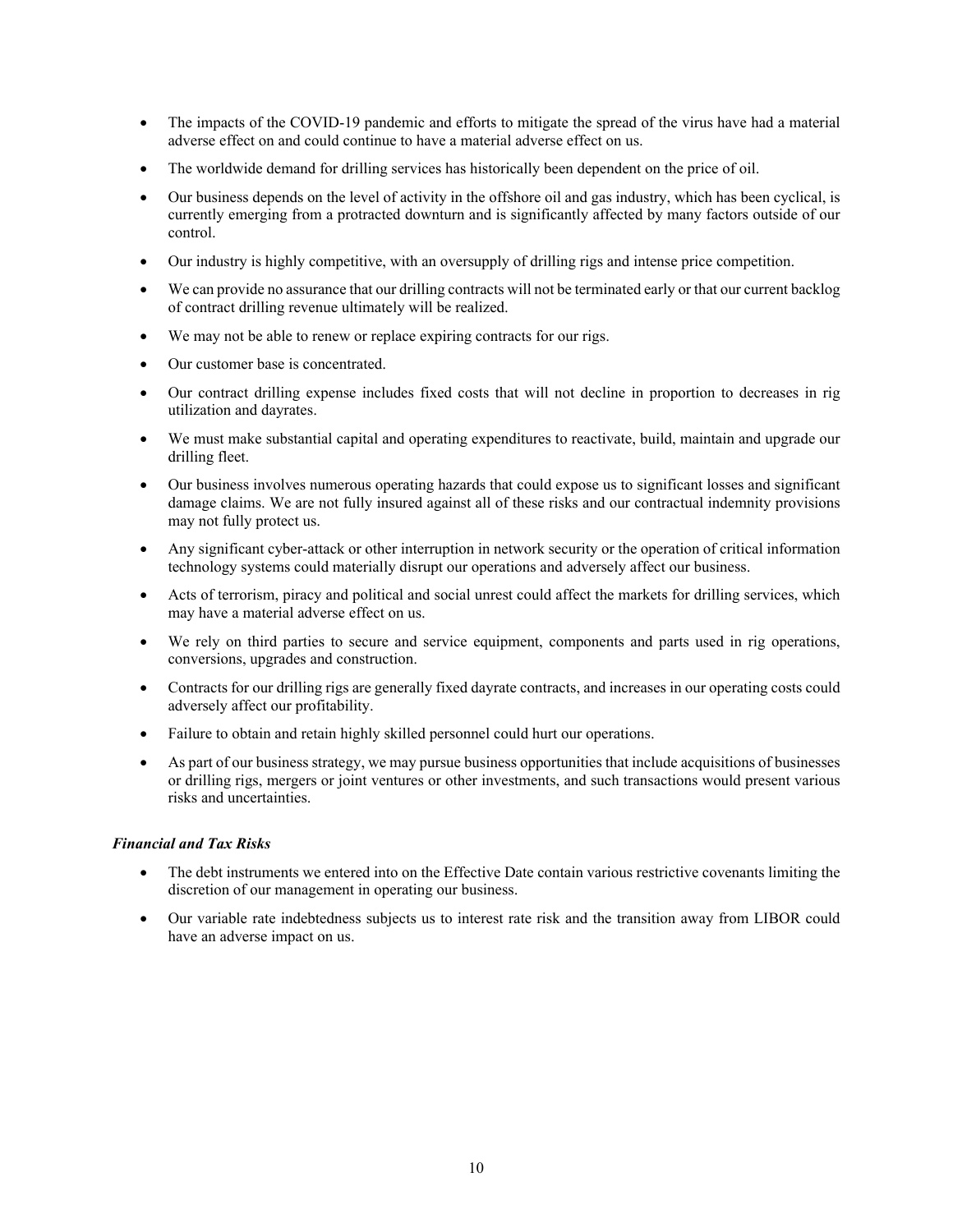- The impacts of the COVID-19 pandemic and efforts to mitigate the spread of the virus have had a material adverse effect on and could continue to have a material adverse effect on us.
- The worldwide demand for drilling services has historically been dependent on the price of oil.
- Our business depends on the level of activity in the offshore oil and gas industry, which has been cyclical, is currently emerging from a protracted downturn and is significantly affected by many factors outside of our control.
- Our industry is highly competitive, with an oversupply of drilling rigs and intense price competition.
- We can provide no assurance that our drilling contracts will not be terminated early or that our current backlog of contract drilling revenue ultimately will be realized.
- We may not be able to renew or replace expiring contracts for our rigs.
- Our customer base is concentrated.
- Our contract drilling expense includes fixed costs that will not decline in proportion to decreases in rig utilization and dayrates.
- We must make substantial capital and operating expenditures to reactivate, build, maintain and upgrade our drilling fleet.
- Our business involves numerous operating hazards that could expose us to significant losses and significant damage claims. We are not fully insured against all of these risks and our contractual indemnity provisions may not fully protect us.
- Any significant cyber-attack or other interruption in network security or the operation of critical information technology systems could materially disrupt our operations and adversely affect our business.
- Acts of terrorism, piracy and political and social unrest could affect the markets for drilling services, which may have a material adverse effect on us.
- We rely on third parties to secure and service equipment, components and parts used in rig operations, conversions, upgrades and construction.
- Contracts for our drilling rigs are generally fixed dayrate contracts, and increases in our operating costs could adversely affect our profitability.
- Failure to obtain and retain highly skilled personnel could hurt our operations.
- As part of our business strategy, we may pursue business opportunities that include acquisitions of businesses or drilling rigs, mergers or joint ventures or other investments, and such transactions would present various risks and uncertainties.

## *Financial and Tax Risks*

- The debt instruments we entered into on the Effective Date contain various restrictive covenants limiting the discretion of our management in operating our business.
- Our variable rate indebtedness subjects us to interest rate risk and the transition away from LIBOR could have an adverse impact on us.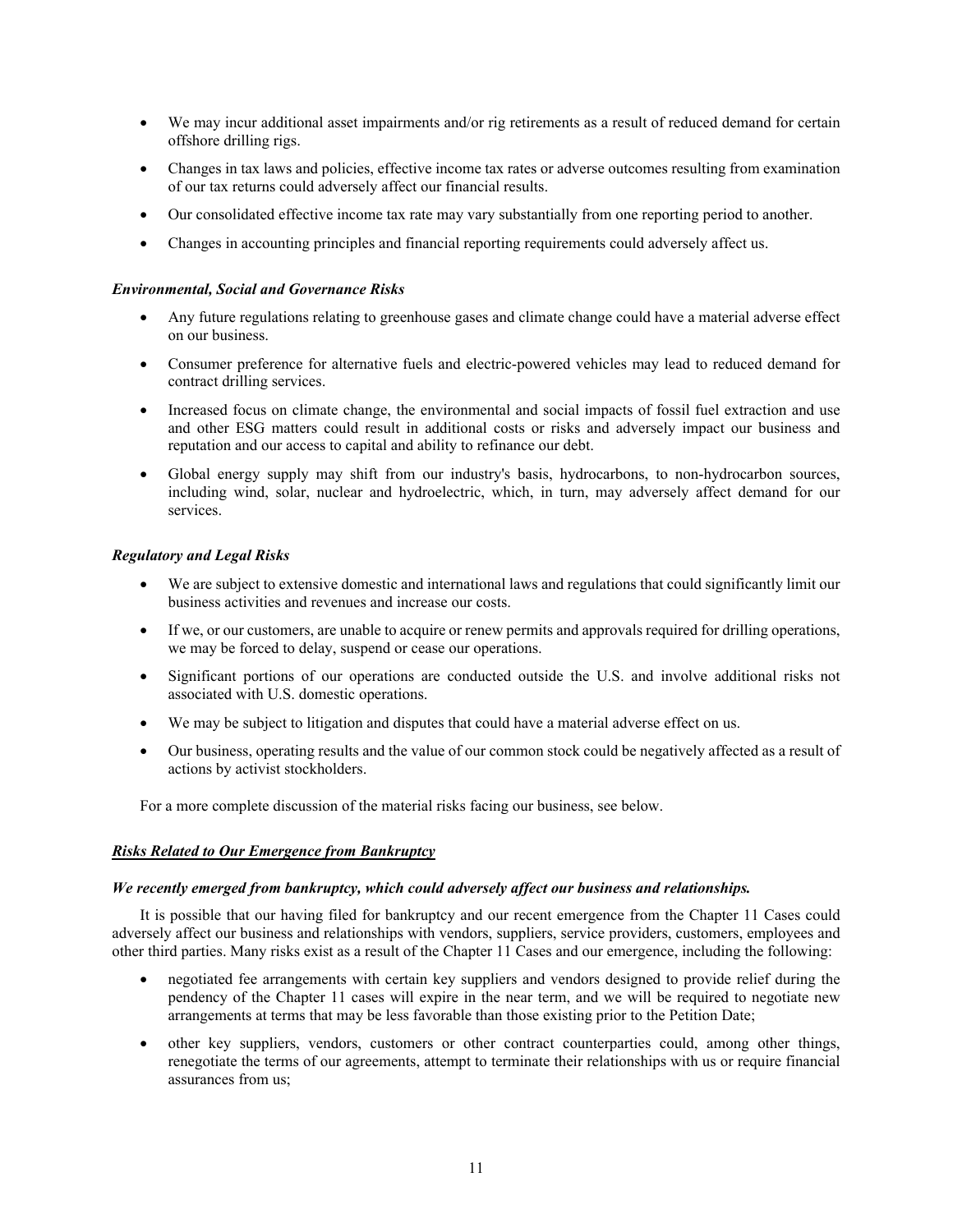- We may incur additional asset impairments and/or rig retirements as a result of reduced demand for certain offshore drilling rigs.
- Changes in tax laws and policies, effective income tax rates or adverse outcomes resulting from examination of our tax returns could adversely affect our financial results.
- Our consolidated effective income tax rate may vary substantially from one reporting period to another.
- Changes in accounting principles and financial reporting requirements could adversely affect us.

### *Environmental, Social and Governance Risks*

- Any future regulations relating to greenhouse gases and climate change could have a material adverse effect on our business.
- Consumer preference for alternative fuels and electric-powered vehicles may lead to reduced demand for contract drilling services.
- Increased focus on climate change, the environmental and social impacts of fossil fuel extraction and use and other ESG matters could result in additional costs or risks and adversely impact our business and reputation and our access to capital and ability to refinance our debt.
- Global energy supply may shift from our industry's basis, hydrocarbons, to non-hydrocarbon sources, including wind, solar, nuclear and hydroelectric, which, in turn, may adversely affect demand for our services.

## *Regulatory and Legal Risks*

- We are subject to extensive domestic and international laws and regulations that could significantly limit our business activities and revenues and increase our costs.
- If we, or our customers, are unable to acquire or renew permits and approvals required for drilling operations, we may be forced to delay, suspend or cease our operations.
- Significant portions of our operations are conducted outside the U.S. and involve additional risks not associated with U.S. domestic operations.
- We may be subject to litigation and disputes that could have a material adverse effect on us.
- Our business, operating results and the value of our common stock could be negatively affected as a result of actions by activist stockholders.

For a more complete discussion of the material risks facing our business, see below.

### *Risks Related to Our Emergence from Bankruptcy*

#### *We recently emerged from bankruptcy, which could adversely affect our business and relationships.*

It is possible that our having filed for bankruptcy and our recent emergence from the Chapter 11 Cases could adversely affect our business and relationships with vendors, suppliers, service providers, customers, employees and other third parties. Many risks exist as a result of the Chapter 11 Cases and our emergence, including the following:

- negotiated fee arrangements with certain key suppliers and vendors designed to provide relief during the pendency of the Chapter 11 cases will expire in the near term, and we will be required to negotiate new arrangements at terms that may be less favorable than those existing prior to the Petition Date;
- other key suppliers, vendors, customers or other contract counterparties could, among other things, renegotiate the terms of our agreements, attempt to terminate their relationships with us or require financial assurances from us;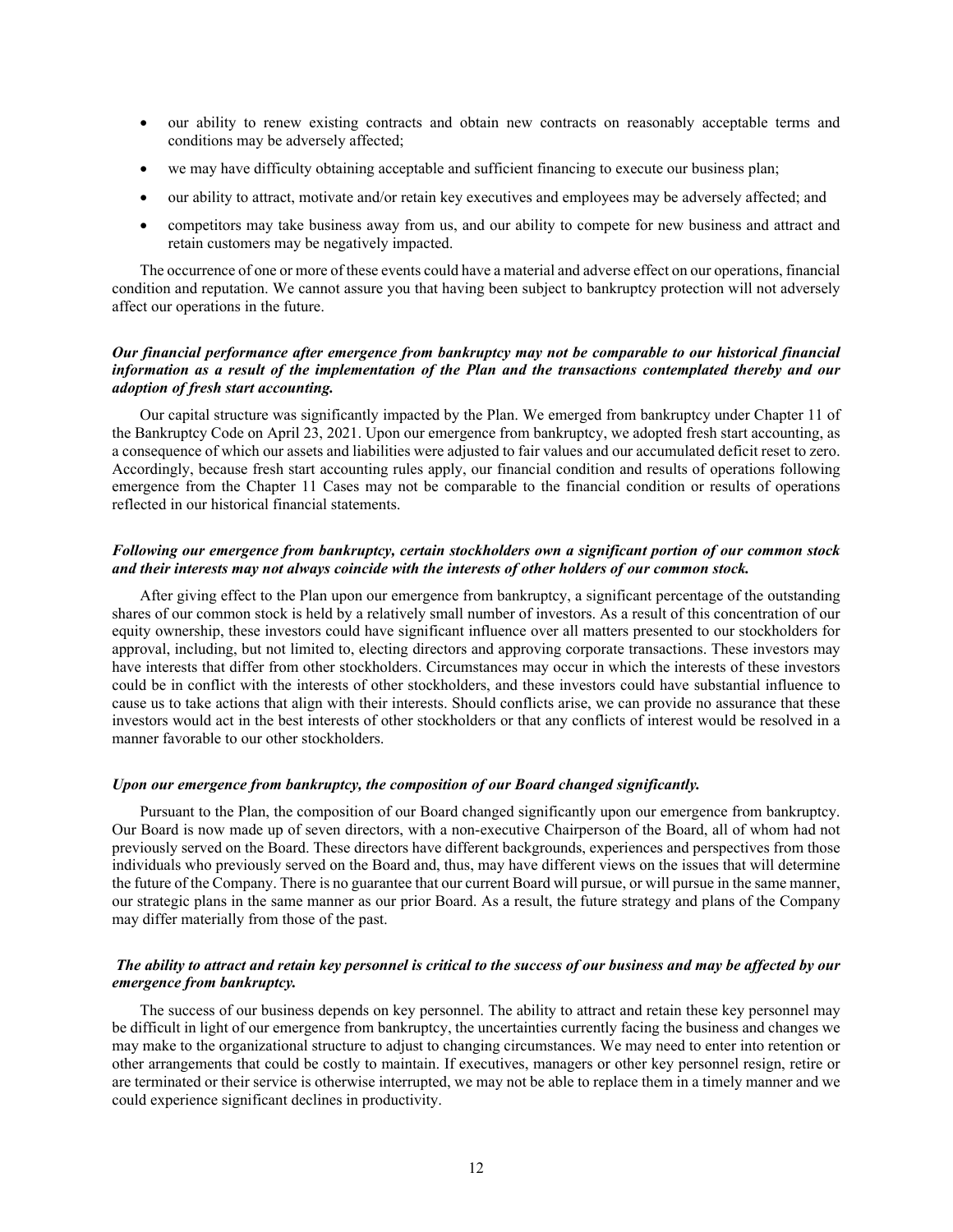- our ability to renew existing contracts and obtain new contracts on reasonably acceptable terms and conditions may be adversely affected;
- we may have difficulty obtaining acceptable and sufficient financing to execute our business plan;
- our ability to attract, motivate and/or retain key executives and employees may be adversely affected; and
- competitors may take business away from us, and our ability to compete for new business and attract and retain customers may be negatively impacted.

The occurrence of one or more of these events could have a material and adverse effect on our operations, financial condition and reputation. We cannot assure you that having been subject to bankruptcy protection will not adversely affect our operations in the future.

## *Our financial performance after emergence from bankruptcy may not be comparable to our historical financial information as a result of the implementation of the Plan and the transactions contemplated thereby and our adoption of fresh start accounting.*

Our capital structure was significantly impacted by the Plan. We emerged from bankruptcy under Chapter 11 of the Bankruptcy Code on April 23, 2021. Upon our emergence from bankruptcy, we adopted fresh start accounting, as a consequence of which our assets and liabilities were adjusted to fair values and our accumulated deficit reset to zero. Accordingly, because fresh start accounting rules apply, our financial condition and results of operations following emergence from the Chapter 11 Cases may not be comparable to the financial condition or results of operations reflected in our historical financial statements.

## *Following our emergence from bankruptcy, certain stockholders own a significant portion of our common stock and their interests may not always coincide with the interests of other holders of our common stock.*

After giving effect to the Plan upon our emergence from bankruptcy, a significant percentage of the outstanding shares of our common stock is held by a relatively small number of investors. As a result of this concentration of our equity ownership, these investors could have significant influence over all matters presented to our stockholders for approval, including, but not limited to, electing directors and approving corporate transactions. These investors may have interests that differ from other stockholders. Circumstances may occur in which the interests of these investors could be in conflict with the interests of other stockholders, and these investors could have substantial influence to cause us to take actions that align with their interests. Should conflicts arise, we can provide no assurance that these investors would act in the best interests of other stockholders or that any conflicts of interest would be resolved in a manner favorable to our other stockholders.

#### *Upon our emergence from bankruptcy, the composition of our Board changed significantly.*

Pursuant to the Plan, the composition of our Board changed significantly upon our emergence from bankruptcy. Our Board is now made up of seven directors, with a non-executive Chairperson of the Board, all of whom had not previously served on the Board. These directors have different backgrounds, experiences and perspectives from those individuals who previously served on the Board and, thus, may have different views on the issues that will determine the future of the Company. There is no guarantee that our current Board will pursue, or will pursue in the same manner, our strategic plans in the same manner as our prior Board. As a result, the future strategy and plans of the Company may differ materially from those of the past.

## *The ability to attract and retain key personnel is critical to the success of our business and may be affected by our emergence from bankruptcy.*

The success of our business depends on key personnel. The ability to attract and retain these key personnel may be difficult in light of our emergence from bankruptcy, the uncertainties currently facing the business and changes we may make to the organizational structure to adjust to changing circumstances. We may need to enter into retention or other arrangements that could be costly to maintain. If executives, managers or other key personnel resign, retire or are terminated or their service is otherwise interrupted, we may not be able to replace them in a timely manner and we could experience significant declines in productivity.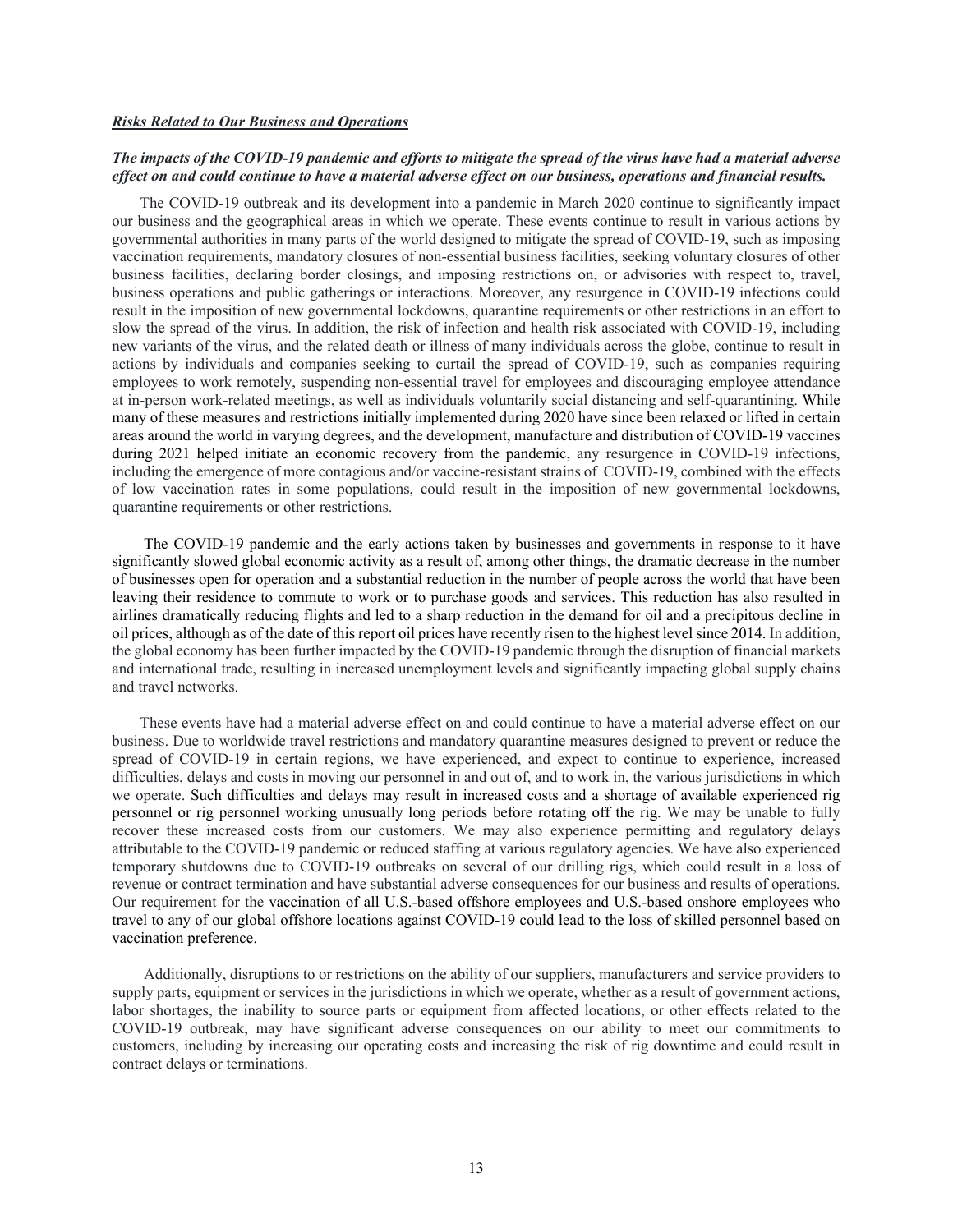#### *Risks Related to Our Business and Operations*

## *The impacts of the COVID-19 pandemic and efforts to mitigate the spread of the virus have had a material adverse effect on and could continue to have a material adverse effect on our business, operations and financial results.*

The COVID-19 outbreak and its development into a pandemic in March 2020 continue to significantly impact our business and the geographical areas in which we operate. These events continue to result in various actions by governmental authorities in many parts of the world designed to mitigate the spread of COVID-19, such as imposing vaccination requirements, mandatory closures of non-essential business facilities, seeking voluntary closures of other business facilities, declaring border closings, and imposing restrictions on, or advisories with respect to, travel, business operations and public gatherings or interactions. Moreover, any resurgence in COVID-19 infections could result in the imposition of new governmental lockdowns, quarantine requirements or other restrictions in an effort to slow the spread of the virus. In addition, the risk of infection and health risk associated with COVID-19, including new variants of the virus, and the related death or illness of many individuals across the globe, continue to result in actions by individuals and companies seeking to curtail the spread of COVID-19, such as companies requiring employees to work remotely, suspending non-essential travel for employees and discouraging employee attendance at in-person work-related meetings, as well as individuals voluntarily social distancing and self-quarantining. While many of these measures and restrictions initially implemented during 2020 have since been relaxed or lifted in certain areas around the world in varying degrees, and the development, manufacture and distribution of COVID-19 vaccines during 2021 helped initiate an economic recovery from the pandemic, any resurgence in COVID-19 infections, including the emergence of more contagious and/or vaccine-resistant strains of COVID-19, combined with the effects of low vaccination rates in some populations, could result in the imposition of new governmental lockdowns, quarantine requirements or other restrictions.

 The COVID-19 pandemic and the early actions taken by businesses and governments in response to it have significantly slowed global economic activity as a result of, among other things, the dramatic decrease in the number of businesses open for operation and a substantial reduction in the number of people across the world that have been leaving their residence to commute to work or to purchase goods and services. This reduction has also resulted in airlines dramatically reducing flights and led to a sharp reduction in the demand for oil and a precipitous decline in oil prices, although as of the date of this report oil prices have recently risen to the highest level since 2014. In addition, the global economy has been further impacted by the COVID-19 pandemic through the disruption of financial markets and international trade, resulting in increased unemployment levels and significantly impacting global supply chains and travel networks.

These events have had a material adverse effect on and could continue to have a material adverse effect on our business. Due to worldwide travel restrictions and mandatory quarantine measures designed to prevent or reduce the spread of COVID-19 in certain regions, we have experienced, and expect to continue to experience, increased difficulties, delays and costs in moving our personnel in and out of, and to work in, the various jurisdictions in which we operate. Such difficulties and delays may result in increased costs and a shortage of available experienced rig personnel or rig personnel working unusually long periods before rotating off the rig. We may be unable to fully recover these increased costs from our customers. We may also experience permitting and regulatory delays attributable to the COVID-19 pandemic or reduced staffing at various regulatory agencies. We have also experienced temporary shutdowns due to COVID-19 outbreaks on several of our drilling rigs, which could result in a loss of revenue or contract termination and have substantial adverse consequences for our business and results of operations. Our requirement for the vaccination of all U.S.-based offshore employees and U.S.-based onshore employees who travel to any of our global offshore locations against COVID-19 could lead to the loss of skilled personnel based on vaccination preference.

 Additionally, disruptions to or restrictions on the ability of our suppliers, manufacturers and service providers to supply parts, equipment or services in the jurisdictions in which we operate, whether as a result of government actions, labor shortages, the inability to source parts or equipment from affected locations, or other effects related to the COVID-19 outbreak, may have significant adverse consequences on our ability to meet our commitments to customers, including by increasing our operating costs and increasing the risk of rig downtime and could result in contract delays or terminations.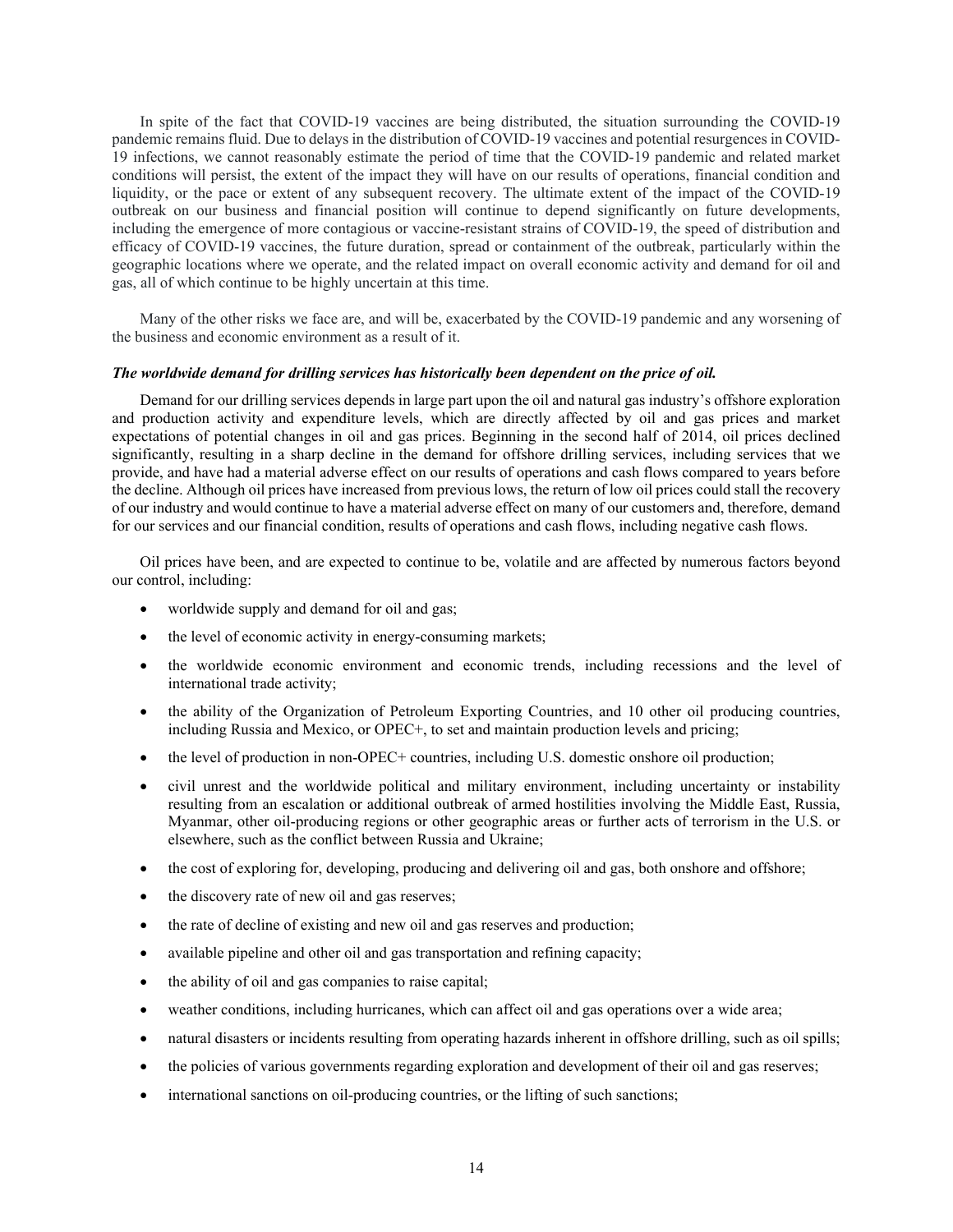In spite of the fact that COVID-19 vaccines are being distributed, the situation surrounding the COVID-19 pandemic remains fluid. Due to delays in the distribution of COVID-19 vaccines and potential resurgences in COVID-19 infections, we cannot reasonably estimate the period of time that the COVID-19 pandemic and related market conditions will persist, the extent of the impact they will have on our results of operations, financial condition and liquidity, or the pace or extent of any subsequent recovery. The ultimate extent of the impact of the COVID-19 outbreak on our business and financial position will continue to depend significantly on future developments, including the emergence of more contagious or vaccine-resistant strains of COVID-19, the speed of distribution and efficacy of COVID-19 vaccines, the future duration, spread or containment of the outbreak, particularly within the geographic locations where we operate, and the related impact on overall economic activity and demand for oil and gas, all of which continue to be highly uncertain at this time.

Many of the other risks we face are, and will be, exacerbated by the COVID-19 pandemic and any worsening of the business and economic environment as a result of it.

#### *The worldwide demand for drilling services has historically been dependent on the price of oil.*

Demand for our drilling services depends in large part upon the oil and natural gas industry's offshore exploration and production activity and expenditure levels, which are directly affected by oil and gas prices and market expectations of potential changes in oil and gas prices. Beginning in the second half of 2014, oil prices declined significantly, resulting in a sharp decline in the demand for offshore drilling services, including services that we provide, and have had a material adverse effect on our results of operations and cash flows compared to years before the decline. Although oil prices have increased from previous lows, the return of low oil prices could stall the recovery of our industry and would continue to have a material adverse effect on many of our customers and, therefore, demand for our services and our financial condition, results of operations and cash flows, including negative cash flows.

Oil prices have been, and are expected to continue to be, volatile and are affected by numerous factors beyond our control, including:

- worldwide supply and demand for oil and gas;
- the level of economic activity in energy-consuming markets;
- the worldwide economic environment and economic trends, including recessions and the level of international trade activity;
- the ability of the Organization of Petroleum Exporting Countries, and 10 other oil producing countries, including Russia and Mexico, or OPEC+, to set and maintain production levels and pricing;
- the level of production in non-OPEC+ countries, including U.S. domestic onshore oil production;
- civil unrest and the worldwide political and military environment, including uncertainty or instability resulting from an escalation or additional outbreak of armed hostilities involving the Middle East, Russia, Myanmar, other oil-producing regions or other geographic areas or further acts of terrorism in the U.S. or elsewhere, such as the conflict between Russia and Ukraine;
- the cost of exploring for, developing, producing and delivering oil and gas, both onshore and offshore;
- the discovery rate of new oil and gas reserves;
- the rate of decline of existing and new oil and gas reserves and production;
- available pipeline and other oil and gas transportation and refining capacity;
- the ability of oil and gas companies to raise capital;
- weather conditions, including hurricanes, which can affect oil and gas operations over a wide area;
- natural disasters or incidents resulting from operating hazards inherent in offshore drilling, such as oil spills;
- the policies of various governments regarding exploration and development of their oil and gas reserves;
- international sanctions on oil-producing countries, or the lifting of such sanctions;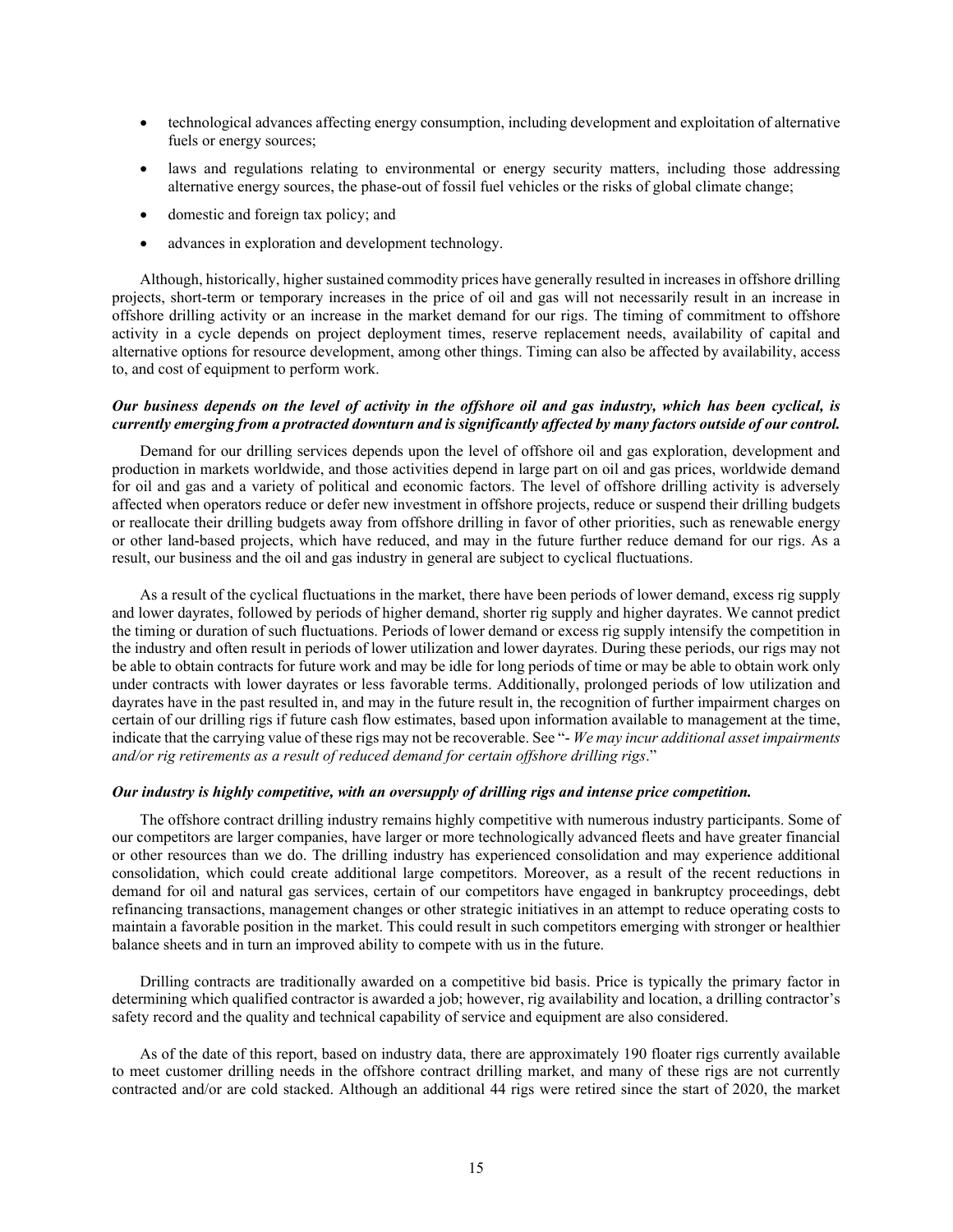- technological advances affecting energy consumption, including development and exploitation of alternative fuels or energy sources;
- laws and regulations relating to environmental or energy security matters, including those addressing alternative energy sources, the phase-out of fossil fuel vehicles or the risks of global climate change;
- domestic and foreign tax policy; and
- advances in exploration and development technology.

Although, historically, higher sustained commodity prices have generally resulted in increases in offshore drilling projects, short-term or temporary increases in the price of oil and gas will not necessarily result in an increase in offshore drilling activity or an increase in the market demand for our rigs. The timing of commitment to offshore activity in a cycle depends on project deployment times, reserve replacement needs, availability of capital and alternative options for resource development, among other things. Timing can also be affected by availability, access to, and cost of equipment to perform work.

## *Our business depends on the level of activity in the offshore oil and gas industry, which has been cyclical, is currently emerging from a protracted downturn and is significantly affected by many factors outside of our control.*

Demand for our drilling services depends upon the level of offshore oil and gas exploration, development and production in markets worldwide, and those activities depend in large part on oil and gas prices, worldwide demand for oil and gas and a variety of political and economic factors. The level of offshore drilling activity is adversely affected when operators reduce or defer new investment in offshore projects, reduce or suspend their drilling budgets or reallocate their drilling budgets away from offshore drilling in favor of other priorities, such as renewable energy or other land-based projects, which have reduced, and may in the future further reduce demand for our rigs. As a result, our business and the oil and gas industry in general are subject to cyclical fluctuations.

As a result of the cyclical fluctuations in the market, there have been periods of lower demand, excess rig supply and lower dayrates, followed by periods of higher demand, shorter rig supply and higher dayrates. We cannot predict the timing or duration of such fluctuations. Periods of lower demand or excess rig supply intensify the competition in the industry and often result in periods of lower utilization and lower dayrates. During these periods, our rigs may not be able to obtain contracts for future work and may be idle for long periods of time or may be able to obtain work only under contracts with lower dayrates or less favorable terms. Additionally, prolonged periods of low utilization and dayrates have in the past resulted in, and may in the future result in, the recognition of further impairment charges on certain of our drilling rigs if future cash flow estimates, based upon information available to management at the time, indicate that the carrying value of these rigs may not be recoverable. See "- *We may incur additional asset impairments and/or rig retirements as a result of reduced demand for certain offshore drilling rigs*."

#### *Our industry is highly competitive, with an oversupply of drilling rigs and intense price competition.*

The offshore contract drilling industry remains highly competitive with numerous industry participants. Some of our competitors are larger companies, have larger or more technologically advanced fleets and have greater financial or other resources than we do. The drilling industry has experienced consolidation and may experience additional consolidation, which could create additional large competitors. Moreover, as a result of the recent reductions in demand for oil and natural gas services, certain of our competitors have engaged in bankruptcy proceedings, debt refinancing transactions, management changes or other strategic initiatives in an attempt to reduce operating costs to maintain a favorable position in the market. This could result in such competitors emerging with stronger or healthier balance sheets and in turn an improved ability to compete with us in the future.

Drilling contracts are traditionally awarded on a competitive bid basis. Price is typically the primary factor in determining which qualified contractor is awarded a job; however, rig availability and location, a drilling contractor's safety record and the quality and technical capability of service and equipment are also considered.

As of the date of this report, based on industry data, there are approximately 190 floater rigs currently available to meet customer drilling needs in the offshore contract drilling market, and many of these rigs are not currently contracted and/or are cold stacked. Although an additional 44 rigs were retired since the start of 2020, the market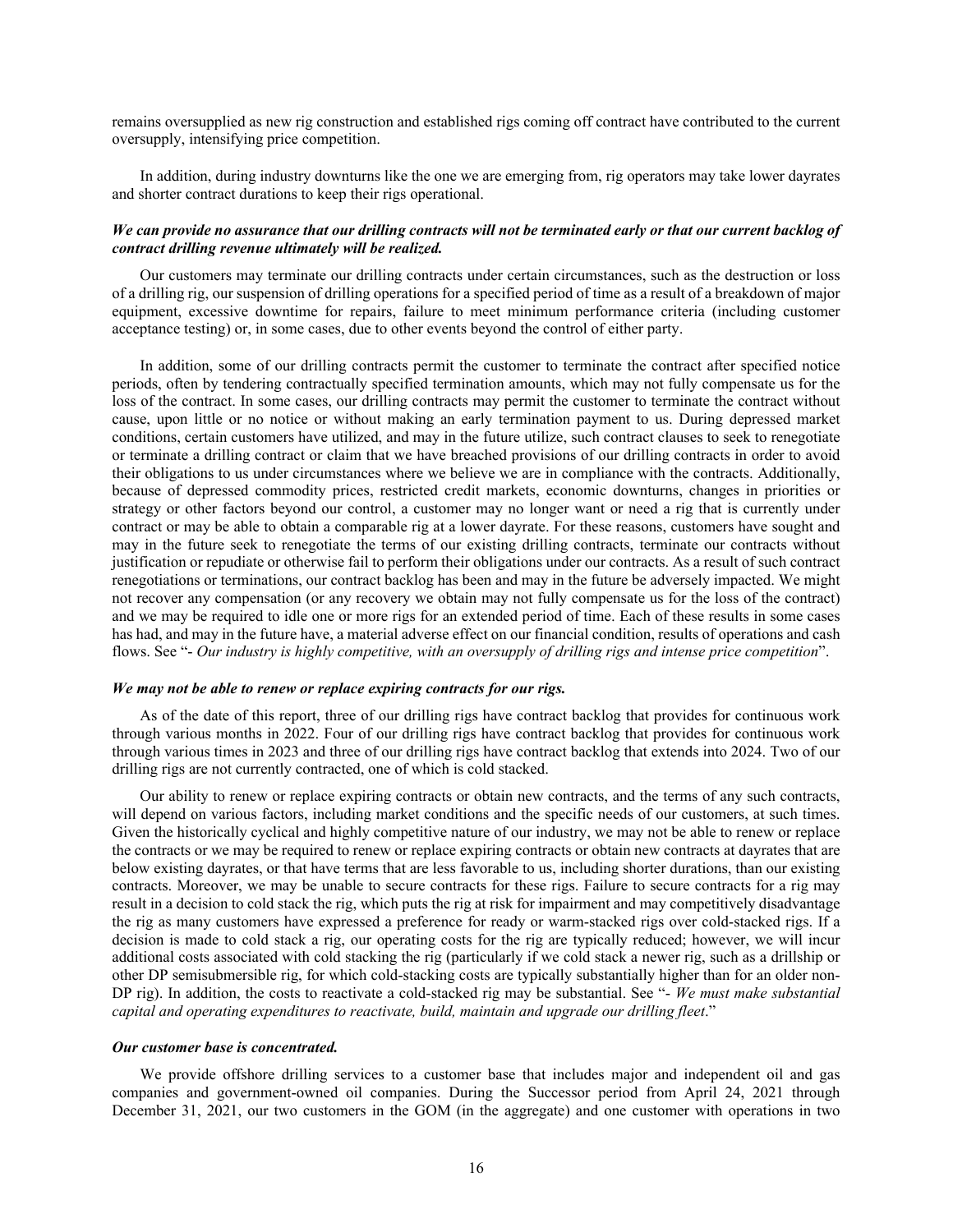remains oversupplied as new rig construction and established rigs coming off contract have contributed to the current oversupply, intensifying price competition.

In addition, during industry downturns like the one we are emerging from, rig operators may take lower dayrates and shorter contract durations to keep their rigs operational.

## *We can provide no assurance that our drilling contracts will not be terminated early or that our current backlog of contract drilling revenue ultimately will be realized.*

Our customers may terminate our drilling contracts under certain circumstances, such as the destruction or loss of a drilling rig, our suspension of drilling operations for a specified period of time as a result of a breakdown of major equipment, excessive downtime for repairs, failure to meet minimum performance criteria (including customer acceptance testing) or, in some cases, due to other events beyond the control of either party.

In addition, some of our drilling contracts permit the customer to terminate the contract after specified notice periods, often by tendering contractually specified termination amounts, which may not fully compensate us for the loss of the contract. In some cases, our drilling contracts may permit the customer to terminate the contract without cause, upon little or no notice or without making an early termination payment to us. During depressed market conditions, certain customers have utilized, and may in the future utilize, such contract clauses to seek to renegotiate or terminate a drilling contract or claim that we have breached provisions of our drilling contracts in order to avoid their obligations to us under circumstances where we believe we are in compliance with the contracts. Additionally, because of depressed commodity prices, restricted credit markets, economic downturns, changes in priorities or strategy or other factors beyond our control, a customer may no longer want or need a rig that is currently under contract or may be able to obtain a comparable rig at a lower dayrate. For these reasons, customers have sought and may in the future seek to renegotiate the terms of our existing drilling contracts, terminate our contracts without justification or repudiate or otherwise fail to perform their obligations under our contracts. As a result of such contract renegotiations or terminations, our contract backlog has been and may in the future be adversely impacted. We might not recover any compensation (or any recovery we obtain may not fully compensate us for the loss of the contract) and we may be required to idle one or more rigs for an extended period of time. Each of these results in some cases has had, and may in the future have, a material adverse effect on our financial condition, results of operations and cash flows. See "- *Our industry is highly competitive, with an oversupply of drilling rigs and intense price competition*".

## *We may not be able to renew or replace expiring contracts for our rigs.*

As of the date of this report, three of our drilling rigs have contract backlog that provides for continuous work through various months in 2022. Four of our drilling rigs have contract backlog that provides for continuous work through various times in 2023 and three of our drilling rigs have contract backlog that extends into 2024. Two of our drilling rigs are not currently contracted, one of which is cold stacked.

Our ability to renew or replace expiring contracts or obtain new contracts, and the terms of any such contracts, will depend on various factors, including market conditions and the specific needs of our customers, at such times. Given the historically cyclical and highly competitive nature of our industry, we may not be able to renew or replace the contracts or we may be required to renew or replace expiring contracts or obtain new contracts at dayrates that are below existing dayrates, or that have terms that are less favorable to us, including shorter durations, than our existing contracts. Moreover, we may be unable to secure contracts for these rigs. Failure to secure contracts for a rig may result in a decision to cold stack the rig, which puts the rig at risk for impairment and may competitively disadvantage the rig as many customers have expressed a preference for ready or warm-stacked rigs over cold-stacked rigs. If a decision is made to cold stack a rig, our operating costs for the rig are typically reduced; however, we will incur additional costs associated with cold stacking the rig (particularly if we cold stack a newer rig, such as a drillship or other DP semisubmersible rig, for which cold-stacking costs are typically substantially higher than for an older non-DP rig). In addition, the costs to reactivate a cold-stacked rig may be substantial. See "- *We must make substantial capital and operating expenditures to reactivate, build, maintain and upgrade our drilling fleet*."

#### *Our customer base is concentrated.*

We provide offshore drilling services to a customer base that includes major and independent oil and gas companies and government-owned oil companies. During the Successor period from April 24, 2021 through December 31, 2021, our two customers in the GOM (in the aggregate) and one customer with operations in two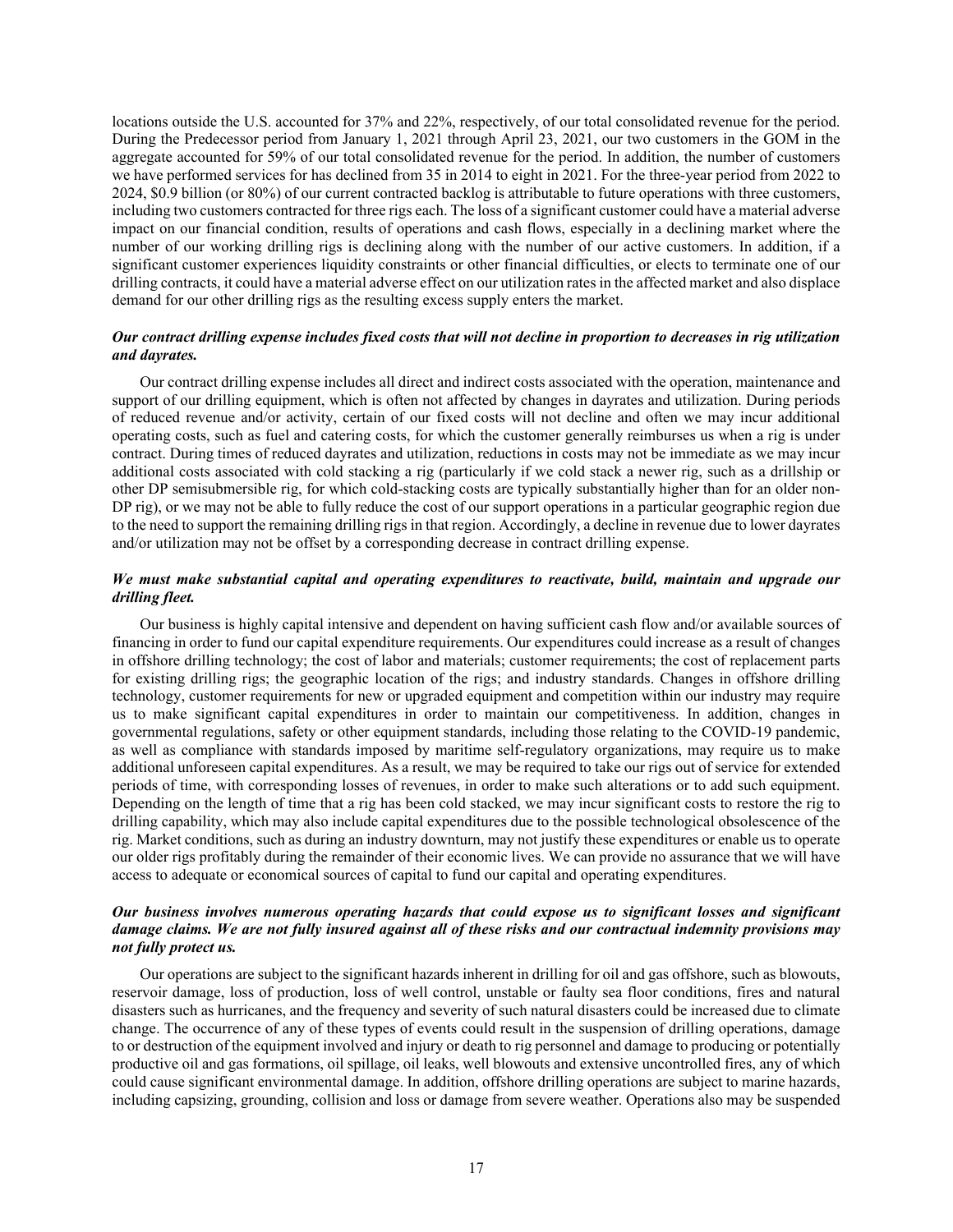locations outside the U.S. accounted for 37% and 22%, respectively, of our total consolidated revenue for the period. During the Predecessor period from January 1, 2021 through April 23, 2021, our two customers in the GOM in the aggregate accounted for 59% of our total consolidated revenue for the period. In addition, the number of customers we have performed services for has declined from 35 in 2014 to eight in 2021. For the three-year period from 2022 to 2024, \$0.9 billion (or 80%) of our current contracted backlog is attributable to future operations with three customers, including two customers contracted for three rigs each. The loss of a significant customer could have a material adverse impact on our financial condition, results of operations and cash flows, especially in a declining market where the number of our working drilling rigs is declining along with the number of our active customers. In addition, if a significant customer experiences liquidity constraints or other financial difficulties, or elects to terminate one of our drilling contracts, it could have a material adverse effect on our utilization rates in the affected market and also displace demand for our other drilling rigs as the resulting excess supply enters the market.

## *Our contract drilling expense includes fixed costs that will not decline in proportion to decreases in rig utilization and dayrates.*

Our contract drilling expense includes all direct and indirect costs associated with the operation, maintenance and support of our drilling equipment, which is often not affected by changes in dayrates and utilization. During periods of reduced revenue and/or activity, certain of our fixed costs will not decline and often we may incur additional operating costs, such as fuel and catering costs, for which the customer generally reimburses us when a rig is under contract. During times of reduced dayrates and utilization, reductions in costs may not be immediate as we may incur additional costs associated with cold stacking a rig (particularly if we cold stack a newer rig, such as a drillship or other DP semisubmersible rig, for which cold-stacking costs are typically substantially higher than for an older non-DP rig), or we may not be able to fully reduce the cost of our support operations in a particular geographic region due to the need to support the remaining drilling rigs in that region. Accordingly, a decline in revenue due to lower dayrates and/or utilization may not be offset by a corresponding decrease in contract drilling expense.

## *We must make substantial capital and operating expenditures to reactivate, build, maintain and upgrade our drilling fleet.*

Our business is highly capital intensive and dependent on having sufficient cash flow and/or available sources of financing in order to fund our capital expenditure requirements. Our expenditures could increase as a result of changes in offshore drilling technology; the cost of labor and materials; customer requirements; the cost of replacement parts for existing drilling rigs; the geographic location of the rigs; and industry standards. Changes in offshore drilling technology, customer requirements for new or upgraded equipment and competition within our industry may require us to make significant capital expenditures in order to maintain our competitiveness. In addition, changes in governmental regulations, safety or other equipment standards, including those relating to the COVID-19 pandemic, as well as compliance with standards imposed by maritime self-regulatory organizations, may require us to make additional unforeseen capital expenditures. As a result, we may be required to take our rigs out of service for extended periods of time, with corresponding losses of revenues, in order to make such alterations or to add such equipment. Depending on the length of time that a rig has been cold stacked, we may incur significant costs to restore the rig to drilling capability, which may also include capital expenditures due to the possible technological obsolescence of the rig. Market conditions, such as during an industry downturn, may not justify these expenditures or enable us to operate our older rigs profitably during the remainder of their economic lives. We can provide no assurance that we will have access to adequate or economical sources of capital to fund our capital and operating expenditures.

## *Our business involves numerous operating hazards that could expose us to significant losses and significant damage claims. We are not fully insured against all of these risks and our contractual indemnity provisions may not fully protect us.*

Our operations are subject to the significant hazards inherent in drilling for oil and gas offshore, such as blowouts, reservoir damage, loss of production, loss of well control, unstable or faulty sea floor conditions, fires and natural disasters such as hurricanes, and the frequency and severity of such natural disasters could be increased due to climate change. The occurrence of any of these types of events could result in the suspension of drilling operations, damage to or destruction of the equipment involved and injury or death to rig personnel and damage to producing or potentially productive oil and gas formations, oil spillage, oil leaks, well blowouts and extensive uncontrolled fires, any of which could cause significant environmental damage. In addition, offshore drilling operations are subject to marine hazards, including capsizing, grounding, collision and loss or damage from severe weather. Operations also may be suspended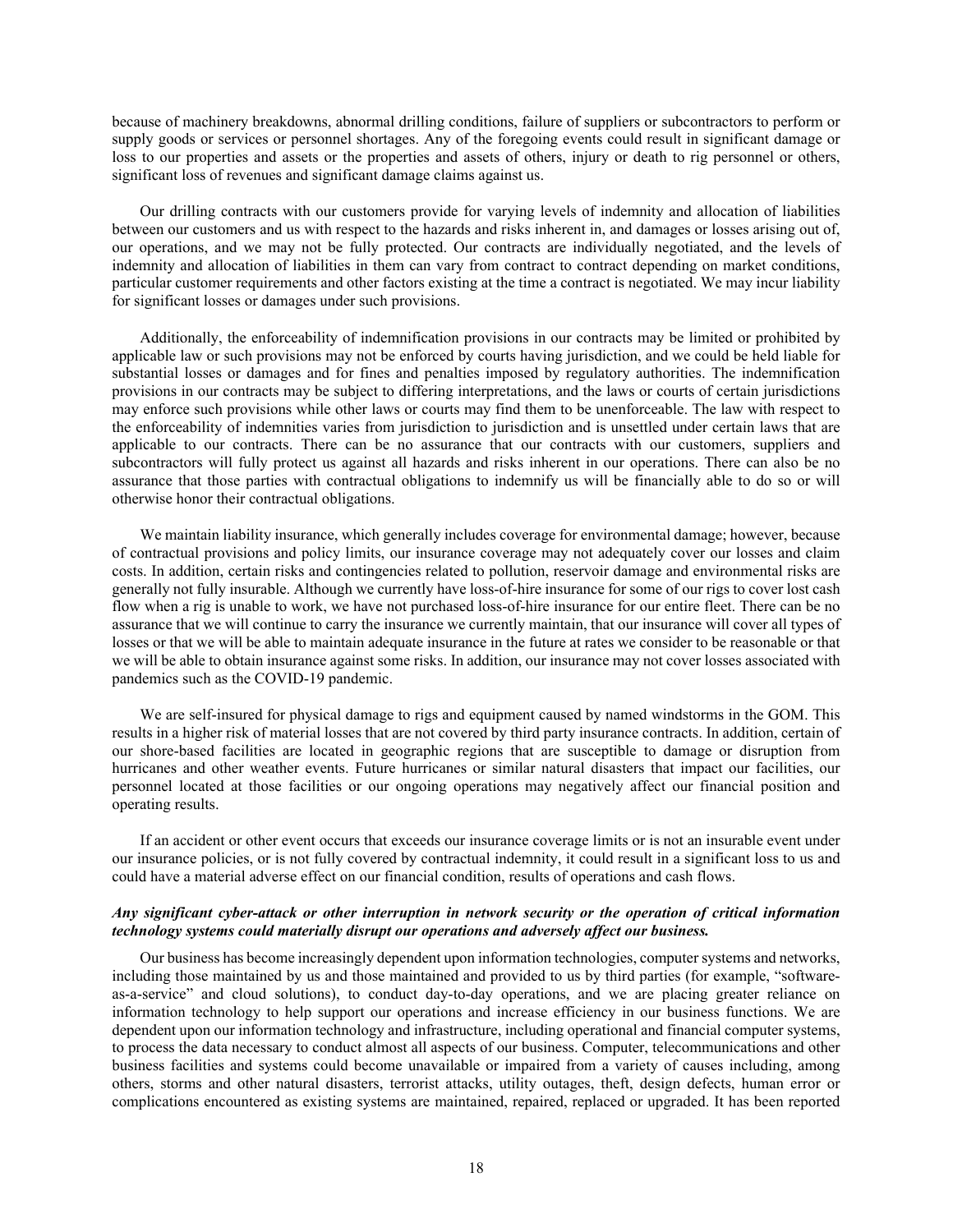because of machinery breakdowns, abnormal drilling conditions, failure of suppliers or subcontractors to perform or supply goods or services or personnel shortages. Any of the foregoing events could result in significant damage or loss to our properties and assets or the properties and assets of others, injury or death to rig personnel or others, significant loss of revenues and significant damage claims against us.

Our drilling contracts with our customers provide for varying levels of indemnity and allocation of liabilities between our customers and us with respect to the hazards and risks inherent in, and damages or losses arising out of, our operations, and we may not be fully protected. Our contracts are individually negotiated, and the levels of indemnity and allocation of liabilities in them can vary from contract to contract depending on market conditions, particular customer requirements and other factors existing at the time a contract is negotiated. We may incur liability for significant losses or damages under such provisions.

Additionally, the enforceability of indemnification provisions in our contracts may be limited or prohibited by applicable law or such provisions may not be enforced by courts having jurisdiction, and we could be held liable for substantial losses or damages and for fines and penalties imposed by regulatory authorities. The indemnification provisions in our contracts may be subject to differing interpretations, and the laws or courts of certain jurisdictions may enforce such provisions while other laws or courts may find them to be unenforceable. The law with respect to the enforceability of indemnities varies from jurisdiction to jurisdiction and is unsettled under certain laws that are applicable to our contracts. There can be no assurance that our contracts with our customers, suppliers and subcontractors will fully protect us against all hazards and risks inherent in our operations. There can also be no assurance that those parties with contractual obligations to indemnify us will be financially able to do so or will otherwise honor their contractual obligations.

We maintain liability insurance, which generally includes coverage for environmental damage; however, because of contractual provisions and policy limits, our insurance coverage may not adequately cover our losses and claim costs. In addition, certain risks and contingencies related to pollution, reservoir damage and environmental risks are generally not fully insurable. Although we currently have loss-of-hire insurance for some of our rigs to cover lost cash flow when a rig is unable to work, we have not purchased loss-of-hire insurance for our entire fleet. There can be no assurance that we will continue to carry the insurance we currently maintain, that our insurance will cover all types of losses or that we will be able to maintain adequate insurance in the future at rates we consider to be reasonable or that we will be able to obtain insurance against some risks. In addition, our insurance may not cover losses associated with pandemics such as the COVID-19 pandemic.

We are self-insured for physical damage to rigs and equipment caused by named windstorms in the GOM. This results in a higher risk of material losses that are not covered by third party insurance contracts. In addition, certain of our shore-based facilities are located in geographic regions that are susceptible to damage or disruption from hurricanes and other weather events. Future hurricanes or similar natural disasters that impact our facilities, our personnel located at those facilities or our ongoing operations may negatively affect our financial position and operating results.

If an accident or other event occurs that exceeds our insurance coverage limits or is not an insurable event under our insurance policies, or is not fully covered by contractual indemnity, it could result in a significant loss to us and could have a material adverse effect on our financial condition, results of operations and cash flows.

## *Any significant cyber-attack or other interruption in network security or the operation of critical information technology systems could materially disrupt our operations and adversely affect our business.*

Our business has become increasingly dependent upon information technologies, computer systems and networks, including those maintained by us and those maintained and provided to us by third parties (for example, "softwareas-a-service" and cloud solutions), to conduct day-to-day operations, and we are placing greater reliance on information technology to help support our operations and increase efficiency in our business functions. We are dependent upon our information technology and infrastructure, including operational and financial computer systems, to process the data necessary to conduct almost all aspects of our business. Computer, telecommunications and other business facilities and systems could become unavailable or impaired from a variety of causes including, among others, storms and other natural disasters, terrorist attacks, utility outages, theft, design defects, human error or complications encountered as existing systems are maintained, repaired, replaced or upgraded. It has been reported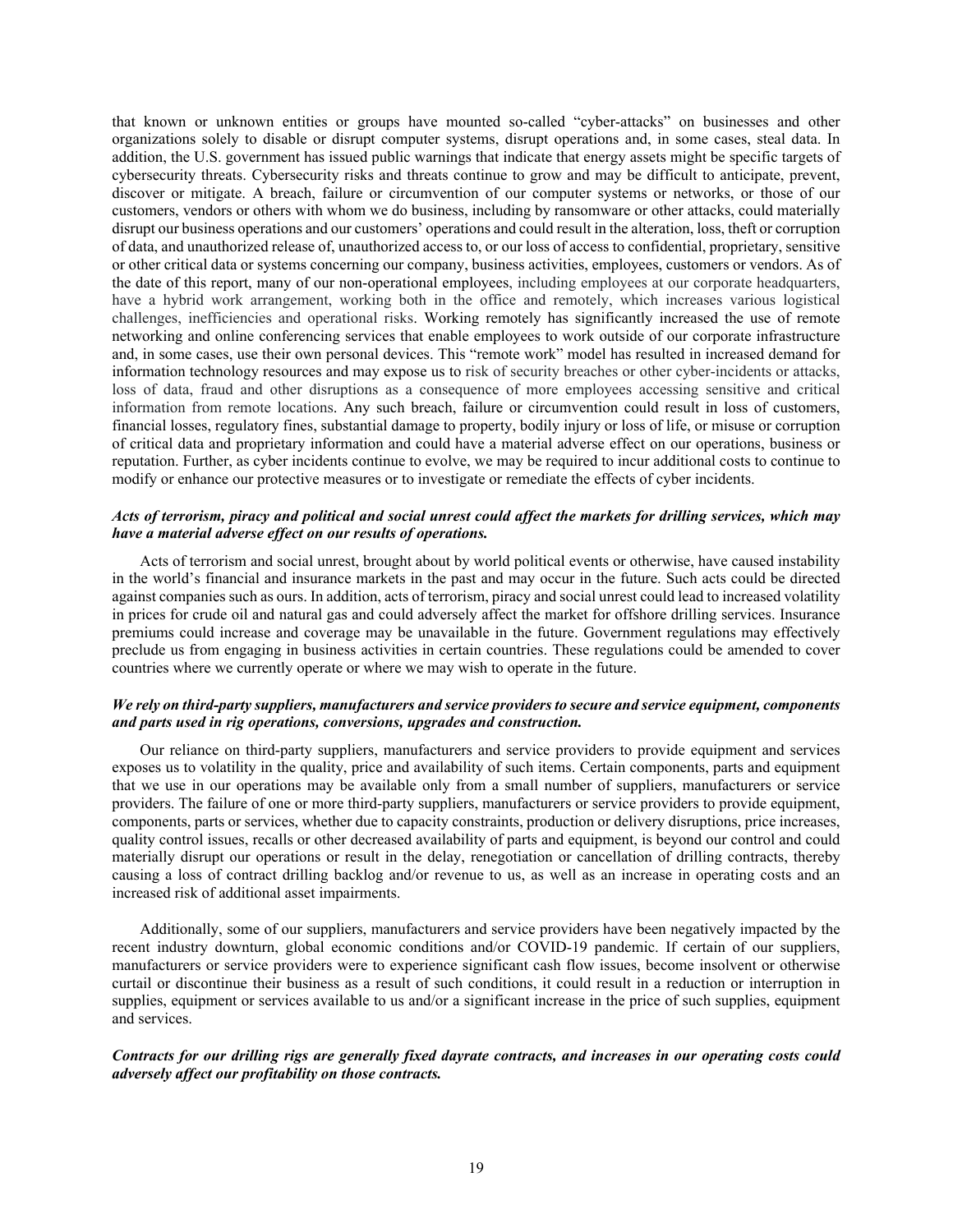that known or unknown entities or groups have mounted so-called "cyber-attacks" on businesses and other organizations solely to disable or disrupt computer systems, disrupt operations and, in some cases, steal data. In addition, the U.S. government has issued public warnings that indicate that energy assets might be specific targets of cybersecurity threats. Cybersecurity risks and threats continue to grow and may be difficult to anticipate, prevent, discover or mitigate. A breach, failure or circumvention of our computer systems or networks, or those of our customers, vendors or others with whom we do business, including by ransomware or other attacks, could materially disrupt our business operations and our customers' operations and could result in the alteration, loss, theft or corruption of data, and unauthorized release of, unauthorized access to, or our loss of access to confidential, proprietary, sensitive or other critical data or systems concerning our company, business activities, employees, customers or vendors. As of the date of this report, many of our non-operational employees, including employees at our corporate headquarters, have a hybrid work arrangement, working both in the office and remotely, which increases various logistical challenges, inefficiencies and operational risks. Working remotely has significantly increased the use of remote networking and online conferencing services that enable employees to work outside of our corporate infrastructure and, in some cases, use their own personal devices. This "remote work" model has resulted in increased demand for information technology resources and may expose us to risk of security breaches or other cyber-incidents or attacks, loss of data, fraud and other disruptions as a consequence of more employees accessing sensitive and critical information from remote locations. Any such breach, failure or circumvention could result in loss of customers, financial losses, regulatory fines, substantial damage to property, bodily injury or loss of life, or misuse or corruption of critical data and proprietary information and could have a material adverse effect on our operations, business or reputation. Further, as cyber incidents continue to evolve, we may be required to incur additional costs to continue to modify or enhance our protective measures or to investigate or remediate the effects of cyber incidents.

## *Acts of terrorism, piracy and political and social unrest could affect the markets for drilling services, which may have a material adverse effect on our results of operations.*

Acts of terrorism and social unrest, brought about by world political events or otherwise, have caused instability in the world's financial and insurance markets in the past and may occur in the future. Such acts could be directed against companies such as ours. In addition, acts of terrorism, piracy and social unrest could lead to increased volatility in prices for crude oil and natural gas and could adversely affect the market for offshore drilling services. Insurance premiums could increase and coverage may be unavailable in the future. Government regulations may effectively preclude us from engaging in business activities in certain countries. These regulations could be amended to cover countries where we currently operate or where we may wish to operate in the future.

## *We rely on third-party suppliers, manufacturers and service providers to secure and service equipment, components and parts used in rig operations, conversions, upgrades and construction.*

Our reliance on third-party suppliers, manufacturers and service providers to provide equipment and services exposes us to volatility in the quality, price and availability of such items. Certain components, parts and equipment that we use in our operations may be available only from a small number of suppliers, manufacturers or service providers. The failure of one or more third-party suppliers, manufacturers or service providers to provide equipment, components, parts or services, whether due to capacity constraints, production or delivery disruptions, price increases, quality control issues, recalls or other decreased availability of parts and equipment, is beyond our control and could materially disrupt our operations or result in the delay, renegotiation or cancellation of drilling contracts, thereby causing a loss of contract drilling backlog and/or revenue to us, as well as an increase in operating costs and an increased risk of additional asset impairments.

Additionally, some of our suppliers, manufacturers and service providers have been negatively impacted by the recent industry downturn, global economic conditions and/or COVID-19 pandemic. If certain of our suppliers, manufacturers or service providers were to experience significant cash flow issues, become insolvent or otherwise curtail or discontinue their business as a result of such conditions, it could result in a reduction or interruption in supplies, equipment or services available to us and/or a significant increase in the price of such supplies, equipment and services.

## *Contracts for our drilling rigs are generally fixed dayrate contracts, and increases in our operating costs could adversely affect our profitability on those contracts.*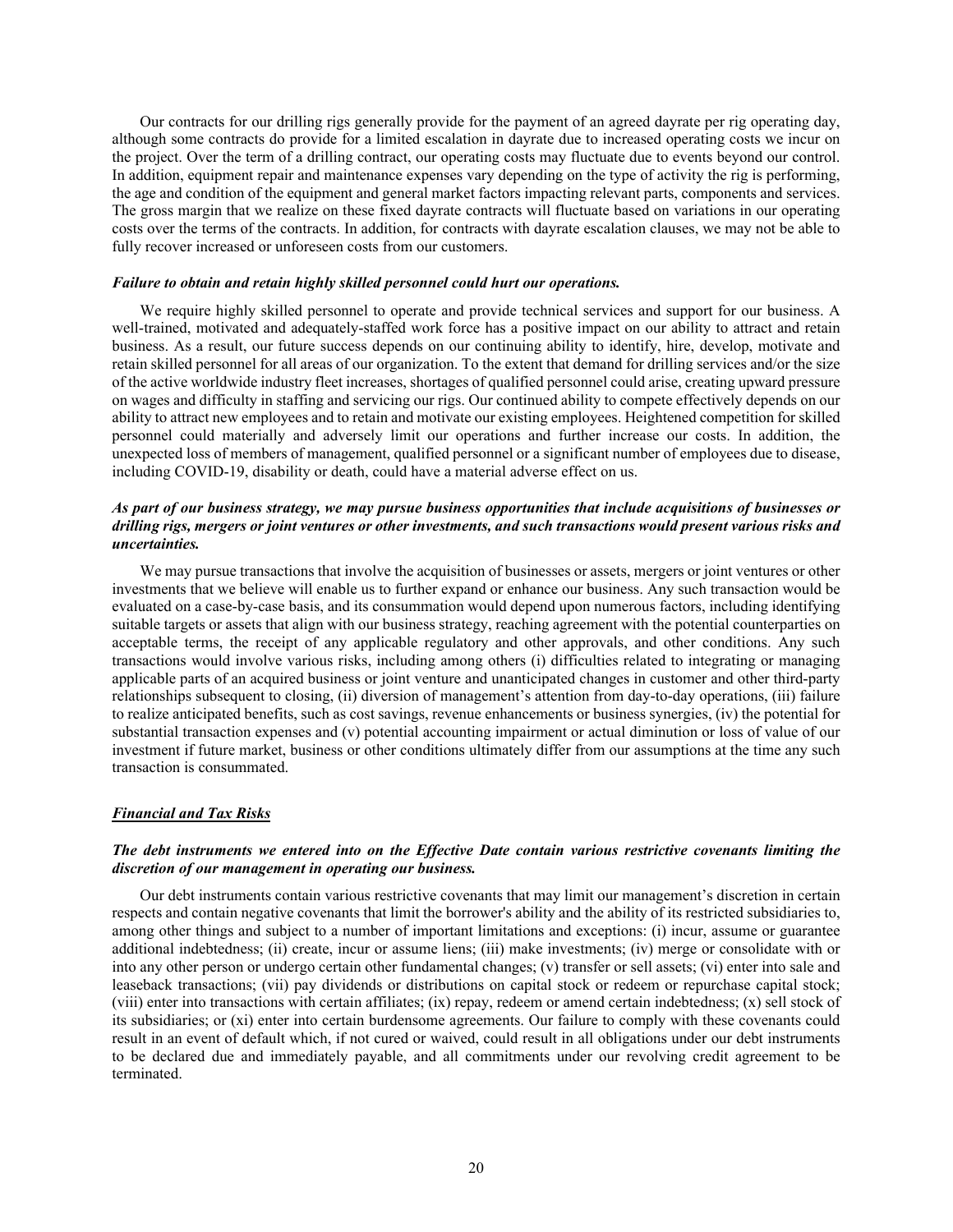Our contracts for our drilling rigs generally provide for the payment of an agreed dayrate per rig operating day, although some contracts do provide for a limited escalation in dayrate due to increased operating costs we incur on the project. Over the term of a drilling contract, our operating costs may fluctuate due to events beyond our control. In addition, equipment repair and maintenance expenses vary depending on the type of activity the rig is performing, the age and condition of the equipment and general market factors impacting relevant parts, components and services. The gross margin that we realize on these fixed dayrate contracts will fluctuate based on variations in our operating costs over the terms of the contracts. In addition, for contracts with dayrate escalation clauses, we may not be able to fully recover increased or unforeseen costs from our customers.

#### *Failure to obtain and retain highly skilled personnel could hurt our operations.*

We require highly skilled personnel to operate and provide technical services and support for our business. A well-trained, motivated and adequately-staffed work force has a positive impact on our ability to attract and retain business. As a result, our future success depends on our continuing ability to identify, hire, develop, motivate and retain skilled personnel for all areas of our organization. To the extent that demand for drilling services and/or the size of the active worldwide industry fleet increases, shortages of qualified personnel could arise, creating upward pressure on wages and difficulty in staffing and servicing our rigs. Our continued ability to compete effectively depends on our ability to attract new employees and to retain and motivate our existing employees. Heightened competition for skilled personnel could materially and adversely limit our operations and further increase our costs. In addition, the unexpected loss of members of management, qualified personnel or a significant number of employees due to disease, including COVID-19, disability or death, could have a material adverse effect on us.

## *As part of our business strategy, we may pursue business opportunities that include acquisitions of businesses or drilling rigs, mergers or joint ventures or other investments, and such transactions would present various risks and uncertainties.*

We may pursue transactions that involve the acquisition of businesses or assets, mergers or joint ventures or other investments that we believe will enable us to further expand or enhance our business. Any such transaction would be evaluated on a case-by-case basis, and its consummation would depend upon numerous factors, including identifying suitable targets or assets that align with our business strategy, reaching agreement with the potential counterparties on acceptable terms, the receipt of any applicable regulatory and other approvals, and other conditions. Any such transactions would involve various risks, including among others (i) difficulties related to integrating or managing applicable parts of an acquired business or joint venture and unanticipated changes in customer and other third-party relationships subsequent to closing, (ii) diversion of management's attention from day-to-day operations, (iii) failure to realize anticipated benefits, such as cost savings, revenue enhancements or business synergies, (iv) the potential for substantial transaction expenses and (v) potential accounting impairment or actual diminution or loss of value of our investment if future market, business or other conditions ultimately differ from our assumptions at the time any such transaction is consummated.

## *Financial and Tax Risks*

### *The debt instruments we entered into on the Effective Date contain various restrictive covenants limiting the discretion of our management in operating our business.*

Our debt instruments contain various restrictive covenants that may limit our management's discretion in certain respects and contain negative covenants that limit the borrower's ability and the ability of its restricted subsidiaries to, among other things and subject to a number of important limitations and exceptions: (i) incur, assume or guarantee additional indebtedness; (ii) create, incur or assume liens; (iii) make investments; (iv) merge or consolidate with or into any other person or undergo certain other fundamental changes; (v) transfer or sell assets; (vi) enter into sale and leaseback transactions; (vii) pay dividends or distributions on capital stock or redeem or repurchase capital stock; (viii) enter into transactions with certain affiliates; (ix) repay, redeem or amend certain indebtedness; (x) sell stock of its subsidiaries; or (xi) enter into certain burdensome agreements. Our failure to comply with these covenants could result in an event of default which, if not cured or waived, could result in all obligations under our debt instruments to be declared due and immediately payable, and all commitments under our revolving credit agreement to be terminated.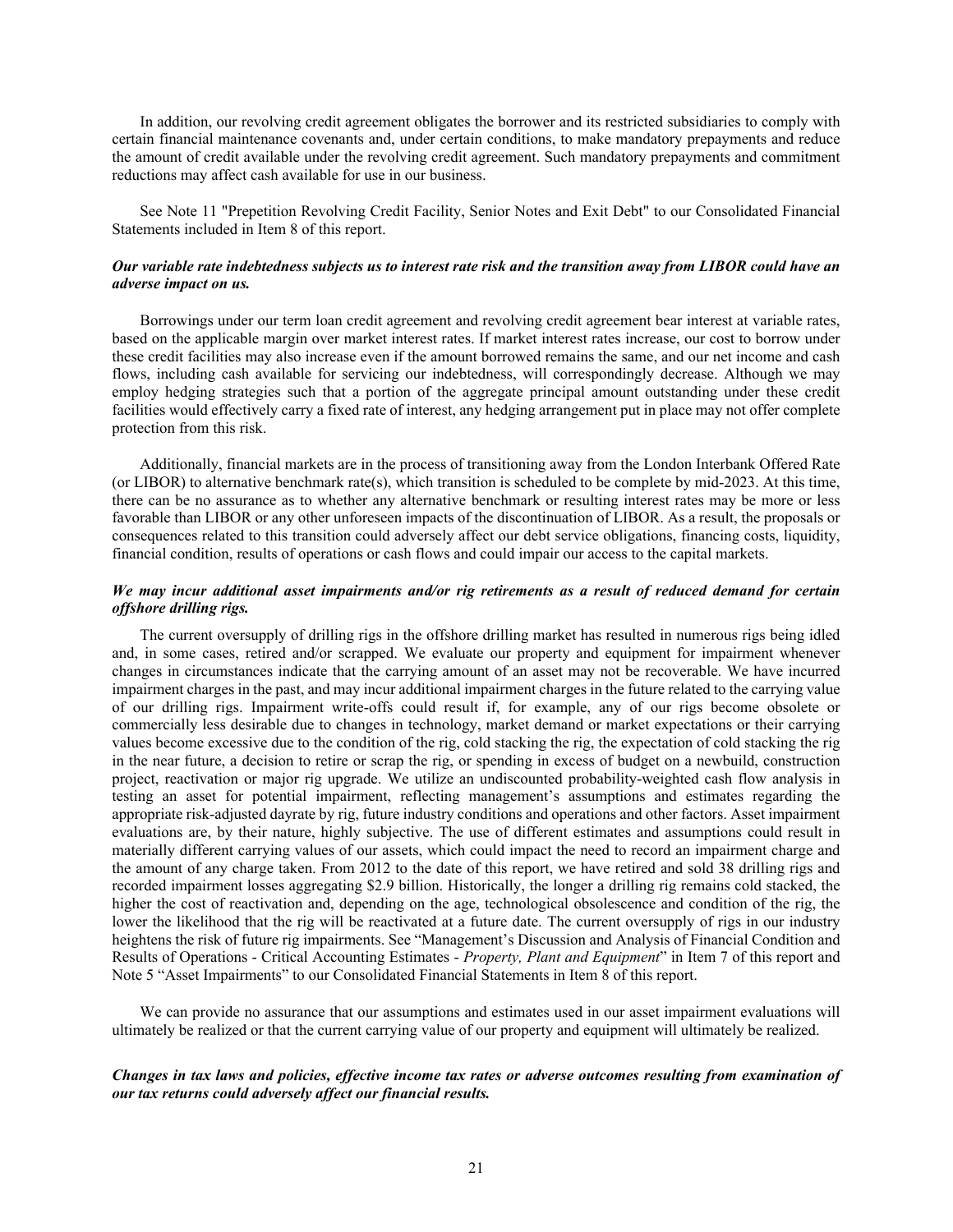In addition, our revolving credit agreement obligates the borrower and its restricted subsidiaries to comply with certain financial maintenance covenants and, under certain conditions, to make mandatory prepayments and reduce the amount of credit available under the revolving credit agreement. Such mandatory prepayments and commitment reductions may affect cash available for use in our business.

See Note 11 "Prepetition Revolving Credit Facility, Senior Notes and Exit Debt" to our Consolidated Financial Statements included in Item 8 of this report.

## *Our variable rate indebtedness subjects us to interest rate risk and the transition away from LIBOR could have an adverse impact on us.*

Borrowings under our term loan credit agreement and revolving credit agreement bear interest at variable rates, based on the applicable margin over market interest rates. If market interest rates increase, our cost to borrow under these credit facilities may also increase even if the amount borrowed remains the same, and our net income and cash flows, including cash available for servicing our indebtedness, will correspondingly decrease. Although we may employ hedging strategies such that a portion of the aggregate principal amount outstanding under these credit facilities would effectively carry a fixed rate of interest, any hedging arrangement put in place may not offer complete protection from this risk.

Additionally, financial markets are in the process of transitioning away from the London Interbank Offered Rate (or LIBOR) to alternative benchmark rate(s), which transition is scheduled to be complete by mid-2023. At this time, there can be no assurance as to whether any alternative benchmark or resulting interest rates may be more or less favorable than LIBOR or any other unforeseen impacts of the discontinuation of LIBOR. As a result, the proposals or consequences related to this transition could adversely affect our debt service obligations, financing costs, liquidity, financial condition, results of operations or cash flows and could impair our access to the capital markets.

## *We may incur additional asset impairments and/or rig retirements as a result of reduced demand for certain offshore drilling rigs.*

The current oversupply of drilling rigs in the offshore drilling market has resulted in numerous rigs being idled and, in some cases, retired and/or scrapped. We evaluate our property and equipment for impairment whenever changes in circumstances indicate that the carrying amount of an asset may not be recoverable. We have incurred impairment charges in the past, and may incur additional impairment charges in the future related to the carrying value of our drilling rigs. Impairment write-offs could result if, for example, any of our rigs become obsolete or commercially less desirable due to changes in technology, market demand or market expectations or their carrying values become excessive due to the condition of the rig, cold stacking the rig, the expectation of cold stacking the rig in the near future, a decision to retire or scrap the rig, or spending in excess of budget on a newbuild, construction project, reactivation or major rig upgrade. We utilize an undiscounted probability-weighted cash flow analysis in testing an asset for potential impairment, reflecting management's assumptions and estimates regarding the appropriate risk-adjusted dayrate by rig, future industry conditions and operations and other factors. Asset impairment evaluations are, by their nature, highly subjective. The use of different estimates and assumptions could result in materially different carrying values of our assets, which could impact the need to record an impairment charge and the amount of any charge taken. From 2012 to the date of this report, we have retired and sold 38 drilling rigs and recorded impairment losses aggregating \$2.9 billion. Historically, the longer a drilling rig remains cold stacked, the higher the cost of reactivation and, depending on the age, technological obsolescence and condition of the rig, the lower the likelihood that the rig will be reactivated at a future date. The current oversupply of rigs in our industry heightens the risk of future rig impairments. See "Management's Discussion and Analysis of Financial Condition and Results of Operations - Critical Accounting Estimates - *Property, Plant and Equipment*" in Item 7 of this report and Note 5 "Asset Impairments" to our Consolidated Financial Statements in Item 8 of this report.

We can provide no assurance that our assumptions and estimates used in our asset impairment evaluations will ultimately be realized or that the current carrying value of our property and equipment will ultimately be realized.

## *Changes in tax laws and policies, effective income tax rates or adverse outcomes resulting from examination of our tax returns could adversely affect our financial results.*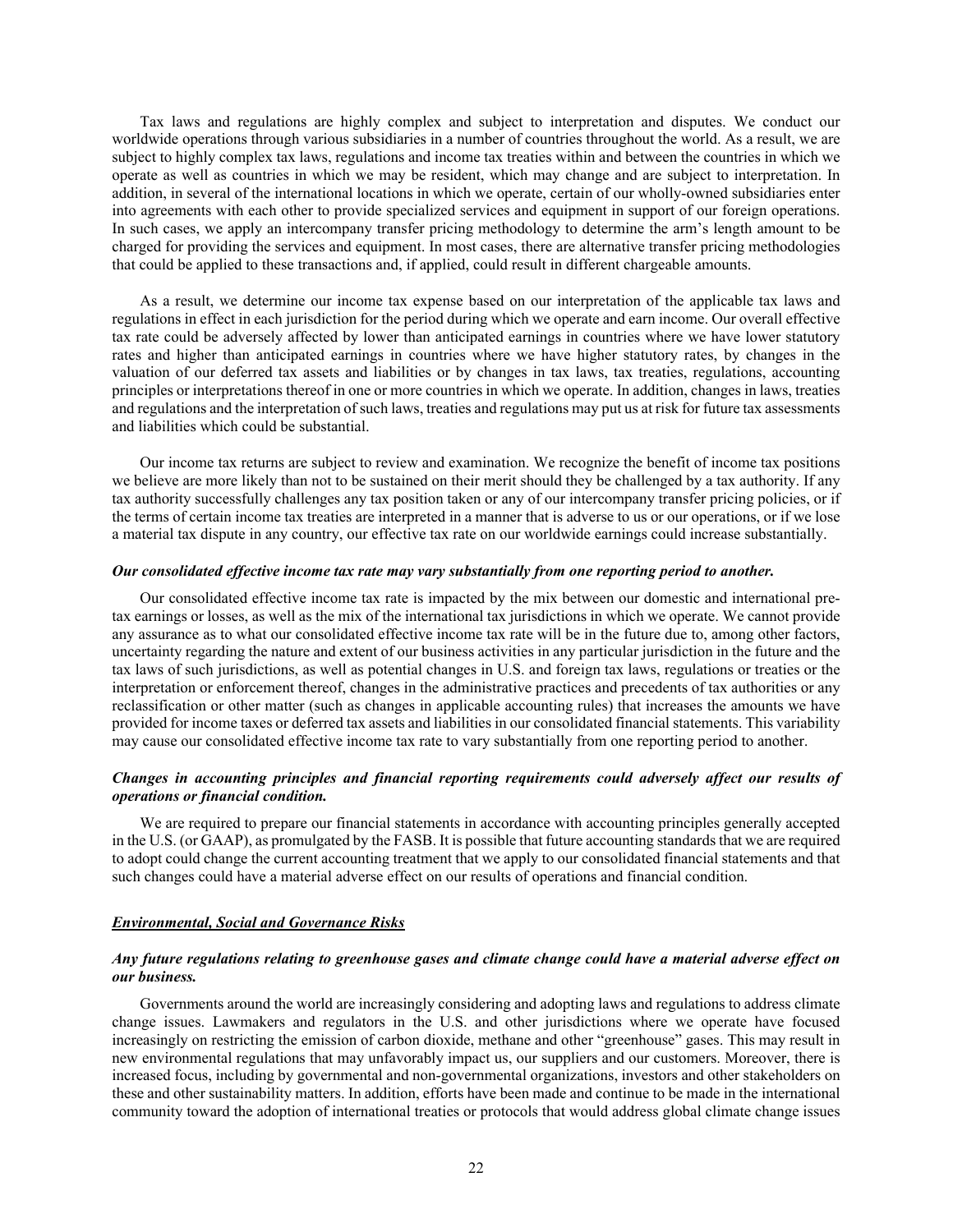Tax laws and regulations are highly complex and subject to interpretation and disputes. We conduct our worldwide operations through various subsidiaries in a number of countries throughout the world. As a result, we are subject to highly complex tax laws, regulations and income tax treaties within and between the countries in which we operate as well as countries in which we may be resident, which may change and are subject to interpretation. In addition, in several of the international locations in which we operate, certain of our wholly-owned subsidiaries enter into agreements with each other to provide specialized services and equipment in support of our foreign operations. In such cases, we apply an intercompany transfer pricing methodology to determine the arm's length amount to be charged for providing the services and equipment. In most cases, there are alternative transfer pricing methodologies that could be applied to these transactions and, if applied, could result in different chargeable amounts.

As a result, we determine our income tax expense based on our interpretation of the applicable tax laws and regulations in effect in each jurisdiction for the period during which we operate and earn income. Our overall effective tax rate could be adversely affected by lower than anticipated earnings in countries where we have lower statutory rates and higher than anticipated earnings in countries where we have higher statutory rates, by changes in the valuation of our deferred tax assets and liabilities or by changes in tax laws, tax treaties, regulations, accounting principles or interpretations thereof in one or more countries in which we operate. In addition, changes in laws, treaties and regulations and the interpretation of such laws, treaties and regulations may put us at risk for future tax assessments and liabilities which could be substantial.

Our income tax returns are subject to review and examination. We recognize the benefit of income tax positions we believe are more likely than not to be sustained on their merit should they be challenged by a tax authority. If any tax authority successfully challenges any tax position taken or any of our intercompany transfer pricing policies, or if the terms of certain income tax treaties are interpreted in a manner that is adverse to us or our operations, or if we lose a material tax dispute in any country, our effective tax rate on our worldwide earnings could increase substantially.

#### *Our consolidated effective income tax rate may vary substantially from one reporting period to another.*

Our consolidated effective income tax rate is impacted by the mix between our domestic and international pretax earnings or losses, as well as the mix of the international tax jurisdictions in which we operate. We cannot provide any assurance as to what our consolidated effective income tax rate will be in the future due to, among other factors, uncertainty regarding the nature and extent of our business activities in any particular jurisdiction in the future and the tax laws of such jurisdictions, as well as potential changes in U.S. and foreign tax laws, regulations or treaties or the interpretation or enforcement thereof, changes in the administrative practices and precedents of tax authorities or any reclassification or other matter (such as changes in applicable accounting rules) that increases the amounts we have provided for income taxes or deferred tax assets and liabilities in our consolidated financial statements. This variability may cause our consolidated effective income tax rate to vary substantially from one reporting period to another.

## *Changes in accounting principles and financial reporting requirements could adversely affect our results of operations or financial condition.*

We are required to prepare our financial statements in accordance with accounting principles generally accepted in the U.S. (or GAAP), as promulgated by the FASB. It is possible that future accounting standards that we are required to adopt could change the current accounting treatment that we apply to our consolidated financial statements and that such changes could have a material adverse effect on our results of operations and financial condition.

## *Environmental, Social and Governance Risks*

## *Any future regulations relating to greenhouse gases and climate change could have a material adverse effect on our business.*

Governments around the world are increasingly considering and adopting laws and regulations to address climate change issues. Lawmakers and regulators in the U.S. and other jurisdictions where we operate have focused increasingly on restricting the emission of carbon dioxide, methane and other "greenhouse" gases. This may result in new environmental regulations that may unfavorably impact us, our suppliers and our customers. Moreover, there is increased focus, including by governmental and non-governmental organizations, investors and other stakeholders on these and other sustainability matters. In addition, efforts have been made and continue to be made in the international community toward the adoption of international treaties or protocols that would address global climate change issues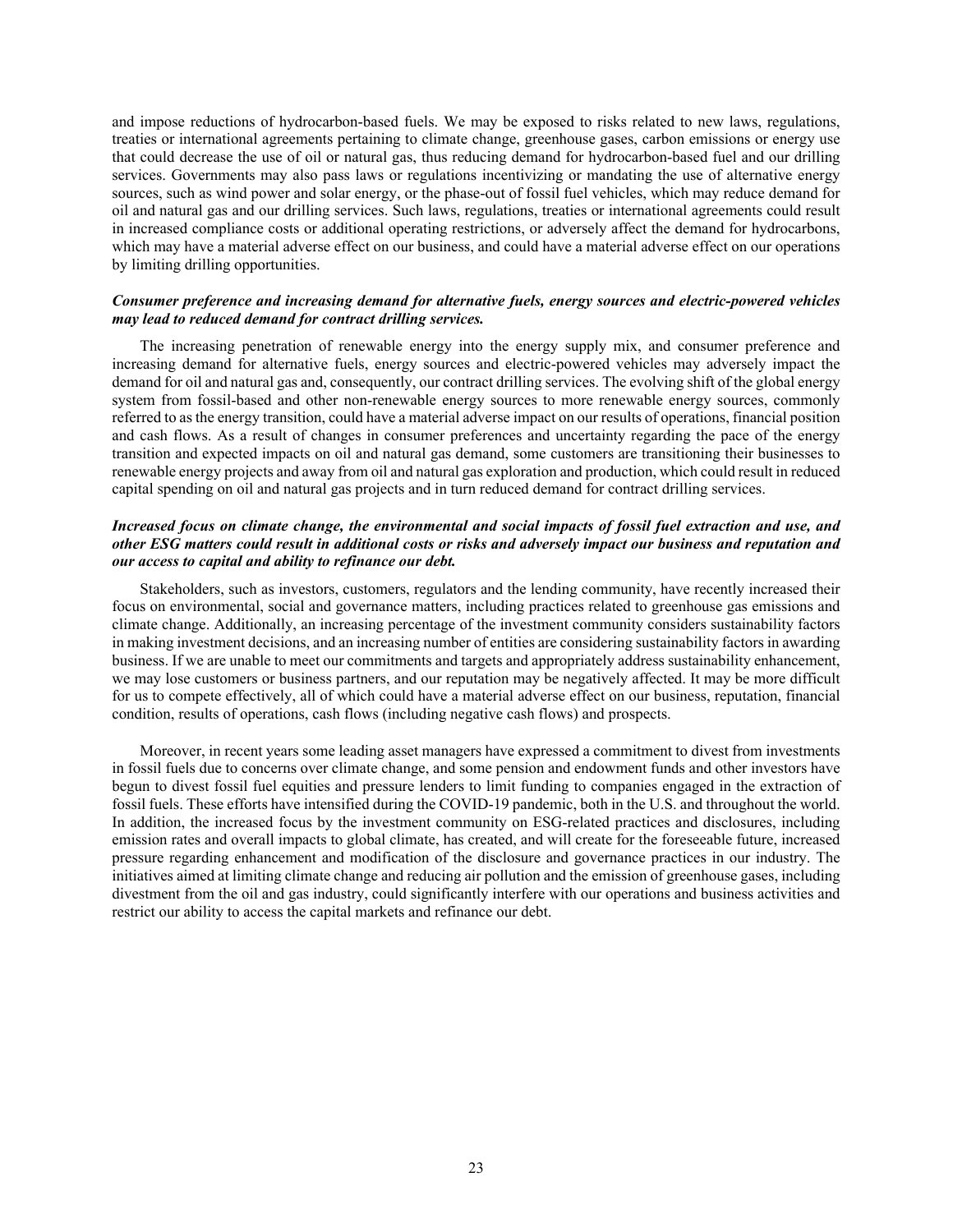and impose reductions of hydrocarbon-based fuels. We may be exposed to risks related to new laws, regulations, treaties or international agreements pertaining to climate change, greenhouse gases, carbon emissions or energy use that could decrease the use of oil or natural gas, thus reducing demand for hydrocarbon-based fuel and our drilling services. Governments may also pass laws or regulations incentivizing or mandating the use of alternative energy sources, such as wind power and solar energy, or the phase-out of fossil fuel vehicles, which may reduce demand for oil and natural gas and our drilling services. Such laws, regulations, treaties or international agreements could result in increased compliance costs or additional operating restrictions, or adversely affect the demand for hydrocarbons, which may have a material adverse effect on our business, and could have a material adverse effect on our operations by limiting drilling opportunities.

## *Consumer preference and increasing demand for alternative fuels, energy sources and electric-powered vehicles may lead to reduced demand for contract drilling services.*

The increasing penetration of renewable energy into the energy supply mix, and consumer preference and increasing demand for alternative fuels, energy sources and electric-powered vehicles may adversely impact the demand for oil and natural gas and, consequently, our contract drilling services. The evolving shift of the global energy system from fossil-based and other non-renewable energy sources to more renewable energy sources, commonly referred to as the energy transition, could have a material adverse impact on our results of operations, financial position and cash flows. As a result of changes in consumer preferences and uncertainty regarding the pace of the energy transition and expected impacts on oil and natural gas demand, some customers are transitioning their businesses to renewable energy projects and away from oil and natural gas exploration and production, which could result in reduced capital spending on oil and natural gas projects and in turn reduced demand for contract drilling services.

## *Increased focus on climate change, the environmental and social impacts of fossil fuel extraction and use, and other ESG matters could result in additional costs or risks and adversely impact our business and reputation and our access to capital and ability to refinance our debt.*

Stakeholders, such as investors, customers, regulators and the lending community, have recently increased their focus on environmental, social and governance matters, including practices related to greenhouse gas emissions and climate change. Additionally, an increasing percentage of the investment community considers sustainability factors in making investment decisions, and an increasing number of entities are considering sustainability factors in awarding business. If we are unable to meet our commitments and targets and appropriately address sustainability enhancement, we may lose customers or business partners, and our reputation may be negatively affected. It may be more difficult for us to compete effectively, all of which could have a material adverse effect on our business, reputation, financial condition, results of operations, cash flows (including negative cash flows) and prospects.

Moreover, in recent years some leading asset managers have expressed a commitment to divest from investments in fossil fuels due to concerns over climate change, and some pension and endowment funds and other investors have begun to divest fossil fuel equities and pressure lenders to limit funding to companies engaged in the extraction of fossil fuels. These efforts have intensified during the COVID-19 pandemic, both in the U.S. and throughout the world. In addition, the increased focus by the investment community on ESG-related practices and disclosures, including emission rates and overall impacts to global climate, has created, and will create for the foreseeable future, increased pressure regarding enhancement and modification of the disclosure and governance practices in our industry. The initiatives aimed at limiting climate change and reducing air pollution and the emission of greenhouse gases, including divestment from the oil and gas industry, could significantly interfere with our operations and business activities and restrict our ability to access the capital markets and refinance our debt.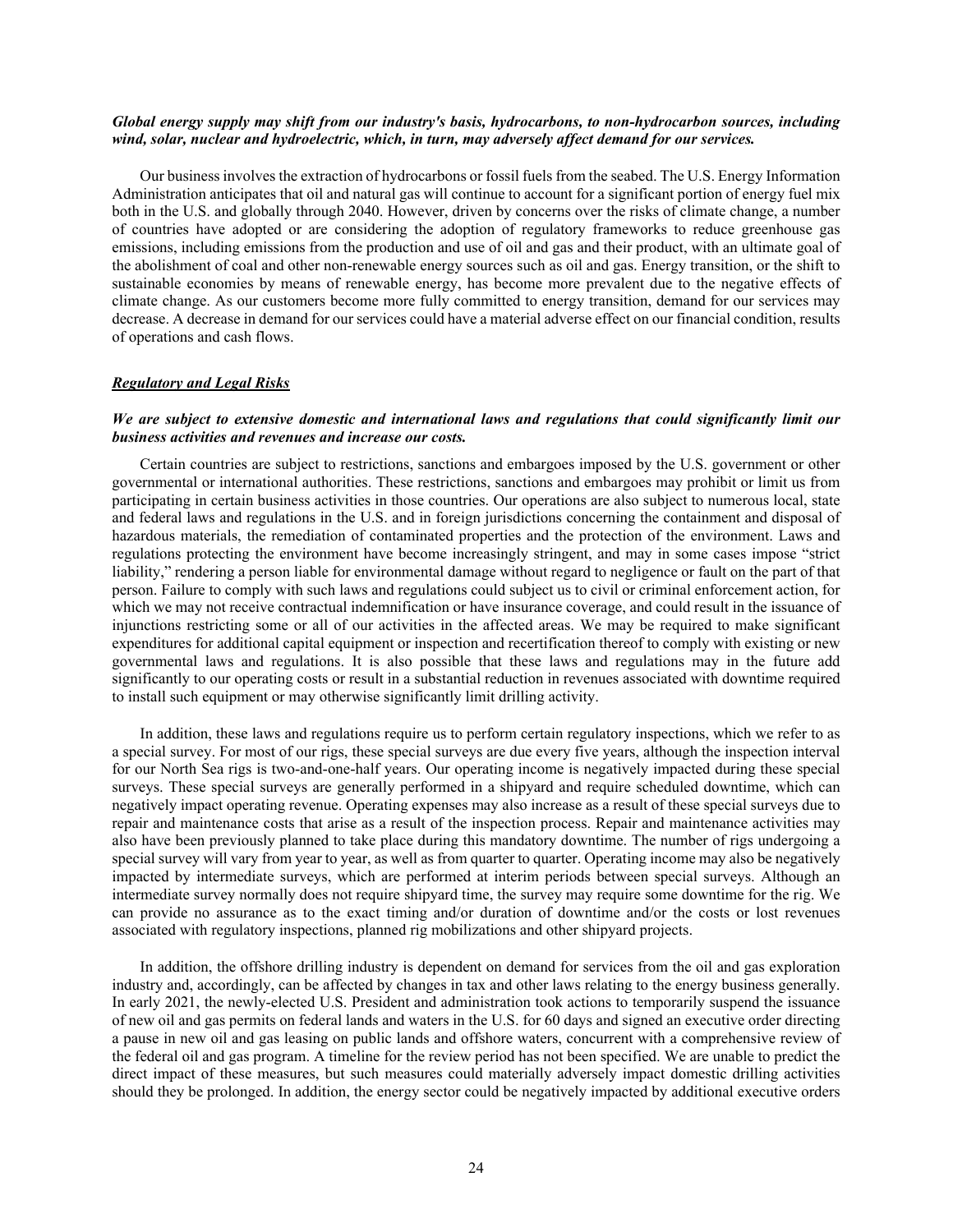## *Global energy supply may shift from our industry's basis, hydrocarbons, to non-hydrocarbon sources, including wind, solar, nuclear and hydroelectric, which, in turn, may adversely affect demand for our services.*

Our business involves the extraction of hydrocarbons or fossil fuels from the seabed. The U.S. Energy Information Administration anticipates that oil and natural gas will continue to account for a significant portion of energy fuel mix both in the U.S. and globally through 2040. However, driven by concerns over the risks of climate change, a number of countries have adopted or are considering the adoption of regulatory frameworks to reduce greenhouse gas emissions, including emissions from the production and use of oil and gas and their product, with an ultimate goal of the abolishment of coal and other non-renewable energy sources such as oil and gas. Energy transition, or the shift to sustainable economies by means of renewable energy, has become more prevalent due to the negative effects of climate change. As our customers become more fully committed to energy transition, demand for our services may decrease. A decrease in demand for our services could have a material adverse effect on our financial condition, results of operations and cash flows.

### *Regulatory and Legal Risks*

## *We are subject to extensive domestic and international laws and regulations that could significantly limit our business activities and revenues and increase our costs.*

Certain countries are subject to restrictions, sanctions and embargoes imposed by the U.S. government or other governmental or international authorities. These restrictions, sanctions and embargoes may prohibit or limit us from participating in certain business activities in those countries. Our operations are also subject to numerous local, state and federal laws and regulations in the U.S. and in foreign jurisdictions concerning the containment and disposal of hazardous materials, the remediation of contaminated properties and the protection of the environment. Laws and regulations protecting the environment have become increasingly stringent, and may in some cases impose "strict liability," rendering a person liable for environmental damage without regard to negligence or fault on the part of that person. Failure to comply with such laws and regulations could subject us to civil or criminal enforcement action, for which we may not receive contractual indemnification or have insurance coverage, and could result in the issuance of injunctions restricting some or all of our activities in the affected areas. We may be required to make significant expenditures for additional capital equipment or inspection and recertification thereof to comply with existing or new governmental laws and regulations. It is also possible that these laws and regulations may in the future add significantly to our operating costs or result in a substantial reduction in revenues associated with downtime required to install such equipment or may otherwise significantly limit drilling activity.

In addition, these laws and regulations require us to perform certain regulatory inspections, which we refer to as a special survey. For most of our rigs, these special surveys are due every five years, although the inspection interval for our North Sea rigs is two-and-one-half years. Our operating income is negatively impacted during these special surveys. These special surveys are generally performed in a shipyard and require scheduled downtime, which can negatively impact operating revenue. Operating expenses may also increase as a result of these special surveys due to repair and maintenance costs that arise as a result of the inspection process. Repair and maintenance activities may also have been previously planned to take place during this mandatory downtime. The number of rigs undergoing a special survey will vary from year to year, as well as from quarter to quarter. Operating income may also be negatively impacted by intermediate surveys, which are performed at interim periods between special surveys. Although an intermediate survey normally does not require shipyard time, the survey may require some downtime for the rig. We can provide no assurance as to the exact timing and/or duration of downtime and/or the costs or lost revenues associated with regulatory inspections, planned rig mobilizations and other shipyard projects.

In addition, the offshore drilling industry is dependent on demand for services from the oil and gas exploration industry and, accordingly, can be affected by changes in tax and other laws relating to the energy business generally. In early 2021, the newly-elected U.S. President and administration took actions to temporarily suspend the issuance of new oil and gas permits on federal lands and waters in the U.S. for 60 days and signed an executive order directing a pause in new oil and gas leasing on public lands and offshore waters, concurrent with a comprehensive review of the federal oil and gas program. A timeline for the review period has not been specified. We are unable to predict the direct impact of these measures, but such measures could materially adversely impact domestic drilling activities should they be prolonged. In addition, the energy sector could be negatively impacted by additional executive orders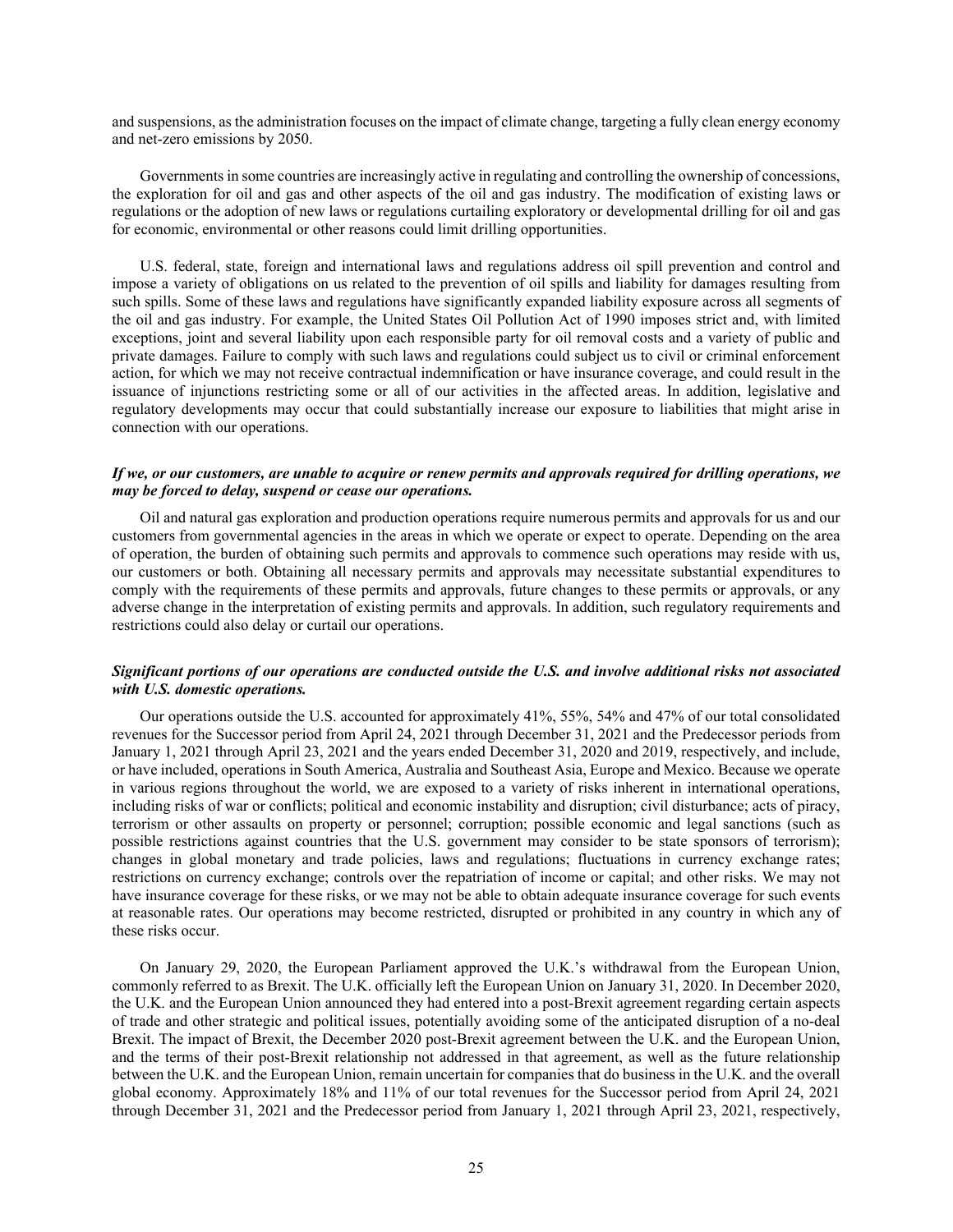and suspensions, as the administration focuses on the impact of climate change, targeting a fully clean energy economy and net-zero emissions by 2050.

Governments in some countries are increasingly active in regulating and controlling the ownership of concessions, the exploration for oil and gas and other aspects of the oil and gas industry. The modification of existing laws or regulations or the adoption of new laws or regulations curtailing exploratory or developmental drilling for oil and gas for economic, environmental or other reasons could limit drilling opportunities.

U.S. federal, state, foreign and international laws and regulations address oil spill prevention and control and impose a variety of obligations on us related to the prevention of oil spills and liability for damages resulting from such spills. Some of these laws and regulations have significantly expanded liability exposure across all segments of the oil and gas industry. For example, the United States Oil Pollution Act of 1990 imposes strict and, with limited exceptions, joint and several liability upon each responsible party for oil removal costs and a variety of public and private damages. Failure to comply with such laws and regulations could subject us to civil or criminal enforcement action, for which we may not receive contractual indemnification or have insurance coverage, and could result in the issuance of injunctions restricting some or all of our activities in the affected areas. In addition, legislative and regulatory developments may occur that could substantially increase our exposure to liabilities that might arise in connection with our operations.

## *If we, or our customers, are unable to acquire or renew permits and approvals required for drilling operations, we may be forced to delay, suspend or cease our operations.*

Oil and natural gas exploration and production operations require numerous permits and approvals for us and our customers from governmental agencies in the areas in which we operate or expect to operate. Depending on the area of operation, the burden of obtaining such permits and approvals to commence such operations may reside with us, our customers or both. Obtaining all necessary permits and approvals may necessitate substantial expenditures to comply with the requirements of these permits and approvals, future changes to these permits or approvals, or any adverse change in the interpretation of existing permits and approvals. In addition, such regulatory requirements and restrictions could also delay or curtail our operations.

## *Significant portions of our operations are conducted outside the U.S. and involve additional risks not associated with U.S. domestic operations.*

Our operations outside the U.S. accounted for approximately 41%, 55%, 54% and 47% of our total consolidated revenues for the Successor period from April 24, 2021 through December 31, 2021 and the Predecessor periods from January 1, 2021 through April 23, 2021 and the years ended December 31, 2020 and 2019, respectively, and include, or have included, operations in South America, Australia and Southeast Asia, Europe and Mexico. Because we operate in various regions throughout the world, we are exposed to a variety of risks inherent in international operations, including risks of war or conflicts; political and economic instability and disruption; civil disturbance; acts of piracy, terrorism or other assaults on property or personnel; corruption; possible economic and legal sanctions (such as possible restrictions against countries that the U.S. government may consider to be state sponsors of terrorism); changes in global monetary and trade policies, laws and regulations; fluctuations in currency exchange rates; restrictions on currency exchange; controls over the repatriation of income or capital; and other risks. We may not have insurance coverage for these risks, or we may not be able to obtain adequate insurance coverage for such events at reasonable rates. Our operations may become restricted, disrupted or prohibited in any country in which any of these risks occur.

On January 29, 2020, the European Parliament approved the U.K.'s withdrawal from the European Union, commonly referred to as Brexit. The U.K. officially left the European Union on January 31, 2020. In December 2020, the U.K. and the European Union announced they had entered into a post-Brexit agreement regarding certain aspects of trade and other strategic and political issues, potentially avoiding some of the anticipated disruption of a no-deal Brexit. The impact of Brexit, the December 2020 post-Brexit agreement between the U.K. and the European Union, and the terms of their post-Brexit relationship not addressed in that agreement, as well as the future relationship between the U.K. and the European Union, remain uncertain for companies that do business in the U.K. and the overall global economy. Approximately 18% and 11% of our total revenues for the Successor period from April 24, 2021 through December 31, 2021 and the Predecessor period from January 1, 2021 through April 23, 2021, respectively,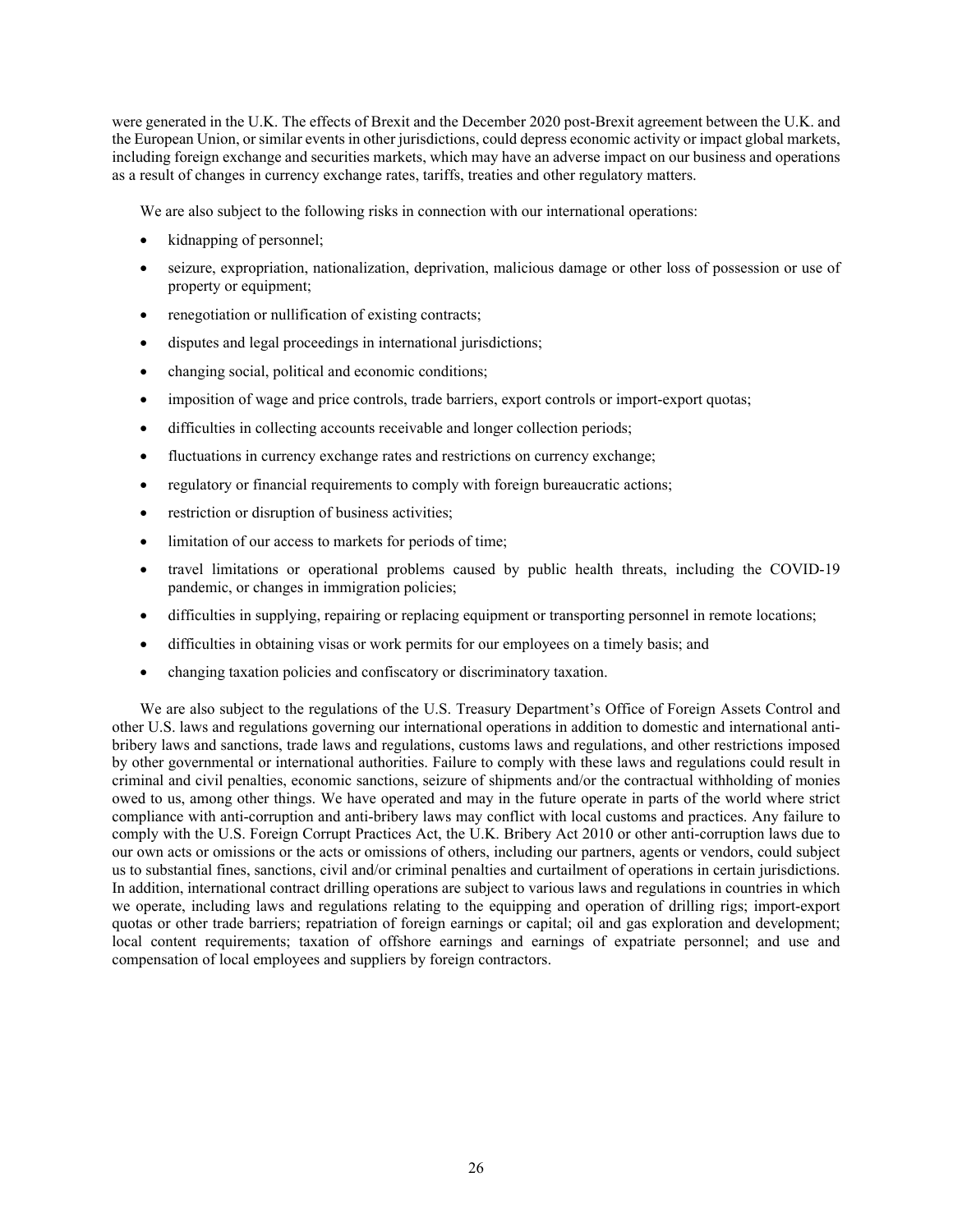were generated in the U.K. The effects of Brexit and the December 2020 post-Brexit agreement between the U.K. and the European Union, or similar events in other jurisdictions, could depress economic activity or impact global markets, including foreign exchange and securities markets, which may have an adverse impact on our business and operations as a result of changes in currency exchange rates, tariffs, treaties and other regulatory matters.

We are also subject to the following risks in connection with our international operations:

- kidnapping of personnel;
- seizure, expropriation, nationalization, deprivation, malicious damage or other loss of possession or use of property or equipment;
- renegotiation or nullification of existing contracts;
- disputes and legal proceedings in international jurisdictions;
- changing social, political and economic conditions;
- imposition of wage and price controls, trade barriers, export controls or import-export quotas;
- difficulties in collecting accounts receivable and longer collection periods;
- fluctuations in currency exchange rates and restrictions on currency exchange;
- regulatory or financial requirements to comply with foreign bureaucratic actions;
- restriction or disruption of business activities;
- limitation of our access to markets for periods of time;
- travel limitations or operational problems caused by public health threats, including the COVID-19 pandemic, or changes in immigration policies;
- difficulties in supplying, repairing or replacing equipment or transporting personnel in remote locations;
- difficulties in obtaining visas or work permits for our employees on a timely basis; and
- changing taxation policies and confiscatory or discriminatory taxation.

We are also subject to the regulations of the U.S. Treasury Department's Office of Foreign Assets Control and other U.S. laws and regulations governing our international operations in addition to domestic and international antibribery laws and sanctions, trade laws and regulations, customs laws and regulations, and other restrictions imposed by other governmental or international authorities. Failure to comply with these laws and regulations could result in criminal and civil penalties, economic sanctions, seizure of shipments and/or the contractual withholding of monies owed to us, among other things. We have operated and may in the future operate in parts of the world where strict compliance with anti-corruption and anti-bribery laws may conflict with local customs and practices. Any failure to comply with the U.S. Foreign Corrupt Practices Act, the U.K. Bribery Act 2010 or other anti-corruption laws due to our own acts or omissions or the acts or omissions of others, including our partners, agents or vendors, could subject us to substantial fines, sanctions, civil and/or criminal penalties and curtailment of operations in certain jurisdictions. In addition, international contract drilling operations are subject to various laws and regulations in countries in which we operate, including laws and regulations relating to the equipping and operation of drilling rigs; import-export quotas or other trade barriers; repatriation of foreign earnings or capital; oil and gas exploration and development; local content requirements; taxation of offshore earnings and earnings of expatriate personnel; and use and compensation of local employees and suppliers by foreign contractors.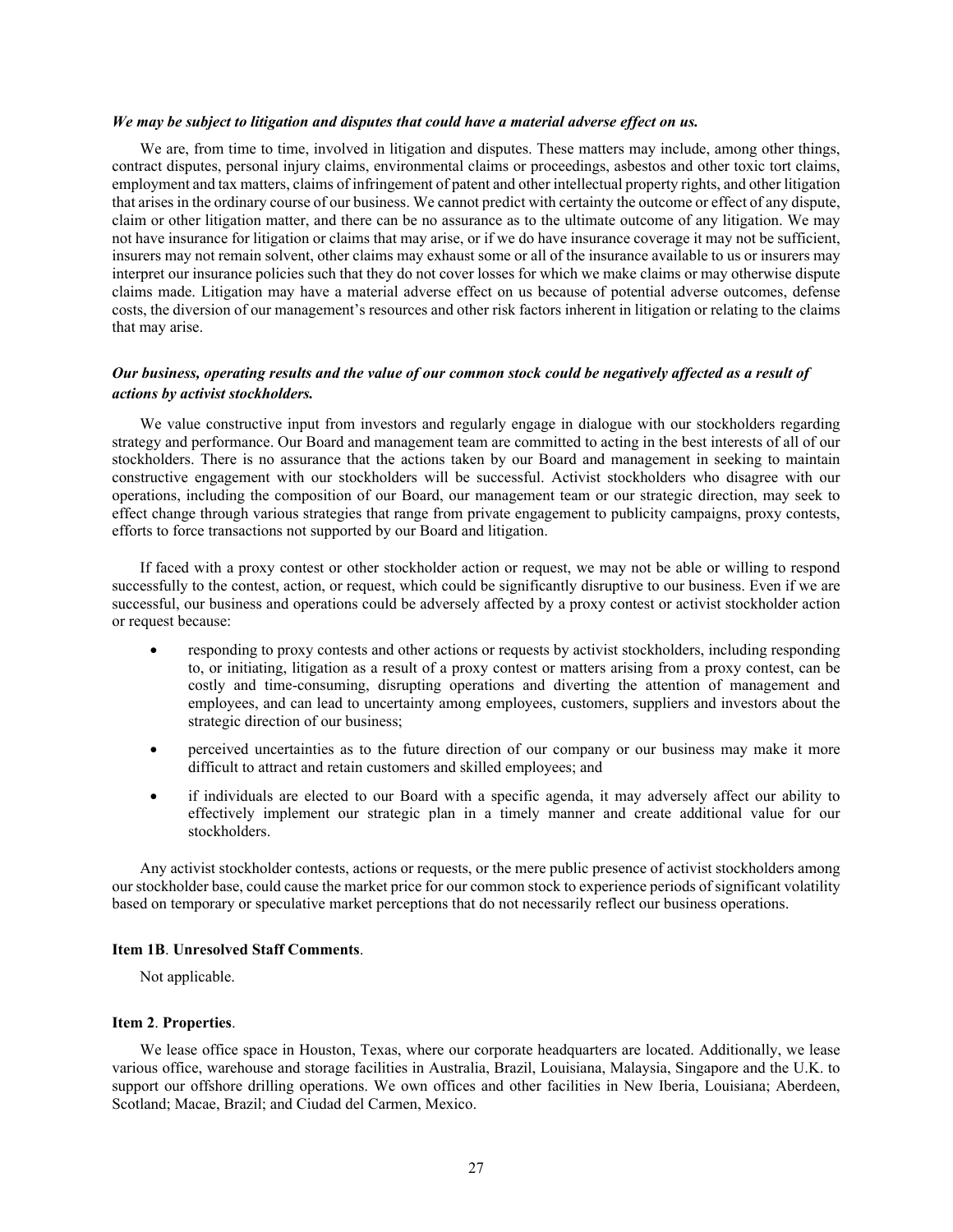## *We may be subject to litigation and disputes that could have a material adverse effect on us.*

We are, from time to time, involved in litigation and disputes. These matters may include, among other things, contract disputes, personal injury claims, environmental claims or proceedings, asbestos and other toxic tort claims, employment and tax matters, claims of infringement of patent and other intellectual property rights, and other litigation that arises in the ordinary course of our business. We cannot predict with certainty the outcome or effect of any dispute, claim or other litigation matter, and there can be no assurance as to the ultimate outcome of any litigation. We may not have insurance for litigation or claims that may arise, or if we do have insurance coverage it may not be sufficient, insurers may not remain solvent, other claims may exhaust some or all of the insurance available to us or insurers may interpret our insurance policies such that they do not cover losses for which we make claims or may otherwise dispute claims made. Litigation may have a material adverse effect on us because of potential adverse outcomes, defense costs, the diversion of our management's resources and other risk factors inherent in litigation or relating to the claims that may arise.

## *Our business, operating results and the value of our common stock could be negatively affected as a result of actions by activist stockholders.*

We value constructive input from investors and regularly engage in dialogue with our stockholders regarding strategy and performance. Our Board and management team are committed to acting in the best interests of all of our stockholders. There is no assurance that the actions taken by our Board and management in seeking to maintain constructive engagement with our stockholders will be successful. Activist stockholders who disagree with our operations, including the composition of our Board, our management team or our strategic direction, may seek to effect change through various strategies that range from private engagement to publicity campaigns, proxy contests, efforts to force transactions not supported by our Board and litigation.

If faced with a proxy contest or other stockholder action or request, we may not be able or willing to respond successfully to the contest, action, or request, which could be significantly disruptive to our business. Even if we are successful, our business and operations could be adversely affected by a proxy contest or activist stockholder action or request because:

- responding to proxy contests and other actions or requests by activist stockholders, including responding to, or initiating, litigation as a result of a proxy contest or matters arising from a proxy contest, can be costly and time-consuming, disrupting operations and diverting the attention of management and employees, and can lead to uncertainty among employees, customers, suppliers and investors about the strategic direction of our business;
- perceived uncertainties as to the future direction of our company or our business may make it more difficult to attract and retain customers and skilled employees; and
- if individuals are elected to our Board with a specific agenda, it may adversely affect our ability to effectively implement our strategic plan in a timely manner and create additional value for our stockholders.

Any activist stockholder contests, actions or requests, or the mere public presence of activist stockholders among our stockholder base, could cause the market price for our common stock to experience periods of significant volatility based on temporary or speculative market perceptions that do not necessarily reflect our business operations.

### **Item 1B**. **Unresolved Staff Comments**.

<span id="page-26-1"></span><span id="page-26-0"></span>Not applicable.

#### **Item 2**. **Properties**.

We lease office space in Houston, Texas, where our corporate headquarters are located. Additionally, we lease various office, warehouse and storage facilities in Australia, Brazil, Louisiana, Malaysia, Singapore and the U.K. to support our offshore drilling operations. We own offices and other facilities in New Iberia, Louisiana; Aberdeen, Scotland; Macae, Brazil; and Ciudad del Carmen, Mexico.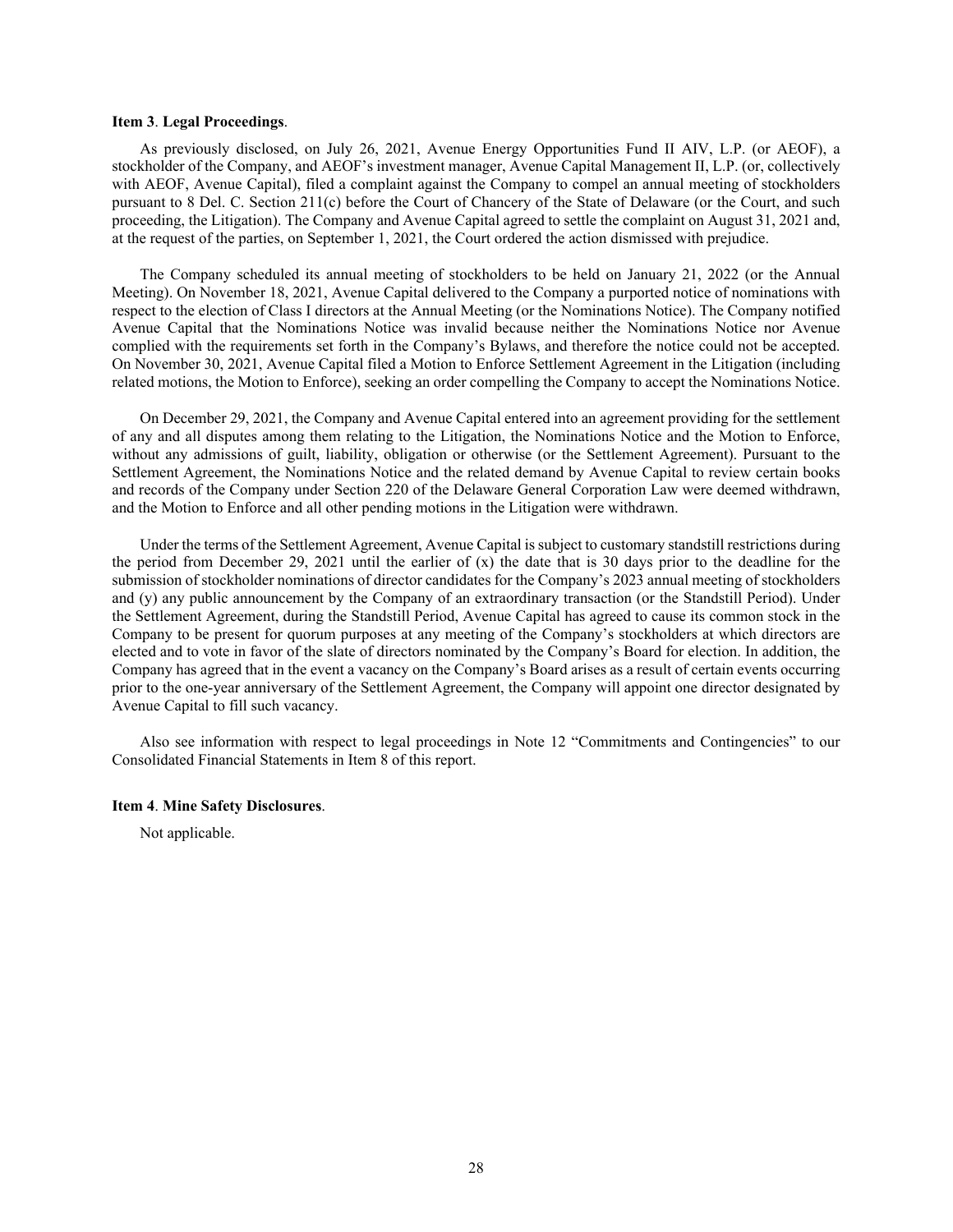#### <span id="page-27-0"></span>**Item 3**. **Legal Proceedings**.

As previously disclosed, on July 26, 2021, Avenue Energy Opportunities Fund II AIV, L.P. (or AEOF), a stockholder of the Company, and AEOF's investment manager, Avenue Capital Management II, L.P. (or, collectively with AEOF, Avenue Capital), filed a complaint against the Company to compel an annual meeting of stockholders pursuant to 8 Del. C. Section 211(c) before the Court of Chancery of the State of Delaware (or the Court, and such proceeding, the Litigation). The Company and Avenue Capital agreed to settle the complaint on August 31, 2021 and, at the request of the parties, on September 1, 2021, the Court ordered the action dismissed with prejudice.

The Company scheduled its annual meeting of stockholders to be held on January 21, 2022 (or the Annual Meeting). On November 18, 2021, Avenue Capital delivered to the Company a purported notice of nominations with respect to the election of Class I directors at the Annual Meeting (or the Nominations Notice). The Company notified Avenue Capital that the Nominations Notice was invalid because neither the Nominations Notice nor Avenue complied with the requirements set forth in the Company's Bylaws, and therefore the notice could not be accepted. On November 30, 2021, Avenue Capital filed a Motion to Enforce Settlement Agreement in the Litigation (including related motions, the Motion to Enforce), seeking an order compelling the Company to accept the Nominations Notice.

On December 29, 2021, the Company and Avenue Capital entered into an agreement providing for the settlement of any and all disputes among them relating to the Litigation, the Nominations Notice and the Motion to Enforce, without any admissions of guilt, liability, obligation or otherwise (or the Settlement Agreement). Pursuant to the Settlement Agreement, the Nominations Notice and the related demand by Avenue Capital to review certain books and records of the Company under Section 220 of the Delaware General Corporation Law were deemed withdrawn, and the Motion to Enforce and all other pending motions in the Litigation were withdrawn.

Under the terms of the Settlement Agreement, Avenue Capital is subject to customary standstill restrictions during the period from December 29, 2021 until the earlier of  $(x)$  the date that is 30 days prior to the deadline for the submission of stockholder nominations of director candidates for the Company's 2023 annual meeting of stockholders and (y) any public announcement by the Company of an extraordinary transaction (or the Standstill Period). Under the Settlement Agreement, during the Standstill Period, Avenue Capital has agreed to cause its common stock in the Company to be present for quorum purposes at any meeting of the Company's stockholders at which directors are elected and to vote in favor of the slate of directors nominated by the Company's Board for election. In addition, the Company has agreed that in the event a vacancy on the Company's Board arises as a result of certain events occurring prior to the one-year anniversary of the Settlement Agreement, the Company will appoint one director designated by Avenue Capital to fill such vacancy.

Also see information with respect to legal proceedings in Note 12 "Commitments and Contingencies" to our Consolidated Financial Statements in Item 8 of this report.

## **Item 4**. **Mine Safety Disclosures**.

<span id="page-27-1"></span>Not applicable.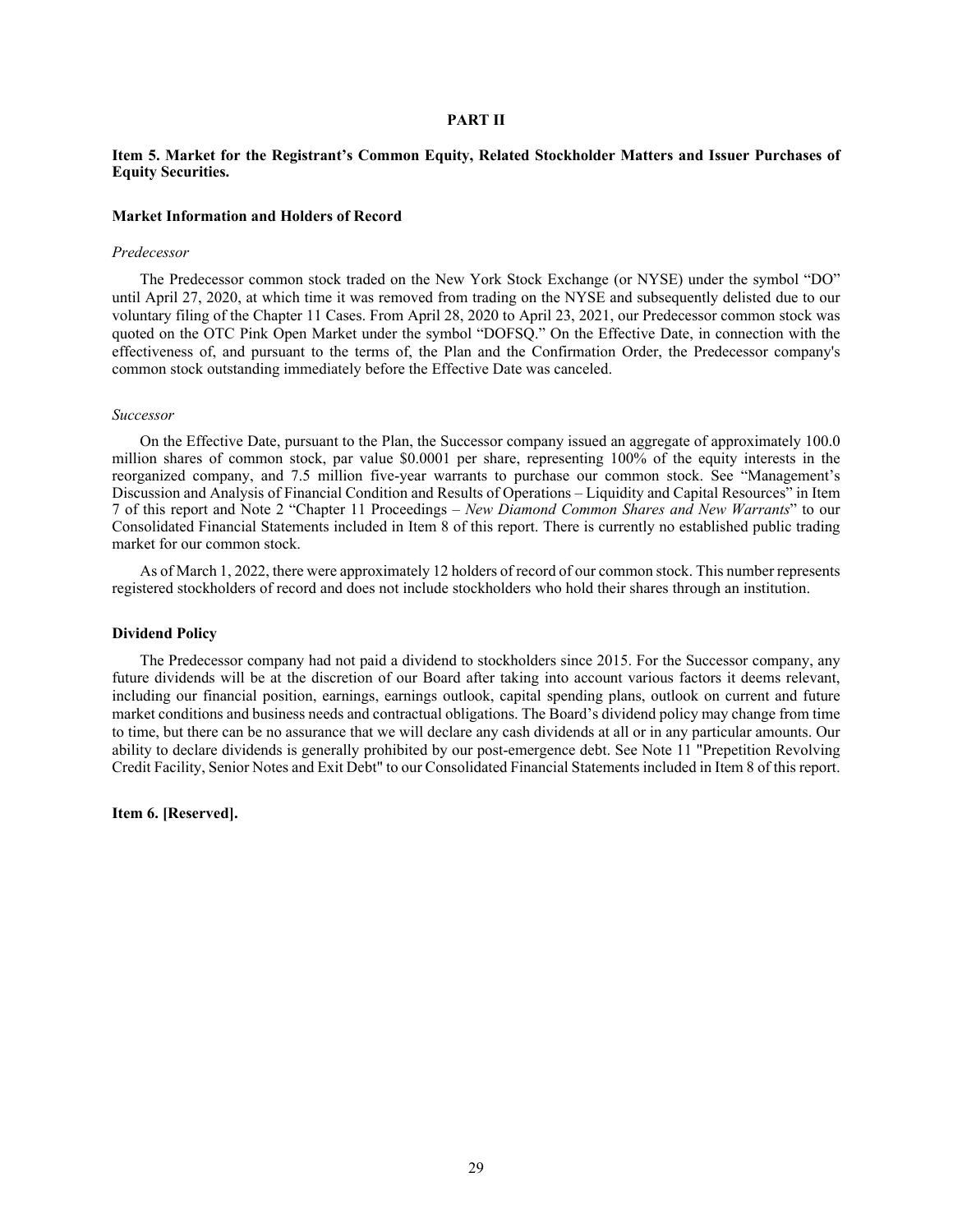### <span id="page-28-0"></span>**PART II**

#### **Item 5. Market for the Registrant's Common Equity, Related Stockholder Matters and Issuer Purchases of Equity Securities.**

### **Market Information and Holders of Record**

#### *Predecessor*

The Predecessor common stock traded on the New York Stock Exchange (or NYSE) under the symbol "DO" until April 27, 2020, at which time it was removed from trading on the NYSE and subsequently delisted due to our voluntary filing of the Chapter 11 Cases. From April 28, 2020 to April 23, 2021, our Predecessor common stock was quoted on the OTC Pink Open Market under the symbol "DOFSQ." On the Effective Date, in connection with the effectiveness of, and pursuant to the terms of, the Plan and the Confirmation Order, the Predecessor company's common stock outstanding immediately before the Effective Date was canceled.

#### *Successor*

On the Effective Date, pursuant to the Plan, the Successor company issued an aggregate of approximately 100.0 million shares of common stock, par value \$0.0001 per share, representing 100% of the equity interests in the reorganized company, and 7.5 million five-year warrants to purchase our common stock. See "Management's Discussion and Analysis of Financial Condition and Results of Operations – Liquidity and Capital Resources" in Item 7 of this report and Note 2 "Chapter 11 Proceedings – *New Diamond Common Shares and New Warrants*" to our Consolidated Financial Statements included in Item 8 of this report. There is currently no established public trading market for our common stock.

As of March 1, 2022, there were approximately 12 holders of record of our common stock. This number represents registered stockholders of record and does not include stockholders who hold their shares through an institution.

#### **Dividend Policy**

The Predecessor company had not paid a dividend to stockholders since 2015. For the Successor company, any future dividends will be at the discretion of our Board after taking into account various factors it deems relevant, including our financial position, earnings, earnings outlook, capital spending plans, outlook on current and future market conditions and business needs and contractual obligations. The Board's dividend policy may change from time to time, but there can be no assurance that we will declare any cash dividends at all or in any particular amounts. Our ability to declare dividends is generally prohibited by our post-emergence debt. See Note 11 "Prepetition Revolving Credit Facility, Senior Notes and Exit Debt" to our Consolidated Financial Statements included in Item 8 of this report.

## <span id="page-28-1"></span>**Item 6. [Reserved].**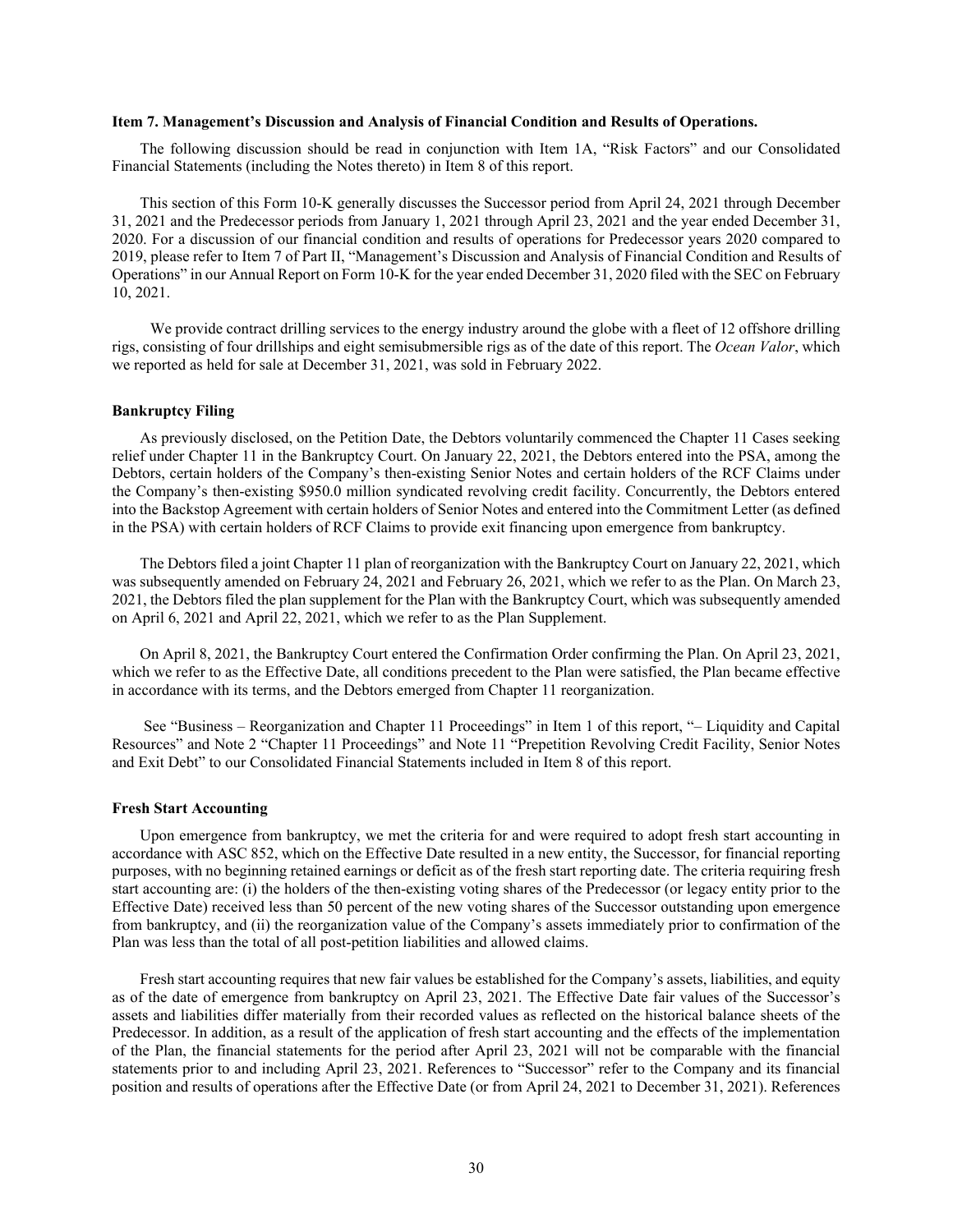## <span id="page-29-0"></span>**Item 7. Management's Discussion and Analysis of Financial Condition and Results of Operations.**

The following discussion should be read in conjunction with Item 1A, "Risk Factors" and our Consolidated Financial Statements (including the Notes thereto) in Item 8 of this report.

This section of this Form 10-K generally discusses the Successor period from April 24, 2021 through December 31, 2021 and the Predecessor periods from January 1, 2021 through April 23, 2021 and the year ended December 31, 2020. For a discussion of our financial condition and results of operations for Predecessor years 2020 compared to 2019, please refer to Item 7 of Part II, "Management's Discussion and Analysis of Financial Condition and Results of Operations" in our Annual Report on Form 10-K for the year ended December 31, 2020 filed with the SEC on February 10, 2021.

We provide contract drilling services to the energy industry around the globe with a fleet of 12 offshore drilling rigs, consisting of four drillships and eight semisubmersible rigs as of the date of this report. The *Ocean Valor*, which we reported as held for sale at December 31, 2021, was sold in February 2022.

### **Bankruptcy Filing**

As previously disclosed, on the Petition Date, the Debtors voluntarily commenced the Chapter 11 Cases seeking relief under Chapter 11 in the Bankruptcy Court. On January 22, 2021, the Debtors entered into the PSA, among the Debtors, certain holders of the Company's then-existing Senior Notes and certain holders of the RCF Claims under the Company's then-existing \$950.0 million syndicated revolving credit facility. Concurrently, the Debtors entered into the Backstop Agreement with certain holders of Senior Notes and entered into the Commitment Letter (as defined in the PSA) with certain holders of RCF Claims to provide exit financing upon emergence from bankruptcy.

The Debtors filed a joint Chapter 11 plan of reorganization with the Bankruptcy Court on January 22, 2021, which was subsequently amended on February 24, 2021 and February 26, 2021, which we refer to as the Plan. On March 23, 2021, the Debtors filed the plan supplement for the Plan with the Bankruptcy Court, which was subsequently amended on April 6, 2021 and April 22, 2021, which we refer to as the Plan Supplement.

On April 8, 2021, the Bankruptcy Court entered the Confirmation Order confirming the Plan. On April 23, 2021, which we refer to as the Effective Date, all conditions precedent to the Plan were satisfied, the Plan became effective in accordance with its terms, and the Debtors emerged from Chapter 11 reorganization.

 See "Business – Reorganization and Chapter 11 Proceedings" in Item 1 of this report, "– Liquidity and Capital Resources" and Note 2 "Chapter 11 Proceedings" and Note 11 "Prepetition Revolving Credit Facility, Senior Notes and Exit Debt" to our Consolidated Financial Statements included in Item 8 of this report.

#### **Fresh Start Accounting**

Upon emergence from bankruptcy, we met the criteria for and were required to adopt fresh start accounting in accordance with ASC 852, which on the Effective Date resulted in a new entity, the Successor, for financial reporting purposes, with no beginning retained earnings or deficit as of the fresh start reporting date. The criteria requiring fresh start accounting are: (i) the holders of the then-existing voting shares of the Predecessor (or legacy entity prior to the Effective Date) received less than 50 percent of the new voting shares of the Successor outstanding upon emergence from bankruptcy, and (ii) the reorganization value of the Company's assets immediately prior to confirmation of the Plan was less than the total of all post-petition liabilities and allowed claims.

Fresh start accounting requires that new fair values be established for the Company's assets, liabilities, and equity as of the date of emergence from bankruptcy on April 23, 2021. The Effective Date fair values of the Successor's assets and liabilities differ materially from their recorded values as reflected on the historical balance sheets of the Predecessor. In addition, as a result of the application of fresh start accounting and the effects of the implementation of the Plan, the financial statements for the period after April 23, 2021 will not be comparable with the financial statements prior to and including April 23, 2021. References to "Successor" refer to the Company and its financial position and results of operations after the Effective Date (or from April 24, 2021 to December 31, 2021). References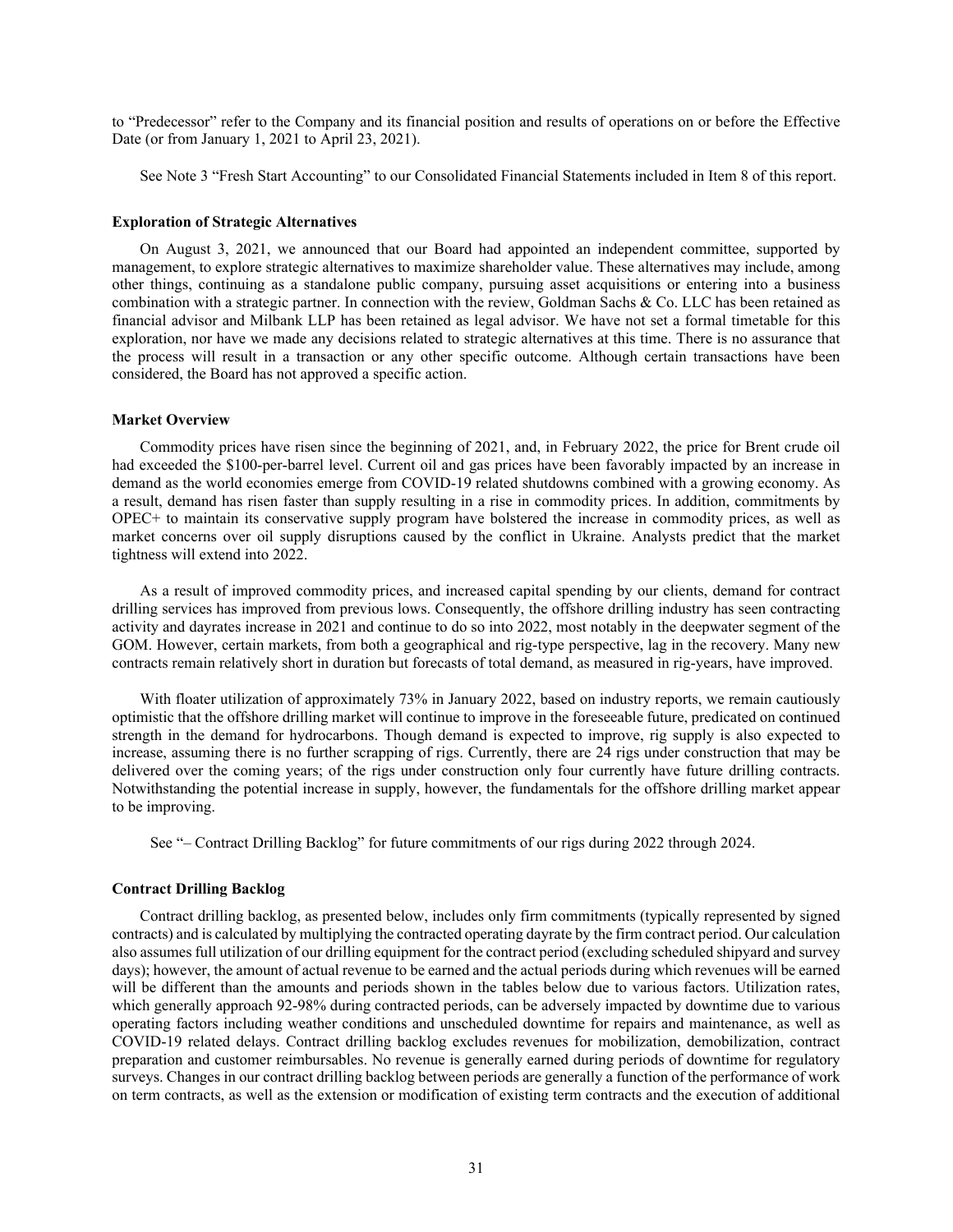to "Predecessor" refer to the Company and its financial position and results of operations on or before the Effective Date (or from January 1, 2021 to April 23, 2021).

See Note 3 "Fresh Start Accounting" to our Consolidated Financial Statements included in Item 8 of this report.

### **Exploration of Strategic Alternatives**

On August 3, 2021, we announced that our Board had appointed an independent committee, supported by management, to explore strategic alternatives to maximize shareholder value. These alternatives may include, among other things, continuing as a standalone public company, pursuing asset acquisitions or entering into a business combination with a strategic partner. In connection with the review, Goldman Sachs & Co. LLC has been retained as financial advisor and Milbank LLP has been retained as legal advisor. We have not set a formal timetable for this exploration, nor have we made any decisions related to strategic alternatives at this time. There is no assurance that the process will result in a transaction or any other specific outcome. Although certain transactions have been considered, the Board has not approved a specific action.

#### **Market Overview**

Commodity prices have risen since the beginning of 2021, and, in February 2022, the price for Brent crude oil had exceeded the \$100-per-barrel level. Current oil and gas prices have been favorably impacted by an increase in demand as the world economies emerge from COVID-19 related shutdowns combined with a growing economy. As a result, demand has risen faster than supply resulting in a rise in commodity prices. In addition, commitments by OPEC+ to maintain its conservative supply program have bolstered the increase in commodity prices, as well as market concerns over oil supply disruptions caused by the conflict in Ukraine. Analysts predict that the market tightness will extend into 2022.

As a result of improved commodity prices, and increased capital spending by our clients, demand for contract drilling services has improved from previous lows. Consequently, the offshore drilling industry has seen contracting activity and dayrates increase in 2021 and continue to do so into 2022, most notably in the deepwater segment of the GOM. However, certain markets, from both a geographical and rig-type perspective, lag in the recovery. Many new contracts remain relatively short in duration but forecasts of total demand, as measured in rig-years, have improved.

With floater utilization of approximately 73% in January 2022, based on industry reports, we remain cautiously optimistic that the offshore drilling market will continue to improve in the foreseeable future, predicated on continued strength in the demand for hydrocarbons. Though demand is expected to improve, rig supply is also expected to increase, assuming there is no further scrapping of rigs. Currently, there are 24 rigs under construction that may be delivered over the coming years; of the rigs under construction only four currently have future drilling contracts. Notwithstanding the potential increase in supply, however, the fundamentals for the offshore drilling market appear to be improving.

See "– Contract Drilling Backlog" for future commitments of our rigs during 2022 through 2024.

### **Contract Drilling Backlog**

Contract drilling backlog, as presented below, includes only firm commitments (typically represented by signed contracts) and is calculated by multiplying the contracted operating dayrate by the firm contract period. Our calculation also assumes full utilization of our drilling equipment for the contract period (excluding scheduled shipyard and survey days); however, the amount of actual revenue to be earned and the actual periods during which revenues will be earned will be different than the amounts and periods shown in the tables below due to various factors. Utilization rates, which generally approach 92-98% during contracted periods, can be adversely impacted by downtime due to various operating factors including weather conditions and unscheduled downtime for repairs and maintenance, as well as COVID-19 related delays. Contract drilling backlog excludes revenues for mobilization, demobilization, contract preparation and customer reimbursables. No revenue is generally earned during periods of downtime for regulatory surveys. Changes in our contract drilling backlog between periods are generally a function of the performance of work on term contracts, as well as the extension or modification of existing term contracts and the execution of additional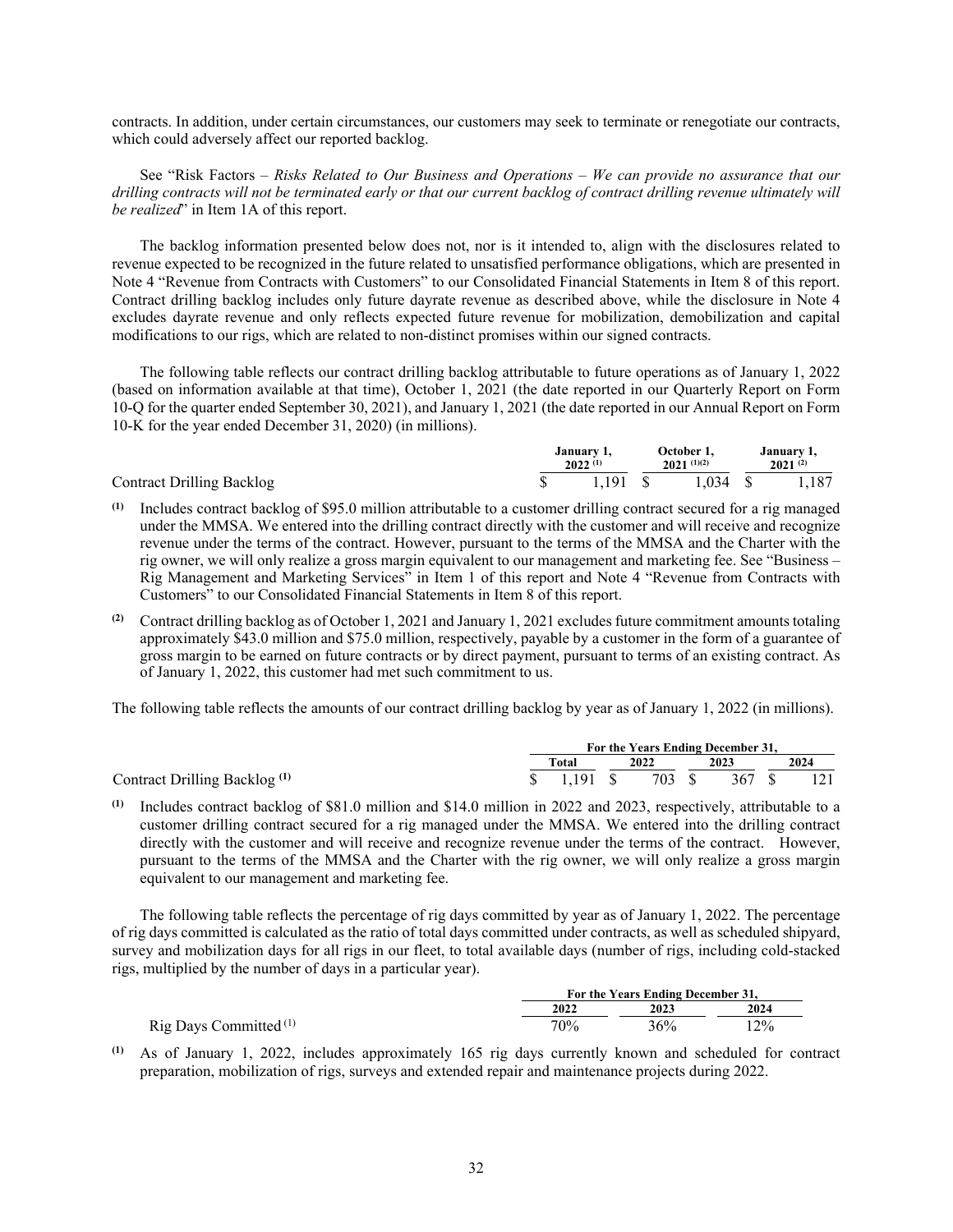contracts. In addition, under certain circumstances, our customers may seek to terminate or renegotiate our contracts, which could adversely affect our reported backlog.

See "Risk Factors – *Risks Related to Our Business and Operations* – *We can provide no assurance that our drilling contracts will not be terminated early or that our current backlog of contract drilling revenue ultimately will be realized*" in Item 1A of this report.

The backlog information presented below does not, nor is it intended to, align with the disclosures related to revenue expected to be recognized in the future related to unsatisfied performance obligations, which are presented in Note 4 "Revenue from Contracts with Customers" to our Consolidated Financial Statements in Item 8 of this report. Contract drilling backlog includes only future dayrate revenue as described above, while the disclosure in Note 4 excludes dayrate revenue and only reflects expected future revenue for mobilization, demobilization and capital modifications to our rigs, which are related to non-distinct promises within our signed contracts.

The following table reflects our contract drilling backlog attributable to future operations as of January 1, 2022 (based on information available at that time), October 1, 2021 (the date reported in our Quarterly Report on Form 10-Q for the quarter ended September 30, 2021), and January 1, 2021 (the date reported in our Annual Report on Form 10-K for the year ended December 31, 2020) (in millions).

|                                  | January I,   |  | October 1,    |                       |  | January 1,   |  |  |
|----------------------------------|--------------|--|---------------|-----------------------|--|--------------|--|--|
|                                  | $2022^{(1)}$ |  | $2021$ (1)(2) |                       |  | $2021^{(2)}$ |  |  |
| <b>Contract Drilling Backlog</b> |              |  |               | $1,191$ \$ $1,034$ \$ |  | 1,187        |  |  |

- **(1)** Includes contract backlog of \$95.0 million attributable to a customer drilling contract secured for a rig managed under the MMSA. We entered into the drilling contract directly with the customer and will receive and recognize revenue under the terms of the contract. However, pursuant to the terms of the MMSA and the Charter with the rig owner, we will only realize a gross margin equivalent to our management and marketing fee. See "Business – Rig Management and Marketing Services" in Item 1 of this report and Note 4 "Revenue from Contracts with Customers" to our Consolidated Financial Statements in Item 8 of this report.
- **(2)** Contract drilling backlog as of October 1, 2021 and January 1, 2021 excludes future commitment amounts totaling approximately \$43.0 million and \$75.0 million, respectively, payable by a customer in the form of a guarantee of gross margin to be earned on future contracts or by direct payment, pursuant to terms of an existing contract. As of January 1, 2022, this customer had met such commitment to us.

The following table reflects the amounts of our contract drilling backlog by year as of January 1, 2022 (in millions).

|                                          | For the Years Ending December 31, |       |  |      |  |                                   |  |      |
|------------------------------------------|-----------------------------------|-------|--|------|--|-----------------------------------|--|------|
|                                          |                                   | Total |  | 2022 |  | 2023                              |  | 2024 |
| Contract Drilling Backlog <sup>(1)</sup> |                                   |       |  |      |  | $\text{S}$ 1.191 \$ 703 \$ 367 \$ |  | 121  |

**(1)** Includes contract backlog of \$81.0 million and \$14.0 million in 2022 and 2023, respectively, attributable to a customer drilling contract secured for a rig managed under the MMSA. We entered into the drilling contract directly with the customer and will receive and recognize revenue under the terms of the contract. However, pursuant to the terms of the MMSA and the Charter with the rig owner, we will only realize a gross margin equivalent to our management and marketing fee.

The following table reflects the percentage of rig days committed by year as of January 1, 2022. The percentage of rig days committed is calculated as the ratio of total days committed under contracts, as well as scheduled shipyard, survey and mobilization days for all rigs in our fleet, to total available days (number of rigs, including cold-stacked rigs, multiplied by the number of days in a particular year).

|                                   | For the Years Ending December 31, |      |        |  |  |  |
|-----------------------------------|-----------------------------------|------|--------|--|--|--|
|                                   | 2022                              | 2023 | 2024   |  |  |  |
| Rig Days Committed <sup>(1)</sup> | 70%                               | 36%  | $12\%$ |  |  |  |

**(1)** As of January 1, 2022, includes approximately 165 rig days currently known and scheduled for contract preparation, mobilization of rigs, surveys and extended repair and maintenance projects during 2022.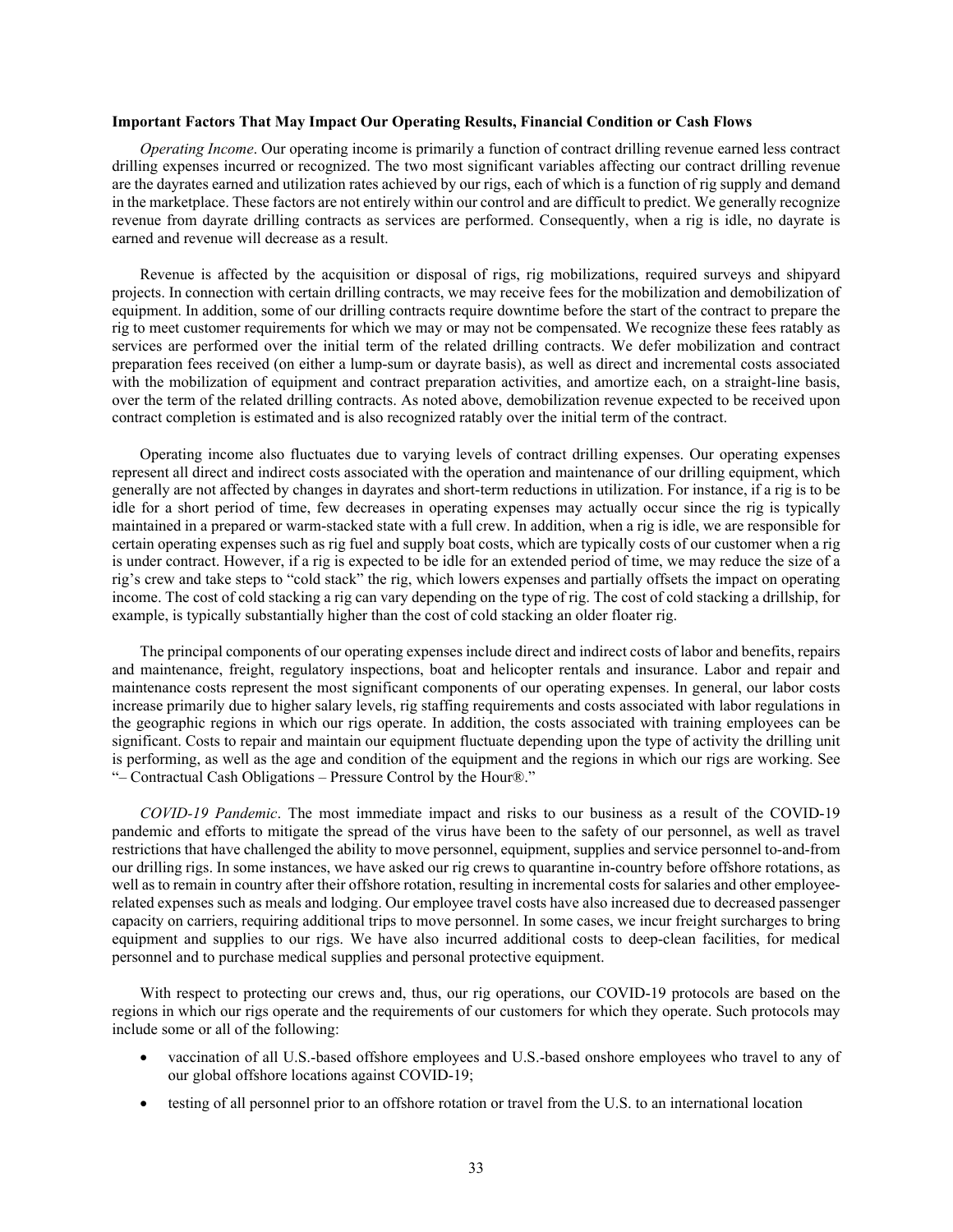### **Important Factors That May Impact Our Operating Results, Financial Condition or Cash Flows**

*Operating Income*. Our operating income is primarily a function of contract drilling revenue earned less contract drilling expenses incurred or recognized. The two most significant variables affecting our contract drilling revenue are the dayrates earned and utilization rates achieved by our rigs, each of which is a function of rig supply and demand in the marketplace. These factors are not entirely within our control and are difficult to predict. We generally recognize revenue from dayrate drilling contracts as services are performed. Consequently, when a rig is idle, no dayrate is earned and revenue will decrease as a result.

Revenue is affected by the acquisition or disposal of rigs, rig mobilizations, required surveys and shipyard projects. In connection with certain drilling contracts, we may receive fees for the mobilization and demobilization of equipment. In addition, some of our drilling contracts require downtime before the start of the contract to prepare the rig to meet customer requirements for which we may or may not be compensated. We recognize these fees ratably as services are performed over the initial term of the related drilling contracts. We defer mobilization and contract preparation fees received (on either a lump-sum or dayrate basis), as well as direct and incremental costs associated with the mobilization of equipment and contract preparation activities, and amortize each, on a straight-line basis, over the term of the related drilling contracts. As noted above, demobilization revenue expected to be received upon contract completion is estimated and is also recognized ratably over the initial term of the contract.

Operating income also fluctuates due to varying levels of contract drilling expenses. Our operating expenses represent all direct and indirect costs associated with the operation and maintenance of our drilling equipment, which generally are not affected by changes in dayrates and short-term reductions in utilization. For instance, if a rig is to be idle for a short period of time, few decreases in operating expenses may actually occur since the rig is typically maintained in a prepared or warm-stacked state with a full crew. In addition, when a rig is idle, we are responsible for certain operating expenses such as rig fuel and supply boat costs, which are typically costs of our customer when a rig is under contract. However, if a rig is expected to be idle for an extended period of time, we may reduce the size of a rig's crew and take steps to "cold stack" the rig, which lowers expenses and partially offsets the impact on operating income. The cost of cold stacking a rig can vary depending on the type of rig. The cost of cold stacking a drillship, for example, is typically substantially higher than the cost of cold stacking an older floater rig.

The principal components of our operating expenses include direct and indirect costs of labor and benefits, repairs and maintenance, freight, regulatory inspections, boat and helicopter rentals and insurance. Labor and repair and maintenance costs represent the most significant components of our operating expenses. In general, our labor costs increase primarily due to higher salary levels, rig staffing requirements and costs associated with labor regulations in the geographic regions in which our rigs operate. In addition, the costs associated with training employees can be significant. Costs to repair and maintain our equipment fluctuate depending upon the type of activity the drilling unit is performing, as well as the age and condition of the equipment and the regions in which our rigs are working. See "– Contractual Cash Obligations – Pressure Control by the Hour®."

*COVID-19 Pandemic*. The most immediate impact and risks to our business as a result of the COVID-19 pandemic and efforts to mitigate the spread of the virus have been to the safety of our personnel, as well as travel restrictions that have challenged the ability to move personnel, equipment, supplies and service personnel to-and-from our drilling rigs. In some instances, we have asked our rig crews to quarantine in-country before offshore rotations, as well as to remain in country after their offshore rotation, resulting in incremental costs for salaries and other employeerelated expenses such as meals and lodging. Our employee travel costs have also increased due to decreased passenger capacity on carriers, requiring additional trips to move personnel. In some cases, we incur freight surcharges to bring equipment and supplies to our rigs. We have also incurred additional costs to deep-clean facilities, for medical personnel and to purchase medical supplies and personal protective equipment.

With respect to protecting our crews and, thus, our rig operations, our COVID-19 protocols are based on the regions in which our rigs operate and the requirements of our customers for which they operate. Such protocols may include some or all of the following:

- vaccination of all U.S.-based offshore employees and U.S.-based onshore employees who travel to any of our global offshore locations against COVID-19;
- testing of all personnel prior to an offshore rotation or travel from the U.S. to an international location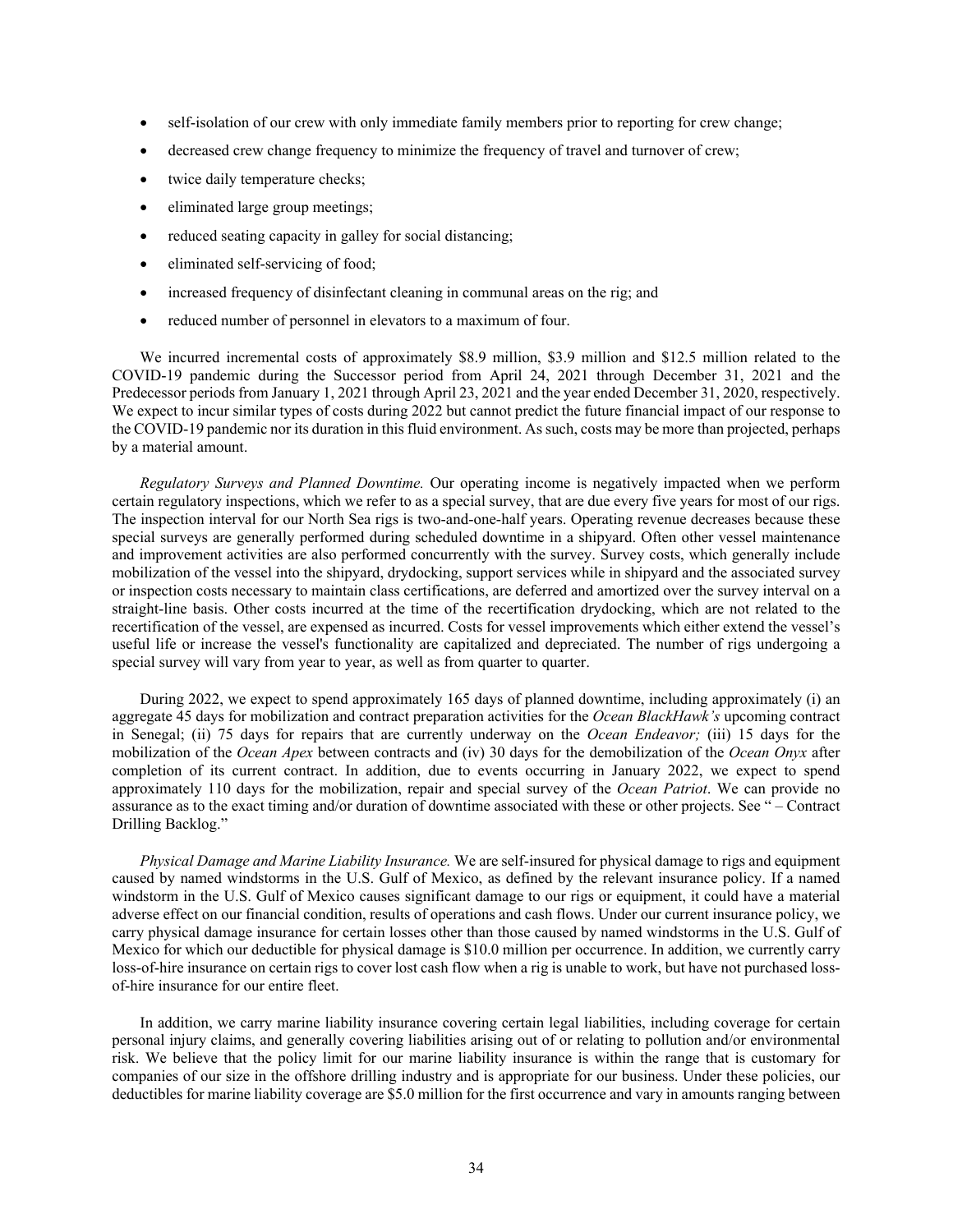- self-isolation of our crew with only immediate family members prior to reporting for crew change;
- decreased crew change frequency to minimize the frequency of travel and turnover of crew;
- twice daily temperature checks;
- eliminated large group meetings;
- reduced seating capacity in galley for social distancing;
- eliminated self-servicing of food;
- increased frequency of disinfectant cleaning in communal areas on the rig; and
- reduced number of personnel in elevators to a maximum of four.

We incurred incremental costs of approximately \$8.9 million, \$3.9 million and \$12.5 million related to the COVID-19 pandemic during the Successor period from April 24, 2021 through December 31, 2021 and the Predecessor periods from January 1, 2021 through April 23, 2021 and the year ended December 31, 2020, respectively. We expect to incur similar types of costs during 2022 but cannot predict the future financial impact of our response to the COVID-19 pandemic nor its duration in this fluid environment. As such, costs may be more than projected, perhaps by a material amount.

*Regulatory Surveys and Planned Downtime.* Our operating income is negatively impacted when we perform certain regulatory inspections, which we refer to as a special survey, that are due every five years for most of our rigs. The inspection interval for our North Sea rigs is two-and-one-half years. Operating revenue decreases because these special surveys are generally performed during scheduled downtime in a shipyard. Often other vessel maintenance and improvement activities are also performed concurrently with the survey. Survey costs, which generally include mobilization of the vessel into the shipyard, drydocking, support services while in shipyard and the associated survey or inspection costs necessary to maintain class certifications, are deferred and amortized over the survey interval on a straight-line basis. Other costs incurred at the time of the recertification drydocking, which are not related to the recertification of the vessel, are expensed as incurred. Costs for vessel improvements which either extend the vessel's useful life or increase the vessel's functionality are capitalized and depreciated. The number of rigs undergoing a special survey will vary from year to year, as well as from quarter to quarter.

During 2022, we expect to spend approximately 165 days of planned downtime, including approximately (i) an aggregate 45 days for mobilization and contract preparation activities for the *Ocean BlackHawk's* upcoming contract in Senegal; (ii) 75 days for repairs that are currently underway on the *Ocean Endeavor;* (iii) 15 days for the mobilization of the *Ocean Apex* between contracts and (iv) 30 days for the demobilization of the *Ocean Onyx* after completion of its current contract. In addition, due to events occurring in January 2022, we expect to spend approximately 110 days for the mobilization, repair and special survey of the *Ocean Patriot*. We can provide no assurance as to the exact timing and/or duration of downtime associated with these or other projects. See " – Contract Drilling Backlog."

*Physical Damage and Marine Liability Insurance.* We are self-insured for physical damage to rigs and equipment caused by named windstorms in the U.S. Gulf of Mexico, as defined by the relevant insurance policy. If a named windstorm in the U.S. Gulf of Mexico causes significant damage to our rigs or equipment, it could have a material adverse effect on our financial condition, results of operations and cash flows. Under our current insurance policy, we carry physical damage insurance for certain losses other than those caused by named windstorms in the U.S. Gulf of Mexico for which our deductible for physical damage is \$10.0 million per occurrence. In addition, we currently carry loss-of-hire insurance on certain rigs to cover lost cash flow when a rig is unable to work, but have not purchased lossof-hire insurance for our entire fleet.

In addition, we carry marine liability insurance covering certain legal liabilities, including coverage for certain personal injury claims, and generally covering liabilities arising out of or relating to pollution and/or environmental risk. We believe that the policy limit for our marine liability insurance is within the range that is customary for companies of our size in the offshore drilling industry and is appropriate for our business. Under these policies, our deductibles for marine liability coverage are \$5.0 million for the first occurrence and vary in amounts ranging between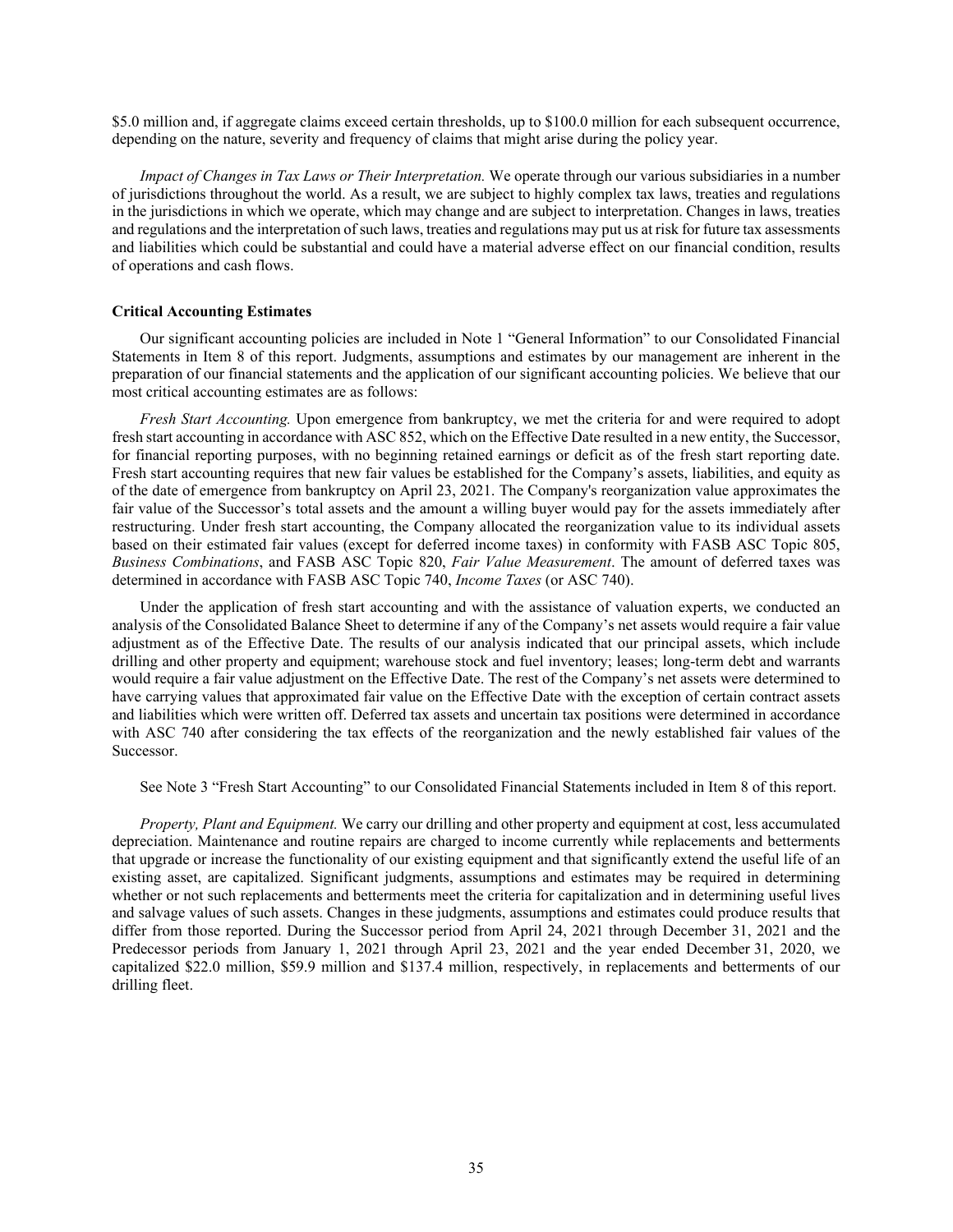\$5.0 million and, if aggregate claims exceed certain thresholds, up to \$100.0 million for each subsequent occurrence, depending on the nature, severity and frequency of claims that might arise during the policy year.

*Impact of Changes in Tax Laws or Their Interpretation.* We operate through our various subsidiaries in a number of jurisdictions throughout the world. As a result, we are subject to highly complex tax laws, treaties and regulations in the jurisdictions in which we operate, which may change and are subject to interpretation. Changes in laws, treaties and regulations and the interpretation of such laws, treaties and regulations may put us at risk for future tax assessments and liabilities which could be substantial and could have a material adverse effect on our financial condition, results of operations and cash flows.

#### **Critical Accounting Estimates**

Our significant accounting policies are included in Note 1 "General Information" to our Consolidated Financial Statements in Item 8 of this report. Judgments, assumptions and estimates by our management are inherent in the preparation of our financial statements and the application of our significant accounting policies. We believe that our most critical accounting estimates are as follows:

*Fresh Start Accounting.* Upon emergence from bankruptcy, we met the criteria for and were required to adopt fresh start accounting in accordance with ASC 852, which on the Effective Date resulted in a new entity, the Successor, for financial reporting purposes, with no beginning retained earnings or deficit as of the fresh start reporting date. Fresh start accounting requires that new fair values be established for the Company's assets, liabilities, and equity as of the date of emergence from bankruptcy on April 23, 2021. The Company's reorganization value approximates the fair value of the Successor's total assets and the amount a willing buyer would pay for the assets immediately after restructuring. Under fresh start accounting, the Company allocated the reorganization value to its individual assets based on their estimated fair values (except for deferred income taxes) in conformity with FASB ASC Topic 805, *Business Combinations*, and FASB ASC Topic 820, *Fair Value Measurement*. The amount of deferred taxes was determined in accordance with FASB ASC Topic 740, *Income Taxes* (or ASC 740).

Under the application of fresh start accounting and with the assistance of valuation experts, we conducted an analysis of the Consolidated Balance Sheet to determine if any of the Company's net assets would require a fair value adjustment as of the Effective Date. The results of our analysis indicated that our principal assets, which include drilling and other property and equipment; warehouse stock and fuel inventory; leases; long-term debt and warrants would require a fair value adjustment on the Effective Date. The rest of the Company's net assets were determined to have carrying values that approximated fair value on the Effective Date with the exception of certain contract assets and liabilities which were written off. Deferred tax assets and uncertain tax positions were determined in accordance with ASC 740 after considering the tax effects of the reorganization and the newly established fair values of the Successor.

See Note 3 "Fresh Start Accounting" to our Consolidated Financial Statements included in Item 8 of this report.

*Property, Plant and Equipment.* We carry our drilling and other property and equipment at cost, less accumulated depreciation. Maintenance and routine repairs are charged to income currently while replacements and betterments that upgrade or increase the functionality of our existing equipment and that significantly extend the useful life of an existing asset, are capitalized. Significant judgments, assumptions and estimates may be required in determining whether or not such replacements and betterments meet the criteria for capitalization and in determining useful lives and salvage values of such assets. Changes in these judgments, assumptions and estimates could produce results that differ from those reported. During the Successor period from April 24, 2021 through December 31, 2021 and the Predecessor periods from January 1, 2021 through April 23, 2021 and the year ended December 31, 2020, we capitalized \$22.0 million, \$59.9 million and \$137.4 million, respectively, in replacements and betterments of our drilling fleet.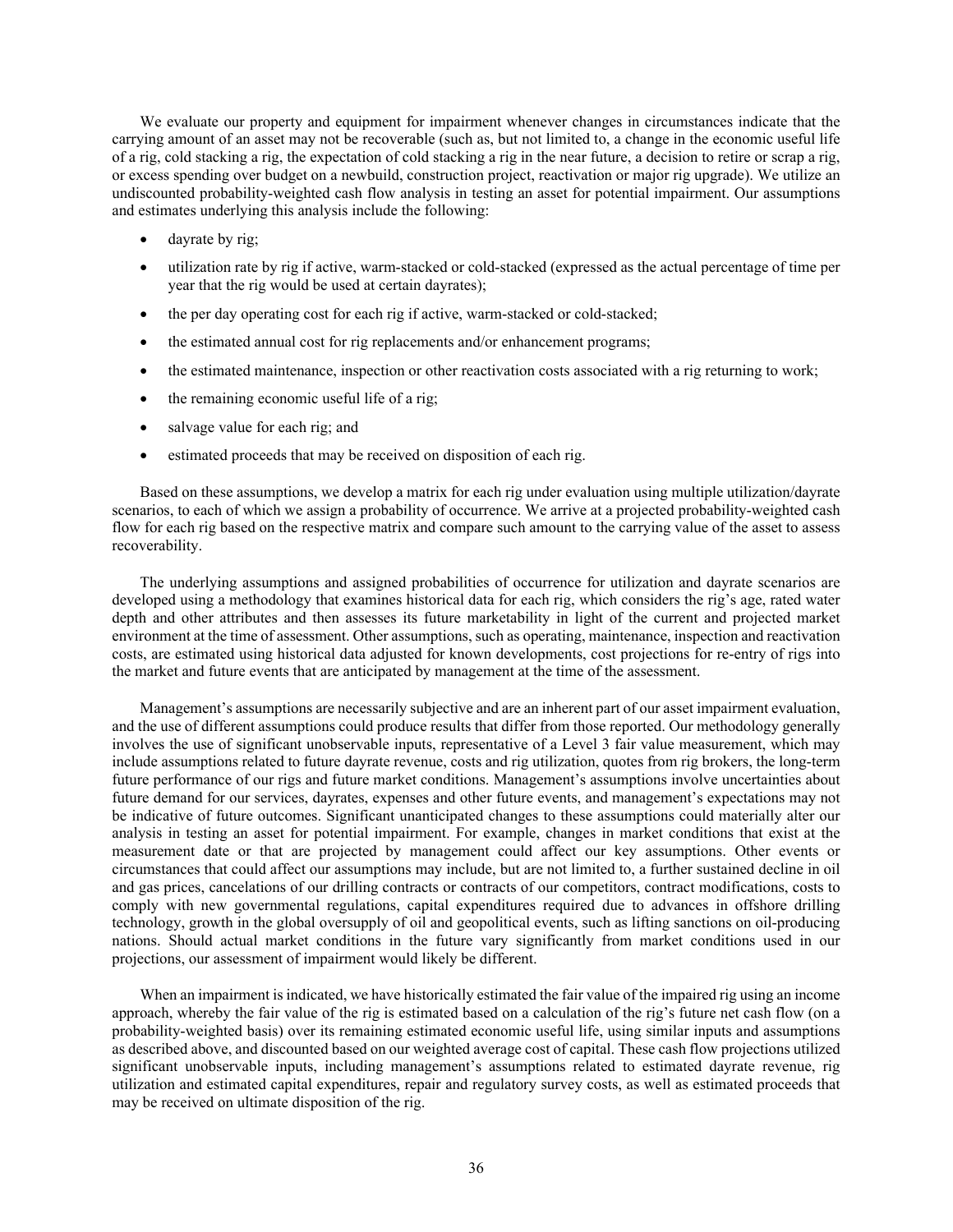We evaluate our property and equipment for impairment whenever changes in circumstances indicate that the carrying amount of an asset may not be recoverable (such as, but not limited to, a change in the economic useful life of a rig, cold stacking a rig, the expectation of cold stacking a rig in the near future, a decision to retire or scrap a rig, or excess spending over budget on a newbuild, construction project, reactivation or major rig upgrade). We utilize an undiscounted probability-weighted cash flow analysis in testing an asset for potential impairment. Our assumptions and estimates underlying this analysis include the following:

- dayrate by rig;
- utilization rate by rig if active, warm-stacked or cold-stacked (expressed as the actual percentage of time per year that the rig would be used at certain dayrates);
- the per day operating cost for each rig if active, warm-stacked or cold-stacked;
- the estimated annual cost for rig replacements and/or enhancement programs;
- the estimated maintenance, inspection or other reactivation costs associated with a rig returning to work;
- the remaining economic useful life of a rig;
- salvage value for each rig; and
- estimated proceeds that may be received on disposition of each rig.

Based on these assumptions, we develop a matrix for each rig under evaluation using multiple utilization/dayrate scenarios, to each of which we assign a probability of occurrence. We arrive at a projected probability-weighted cash flow for each rig based on the respective matrix and compare such amount to the carrying value of the asset to assess recoverability.

The underlying assumptions and assigned probabilities of occurrence for utilization and dayrate scenarios are developed using a methodology that examines historical data for each rig, which considers the rig's age, rated water depth and other attributes and then assesses its future marketability in light of the current and projected market environment at the time of assessment. Other assumptions, such as operating, maintenance, inspection and reactivation costs, are estimated using historical data adjusted for known developments, cost projections for re-entry of rigs into the market and future events that are anticipated by management at the time of the assessment.

Management's assumptions are necessarily subjective and are an inherent part of our asset impairment evaluation, and the use of different assumptions could produce results that differ from those reported. Our methodology generally involves the use of significant unobservable inputs, representative of a Level 3 fair value measurement, which may include assumptions related to future dayrate revenue, costs and rig utilization, quotes from rig brokers, the long-term future performance of our rigs and future market conditions. Management's assumptions involve uncertainties about future demand for our services, dayrates, expenses and other future events, and management's expectations may not be indicative of future outcomes. Significant unanticipated changes to these assumptions could materially alter our analysis in testing an asset for potential impairment. For example, changes in market conditions that exist at the measurement date or that are projected by management could affect our key assumptions. Other events or circumstances that could affect our assumptions may include, but are not limited to, a further sustained decline in oil and gas prices, cancelations of our drilling contracts or contracts of our competitors, contract modifications, costs to comply with new governmental regulations, capital expenditures required due to advances in offshore drilling technology, growth in the global oversupply of oil and geopolitical events, such as lifting sanctions on oil-producing nations. Should actual market conditions in the future vary significantly from market conditions used in our projections, our assessment of impairment would likely be different.

When an impairment is indicated, we have historically estimated the fair value of the impaired rig using an income approach, whereby the fair value of the rig is estimated based on a calculation of the rig's future net cash flow (on a probability-weighted basis) over its remaining estimated economic useful life, using similar inputs and assumptions as described above, and discounted based on our weighted average cost of capital. These cash flow projections utilized significant unobservable inputs, including management's assumptions related to estimated dayrate revenue, rig utilization and estimated capital expenditures, repair and regulatory survey costs, as well as estimated proceeds that may be received on ultimate disposition of the rig.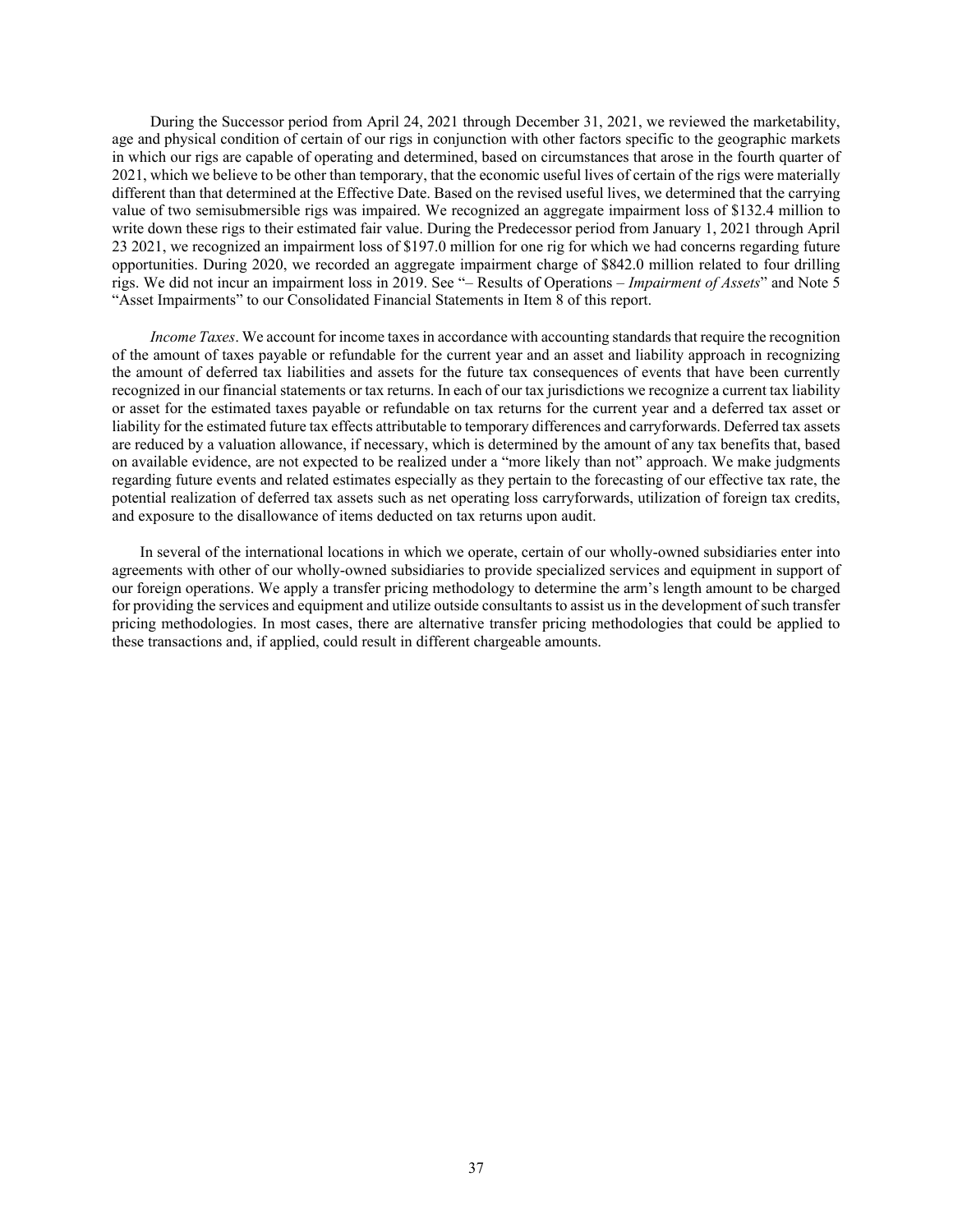During the Successor period from April 24, 2021 through December 31, 2021, we reviewed the marketability, age and physical condition of certain of our rigs in conjunction with other factors specific to the geographic markets in which our rigs are capable of operating and determined, based on circumstances that arose in the fourth quarter of 2021, which we believe to be other than temporary, that the economic useful lives of certain of the rigs were materially different than that determined at the Effective Date. Based on the revised useful lives, we determined that the carrying value of two semisubmersible rigs was impaired. We recognized an aggregate impairment loss of \$132.4 million to write down these rigs to their estimated fair value. During the Predecessor period from January 1, 2021 through April 23 2021, we recognized an impairment loss of \$197.0 million for one rig for which we had concerns regarding future opportunities. During 2020, we recorded an aggregate impairment charge of \$842.0 million related to four drilling rigs. We did not incur an impairment loss in 2019. See "– Results of Operations – *Impairment of Assets*" and Note 5 "Asset Impairments" to our Consolidated Financial Statements in Item 8 of this report.

*Income Taxes*. We account for income taxes in accordance with accounting standards that require the recognition of the amount of taxes payable or refundable for the current year and an asset and liability approach in recognizing the amount of deferred tax liabilities and assets for the future tax consequences of events that have been currently recognized in our financial statements or tax returns. In each of our tax jurisdictions we recognize a current tax liability or asset for the estimated taxes payable or refundable on tax returns for the current year and a deferred tax asset or liability for the estimated future tax effects attributable to temporary differences and carryforwards. Deferred tax assets are reduced by a valuation allowance, if necessary, which is determined by the amount of any tax benefits that, based on available evidence, are not expected to be realized under a "more likely than not" approach. We make judgments regarding future events and related estimates especially as they pertain to the forecasting of our effective tax rate, the potential realization of deferred tax assets such as net operating loss carryforwards, utilization of foreign tax credits, and exposure to the disallowance of items deducted on tax returns upon audit.

In several of the international locations in which we operate, certain of our wholly-owned subsidiaries enter into agreements with other of our wholly-owned subsidiaries to provide specialized services and equipment in support of our foreign operations. We apply a transfer pricing methodology to determine the arm's length amount to be charged for providing the services and equipment and utilize outside consultants to assist us in the development of such transfer pricing methodologies. In most cases, there are alternative transfer pricing methodologies that could be applied to these transactions and, if applied, could result in different chargeable amounts.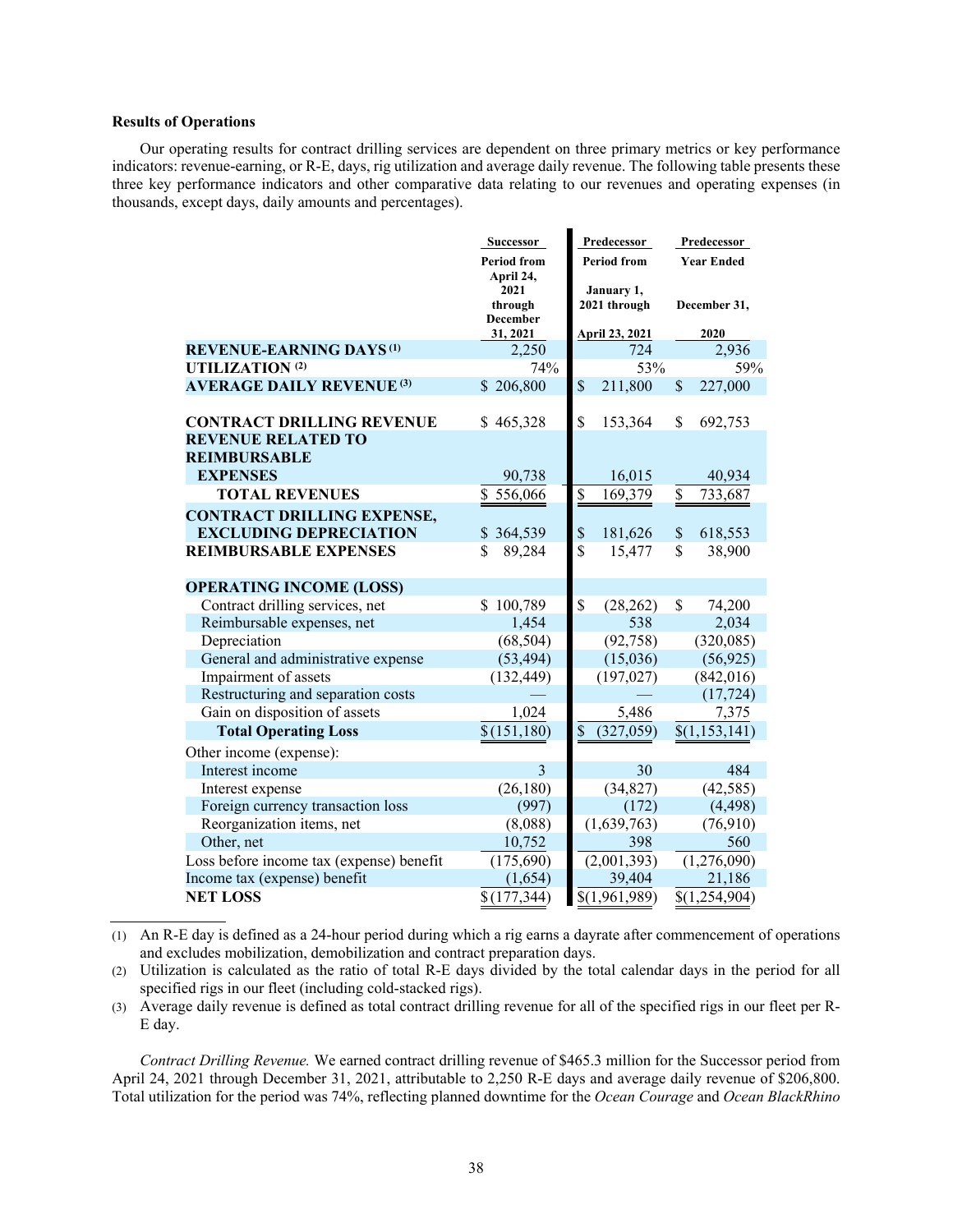## **Results of Operations**

Our operating results for contract drilling services are dependent on three primary metrics or key performance indicators: revenue-earning, or R-E, days, rig utilization and average daily revenue. The following table presents these three key performance indicators and other comparative data relating to our revenues and operating expenses (in thousands, except days, daily amounts and percentages).

|                                          | <b>Successor</b>                                   | Predecessor                                      | Predecessor                       |  |  |  |
|------------------------------------------|----------------------------------------------------|--------------------------------------------------|-----------------------------------|--|--|--|
|                                          | <b>Period from</b><br>April 24,<br>2021<br>through | <b>Period from</b><br>January 1,<br>2021 through | <b>Year Ended</b><br>December 31, |  |  |  |
|                                          | <b>December</b>                                    |                                                  |                                   |  |  |  |
|                                          | 31, 2021                                           | April 23, 2021                                   | 2020                              |  |  |  |
| <b>REVENUE-EARNING DAYS (1)</b>          | 2,250                                              | 724                                              | 2,936                             |  |  |  |
| <b>UTILIZATION (2)</b>                   | 74%                                                | 53%                                              | 59%                               |  |  |  |
| <b>AVERAGE DAILY REVENUE (3)</b>         | \$206,800                                          | \$<br>211,800                                    | \$<br>227,000                     |  |  |  |
| <b>CONTRACT DRILLING REVENUE</b>         | \$465,328                                          | \$<br>153,364                                    | \$<br>692,753                     |  |  |  |
| <b>REVENUE RELATED TO</b>                |                                                    |                                                  |                                   |  |  |  |
| <b>REIMBURSABLE</b>                      |                                                    |                                                  |                                   |  |  |  |
| <b>EXPENSES</b>                          | 90,738                                             | 16,015                                           | 40,934                            |  |  |  |
| <b>TOTAL REVENUES</b>                    | \$556,066                                          | $\frac{1}{2}$<br>169,379                         | \$<br>733,687                     |  |  |  |
| <b>CONTRACT DRILLING EXPENSE,</b>        |                                                    |                                                  |                                   |  |  |  |
| <b>EXCLUDING DEPRECIATION</b>            | \$364,539                                          | \$<br>181,626                                    | \$<br>618,553                     |  |  |  |
| <b>REIMBURSABLE EXPENSES</b>             | \$<br>89,284                                       | \$<br>15,477                                     | \$<br>38,900                      |  |  |  |
| <b>OPERATING INCOME (LOSS)</b>           |                                                    |                                                  |                                   |  |  |  |
| Contract drilling services, net          | \$100,789                                          | \$<br>(28, 262)                                  | \$<br>74,200                      |  |  |  |
| Reimbursable expenses, net               | 1,454                                              | 538                                              | 2,034                             |  |  |  |
| Depreciation                             | (68, 504)                                          | (92, 758)                                        | (320, 085)                        |  |  |  |
| General and administrative expense       | (53, 494)                                          | (15,036)                                         | (56, 925)                         |  |  |  |
| Impairment of assets                     | (132, 449)                                         | (197, 027)                                       | (842, 016)                        |  |  |  |
| Restructuring and separation costs       |                                                    |                                                  | (17, 724)                         |  |  |  |
| Gain on disposition of assets            | 1,024                                              | 5,486                                            | 7,375                             |  |  |  |
| <b>Total Operating Loss</b>              | \$(151,180)                                        | \$<br>(327,059)                                  | \$(1,153,141)                     |  |  |  |
| Other income (expense):                  |                                                    |                                                  |                                   |  |  |  |
| Interest income                          | 3                                                  | 30                                               | 484                               |  |  |  |
| Interest expense                         | (26, 180)                                          | (34, 827)                                        | (42, 585)                         |  |  |  |
| Foreign currency transaction loss        | (997)                                              | (172)                                            | (4, 498)                          |  |  |  |
| Reorganization items, net                | (8,088)                                            | (1,639,763)                                      | (76,910)                          |  |  |  |
| Other, net                               | 10,752                                             | 398                                              | 560                               |  |  |  |
| Loss before income tax (expense) benefit | (175,690)                                          | (2,001,393)                                      | (1,276,090)                       |  |  |  |
| Income tax (expense) benefit             | (1,654)                                            | 39,404                                           | 21,186                            |  |  |  |
| <b>NET LOSS</b>                          | \$(177, 344)                                       | \$(1,961,989)                                    | \$(1,254,904)                     |  |  |  |

(1) An R-E day is defined as a 24-hour period during which a rig earns a dayrate after commencement of operations and excludes mobilization, demobilization and contract preparation days.

*Contract Drilling Revenue.* We earned contract drilling revenue of \$465.3 million for the Successor period from April 24, 2021 through December 31, 2021, attributable to 2,250 R-E days and average daily revenue of \$206,800. Total utilization for the period was 74%, reflecting planned downtime for the *Ocean Courage* and *Ocean BlackRhino* 

<sup>(2)</sup> Utilization is calculated as the ratio of total R-E days divided by the total calendar days in the period for all specified rigs in our fleet (including cold-stacked rigs).

<sup>(3)</sup> Average daily revenue is defined as total contract drilling revenue for all of the specified rigs in our fleet per R-E day.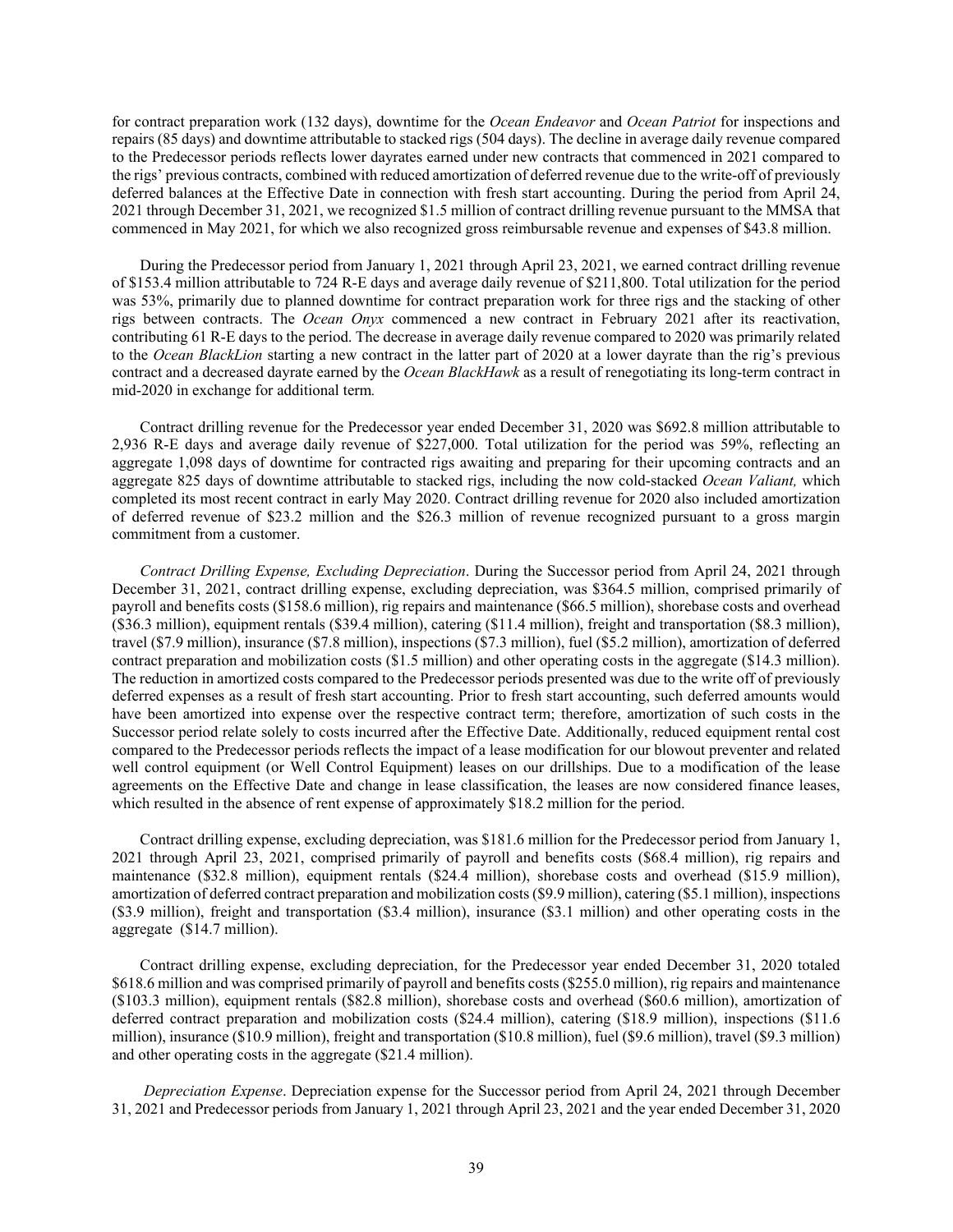for contract preparation work (132 days), downtime for the *Ocean Endeavor* and *Ocean Patriot* for inspections and repairs (85 days) and downtime attributable to stacked rigs (504 days). The decline in average daily revenue compared to the Predecessor periods reflects lower dayrates earned under new contracts that commenced in 2021 compared to the rigs' previous contracts, combined with reduced amortization of deferred revenue due to the write-off of previously deferred balances at the Effective Date in connection with fresh start accounting. During the period from April 24, 2021 through December 31, 2021, we recognized \$1.5 million of contract drilling revenue pursuant to the MMSA that commenced in May 2021, for which we also recognized gross reimbursable revenue and expenses of \$43.8 million.

During the Predecessor period from January 1, 2021 through April 23, 2021, we earned contract drilling revenue of \$153.4 million attributable to 724 R-E days and average daily revenue of \$211,800. Total utilization for the period was 53%, primarily due to planned downtime for contract preparation work for three rigs and the stacking of other rigs between contracts. The *Ocean Onyx* commenced a new contract in February 2021 after its reactivation, contributing 61 R-E days to the period. The decrease in average daily revenue compared to 2020 was primarily related to the *Ocean BlackLion* starting a new contract in the latter part of 2020 at a lower dayrate than the rig's previous contract and a decreased dayrate earned by the *Ocean BlackHawk* as a result of renegotiating its long-term contract in mid-2020 in exchange for additional term*.*

Contract drilling revenue for the Predecessor year ended December 31, 2020 was \$692.8 million attributable to 2,936 R-E days and average daily revenue of \$227,000. Total utilization for the period was 59%, reflecting an aggregate 1,098 days of downtime for contracted rigs awaiting and preparing for their upcoming contracts and an aggregate 825 days of downtime attributable to stacked rigs, including the now cold-stacked *Ocean Valiant,* which completed its most recent contract in early May 2020. Contract drilling revenue for 2020 also included amortization of deferred revenue of \$23.2 million and the \$26.3 million of revenue recognized pursuant to a gross margin commitment from a customer.

*Contract Drilling Expense, Excluding Depreciation*. During the Successor period from April 24, 2021 through December 31, 2021, contract drilling expense, excluding depreciation, was \$364.5 million, comprised primarily of payroll and benefits costs (\$158.6 million), rig repairs and maintenance (\$66.5 million), shorebase costs and overhead (\$36.3 million), equipment rentals (\$39.4 million), catering (\$11.4 million), freight and transportation (\$8.3 million), travel (\$7.9 million), insurance (\$7.8 million), inspections (\$7.3 million), fuel (\$5.2 million), amortization of deferred contract preparation and mobilization costs (\$1.5 million) and other operating costs in the aggregate (\$14.3 million). The reduction in amortized costs compared to the Predecessor periods presented was due to the write off of previously deferred expenses as a result of fresh start accounting. Prior to fresh start accounting, such deferred amounts would have been amortized into expense over the respective contract term; therefore, amortization of such costs in the Successor period relate solely to costs incurred after the Effective Date. Additionally, reduced equipment rental cost compared to the Predecessor periods reflects the impact of a lease modification for our blowout preventer and related well control equipment (or Well Control Equipment) leases on our drillships. Due to a modification of the lease agreements on the Effective Date and change in lease classification, the leases are now considered finance leases, which resulted in the absence of rent expense of approximately \$18.2 million for the period.

Contract drilling expense, excluding depreciation, was \$181.6 million for the Predecessor period from January 1, 2021 through April 23, 2021, comprised primarily of payroll and benefits costs (\$68.4 million), rig repairs and maintenance (\$32.8 million), equipment rentals (\$24.4 million), shorebase costs and overhead (\$15.9 million), amortization of deferred contract preparation and mobilization costs (\$9.9 million), catering (\$5.1 million), inspections (\$3.9 million), freight and transportation (\$3.4 million), insurance (\$3.1 million) and other operating costs in the aggregate (\$14.7 million).

Contract drilling expense, excluding depreciation, for the Predecessor year ended December 31, 2020 totaled \$618.6 million and was comprised primarily of payroll and benefits costs (\$255.0 million), rig repairs and maintenance (\$103.3 million), equipment rentals (\$82.8 million), shorebase costs and overhead (\$60.6 million), amortization of deferred contract preparation and mobilization costs (\$24.4 million), catering (\$18.9 million), inspections (\$11.6 million), insurance (\$10.9 million), freight and transportation (\$10.8 million), fuel (\$9.6 million), travel (\$9.3 million) and other operating costs in the aggregate (\$21.4 million).

 *Depreciation Expense*. Depreciation expense for the Successor period from April 24, 2021 through December 31, 2021 and Predecessor periods from January 1, 2021 through April 23, 2021 and the year ended December 31, 2020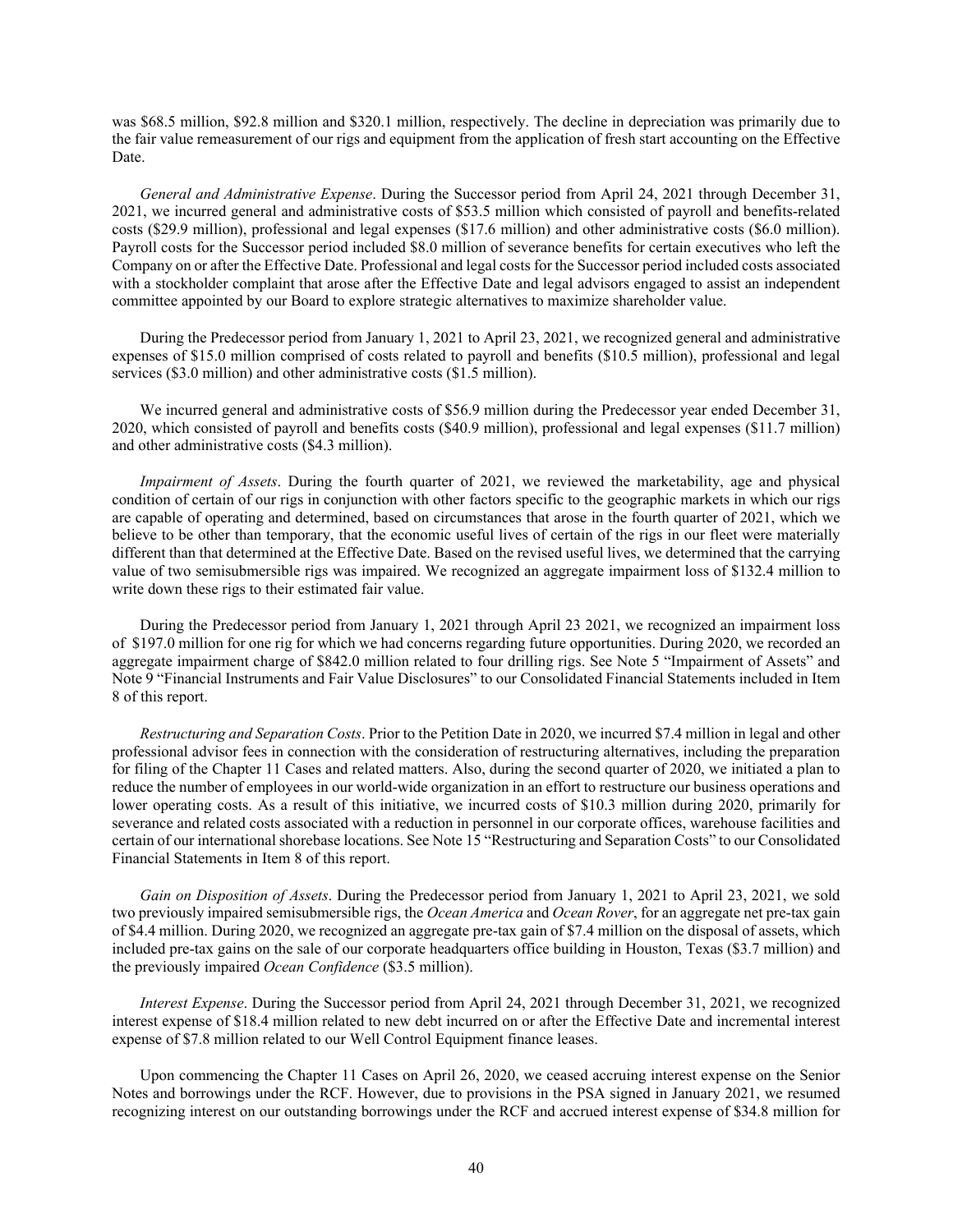was \$68.5 million, \$92.8 million and \$320.1 million, respectively. The decline in depreciation was primarily due to the fair value remeasurement of our rigs and equipment from the application of fresh start accounting on the Effective Date.

*General and Administrative Expense*. During the Successor period from April 24, 2021 through December 31, 2021, we incurred general and administrative costs of \$53.5 million which consisted of payroll and benefits-related costs (\$29.9 million), professional and legal expenses (\$17.6 million) and other administrative costs (\$6.0 million). Payroll costs for the Successor period included \$8.0 million of severance benefits for certain executives who left the Company on or after the Effective Date. Professional and legal costs for the Successor period included costs associated with a stockholder complaint that arose after the Effective Date and legal advisors engaged to assist an independent committee appointed by our Board to explore strategic alternatives to maximize shareholder value.

During the Predecessor period from January 1, 2021 to April 23, 2021, we recognized general and administrative expenses of \$15.0 million comprised of costs related to payroll and benefits (\$10.5 million), professional and legal services (\$3.0 million) and other administrative costs (\$1.5 million).

We incurred general and administrative costs of \$56.9 million during the Predecessor year ended December 31, 2020, which consisted of payroll and benefits costs (\$40.9 million), professional and legal expenses (\$11.7 million) and other administrative costs (\$4.3 million).

*Impairment of Assets*. During the fourth quarter of 2021, we reviewed the marketability, age and physical condition of certain of our rigs in conjunction with other factors specific to the geographic markets in which our rigs are capable of operating and determined, based on circumstances that arose in the fourth quarter of 2021, which we believe to be other than temporary, that the economic useful lives of certain of the rigs in our fleet were materially different than that determined at the Effective Date. Based on the revised useful lives, we determined that the carrying value of two semisubmersible rigs was impaired. We recognized an aggregate impairment loss of \$132.4 million to write down these rigs to their estimated fair value.

During the Predecessor period from January 1, 2021 through April 23 2021, we recognized an impairment loss of \$197.0 million for one rig for which we had concerns regarding future opportunities. During 2020, we recorded an aggregate impairment charge of \$842.0 million related to four drilling rigs. See Note 5 "Impairment of Assets" and Note 9 "Financial Instruments and Fair Value Disclosures" to our Consolidated Financial Statements included in Item 8 of this report.

*Restructuring and Separation Costs*. Prior to the Petition Date in 2020, we incurred \$7.4 million in legal and other professional advisor fees in connection with the consideration of restructuring alternatives, including the preparation for filing of the Chapter 11 Cases and related matters. Also, during the second quarter of 2020, we initiated a plan to reduce the number of employees in our world-wide organization in an effort to restructure our business operations and lower operating costs. As a result of this initiative, we incurred costs of \$10.3 million during 2020, primarily for severance and related costs associated with a reduction in personnel in our corporate offices, warehouse facilities and certain of our international shorebase locations. See Note 15 "Restructuring and Separation Costs" to our Consolidated Financial Statements in Item 8 of this report.

*Gain on Disposition of Assets*. During the Predecessor period from January 1, 2021 to April 23, 2021, we sold two previously impaired semisubmersible rigs, the *Ocean America* and *Ocean Rover*, for an aggregate net pre-tax gain of \$4.4 million. During 2020, we recognized an aggregate pre-tax gain of \$7.4 million on the disposal of assets, which included pre-tax gains on the sale of our corporate headquarters office building in Houston, Texas (\$3.7 million) and the previously impaired *Ocean Confidence* (\$3.5 million).

*Interest Expense*. During the Successor period from April 24, 2021 through December 31, 2021, we recognized interest expense of \$18.4 million related to new debt incurred on or after the Effective Date and incremental interest expense of \$7.8 million related to our Well Control Equipment finance leases.

Upon commencing the Chapter 11 Cases on April 26, 2020, we ceased accruing interest expense on the Senior Notes and borrowings under the RCF. However, due to provisions in the PSA signed in January 2021, we resumed recognizing interest on our outstanding borrowings under the RCF and accrued interest expense of \$34.8 million for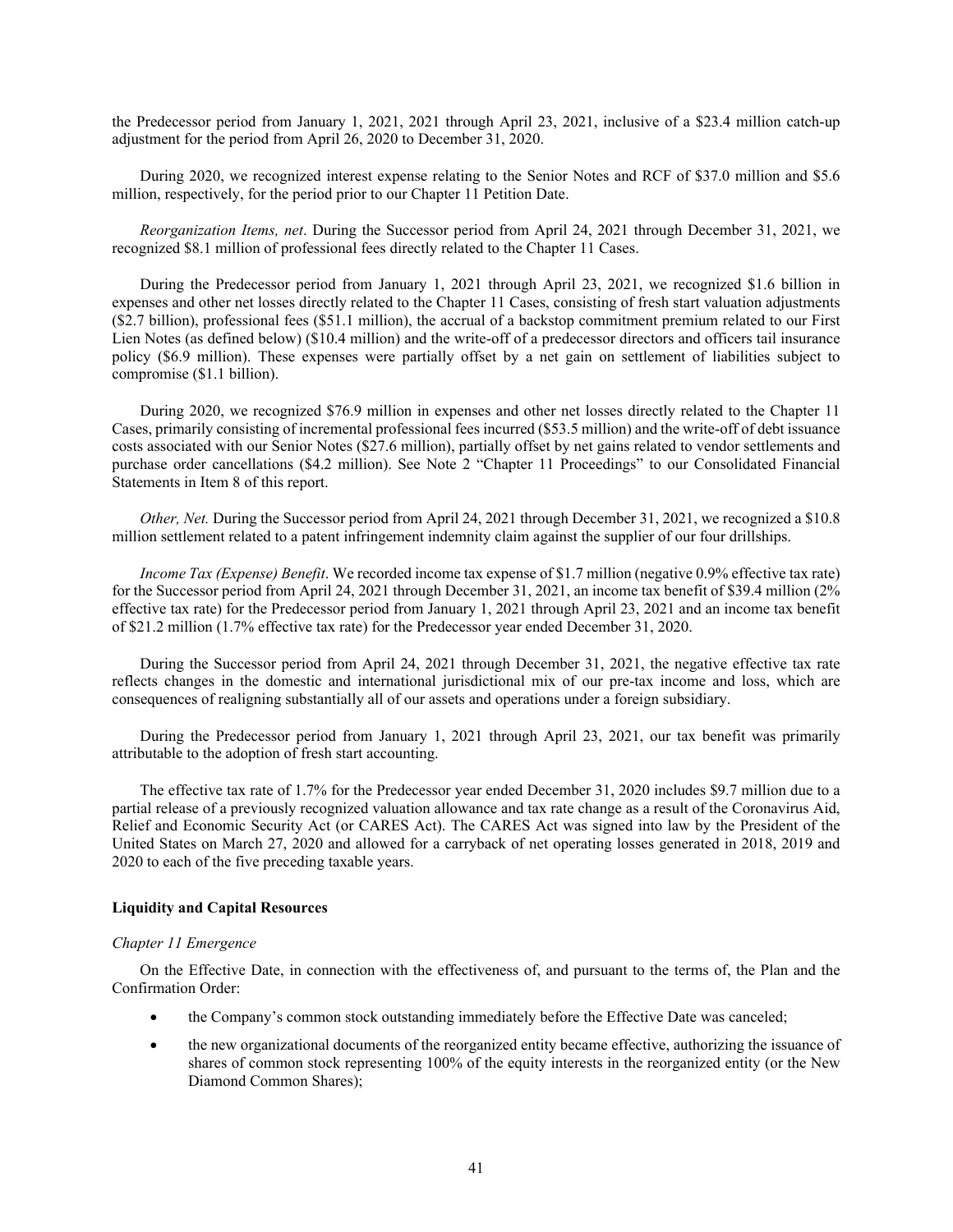the Predecessor period from January 1, 2021, 2021 through April 23, 2021, inclusive of a \$23.4 million catch-up adjustment for the period from April 26, 2020 to December 31, 2020.

During 2020, we recognized interest expense relating to the Senior Notes and RCF of \$37.0 million and \$5.6 million, respectively, for the period prior to our Chapter 11 Petition Date.

*Reorganization Items, net*. During the Successor period from April 24, 2021 through December 31, 2021, we recognized \$8.1 million of professional fees directly related to the Chapter 11 Cases.

During the Predecessor period from January 1, 2021 through April 23, 2021, we recognized \$1.6 billion in expenses and other net losses directly related to the Chapter 11 Cases, consisting of fresh start valuation adjustments  $(\$2.7$  billion), professional fees  $(\$51.1$  million), the accrual of a backstop commitment premium related to our First Lien Notes (as defined below) (\$10.4 million) and the write-off of a predecessor directors and officers tail insurance policy (\$6.9 million). These expenses were partially offset by a net gain on settlement of liabilities subject to compromise (\$1.1 billion).

During 2020, we recognized \$76.9 million in expenses and other net losses directly related to the Chapter 11 Cases, primarily consisting of incremental professional fees incurred (\$53.5 million) and the write-off of debt issuance costs associated with our Senior Notes (\$27.6 million), partially offset by net gains related to vendor settlements and purchase order cancellations (\$4.2 million). See Note 2 "Chapter 11 Proceedings" to our Consolidated Financial Statements in Item 8 of this report.

*Other, Net.* During the Successor period from April 24, 2021 through December 31, 2021, we recognized a \$10.8 million settlement related to a patent infringement indemnity claim against the supplier of our four drillships.

*Income Tax (Expense) Benefit*. We recorded income tax expense of \$1.7 million (negative 0.9% effective tax rate) for the Successor period from April 24, 2021 through December 31, 2021, an income tax benefit of \$39.4 million (2%) effective tax rate) for the Predecessor period from January 1, 2021 through April 23, 2021 and an income tax benefit of \$21.2 million (1.7% effective tax rate) for the Predecessor year ended December 31, 2020.

During the Successor period from April 24, 2021 through December 31, 2021, the negative effective tax rate reflects changes in the domestic and international jurisdictional mix of our pre-tax income and loss, which are consequences of realigning substantially all of our assets and operations under a foreign subsidiary.

During the Predecessor period from January 1, 2021 through April 23, 2021, our tax benefit was primarily attributable to the adoption of fresh start accounting.

The effective tax rate of 1.7% for the Predecessor year ended December 31, 2020 includes \$9.7 million due to a partial release of a previously recognized valuation allowance and tax rate change as a result of the Coronavirus Aid, Relief and Economic Security Act (or CARES Act). The CARES Act was signed into law by the President of the United States on March 27, 2020 and allowed for a carryback of net operating losses generated in 2018, 2019 and 2020 to each of the five preceding taxable years.

### **Liquidity and Capital Resources**

### *Chapter 11 Emergence*

On the Effective Date, in connection with the effectiveness of, and pursuant to the terms of, the Plan and the Confirmation Order:

- the Company's common stock outstanding immediately before the Effective Date was canceled;
- the new organizational documents of the reorganized entity became effective, authorizing the issuance of shares of common stock representing 100% of the equity interests in the reorganized entity (or the New Diamond Common Shares);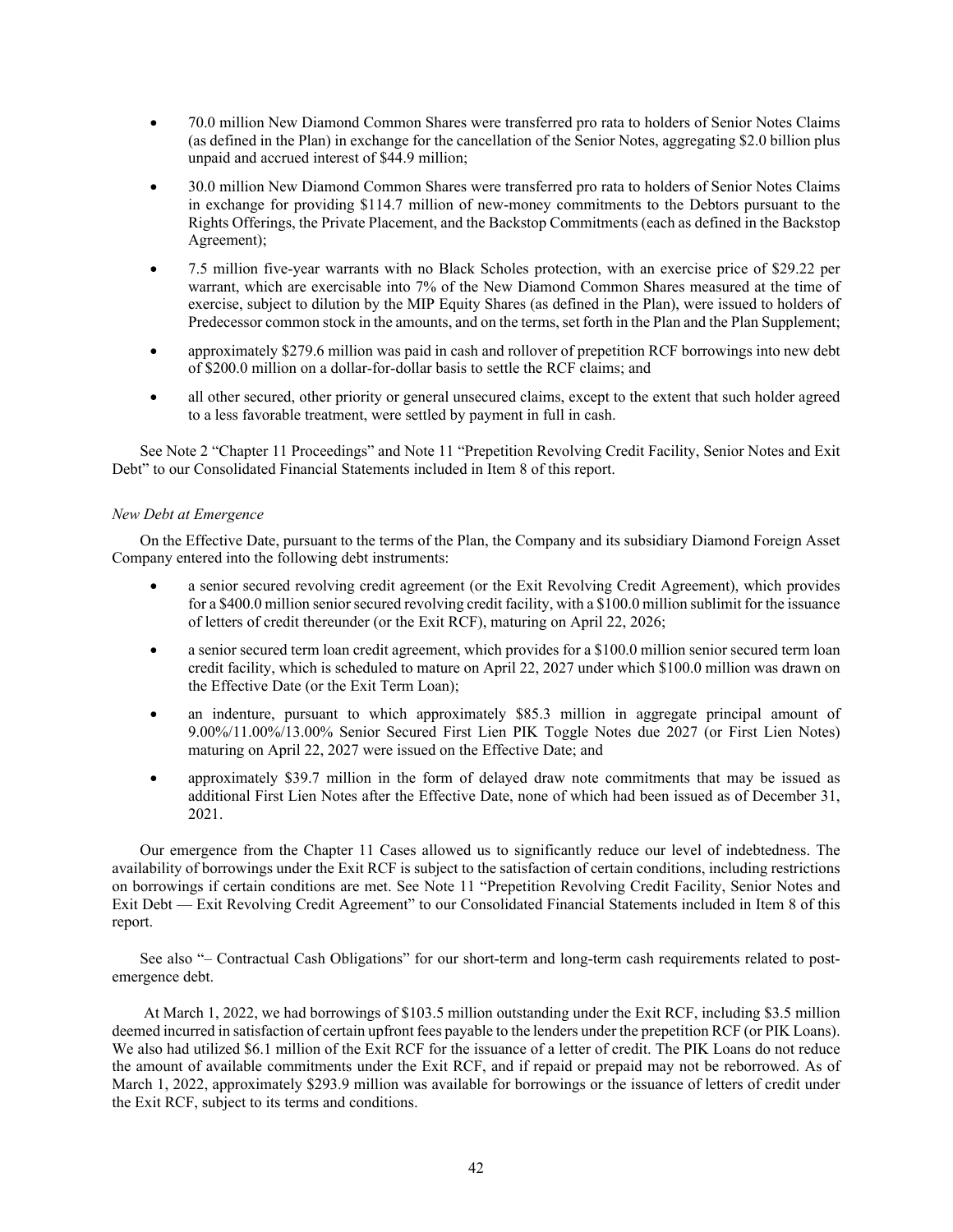- 70.0 million New Diamond Common Shares were transferred pro rata to holders of Senior Notes Claims (as defined in the Plan) in exchange for the cancellation of the Senior Notes, aggregating \$2.0 billion plus unpaid and accrued interest of \$44.9 million;
- 30.0 million New Diamond Common Shares were transferred pro rata to holders of Senior Notes Claims in exchange for providing \$114.7 million of new-money commitments to the Debtors pursuant to the Rights Offerings, the Private Placement, and the Backstop Commitments (each as defined in the Backstop Agreement);
- 7.5 million five-year warrants with no Black Scholes protection, with an exercise price of \$29.22 per warrant, which are exercisable into 7% of the New Diamond Common Shares measured at the time of exercise, subject to dilution by the MIP Equity Shares (as defined in the Plan), were issued to holders of Predecessor common stock in the amounts, and on the terms, set forth in the Plan and the Plan Supplement;
- approximately \$279.6 million was paid in cash and rollover of prepetition RCF borrowings into new debt of \$200.0 million on a dollar-for-dollar basis to settle the RCF claims; and
- all other secured, other priority or general unsecured claims, except to the extent that such holder agreed to a less favorable treatment, were settled by payment in full in cash.

See Note 2 "Chapter 11 Proceedings" and Note 11 "Prepetition Revolving Credit Facility, Senior Notes and Exit Debt" to our Consolidated Financial Statements included in Item 8 of this report.

## *New Debt at Emergence*

On the Effective Date, pursuant to the terms of the Plan, the Company and its subsidiary Diamond Foreign Asset Company entered into the following debt instruments:

- a senior secured revolving credit agreement (or the Exit Revolving Credit Agreement), which provides for a \$400.0 million senior secured revolving credit facility, with a \$100.0 million sublimit for the issuance of letters of credit thereunder (or the Exit RCF), maturing on April 22, 2026;
- a senior secured term loan credit agreement, which provides for a \$100.0 million senior secured term loan credit facility, which is scheduled to mature on April 22, 2027 under which \$100.0 million was drawn on the Effective Date (or the Exit Term Loan);
- an indenture, pursuant to which approximately \$85.3 million in aggregate principal amount of 9.00%/11.00%/13.00% Senior Secured First Lien PIK Toggle Notes due 2027 (or First Lien Notes) maturing on April 22, 2027 were issued on the Effective Date; and
- approximately \$39.7 million in the form of delayed draw note commitments that may be issued as additional First Lien Notes after the Effective Date, none of which had been issued as of December 31, 2021.

Our emergence from the Chapter 11 Cases allowed us to significantly reduce our level of indebtedness. The availability of borrowings under the Exit RCF is subject to the satisfaction of certain conditions, including restrictions on borrowings if certain conditions are met. See Note 11 "Prepetition Revolving Credit Facility, Senior Notes and Exit Debt — Exit Revolving Credit Agreement" to our Consolidated Financial Statements included in Item 8 of this report.

See also "– Contractual Cash Obligations" for our short-term and long-term cash requirements related to postemergence debt.

 At March 1, 2022, we had borrowings of \$103.5 million outstanding under the Exit RCF, including \$3.5 million deemed incurred in satisfaction of certain upfront fees payable to the lenders under the prepetition RCF (or PIK Loans). We also had utilized \$6.1 million of the Exit RCF for the issuance of a letter of credit. The PIK Loans do not reduce the amount of available commitments under the Exit RCF, and if repaid or prepaid may not be reborrowed. As of March 1, 2022, approximately \$293.9 million was available for borrowings or the issuance of letters of credit under the Exit RCF, subject to its terms and conditions.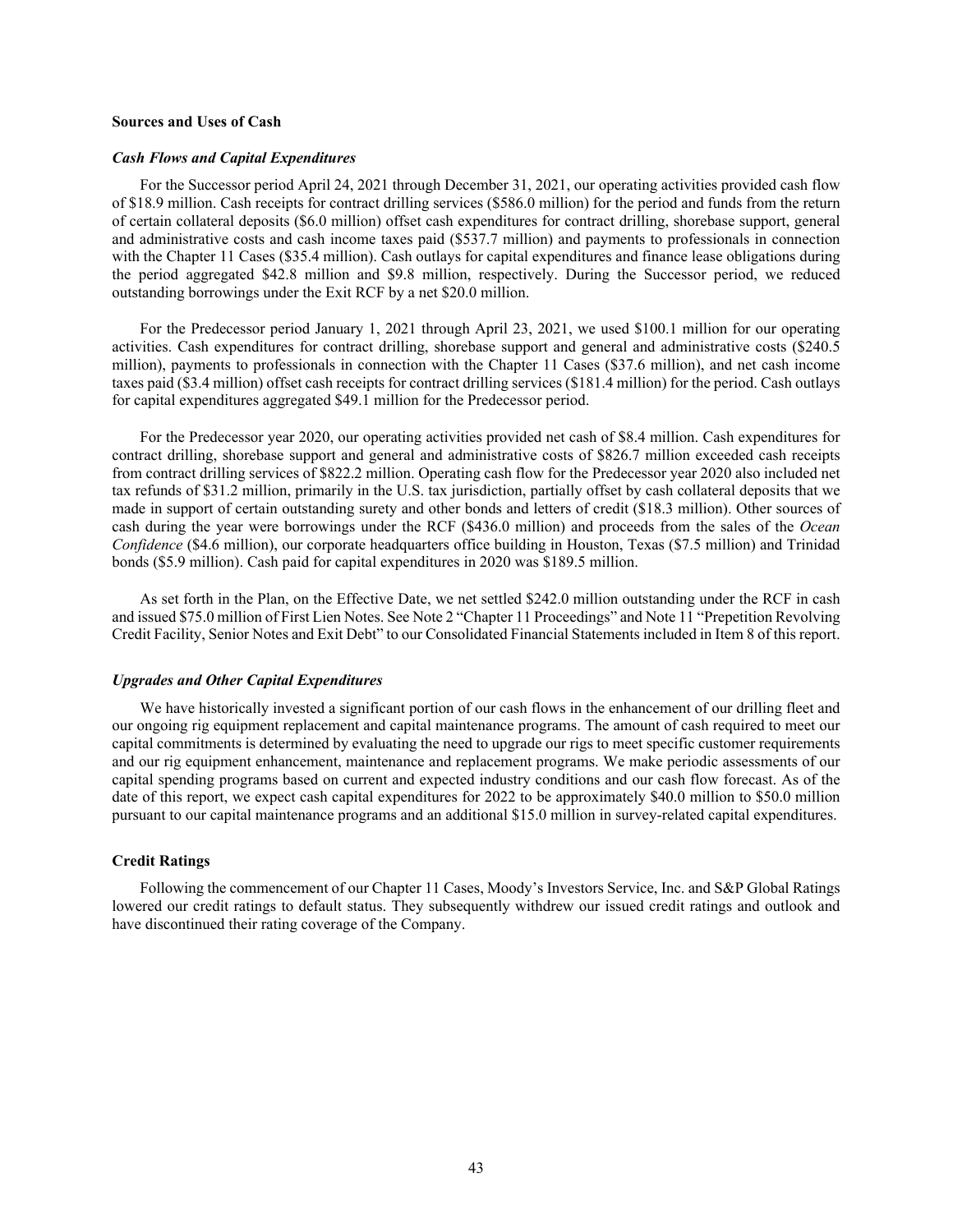## **Sources and Uses of Cash**

### *Cash Flows and Capital Expenditures*

For the Successor period April 24, 2021 through December 31, 2021, our operating activities provided cash flow of \$18.9 million. Cash receipts for contract drilling services (\$586.0 million) for the period and funds from the return of certain collateral deposits (\$6.0 million) offset cash expenditures for contract drilling, shorebase support, general and administrative costs and cash income taxes paid (\$537.7 million) and payments to professionals in connection with the Chapter 11 Cases (\$35.4 million). Cash outlays for capital expenditures and finance lease obligations during the period aggregated \$42.8 million and \$9.8 million, respectively. During the Successor period, we reduced outstanding borrowings under the Exit RCF by a net \$20.0 million.

For the Predecessor period January 1, 2021 through April 23, 2021, we used \$100.1 million for our operating activities. Cash expenditures for contract drilling, shorebase support and general and administrative costs (\$240.5 million), payments to professionals in connection with the Chapter 11 Cases (\$37.6 million), and net cash income taxes paid (\$3.4 million) offset cash receipts for contract drilling services (\$181.4 million) for the period. Cash outlays for capital expenditures aggregated \$49.1 million for the Predecessor period.

For the Predecessor year 2020, our operating activities provided net cash of \$8.4 million. Cash expenditures for contract drilling, shorebase support and general and administrative costs of \$826.7 million exceeded cash receipts from contract drilling services of \$822.2 million. Operating cash flow for the Predecessor year 2020 also included net tax refunds of \$31.2 million, primarily in the U.S. tax jurisdiction, partially offset by cash collateral deposits that we made in support of certain outstanding surety and other bonds and letters of credit (\$18.3 million). Other sources of cash during the year were borrowings under the RCF (\$436.0 million) and proceeds from the sales of the *Ocean Confidence* (\$4.6 million), our corporate headquarters office building in Houston, Texas (\$7.5 million) and Trinidad bonds (\$5.9 million). Cash paid for capital expenditures in 2020 was \$189.5 million.

As set forth in the Plan, on the Effective Date, we net settled \$242.0 million outstanding under the RCF in cash and issued \$75.0 million of First Lien Notes. See Note 2 "Chapter 11 Proceedings" and Note 11 "Prepetition Revolving Credit Facility, Senior Notes and Exit Debt" to our Consolidated Financial Statements included in Item 8 of this report.

### *Upgrades and Other Capital Expenditures*

We have historically invested a significant portion of our cash flows in the enhancement of our drilling fleet and our ongoing rig equipment replacement and capital maintenance programs. The amount of cash required to meet our capital commitments is determined by evaluating the need to upgrade our rigs to meet specific customer requirements and our rig equipment enhancement, maintenance and replacement programs. We make periodic assessments of our capital spending programs based on current and expected industry conditions and our cash flow forecast. As of the date of this report, we expect cash capital expenditures for 2022 to be approximately \$40.0 million to \$50.0 million pursuant to our capital maintenance programs and an additional \$15.0 million in survey-related capital expenditures.

#### **Credit Ratings**

Following the commencement of our Chapter 11 Cases, Moody's Investors Service, Inc. and S&P Global Ratings lowered our credit ratings to default status. They subsequently withdrew our issued credit ratings and outlook and have discontinued their rating coverage of the Company.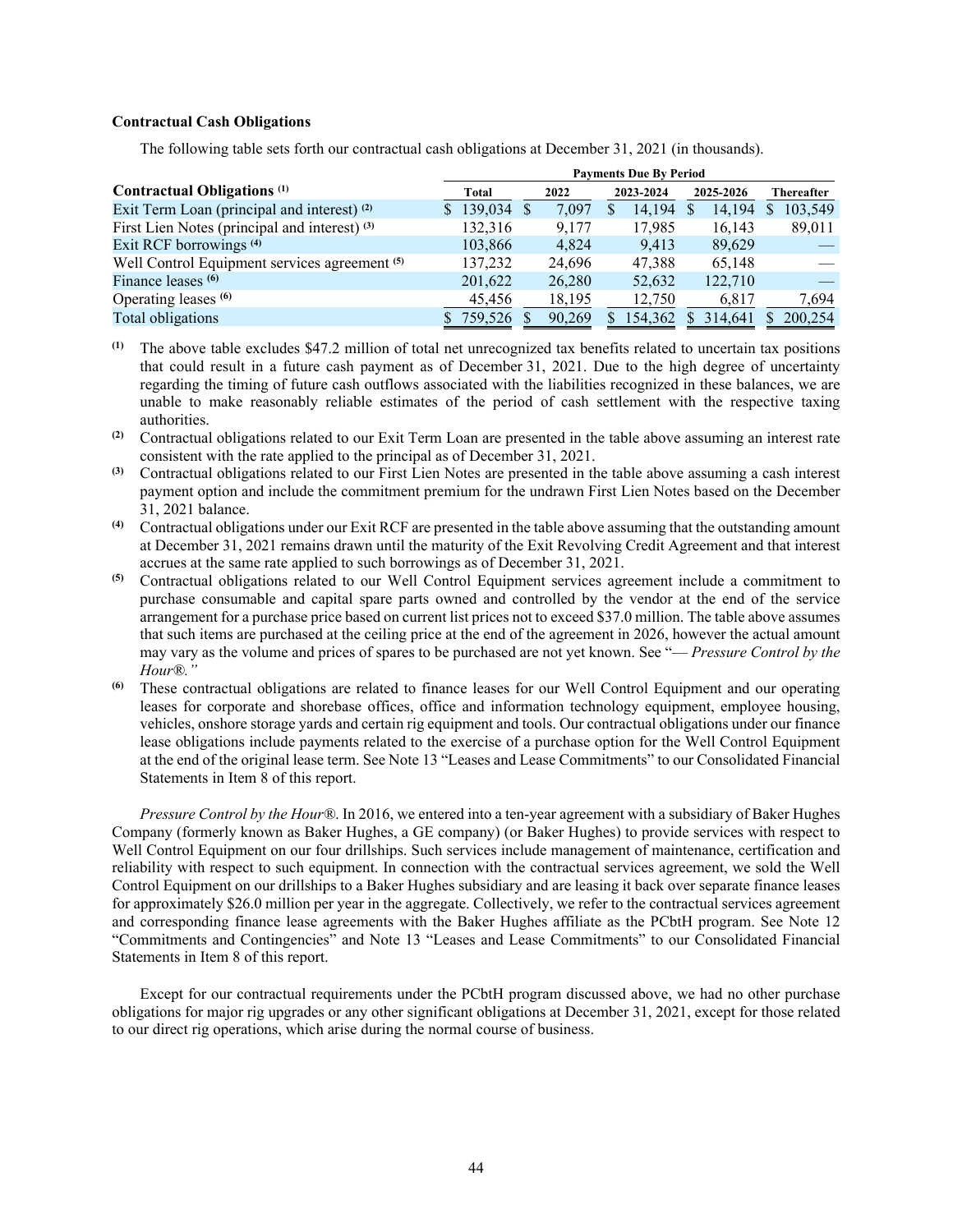## **Contractual Cash Obligations**

The following table sets forth our contractual cash obligations at December 31, 2021 (in thousands).

|                                               | <b>Payments Due By Period</b> |            |  |        |  |           |  |           |  |                   |
|-----------------------------------------------|-------------------------------|------------|--|--------|--|-----------|--|-----------|--|-------------------|
| Contractual Obligations <sup>(1)</sup>        |                               | Total      |  | 2022   |  | 2023-2024 |  | 2025-2026 |  | <b>Thereafter</b> |
| Exit Term Loan (principal and interest) (2)   |                               | 139,034 \$ |  | 7,097  |  | 14,194    |  | 14,194    |  | 103,549           |
| First Lien Notes (principal and interest) (3) |                               | 132,316    |  | 9.177  |  | 17,985    |  | 16.143    |  | 89,011            |
| Exit RCF borrowings <sup>(4)</sup>            |                               | 103,866    |  | 4.824  |  | 9.413     |  | 89,629    |  |                   |
| Well Control Equipment services agreement (5) |                               | 137,232    |  | 24.696 |  | 47,388    |  | 65,148    |  |                   |
| Finance leases (6)                            |                               | 201,622    |  | 26,280 |  | 52,632    |  | 122,710   |  |                   |
| Operating leases <sup>(6)</sup>               |                               | 45,456     |  | 18,195 |  | 12,750    |  | 6,817     |  | 7,694             |
| Total obligations                             |                               | 759,526    |  | 90,269 |  | 154,362   |  | 314.641   |  | 200,254           |

- **(1)** The above table excludes \$47.2 million of total net unrecognized tax benefits related to uncertain tax positions that could result in a future cash payment as of December 31, 2021. Due to the high degree of uncertainty regarding the timing of future cash outflows associated with the liabilities recognized in these balances, we are unable to make reasonably reliable estimates of the period of cash settlement with the respective taxing authorities.
- **(2)** Contractual obligations related to our Exit Term Loan are presented in the table above assuming an interest rate consistent with the rate applied to the principal as of December 31, 2021.
- **(3)** Contractual obligations related to our First Lien Notes are presented in the table above assuming a cash interest payment option and include the commitment premium for the undrawn First Lien Notes based on the December 31, 2021 balance.
- **(4)** Contractual obligations under our Exit RCF are presented in the table above assuming that the outstanding amount at December 31, 2021 remains drawn until the maturity of the Exit Revolving Credit Agreement and that interest accrues at the same rate applied to such borrowings as of December 31, 2021.
- **(5)** Contractual obligations related to our Well Control Equipment services agreement include a commitment to purchase consumable and capital spare parts owned and controlled by the vendor at the end of the service arrangement for a purchase price based on current list prices not to exceed \$37.0 million. The table above assumes that such items are purchased at the ceiling price at the end of the agreement in 2026, however the actual amount may vary as the volume and prices of spares to be purchased are not yet known. See "— *Pressure Control by the Hour®."*
- **(6)** These contractual obligations are related to finance leases for our Well Control Equipment and our operating leases for corporate and shorebase offices, office and information technology equipment, employee housing, vehicles, onshore storage yards and certain rig equipment and tools. Our contractual obligations under our finance lease obligations include payments related to the exercise of a purchase option for the Well Control Equipment at the end of the original lease term. See Note 13 "Leases and Lease Commitments" to our Consolidated Financial Statements in Item 8 of this report.

*Pressure Control by the Hour®*. In 2016, we entered into a ten-year agreement with a subsidiary of Baker Hughes Company (formerly known as Baker Hughes, a GE company) (or Baker Hughes) to provide services with respect to Well Control Equipment on our four drillships. Such services include management of maintenance, certification and reliability with respect to such equipment. In connection with the contractual services agreement, we sold the Well Control Equipment on our drillships to a Baker Hughes subsidiary and are leasing it back over separate finance leases for approximately \$26.0 million per year in the aggregate. Collectively, we refer to the contractual services agreement and corresponding finance lease agreements with the Baker Hughes affiliate as the PCbtH program. See Note 12 "Commitments and Contingencies" and Note 13 "Leases and Lease Commitments" to our Consolidated Financial Statements in Item 8 of this report.

Except for our contractual requirements under the PCbtH program discussed above, we had no other purchase obligations for major rig upgrades or any other significant obligations at December 31, 2021, except for those related to our direct rig operations, which arise during the normal course of business.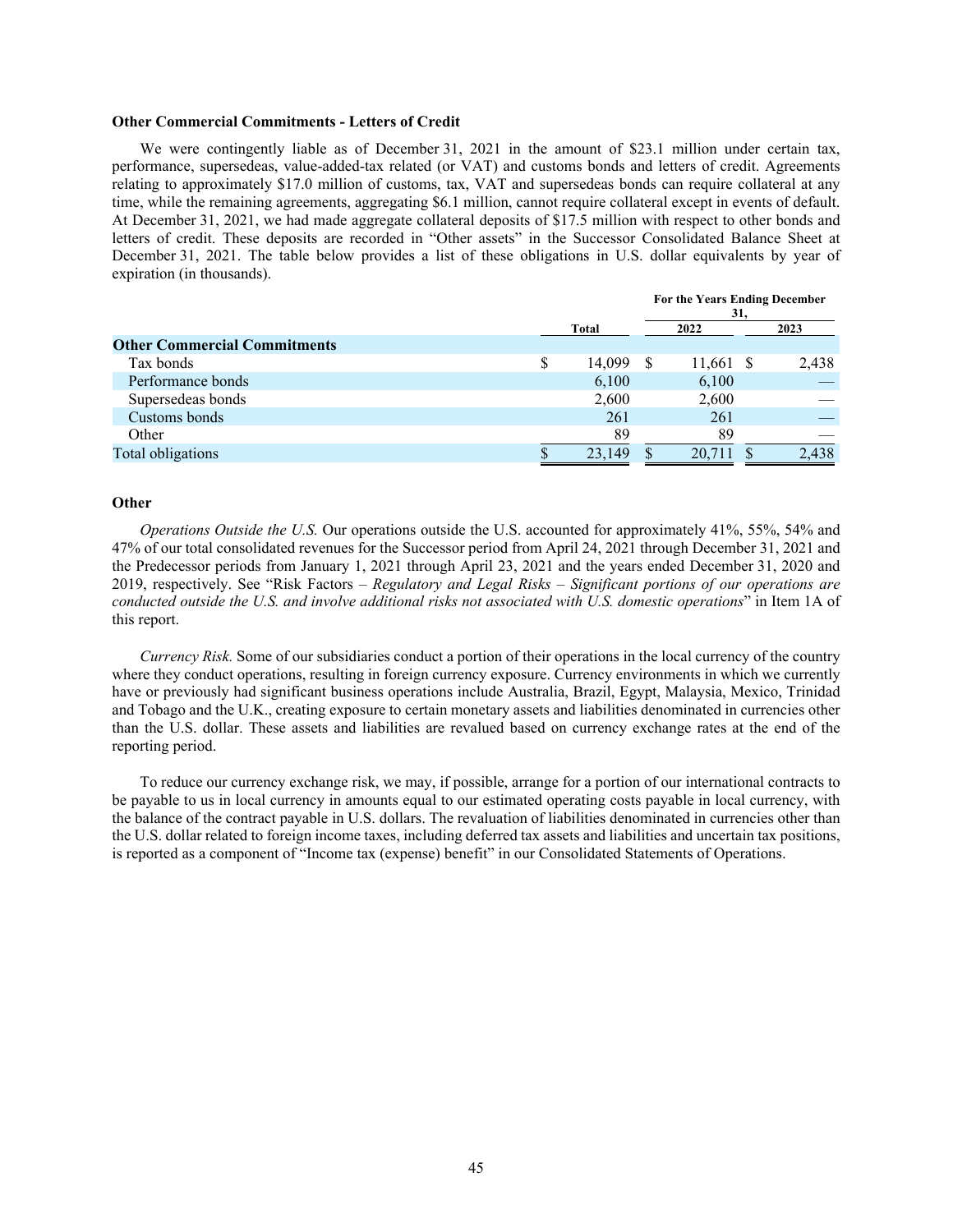## **Other Commercial Commitments - Letters of Credit**

We were contingently liable as of December 31, 2021 in the amount of \$23.1 million under certain tax, performance, supersedeas, value-added-tax related (or VAT) and customs bonds and letters of credit. Agreements relating to approximately \$17.0 million of customs, tax, VAT and supersedeas bonds can require collateral at any time, while the remaining agreements, aggregating \$6.1 million, cannot require collateral except in events of default. At December 31, 2021, we had made aggregate collateral deposits of \$17.5 million with respect to other bonds and letters of credit. These deposits are recorded in "Other assets" in the Successor Consolidated Balance Sheet at December 31, 2021. The table below provides a list of these obligations in U.S. dollar equivalents by year of expiration (in thousands).

|                                     |              | For the Years Ending December<br>31. |       |
|-------------------------------------|--------------|--------------------------------------|-------|
|                                     | <b>Total</b> | 2022                                 | 2023  |
| <b>Other Commercial Commitments</b> |              |                                      |       |
| Tax bonds                           | \$<br>14,099 | 11,661 \$                            | 2,438 |
| Performance bonds                   | 6,100        | 6,100                                |       |
| Supersedeas bonds                   | 2,600        | 2,600                                |       |
| Customs bonds                       | 261          | 261                                  |       |
| Other                               | 89           | 89                                   |       |
| Total obligations                   | 23,149       | 20,711                               | 2,438 |

### **Other**

*Operations Outside the U.S.* Our operations outside the U.S. accounted for approximately 41%, 55%, 54% and 47% of our total consolidated revenues for the Successor period from April 24, 2021 through December 31, 2021 and the Predecessor periods from January 1, 2021 through April 23, 2021 and the years ended December 31, 2020 and 2019, respectively. See "Risk Factors – *Regulatory and Legal Risks – Significant portions of our operations are conducted outside the U.S. and involve additional risks not associated with U.S. domestic operations*" in Item 1A of this report.

*Currency Risk.* Some of our subsidiaries conduct a portion of their operations in the local currency of the country where they conduct operations, resulting in foreign currency exposure. Currency environments in which we currently have or previously had significant business operations include Australia, Brazil, Egypt, Malaysia, Mexico, Trinidad and Tobago and the U.K., creating exposure to certain monetary assets and liabilities denominated in currencies other than the U.S. dollar. These assets and liabilities are revalued based on currency exchange rates at the end of the reporting period.

To reduce our currency exchange risk, we may, if possible, arrange for a portion of our international contracts to be payable to us in local currency in amounts equal to our estimated operating costs payable in local currency, with the balance of the contract payable in U.S. dollars. The revaluation of liabilities denominated in currencies other than the U.S. dollar related to foreign income taxes, including deferred tax assets and liabilities and uncertain tax positions, is reported as a component of "Income tax (expense) benefit" in our Consolidated Statements of Operations.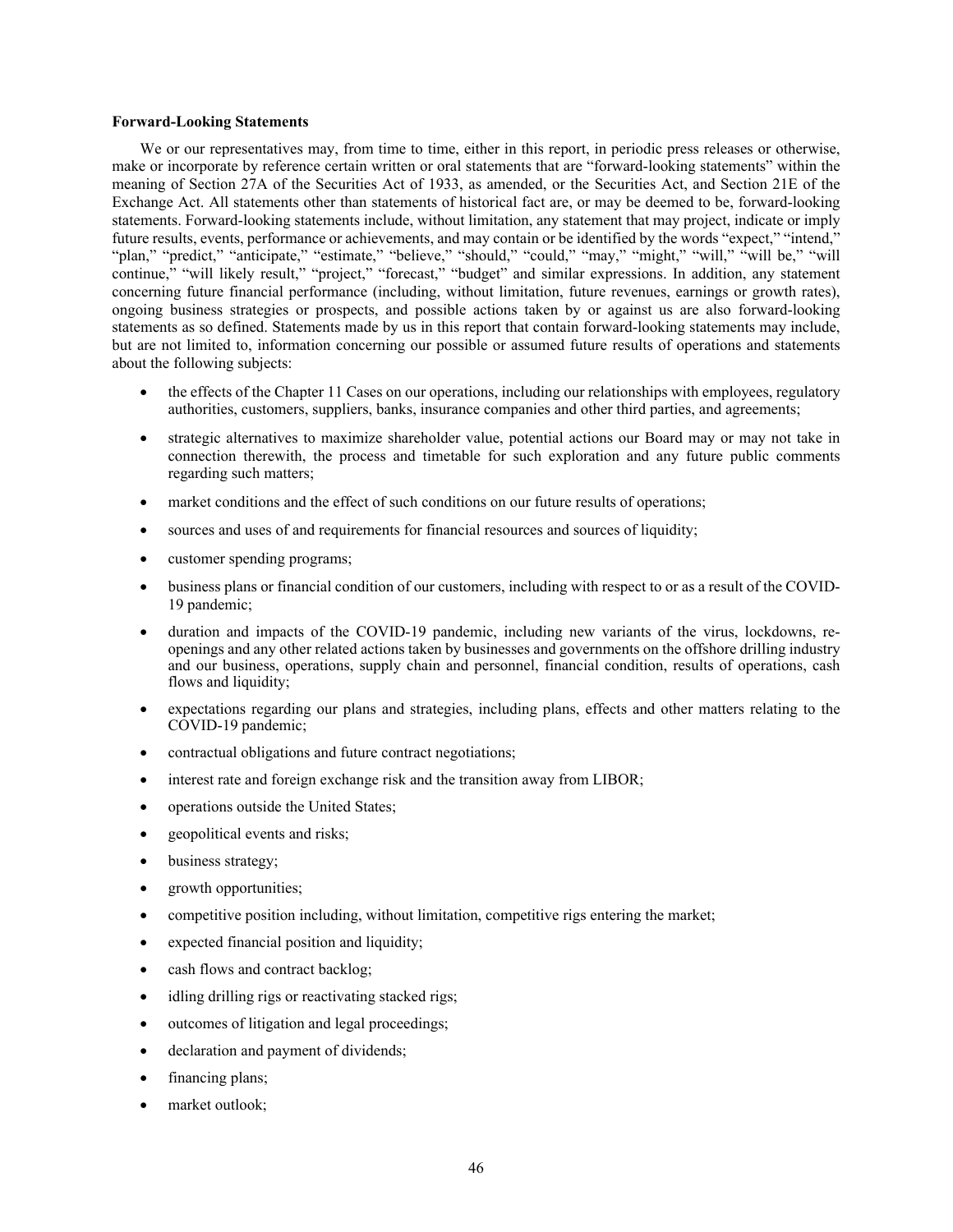### **Forward-Looking Statements**

We or our representatives may, from time to time, either in this report, in periodic press releases or otherwise, make or incorporate by reference certain written or oral statements that are "forward-looking statements" within the meaning of Section 27A of the Securities Act of 1933, as amended, or the Securities Act, and Section 21E of the Exchange Act. All statements other than statements of historical fact are, or may be deemed to be, forward-looking statements. Forward-looking statements include, without limitation, any statement that may project, indicate or imply future results, events, performance or achievements, and may contain or be identified by the words "expect," "intend," "plan," "predict," "anticipate," "estimate," "believe," "should," "could," "may," "might," "will," "will be," "will continue," "will likely result," "project," "forecast," "budget" and similar expressions. In addition, any statement concerning future financial performance (including, without limitation, future revenues, earnings or growth rates), ongoing business strategies or prospects, and possible actions taken by or against us are also forward-looking statements as so defined. Statements made by us in this report that contain forward-looking statements may include, but are not limited to, information concerning our possible or assumed future results of operations and statements about the following subjects:

- the effects of the Chapter 11 Cases on our operations, including our relationships with employees, regulatory authorities, customers, suppliers, banks, insurance companies and other third parties, and agreements;
- strategic alternatives to maximize shareholder value, potential actions our Board may or may not take in connection therewith, the process and timetable for such exploration and any future public comments regarding such matters;
- market conditions and the effect of such conditions on our future results of operations;
- sources and uses of and requirements for financial resources and sources of liquidity;
- customer spending programs;
- business plans or financial condition of our customers, including with respect to or as a result of the COVID-19 pandemic;
- duration and impacts of the COVID-19 pandemic, including new variants of the virus, lockdowns, reopenings and any other related actions taken by businesses and governments on the offshore drilling industry and our business, operations, supply chain and personnel, financial condition, results of operations, cash flows and liquidity;
- expectations regarding our plans and strategies, including plans, effects and other matters relating to the COVID-19 pandemic;
- contractual obligations and future contract negotiations;
- interest rate and foreign exchange risk and the transition away from LIBOR;
- operations outside the United States;
- geopolitical events and risks;
- business strategy;
- growth opportunities;
- competitive position including, without limitation, competitive rigs entering the market;
- expected financial position and liquidity;
- cash flows and contract backlog;
- idling drilling rigs or reactivating stacked rigs;
- outcomes of litigation and legal proceedings;
- declaration and payment of dividends;
- financing plans;
- market outlook;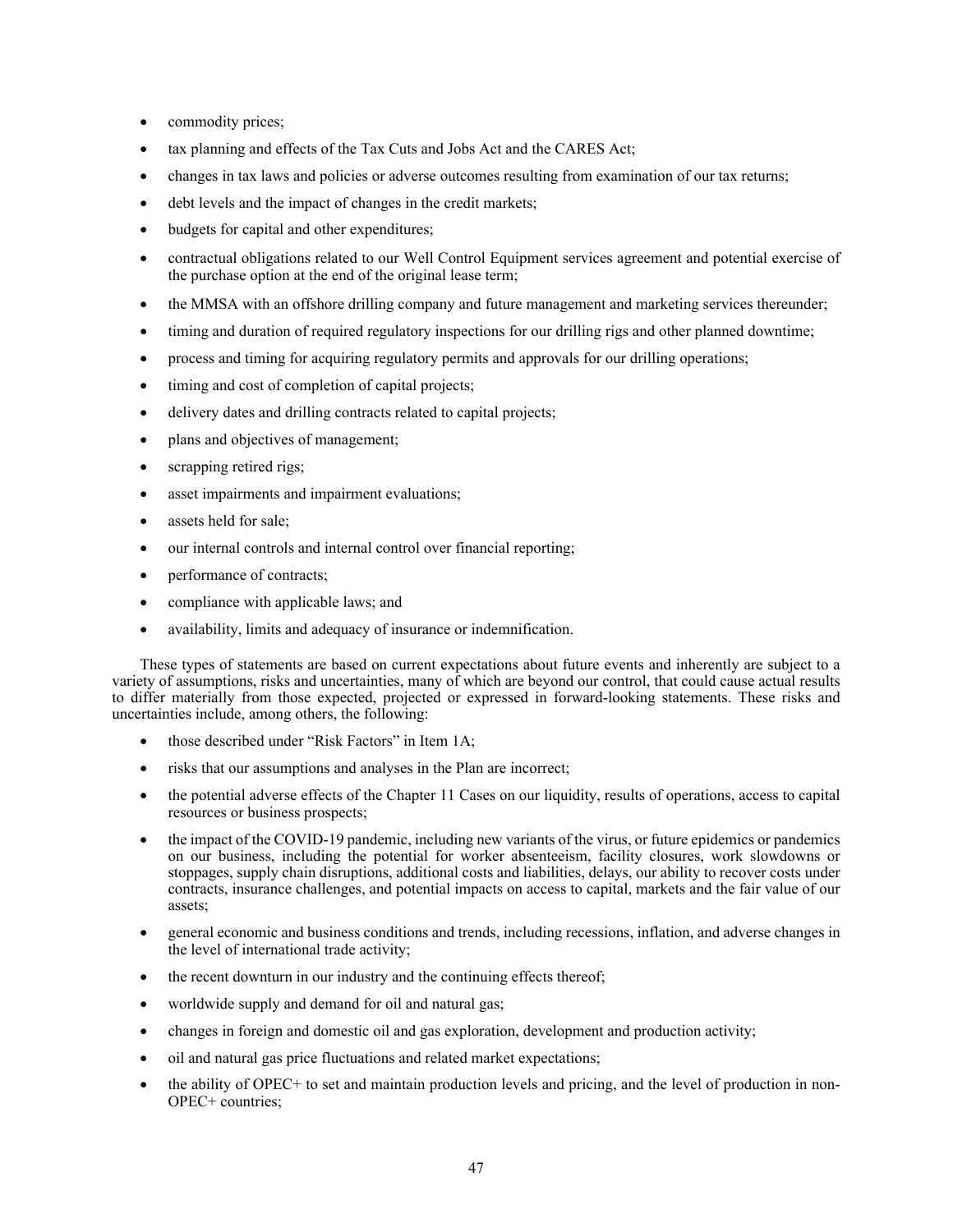- commodity prices;
- tax planning and effects of the Tax Cuts and Jobs Act and the CARES Act;
- changes in tax laws and policies or adverse outcomes resulting from examination of our tax returns;
- debt levels and the impact of changes in the credit markets;
- budgets for capital and other expenditures;
- contractual obligations related to our Well Control Equipment services agreement and potential exercise of the purchase option at the end of the original lease term;
- the MMSA with an offshore drilling company and future management and marketing services thereunder;
- timing and duration of required regulatory inspections for our drilling rigs and other planned downtime;
- process and timing for acquiring regulatory permits and approvals for our drilling operations;
- timing and cost of completion of capital projects;
- delivery dates and drilling contracts related to capital projects;
- plans and objectives of management;
- scrapping retired rigs;
- asset impairments and impairment evaluations;
- assets held for sale;
- our internal controls and internal control over financial reporting;
- performance of contracts;
- compliance with applicable laws; and
- availability, limits and adequacy of insurance or indemnification.

These types of statements are based on current expectations about future events and inherently are subject to a variety of assumptions, risks and uncertainties, many of which are beyond our control, that could cause actual results to differ materially from those expected, projected or expressed in forward-looking statements. These risks and uncertainties include, among others, the following:

- those described under "Risk Factors" in Item 1A;
- risks that our assumptions and analyses in the Plan are incorrect;
- the potential adverse effects of the Chapter 11 Cases on our liquidity, results of operations, access to capital resources or business prospects;
- the impact of the COVID-19 pandemic, including new variants of the virus, or future epidemics or pandemics on our business, including the potential for worker absenteeism, facility closures, work slowdowns or stoppages, supply chain disruptions, additional costs and liabilities, delays, our ability to recover costs under contracts, insurance challenges, and potential impacts on access to capital, markets and the fair value of our assets;
- general economic and business conditions and trends, including recessions, inflation, and adverse changes in the level of international trade activity;
- the recent downturn in our industry and the continuing effects thereof;
- worldwide supply and demand for oil and natural gas;
- changes in foreign and domestic oil and gas exploration, development and production activity;
- oil and natural gas price fluctuations and related market expectations;
- the ability of OPEC+ to set and maintain production levels and pricing, and the level of production in non-OPEC+ countries;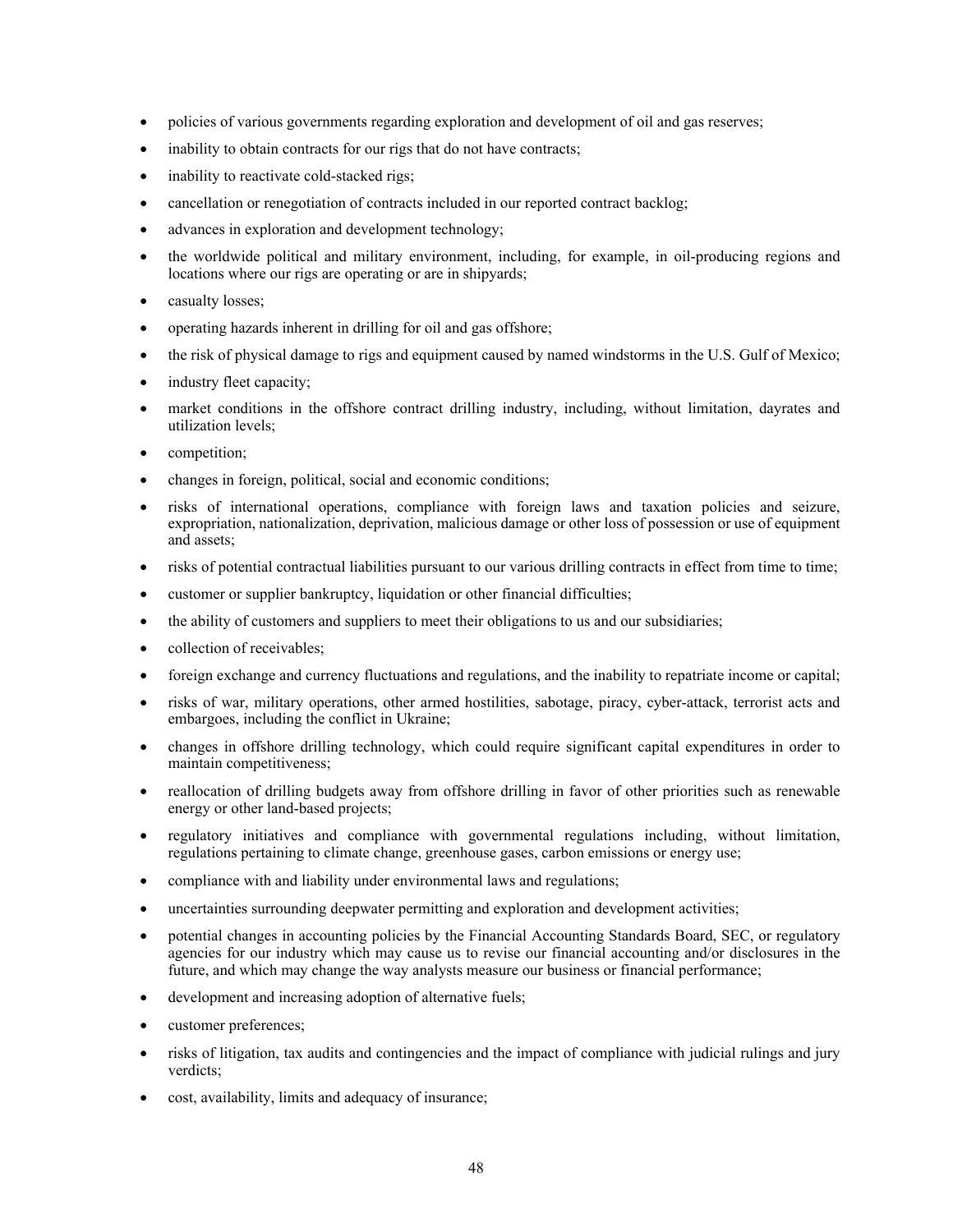- policies of various governments regarding exploration and development of oil and gas reserves;
- inability to obtain contracts for our rigs that do not have contracts;
- inability to reactivate cold-stacked rigs;
- cancellation or renegotiation of contracts included in our reported contract backlog;
- advances in exploration and development technology;
- the worldwide political and military environment, including, for example, in oil-producing regions and locations where our rigs are operating or are in shipyards;
- casualty losses;
- operating hazards inherent in drilling for oil and gas offshore;
- the risk of physical damage to rigs and equipment caused by named windstorms in the U.S. Gulf of Mexico;
- industry fleet capacity;
- market conditions in the offshore contract drilling industry, including, without limitation, dayrates and utilization levels;
- competition;
- changes in foreign, political, social and economic conditions;
- risks of international operations, compliance with foreign laws and taxation policies and seizure, expropriation, nationalization, deprivation, malicious damage or other loss of possession or use of equipment and assets;
- risks of potential contractual liabilities pursuant to our various drilling contracts in effect from time to time;
- customer or supplier bankruptcy, liquidation or other financial difficulties;
- the ability of customers and suppliers to meet their obligations to us and our subsidiaries;
- collection of receivables;
- foreign exchange and currency fluctuations and regulations, and the inability to repatriate income or capital;
- risks of war, military operations, other armed hostilities, sabotage, piracy, cyber-attack, terrorist acts and embargoes, including the conflict in Ukraine;
- changes in offshore drilling technology, which could require significant capital expenditures in order to maintain competitiveness;
- reallocation of drilling budgets away from offshore drilling in favor of other priorities such as renewable energy or other land-based projects;
- regulatory initiatives and compliance with governmental regulations including, without limitation, regulations pertaining to climate change, greenhouse gases, carbon emissions or energy use;
- compliance with and liability under environmental laws and regulations;
- uncertainties surrounding deepwater permitting and exploration and development activities;
- potential changes in accounting policies by the Financial Accounting Standards Board, SEC, or regulatory agencies for our industry which may cause us to revise our financial accounting and/or disclosures in the future, and which may change the way analysts measure our business or financial performance;
- development and increasing adoption of alternative fuels;
- customer preferences;
- risks of litigation, tax audits and contingencies and the impact of compliance with judicial rulings and jury verdicts;
- cost, availability, limits and adequacy of insurance;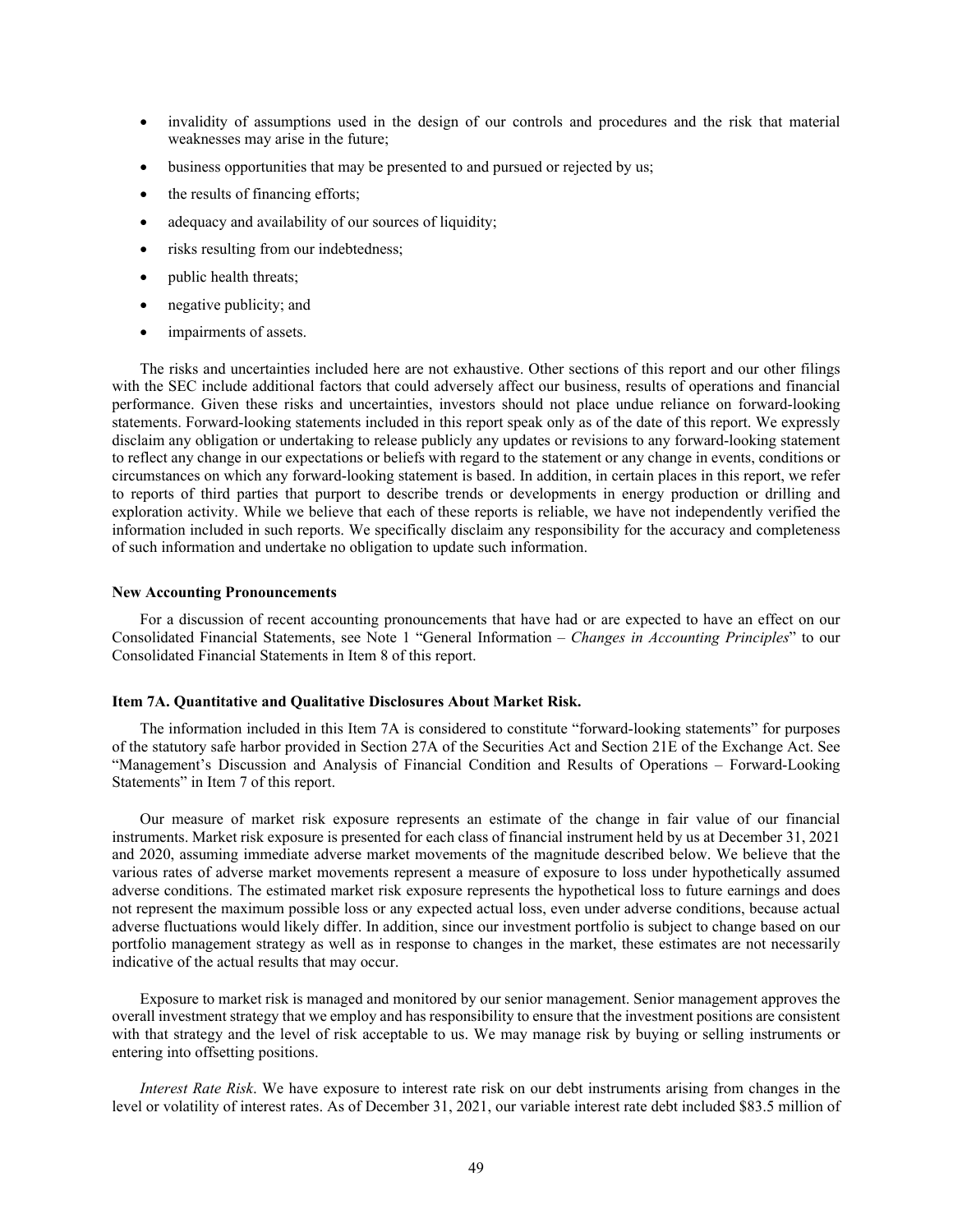- invalidity of assumptions used in the design of our controls and procedures and the risk that material weaknesses may arise in the future;
- business opportunities that may be presented to and pursued or rejected by us;
- the results of financing efforts;
- adequacy and availability of our sources of liquidity;
- risks resulting from our indebtedness;
- public health threats;
- negative publicity; and
- impairments of assets.

The risks and uncertainties included here are not exhaustive. Other sections of this report and our other filings with the SEC include additional factors that could adversely affect our business, results of operations and financial performance. Given these risks and uncertainties, investors should not place undue reliance on forward-looking statements. Forward-looking statements included in this report speak only as of the date of this report. We expressly disclaim any obligation or undertaking to release publicly any updates or revisions to any forward-looking statement to reflect any change in our expectations or beliefs with regard to the statement or any change in events, conditions or circumstances on which any forward-looking statement is based. In addition, in certain places in this report, we refer to reports of third parties that purport to describe trends or developments in energy production or drilling and exploration activity. While we believe that each of these reports is reliable, we have not independently verified the information included in such reports. We specifically disclaim any responsibility for the accuracy and completeness of such information and undertake no obligation to update such information.

## **New Accounting Pronouncements**

For a discussion of recent accounting pronouncements that have had or are expected to have an effect on our Consolidated Financial Statements, see Note 1 "General Information – *Changes in Accounting Principles*" to our Consolidated Financial Statements in Item 8 of this report.

## **Item 7A. Quantitative and Qualitative Disclosures About Market Risk.**

The information included in this Item 7A is considered to constitute "forward-looking statements" for purposes of the statutory safe harbor provided in Section 27A of the Securities Act and Section 21E of the Exchange Act. See "Management's Discussion and Analysis of Financial Condition and Results of Operations – Forward-Looking Statements" in Item 7 of this report.

Our measure of market risk exposure represents an estimate of the change in fair value of our financial instruments. Market risk exposure is presented for each class of financial instrument held by us at December 31, 2021 and 2020, assuming immediate adverse market movements of the magnitude described below. We believe that the various rates of adverse market movements represent a measure of exposure to loss under hypothetically assumed adverse conditions. The estimated market risk exposure represents the hypothetical loss to future earnings and does not represent the maximum possible loss or any expected actual loss, even under adverse conditions, because actual adverse fluctuations would likely differ. In addition, since our investment portfolio is subject to change based on our portfolio management strategy as well as in response to changes in the market, these estimates are not necessarily indicative of the actual results that may occur.

Exposure to market risk is managed and monitored by our senior management. Senior management approves the overall investment strategy that we employ and has responsibility to ensure that the investment positions are consistent with that strategy and the level of risk acceptable to us. We may manage risk by buying or selling instruments or entering into offsetting positions.

*Interest Rate Risk*. We have exposure to interest rate risk on our debt instruments arising from changes in the level or volatility of interest rates. As of December 31, 2021, our variable interest rate debt included \$83.5 million of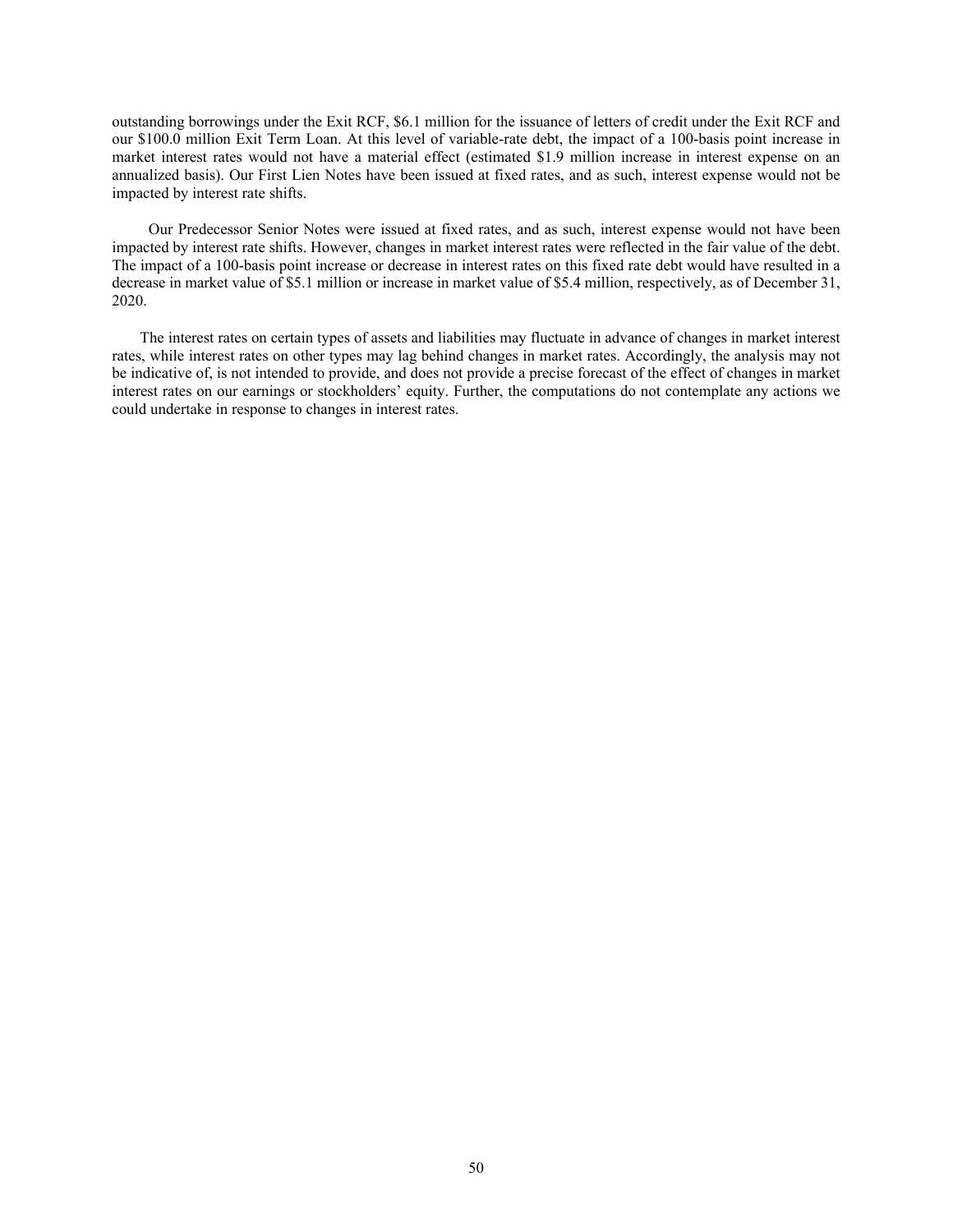outstanding borrowings under the Exit RCF, \$6.1 million for the issuance of letters of credit under the Exit RCF and our \$100.0 million Exit Term Loan. At this level of variable-rate debt, the impact of a 100-basis point increase in market interest rates would not have a material effect (estimated \$1.9 million increase in interest expense on an annualized basis). Our First Lien Notes have been issued at fixed rates, and as such, interest expense would not be impacted by interest rate shifts.

Our Predecessor Senior Notes were issued at fixed rates, and as such, interest expense would not have been impacted by interest rate shifts. However, changes in market interest rates were reflected in the fair value of the debt. The impact of a 100-basis point increase or decrease in interest rates on this fixed rate debt would have resulted in a decrease in market value of \$5.1 million or increase in market value of \$5.4 million, respectively, as of December 31, 2020.

The interest rates on certain types of assets and liabilities may fluctuate in advance of changes in market interest rates, while interest rates on other types may lag behind changes in market rates. Accordingly, the analysis may not be indicative of, is not intended to provide, and does not provide a precise forecast of the effect of changes in market interest rates on our earnings or stockholders' equity. Further, the computations do not contemplate any actions we could undertake in response to changes in interest rates.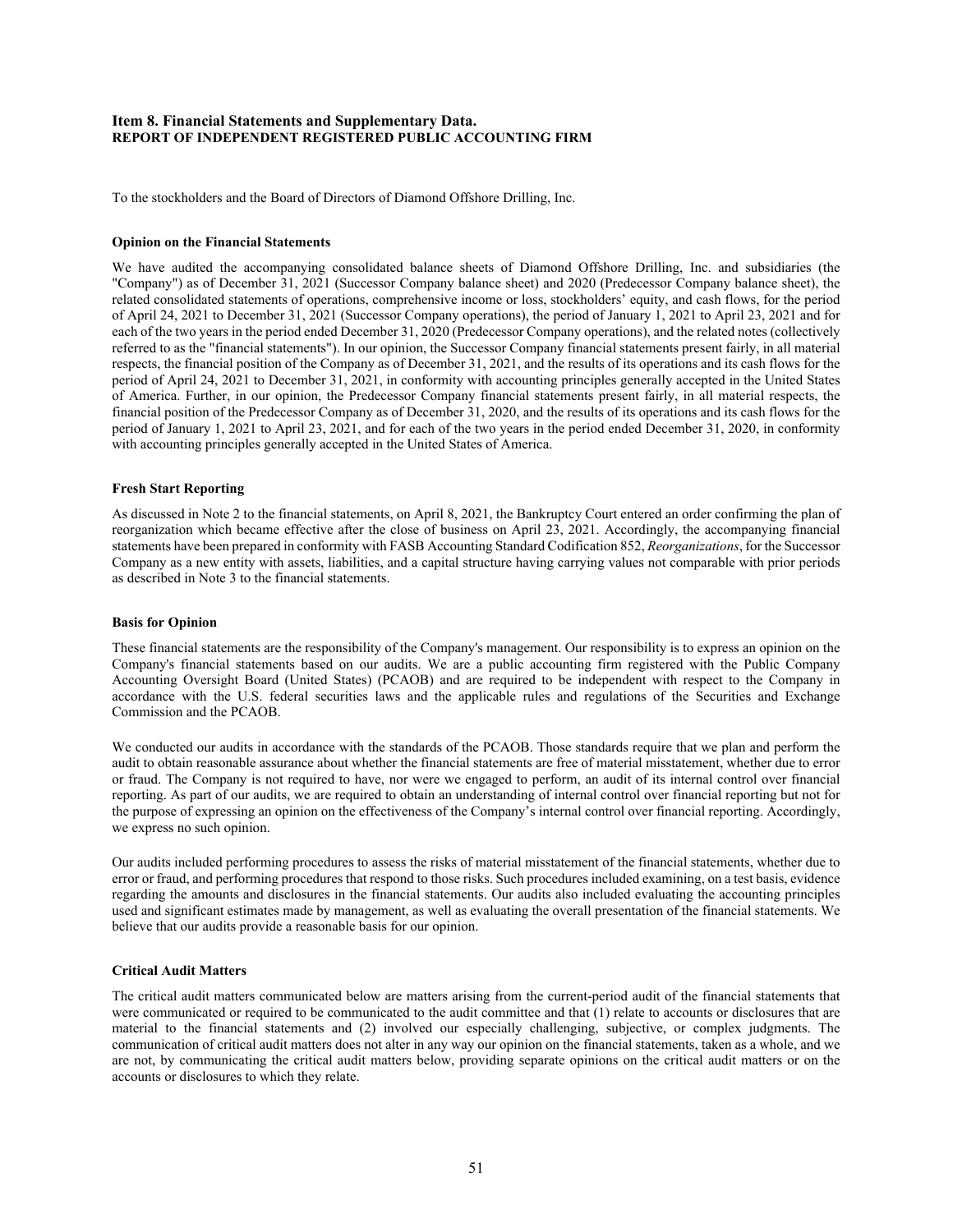### **Item 8. Financial Statements and Supplementary Data. REPORT OF INDEPENDENT REGISTERED PUBLIC ACCOUNTING FIRM**

To the stockholders and the Board of Directors of Diamond Offshore Drilling, Inc.

### **Opinion on the Financial Statements**

We have audited the accompanying consolidated balance sheets of Diamond Offshore Drilling, Inc. and subsidiaries (the "Company") as of December 31, 2021 (Successor Company balance sheet) and 2020 (Predecessor Company balance sheet), the related consolidated statements of operations, comprehensive income or loss, stockholders' equity, and cash flows, for the period of April 24, 2021 to December 31, 2021 (Successor Company operations), the period of January 1, 2021 to April 23, 2021 and for each of the two years in the period ended December 31, 2020 (Predecessor Company operations), and the related notes (collectively referred to as the "financial statements"). In our opinion, the Successor Company financial statements present fairly, in all material respects, the financial position of the Company as of December 31, 2021, and the results of its operations and its cash flows for the period of April 24, 2021 to December 31, 2021, in conformity with accounting principles generally accepted in the United States of America. Further, in our opinion, the Predecessor Company financial statements present fairly, in all material respects, the financial position of the Predecessor Company as of December 31, 2020, and the results of its operations and its cash flows for the period of January 1, 2021 to April 23, 2021, and for each of the two years in the period ended December 31, 2020, in conformity with accounting principles generally accepted in the United States of America.

### **Fresh Start Reporting**

As discussed in Note 2 to the financial statements, on April 8, 2021, the Bankruptcy Court entered an order confirming the plan of reorganization which became effective after the close of business on April 23, 2021. Accordingly, the accompanying financial statements have been prepared in conformity with FASB Accounting Standard Codification 852, *Reorganizations*, for the Successor Company as a new entity with assets, liabilities, and a capital structure having carrying values not comparable with prior periods as described in Note 3 to the financial statements.

#### **Basis for Opinion**

These financial statements are the responsibility of the Company's management. Our responsibility is to express an opinion on the Company's financial statements based on our audits. We are a public accounting firm registered with the Public Company Accounting Oversight Board (United States) (PCAOB) and are required to be independent with respect to the Company in accordance with the U.S. federal securities laws and the applicable rules and regulations of the Securities and Exchange Commission and the PCAOB.

We conducted our audits in accordance with the standards of the PCAOB. Those standards require that we plan and perform the audit to obtain reasonable assurance about whether the financial statements are free of material misstatement, whether due to error or fraud. The Company is not required to have, nor were we engaged to perform, an audit of its internal control over financial reporting. As part of our audits, we are required to obtain an understanding of internal control over financial reporting but not for the purpose of expressing an opinion on the effectiveness of the Company's internal control over financial reporting. Accordingly, we express no such opinion.

Our audits included performing procedures to assess the risks of material misstatement of the financial statements, whether due to error or fraud, and performing procedures that respond to those risks. Such procedures included examining, on a test basis, evidence regarding the amounts and disclosures in the financial statements. Our audits also included evaluating the accounting principles used and significant estimates made by management, as well as evaluating the overall presentation of the financial statements. We believe that our audits provide a reasonable basis for our opinion.

### **Critical Audit Matters**

The critical audit matters communicated below are matters arising from the current-period audit of the financial statements that were communicated or required to be communicated to the audit committee and that (1) relate to accounts or disclosures that are material to the financial statements and (2) involved our especially challenging, subjective, or complex judgments. The communication of critical audit matters does not alter in any way our opinion on the financial statements, taken as a whole, and we are not, by communicating the critical audit matters below, providing separate opinions on the critical audit matters or on the accounts or disclosures to which they relate.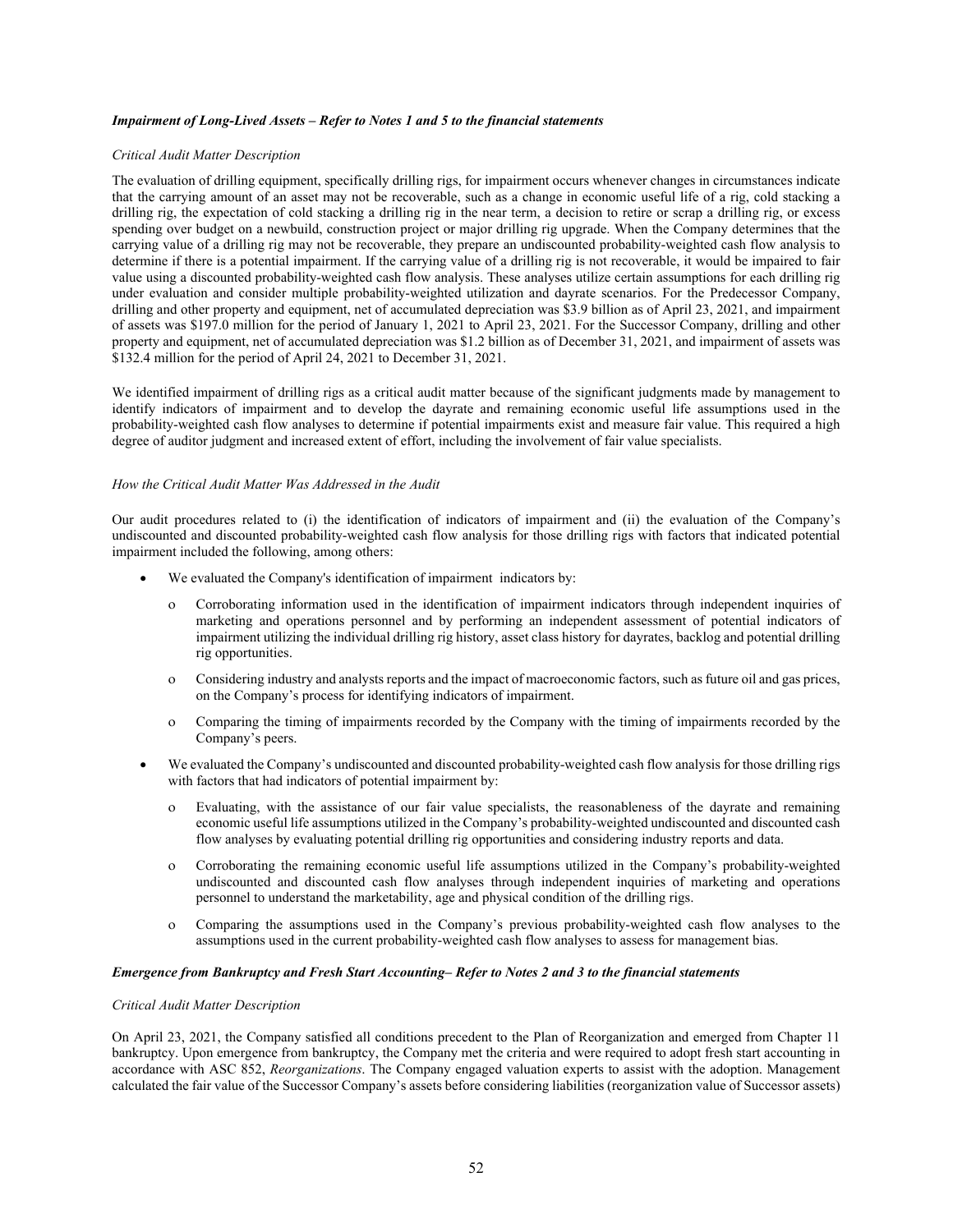### *Impairment of Long-Lived Assets – Refer to Notes 1 and 5 to the financial statements*

### *Critical Audit Matter Description*

The evaluation of drilling equipment, specifically drilling rigs, for impairment occurs whenever changes in circumstances indicate that the carrying amount of an asset may not be recoverable, such as a change in economic useful life of a rig, cold stacking a drilling rig, the expectation of cold stacking a drilling rig in the near term, a decision to retire or scrap a drilling rig, or excess spending over budget on a newbuild, construction project or major drilling rig upgrade. When the Company determines that the carrying value of a drilling rig may not be recoverable, they prepare an undiscounted probability-weighted cash flow analysis to determine if there is a potential impairment. If the carrying value of a drilling rig is not recoverable, it would be impaired to fair value using a discounted probability-weighted cash flow analysis. These analyses utilize certain assumptions for each drilling rig under evaluation and consider multiple probability-weighted utilization and dayrate scenarios. For the Predecessor Company, drilling and other property and equipment, net of accumulated depreciation was \$3.9 billion as of April 23, 2021, and impairment of assets was \$197.0 million for the period of January 1, 2021 to April 23, 2021. For the Successor Company, drilling and other property and equipment, net of accumulated depreciation was \$1.2 billion as of December 31, 2021, and impairment of assets was \$132.4 million for the period of April 24, 2021 to December 31, 2021.

We identified impairment of drilling rigs as a critical audit matter because of the significant judgments made by management to identify indicators of impairment and to develop the dayrate and remaining economic useful life assumptions used in the probability-weighted cash flow analyses to determine if potential impairments exist and measure fair value. This required a high degree of auditor judgment and increased extent of effort, including the involvement of fair value specialists.

### *How the Critical Audit Matter Was Addressed in the Audit*

Our audit procedures related to (i) the identification of indicators of impairment and (ii) the evaluation of the Company's undiscounted and discounted probability-weighted cash flow analysis for those drilling rigs with factors that indicated potential impairment included the following, among others:

- We evaluated the Company's identification of impairment indicators by:
	- Corroborating information used in the identification of impairment indicators through independent inquiries of marketing and operations personnel and by performing an independent assessment of potential indicators of impairment utilizing the individual drilling rig history, asset class history for dayrates, backlog and potential drilling rig opportunities.
	- Considering industry and analysts reports and the impact of macroeconomic factors, such as future oil and gas prices, on the Company's process for identifying indicators of impairment.
	- Comparing the timing of impairments recorded by the Company with the timing of impairments recorded by the Company's peers.
- We evaluated the Company's undiscounted and discounted probability-weighted cash flow analysis for those drilling rigs with factors that had indicators of potential impairment by:
	- Evaluating, with the assistance of our fair value specialists, the reasonableness of the dayrate and remaining economic useful life assumptions utilized in the Company's probability-weighted undiscounted and discounted cash flow analyses by evaluating potential drilling rig opportunities and considering industry reports and data.
	- Corroborating the remaining economic useful life assumptions utilized in the Company's probability-weighted undiscounted and discounted cash flow analyses through independent inquiries of marketing and operations personnel to understand the marketability, age and physical condition of the drilling rigs.
	- Comparing the assumptions used in the Company's previous probability-weighted cash flow analyses to the assumptions used in the current probability-weighted cash flow analyses to assess for management bias.

### *Emergence from Bankruptcy and Fresh Start Accounting– Refer to Notes 2 and 3 to the financial statements*

### *Critical Audit Matter Description*

On April 23, 2021, the Company satisfied all conditions precedent to the Plan of Reorganization and emerged from Chapter 11 bankruptcy. Upon emergence from bankruptcy, the Company met the criteria and were required to adopt fresh start accounting in accordance with ASC 852, *Reorganizations*. The Company engaged valuation experts to assist with the adoption. Management calculated the fair value of the Successor Company's assets before considering liabilities (reorganization value of Successor assets)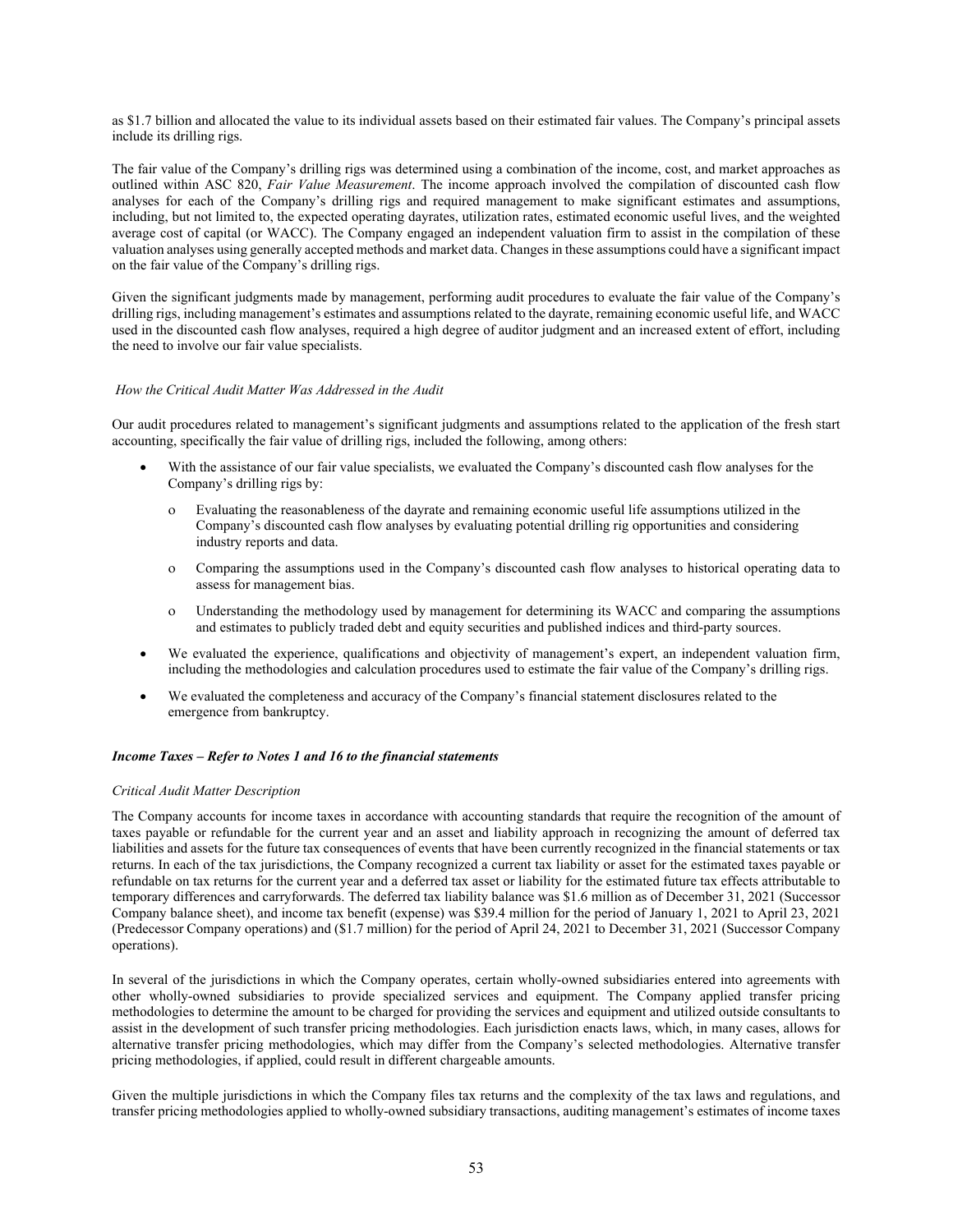as \$1.7 billion and allocated the value to its individual assets based on their estimated fair values. The Company's principal assets include its drilling rigs.

The fair value of the Company's drilling rigs was determined using a combination of the income, cost, and market approaches as outlined within ASC 820, *Fair Value Measurement*. The income approach involved the compilation of discounted cash flow analyses for each of the Company's drilling rigs and required management to make significant estimates and assumptions, including, but not limited to, the expected operating dayrates, utilization rates, estimated economic useful lives, and the weighted average cost of capital (or WACC). The Company engaged an independent valuation firm to assist in the compilation of these valuation analyses using generally accepted methods and market data. Changes in these assumptions could have a significant impact on the fair value of the Company's drilling rigs.

Given the significant judgments made by management, performing audit procedures to evaluate the fair value of the Company's drilling rigs, including management's estimates and assumptions related to the dayrate, remaining economic useful life, and WACC used in the discounted cash flow analyses, required a high degree of auditor judgment and an increased extent of effort, including the need to involve our fair value specialists.

### *How the Critical Audit Matter Was Addressed in the Audit*

Our audit procedures related to management's significant judgments and assumptions related to the application of the fresh start accounting, specifically the fair value of drilling rigs, included the following, among others:

- With the assistance of our fair value specialists, we evaluated the Company's discounted cash flow analyses for the Company's drilling rigs by:
	- Evaluating the reasonableness of the dayrate and remaining economic useful life assumptions utilized in the Company's discounted cash flow analyses by evaluating potential drilling rig opportunities and considering industry reports and data.
	- Comparing the assumptions used in the Company's discounted cash flow analyses to historical operating data to assess for management bias.
	- Understanding the methodology used by management for determining its WACC and comparing the assumptions and estimates to publicly traded debt and equity securities and published indices and third-party sources.
- We evaluated the experience, qualifications and objectivity of management's expert, an independent valuation firm, including the methodologies and calculation procedures used to estimate the fair value of the Company's drilling rigs.
- We evaluated the completeness and accuracy of the Company's financial statement disclosures related to the emergence from bankruptcy.

### *Income Taxes – Refer to Notes 1 and 16 to the financial statements*

### *Critical Audit Matter Description*

The Company accounts for income taxes in accordance with accounting standards that require the recognition of the amount of taxes payable or refundable for the current year and an asset and liability approach in recognizing the amount of deferred tax liabilities and assets for the future tax consequences of events that have been currently recognized in the financial statements or tax returns. In each of the tax jurisdictions, the Company recognized a current tax liability or asset for the estimated taxes payable or refundable on tax returns for the current year and a deferred tax asset or liability for the estimated future tax effects attributable to temporary differences and carryforwards. The deferred tax liability balance was \$1.6 million as of December 31, 2021 (Successor Company balance sheet), and income tax benefit (expense) was \$39.4 million for the period of January 1, 2021 to April 23, 2021 (Predecessor Company operations) and (\$1.7 million) for the period of April 24, 2021 to December 31, 2021 (Successor Company operations).

In several of the jurisdictions in which the Company operates, certain wholly-owned subsidiaries entered into agreements with other wholly-owned subsidiaries to provide specialized services and equipment. The Company applied transfer pricing methodologies to determine the amount to be charged for providing the services and equipment and utilized outside consultants to assist in the development of such transfer pricing methodologies. Each jurisdiction enacts laws, which, in many cases, allows for alternative transfer pricing methodologies, which may differ from the Company's selected methodologies. Alternative transfer pricing methodologies, if applied, could result in different chargeable amounts.

Given the multiple jurisdictions in which the Company files tax returns and the complexity of the tax laws and regulations, and transfer pricing methodologies applied to wholly-owned subsidiary transactions, auditing management's estimates of income taxes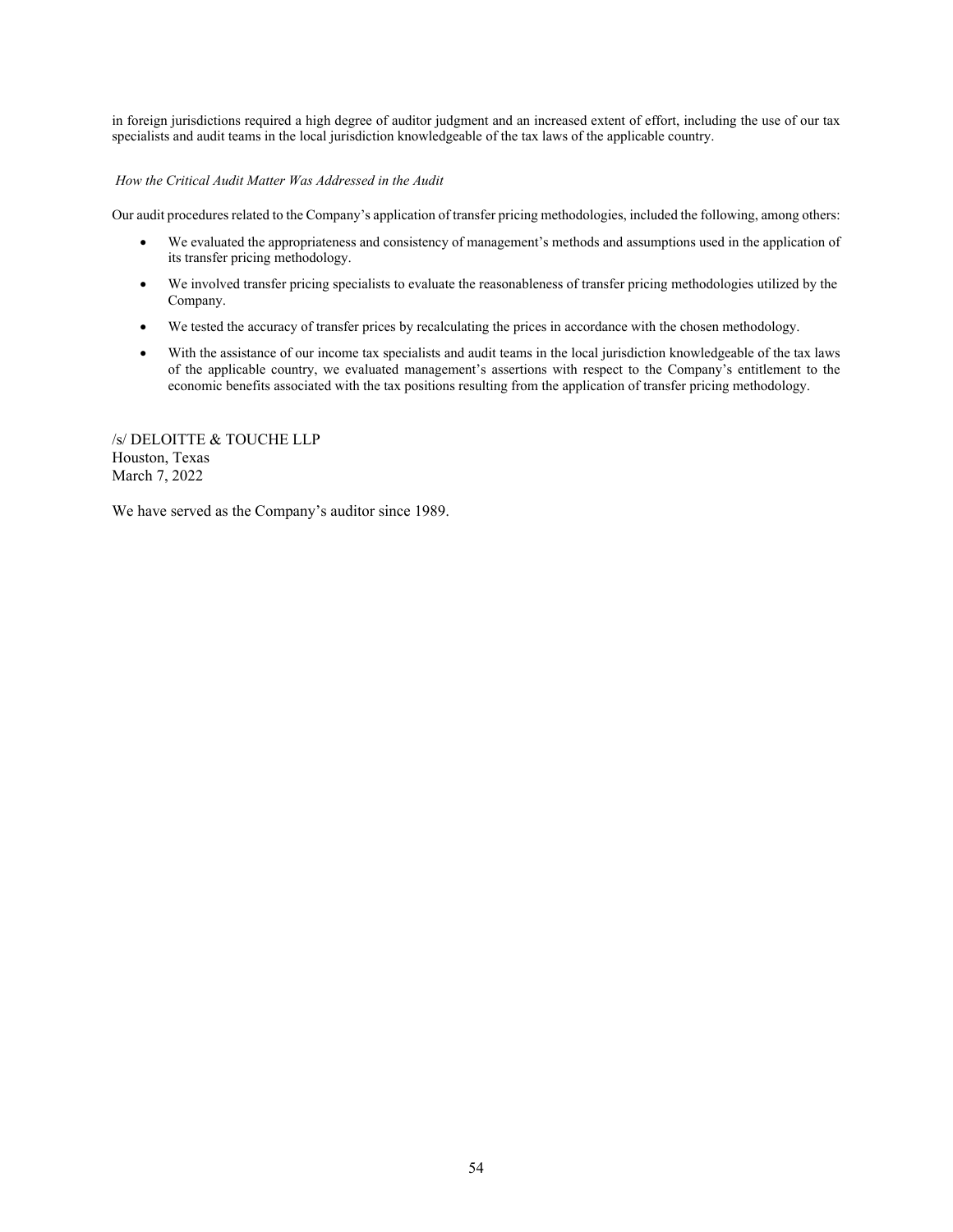in foreign jurisdictions required a high degree of auditor judgment and an increased extent of effort, including the use of our tax specialists and audit teams in the local jurisdiction knowledgeable of the tax laws of the applicable country.

### *How the Critical Audit Matter Was Addressed in the Audit*

Our audit procedures related to the Company's application of transfer pricing methodologies, included the following, among others:

- We evaluated the appropriateness and consistency of management's methods and assumptions used in the application of its transfer pricing methodology.
- We involved transfer pricing specialists to evaluate the reasonableness of transfer pricing methodologies utilized by the Company.
- We tested the accuracy of transfer prices by recalculating the prices in accordance with the chosen methodology.
- With the assistance of our income tax specialists and audit teams in the local jurisdiction knowledgeable of the tax laws of the applicable country, we evaluated management's assertions with respect to the Company's entitlement to the economic benefits associated with the tax positions resulting from the application of transfer pricing methodology.

/s/ DELOITTE & TOUCHE LLP Houston, Texas March 7, 2022

We have served as the Company's auditor since 1989.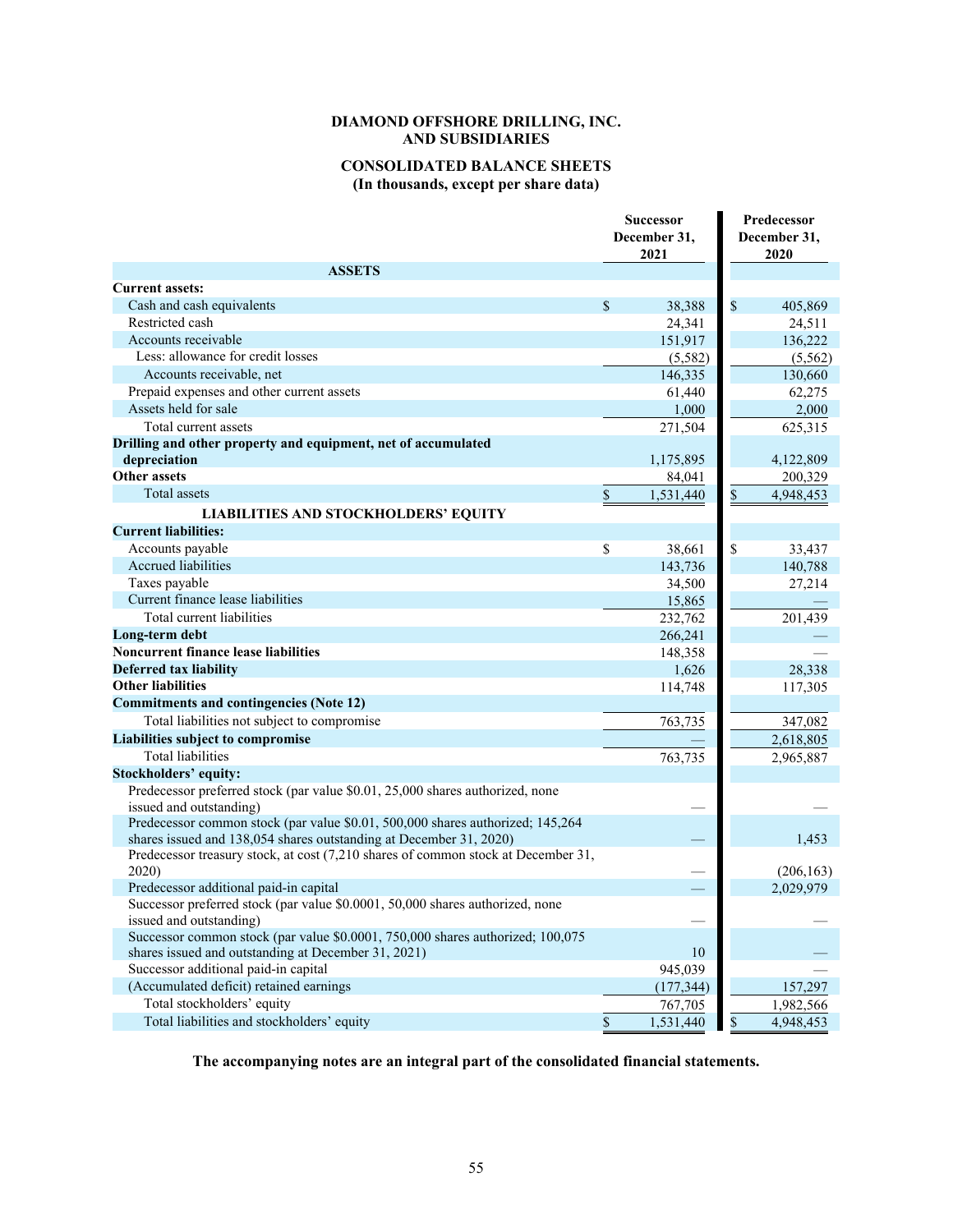# **CONSOLIDATED BALANCE SHEETS (In thousands, except per share data)**

|                                                                                                          | <b>Successor</b> | Predecessor               |              |  |
|----------------------------------------------------------------------------------------------------------|------------------|---------------------------|--------------|--|
|                                                                                                          | December 31,     |                           | December 31, |  |
|                                                                                                          | 2021             |                           | 2020         |  |
| <b>ASSETS</b>                                                                                            |                  |                           |              |  |
| <b>Current assets:</b>                                                                                   |                  |                           |              |  |
| Cash and cash equivalents                                                                                | \$<br>38,388     | \$                        | 405,869      |  |
| Restricted cash                                                                                          | 24,341           |                           | 24,511       |  |
| Accounts receivable                                                                                      | 151,917          |                           | 136,222      |  |
| Less: allowance for credit losses                                                                        | (5,582)          |                           | (5, 562)     |  |
| Accounts receivable, net                                                                                 | 146,335          |                           | 130,660      |  |
| Prepaid expenses and other current assets                                                                | 61,440           |                           | 62,275       |  |
| Assets held for sale                                                                                     | 1,000            |                           | 2,000        |  |
| Total current assets                                                                                     | 271,504          |                           | 625,315      |  |
| Drilling and other property and equipment, net of accumulated                                            |                  |                           |              |  |
| depreciation                                                                                             | 1,175,895        |                           | 4,122,809    |  |
| Other assets                                                                                             | 84,041           |                           | 200,329      |  |
| <b>Total assets</b>                                                                                      | \$<br>1,531,440  | \$                        | 4,948,453    |  |
| <b>LIABILITIES AND STOCKHOLDERS' EQUITY</b>                                                              |                  |                           |              |  |
| <b>Current liabilities:</b>                                                                              |                  |                           |              |  |
| Accounts payable                                                                                         | \$<br>38,661     | \$                        | 33,437       |  |
| <b>Accrued</b> liabilities                                                                               | 143,736          |                           | 140,788      |  |
| Taxes payable                                                                                            | 34,500           |                           | 27,214       |  |
| Current finance lease liabilities                                                                        | 15,865           |                           |              |  |
| Total current liabilities                                                                                | 232,762          |                           | 201,439      |  |
| Long-term debt                                                                                           | 266,241          |                           |              |  |
| Noncurrent finance lease liabilities                                                                     | 148,358          |                           |              |  |
| <b>Deferred tax liability</b>                                                                            | 1,626            |                           | 28,338       |  |
| <b>Other liabilities</b>                                                                                 | 114,748          |                           | 117,305      |  |
| <b>Commitments and contingencies (Note 12)</b>                                                           |                  |                           |              |  |
| Total liabilities not subject to compromise                                                              | 763,735          |                           | 347,082      |  |
| Liabilities subject to compromise                                                                        |                  |                           | 2,618,805    |  |
| <b>Total liabilities</b>                                                                                 | 763,735          |                           | 2,965,887    |  |
| <b>Stockholders' equity:</b>                                                                             |                  |                           |              |  |
| Predecessor preferred stock (par value \$0.01, 25,000 shares authorized, none                            |                  |                           |              |  |
| issued and outstanding)                                                                                  |                  |                           |              |  |
| Predecessor common stock (par value \$0.01, 500,000 shares authorized; 145,264                           |                  |                           |              |  |
| shares issued and 138,054 shares outstanding at December 31, 2020)                                       |                  |                           | 1,453        |  |
| Predecessor treasury stock, at cost (7,210 shares of common stock at December 31,                        |                  |                           |              |  |
| 2020                                                                                                     |                  |                           | (206, 163)   |  |
| Predecessor additional paid-in capital                                                                   |                  |                           | 2,029,979    |  |
| Successor preferred stock (par value \$0.0001, 50,000 shares authorized, none<br>issued and outstanding) |                  |                           |              |  |
| Successor common stock (par value \$0.0001, 750,000 shares authorized; 100,075                           |                  |                           |              |  |
| shares issued and outstanding at December 31, 2021)                                                      | 10               |                           |              |  |
| Successor additional paid-in capital                                                                     | 945,039          |                           |              |  |
| (Accumulated deficit) retained earnings                                                                  | (177, 344)       |                           | 157,297      |  |
| Total stockholders' equity                                                                               | 767,705          |                           | 1,982,566    |  |
| Total liabilities and stockholders' equity                                                               | \$<br>1,531,440  | $\boldsymbol{\mathsf{S}}$ | 4,948,453    |  |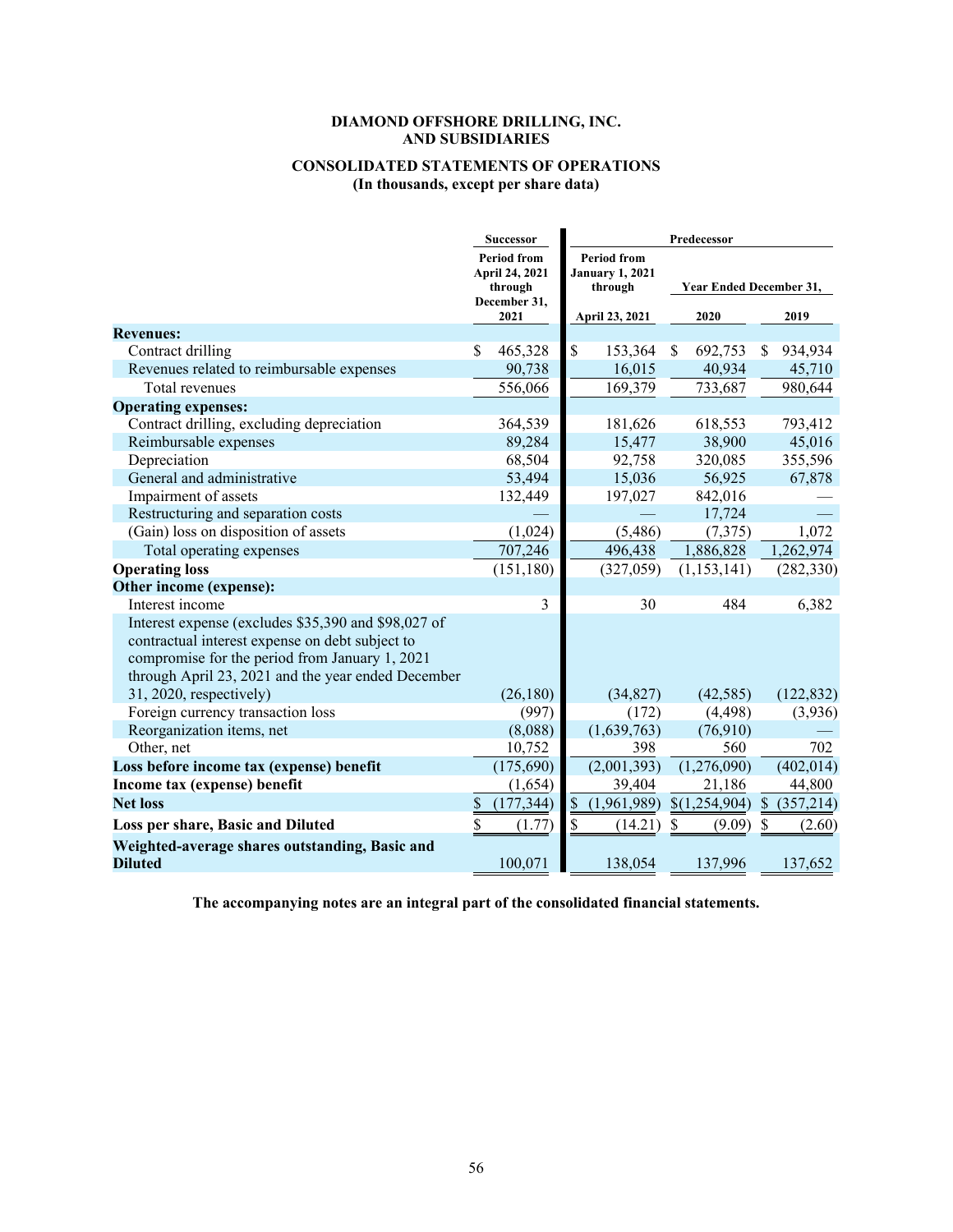# **CONSOLIDATED STATEMENTS OF OPERATIONS (In thousands, except per share data)**

|                                                                                                                                                                                                                | <b>Successor</b>                                                       | Predecessor |                                                         |    |                                |              |            |
|----------------------------------------------------------------------------------------------------------------------------------------------------------------------------------------------------------------|------------------------------------------------------------------------|-------------|---------------------------------------------------------|----|--------------------------------|--------------|------------|
|                                                                                                                                                                                                                | <b>Period from</b><br><b>April 24, 2021</b><br>through<br>December 31, |             | <b>Period from</b><br><b>January 1, 2021</b><br>through |    | <b>Year Ended December 31,</b> |              |            |
| <b>Revenues:</b>                                                                                                                                                                                               | 2021                                                                   |             | April 23, 2021                                          |    | 2020                           |              | 2019       |
| Contract drilling                                                                                                                                                                                              | \$<br>465,328                                                          | \$          | 153,364                                                 | \$ | 692,753                        | \$           | 934,934    |
| Revenues related to reimbursable expenses                                                                                                                                                                      | 90,738                                                                 |             | 16,015                                                  |    | 40,934                         |              | 45,710     |
| Total revenues                                                                                                                                                                                                 | 556,066                                                                |             | 169,379                                                 |    | 733,687                        |              | 980,644    |
| <b>Operating expenses:</b>                                                                                                                                                                                     |                                                                        |             |                                                         |    |                                |              |            |
| Contract drilling, excluding depreciation                                                                                                                                                                      | 364,539                                                                |             | 181,626                                                 |    | 618,553                        |              | 793,412    |
| Reimbursable expenses                                                                                                                                                                                          | 89,284                                                                 |             | 15,477                                                  |    | 38,900                         |              | 45,016     |
| Depreciation                                                                                                                                                                                                   | 68,504                                                                 |             | 92,758                                                  |    | 320,085                        |              | 355,596    |
| General and administrative                                                                                                                                                                                     | 53,494                                                                 |             | 15,036                                                  |    | 56,925                         |              | 67,878     |
| Impairment of assets                                                                                                                                                                                           | 132,449                                                                |             | 197,027                                                 |    | 842,016                        |              |            |
| Restructuring and separation costs                                                                                                                                                                             |                                                                        |             |                                                         |    | 17,724                         |              |            |
| (Gain) loss on disposition of assets                                                                                                                                                                           | (1,024)                                                                |             | (5, 486)                                                |    | (7,375)                        |              | 1,072      |
| Total operating expenses                                                                                                                                                                                       | 707,246                                                                |             | 496,438                                                 |    | 1,886,828                      |              | 1,262,974  |
| <b>Operating loss</b>                                                                                                                                                                                          | (151, 180)                                                             |             | (327, 059)                                              |    | (1, 153, 141)                  |              | (282, 330) |
| Other income (expense):                                                                                                                                                                                        |                                                                        |             |                                                         |    |                                |              |            |
| Interest income                                                                                                                                                                                                | 3                                                                      |             | 30                                                      |    | 484                            |              | 6,382      |
| Interest expense (excludes \$35,390 and \$98,027 of<br>contractual interest expense on debt subject to<br>compromise for the period from January 1, 2021<br>through April 23, 2021 and the year ended December |                                                                        |             |                                                         |    |                                |              |            |
| 31, 2020, respectively)                                                                                                                                                                                        | (26, 180)                                                              |             | (34,827)                                                |    | (42, 585)                      |              | (122, 832) |
| Foreign currency transaction loss                                                                                                                                                                              | (997)                                                                  |             | (172)                                                   |    | (4, 498)                       |              | (3,936)    |
| Reorganization items, net                                                                                                                                                                                      | (8,088)                                                                |             | (1,639,763)                                             |    | (76,910)                       |              |            |
| Other, net                                                                                                                                                                                                     | 10,752                                                                 |             | 398                                                     |    | 560                            |              | 702        |
| Loss before income tax (expense) benefit                                                                                                                                                                       | (175, 690)                                                             |             | (2,001,393)                                             |    | (1,276,090)                    |              | (402, 014) |
| Income tax (expense) benefit                                                                                                                                                                                   | (1,654)                                                                |             | 39,404                                                  |    | 21,186                         |              | 44,800     |
| <b>Net loss</b>                                                                                                                                                                                                | \$<br>(177, 344)                                                       | \$          | (1,961,989)                                             |    | \$(1,254,904)                  | $\mathbb{S}$ | (357,214)  |
| Loss per share, Basic and Diluted                                                                                                                                                                              | \$<br>(1.77)                                                           | \$          | (14.21)                                                 | \$ | (9.09)                         | S            | (2.60)     |
| Weighted-average shares outstanding, Basic and<br><b>Diluted</b>                                                                                                                                               | 100,071                                                                |             | 138,054                                                 |    | 137,996                        |              | 137,652    |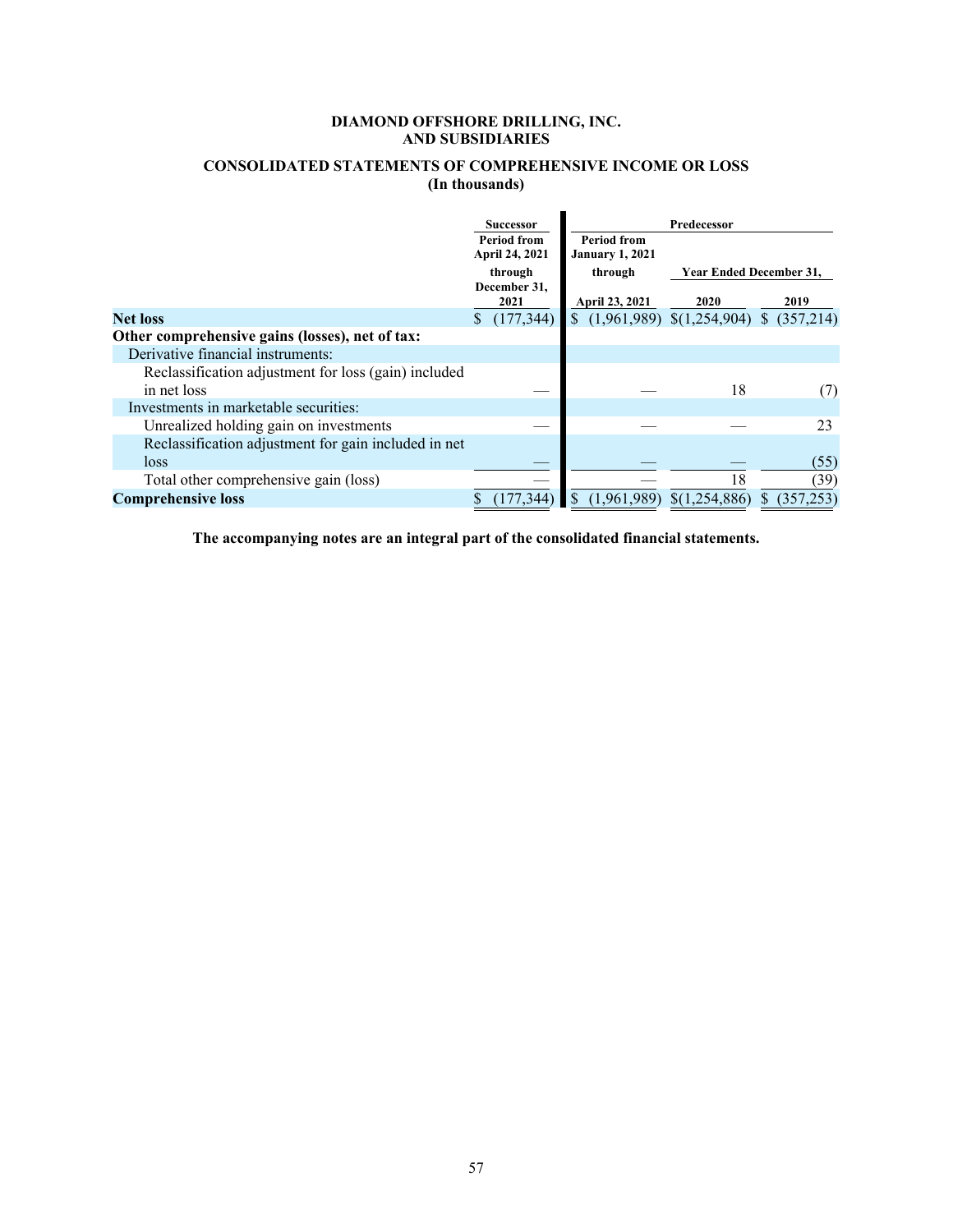# **CONSOLIDATED STATEMENTS OF COMPREHENSIVE INCOME OR LOSS (In thousands)**

|                                                      | <b>Successor</b>                     |                                              | Predecessor                                   |                  |
|------------------------------------------------------|--------------------------------------|----------------------------------------------|-----------------------------------------------|------------------|
|                                                      | <b>Period from</b><br>April 24, 2021 | <b>Period from</b><br><b>January 1, 2021</b> |                                               |                  |
|                                                      | through<br>December 31,              | through                                      | <b>Year Ended December 31,</b>                |                  |
|                                                      | 2021                                 | April 23, 2021                               | 2020                                          | 2019             |
| <b>Net loss</b>                                      | (177, 344)<br>$\mathbb{S}$           |                                              | $(1,961,989)$ \$ $(1,254,904)$ \$ $(357,214)$ |                  |
| Other comprehensive gains (losses), net of tax:      |                                      |                                              |                                               |                  |
| Derivative financial instruments:                    |                                      |                                              |                                               |                  |
| Reclassification adjustment for loss (gain) included |                                      |                                              |                                               |                  |
| in net loss                                          |                                      |                                              | 18                                            | (7)              |
| Investments in marketable securities:                |                                      |                                              |                                               |                  |
| Unrealized holding gain on investments               |                                      |                                              |                                               | 23               |
| Reclassification adjustment for gain included in net |                                      |                                              |                                               |                  |
| loss                                                 |                                      |                                              |                                               | (55)             |
| Total other comprehensive gain (loss)                |                                      |                                              | 18                                            | (39)             |
| <b>Comprehensive loss</b>                            | 177,344                              | (1,961,989)                                  | \$(1,254,886)                                 | (357, 253)<br>\$ |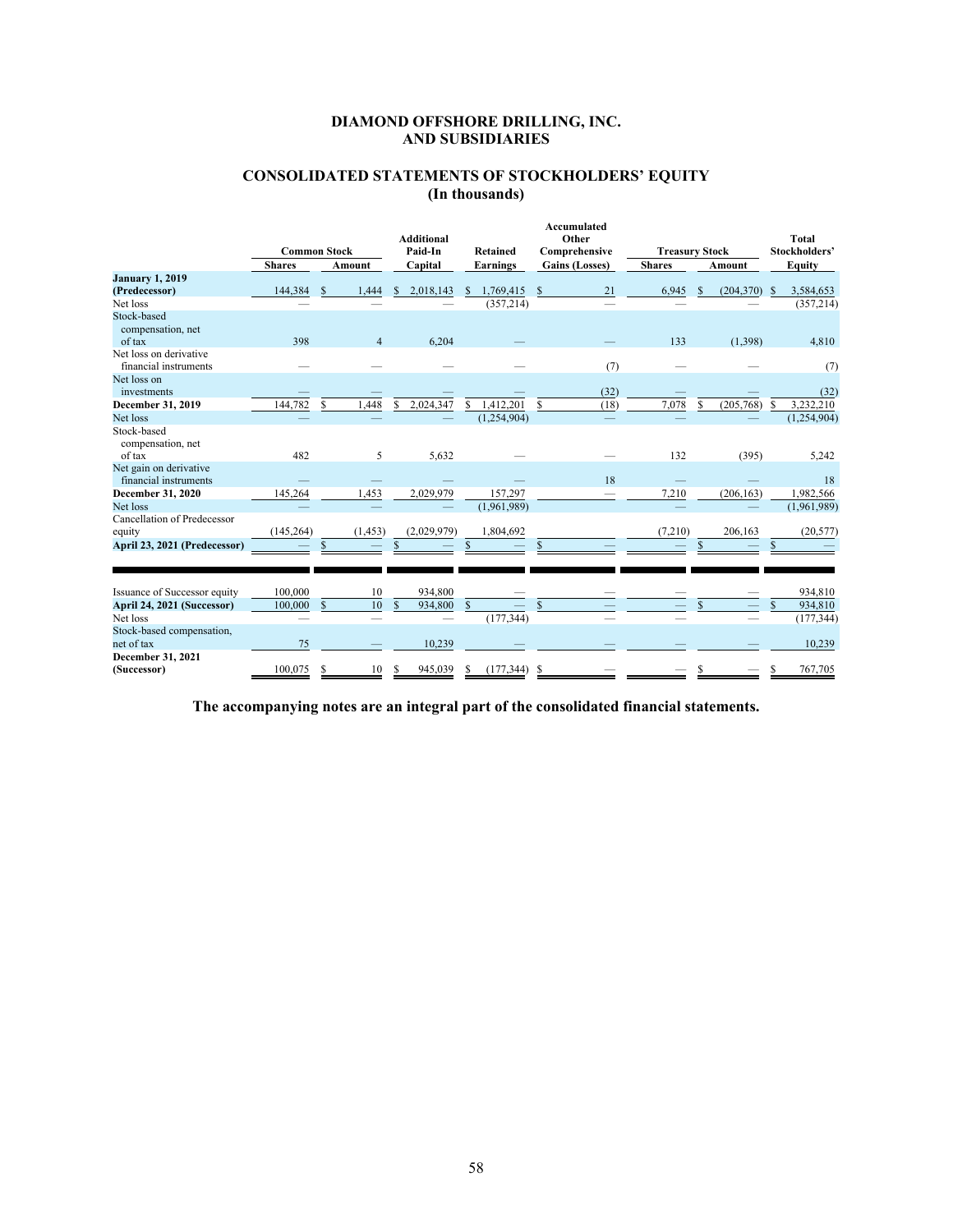# **CONSOLIDATED STATEMENTS OF STOCKHOLDERS' EQUITY (In thousands)**

|                                                 | <b>Shares</b> | <b>Common Stock</b><br>Amount |                | <b>Additional</b><br>Paid-In<br>Capital | <b>Retained</b><br><b>Earnings</b> | <b>Accumulated</b><br>Other<br>Comprehensive<br><b>Gains (Losses)</b> | <b>Treasury Stock</b><br><b>Shares</b> |               | Amount     |              | <b>Total</b><br>Stockholders'<br><b>Equity</b> |
|-------------------------------------------------|---------------|-------------------------------|----------------|-----------------------------------------|------------------------------------|-----------------------------------------------------------------------|----------------------------------------|---------------|------------|--------------|------------------------------------------------|
| <b>January 1, 2019</b>                          |               |                               |                |                                         |                                    |                                                                       |                                        |               |            |              |                                                |
| (Predecessor)                                   | 144,384       | <sup>\$</sup><br>1,444        |                | 2,018,143<br>S                          | 1,769,415<br>S                     | 21<br>$\mathbf S$                                                     | 6,945                                  | \$            | (204, 370) | S            | 3,584,653                                      |
| Net loss                                        |               |                               |                |                                         | (357, 214)                         |                                                                       |                                        |               |            |              | (357, 214)                                     |
| Stock-based<br>compensation, net                |               |                               |                |                                         |                                    |                                                                       |                                        |               |            |              |                                                |
| of tax                                          | 398           |                               | $\overline{4}$ | 6,204                                   |                                    |                                                                       | 133                                    |               | (1, 398)   |              | 4,810                                          |
| Net loss on derivative<br>financial instruments |               |                               |                |                                         |                                    |                                                                       | (7)                                    |               |            |              | (7)                                            |
| Net loss on<br>investments                      |               |                               |                |                                         |                                    | (32)                                                                  |                                        |               |            |              | (32)                                           |
| <b>December 31, 2019</b>                        | 144,782       | 1,448<br><sup>\$</sup>        |                | 2,024,347<br>S                          | 1.412.201<br>S                     | \$<br>(18)                                                            | 7,078                                  | \$            | (205, 768) | \$           | 3,232,210                                      |
| Net loss                                        |               |                               |                |                                         | (1,254,904)                        |                                                                       |                                        |               |            |              | (1,254,904)                                    |
| Stock-based<br>compensation, net                |               |                               |                |                                         |                                    |                                                                       |                                        |               |            |              |                                                |
| of tax                                          | 482           |                               | 5              | 5,632                                   |                                    |                                                                       | 132                                    |               | (395)      |              | 5,242                                          |
| Net gain on derivative                          |               |                               |                |                                         |                                    |                                                                       |                                        |               |            |              |                                                |
| financial instruments<br>December 31, 2020      | 145,264       | 1,453                         |                | 2,029,979                               | 157,297                            | 18                                                                    | 7,210                                  |               |            |              | 18<br>1,982,566                                |
| Net loss                                        |               |                               |                |                                         |                                    |                                                                       |                                        |               | (206, 163) |              |                                                |
| Cancellation of Predecessor                     |               |                               |                |                                         | (1,961,989)                        |                                                                       |                                        |               |            |              | (1,961,989)                                    |
| equity                                          | (145, 264)    | (1, 453)                      |                | (2,029,979)                             | 1,804,692                          |                                                                       | (7,210)                                |               | 206,163    |              | (20, 577)                                      |
| April 23, 2021 (Predecessor)                    |               |                               |                |                                         | \$.                                |                                                                       |                                        | $\mathcal{S}$ |            | \$           |                                                |
|                                                 |               |                               |                |                                         |                                    |                                                                       |                                        |               |            |              |                                                |
| Issuance of Successor equity                    | 100,000       |                               | 10             | 934,800                                 |                                    |                                                                       |                                        |               |            |              | 934,810                                        |
| April 24, 2021 (Successor)                      | 100,000       | $\mathbb{S}$                  | 10             | $\mathbb{S}$<br>934,800                 | <sup>\$</sup>                      | $\mathbb{S}$                                                          |                                        | S             |            | $\mathbb{S}$ | 934.810                                        |
| Net loss                                        |               |                               |                |                                         | (177, 344)                         |                                                                       |                                        |               |            |              | (177, 344)                                     |
| Stock-based compensation,<br>net of tax         | 75            |                               |                | 10,239                                  |                                    |                                                                       |                                        |               |            |              | 10,239                                         |
| December 31, 2021                               |               |                               |                |                                         |                                    |                                                                       |                                        |               |            |              |                                                |
| (Successor)                                     | 100,075       |                               | 10             | 945,039                                 | (177, 344)                         | S                                                                     |                                        |               |            |              | 767,705                                        |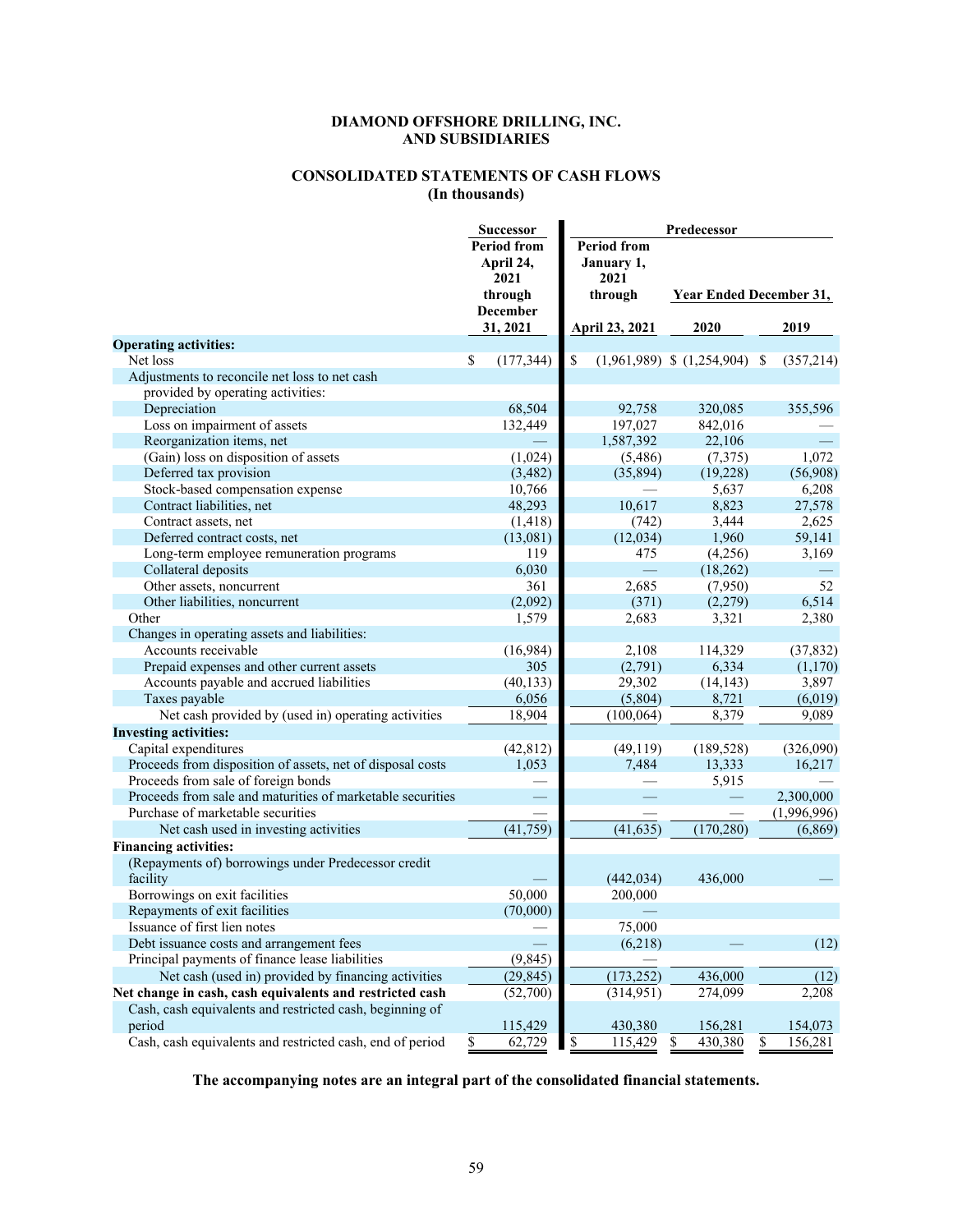# **CONSOLIDATED STATEMENTS OF CASH FLOWS (In thousands)**

|                                                            | Successor          | Predecessor             |                                   |    |                         |    |             |
|------------------------------------------------------------|--------------------|-------------------------|-----------------------------------|----|-------------------------|----|-------------|
|                                                            | <b>Period from</b> |                         | <b>Period from</b>                |    |                         |    |             |
|                                                            | April 24,          |                         | January 1,                        |    |                         |    |             |
|                                                            | 2021               |                         | 2021                              |    |                         |    |             |
|                                                            | through            |                         | through                           |    | Year Ended December 31, |    |             |
|                                                            | <b>December</b>    |                         |                                   |    |                         |    |             |
|                                                            | 31, 2021           |                         | April 23, 2021                    |    | 2020                    |    | 2019        |
| <b>Operating activities:</b>                               |                    |                         |                                   |    |                         |    |             |
| Net loss                                                   | \$<br>(177, 344)   | \$                      | $(1,961,989)$ \$ $(1,254,904)$ \$ |    |                         |    | (357, 214)  |
| Adjustments to reconcile net loss to net cash              |                    |                         |                                   |    |                         |    |             |
| provided by operating activities:                          |                    |                         |                                   |    |                         |    |             |
| Depreciation                                               | 68,504             |                         | 92,758                            |    | 320,085                 |    | 355,596     |
| Loss on impairment of assets                               | 132,449            |                         | 197,027                           |    | 842,016                 |    |             |
| Reorganization items, net                                  |                    |                         | 1,587,392                         |    | 22,106                  |    |             |
| (Gain) loss on disposition of assets                       | (1,024)            |                         | (5, 486)                          |    | (7, 375)                |    | 1,072       |
| Deferred tax provision                                     | (3, 482)           |                         | (35,894)                          |    | (19,228)                |    | (56,908)    |
| Stock-based compensation expense                           | 10,766             |                         |                                   |    | 5,637                   |    | 6,208       |
| Contract liabilities, net                                  | 48,293             |                         | 10,617                            |    | 8,823                   |    | 27,578      |
| Contract assets, net                                       | (1, 418)           |                         | (742)                             |    | 3,444                   |    | 2,625       |
| Deferred contract costs, net                               | (13,081)           |                         | (12,034)                          |    | 1,960                   |    | 59,141      |
| Long-term employee remuneration programs                   | 119                |                         | 475                               |    | (4,256)                 |    | 3,169       |
| Collateral deposits                                        | 6,030              |                         |                                   |    | (18, 262)               |    |             |
| Other assets, noncurrent                                   | 361                |                         | 2,685                             |    | (7,950)                 |    | 52          |
| Other liabilities, noncurrent                              | (2,092)            |                         | (371)                             |    | (2,279)                 |    | 6,514       |
| Other                                                      | 1,579              |                         | 2,683                             |    | 3,321                   |    | 2,380       |
| Changes in operating assets and liabilities:               |                    |                         |                                   |    |                         |    |             |
| Accounts receivable                                        | (16,984)           |                         | 2,108                             |    | 114,329                 |    | (37, 832)   |
| Prepaid expenses and other current assets                  | 305                |                         | (2,791)                           |    | 6,334                   |    | (1, 170)    |
| Accounts payable and accrued liabilities                   | (40, 133)          |                         | 29,302                            |    | (14, 143)               |    | 3,897       |
| Taxes payable                                              | 6,056              |                         | (5,804)                           |    | 8,721                   |    | (6,019)     |
| Net cash provided by (used in) operating activities        | 18,904             |                         | (100, 064)                        |    | 8,379                   |    | 9,089       |
| <b>Investing activities:</b>                               |                    |                         |                                   |    |                         |    |             |
| Capital expenditures                                       | (42, 812)          |                         | (49, 119)                         |    | (189, 528)              |    | (326,090)   |
| Proceeds from disposition of assets, net of disposal costs | 1,053              |                         | 7,484                             |    | 13,333                  |    | 16,217      |
| Proceeds from sale of foreign bonds                        |                    |                         |                                   |    | 5,915                   |    |             |
| Proceeds from sale and maturities of marketable securities |                    |                         |                                   |    |                         |    | 2,300,000   |
| Purchase of marketable securities                          |                    |                         |                                   |    |                         |    | (1,996,996) |
| Net cash used in investing activities                      | (41, 759)          |                         | (41, 635)                         |    | (170, 280)              |    | (6, 869)    |
| <b>Financing activities:</b>                               |                    |                         |                                   |    |                         |    |             |
| (Repayments of) borrowings under Predecessor credit        |                    |                         |                                   |    |                         |    |             |
| facility                                                   |                    |                         | (442, 034)                        |    | 436,000                 |    |             |
| Borrowings on exit facilities                              | 50,000             |                         | 200,000                           |    |                         |    |             |
| Repayments of exit facilities                              | (70,000)           |                         |                                   |    |                         |    |             |
| Issuance of first lien notes                               |                    |                         | 75,000                            |    |                         |    |             |
| Debt issuance costs and arrangement fees                   |                    |                         | (6,218)                           |    |                         |    | (12)        |
| Principal payments of finance lease liabilities            | (9, 845)           |                         |                                   |    |                         |    |             |
| Net cash (used in) provided by financing activities        | (29, 845)          |                         | (173, 252)                        |    | 436,000                 |    | (12)        |
| Net change in cash, cash equivalents and restricted cash   | (52,700)           |                         | (314,951)                         |    | 274,099                 |    | 2,208       |
| Cash, cash equivalents and restricted cash, beginning of   |                    |                         |                                   |    |                         |    |             |
| period                                                     | 115,429            |                         | 430,380                           |    | 156,281                 |    | 154,073     |
| Cash, cash equivalents and restricted cash, end of period  | \$<br>62,729       | $\overline{\mathbb{S}}$ | 115,429                           | \$ | 430,380                 | \$ | 156,281     |
|                                                            |                    |                         |                                   |    |                         |    |             |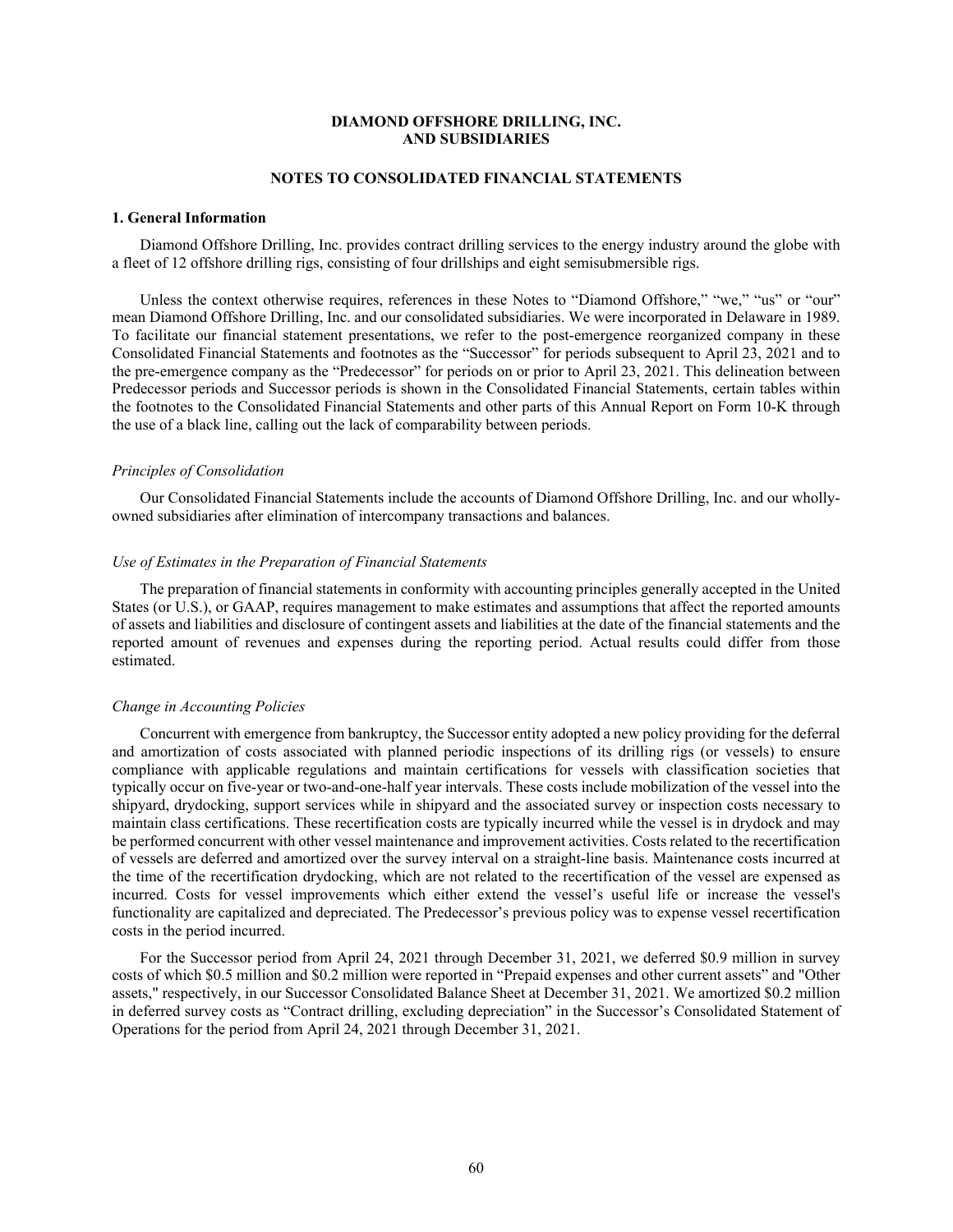# **NOTES TO CONSOLIDATED FINANCIAL STATEMENTS**

#### **1. General Information**

Diamond Offshore Drilling, Inc. provides contract drilling services to the energy industry around the globe with a fleet of 12 offshore drilling rigs, consisting of four drillships and eight semisubmersible rigs.

Unless the context otherwise requires, references in these Notes to "Diamond Offshore," "we," "us" or "our" mean Diamond Offshore Drilling, Inc. and our consolidated subsidiaries. We were incorporated in Delaware in 1989. To facilitate our financial statement presentations, we refer to the post-emergence reorganized company in these Consolidated Financial Statements and footnotes as the "Successor" for periods subsequent to April 23, 2021 and to the pre-emergence company as the "Predecessor" for periods on or prior to April 23, 2021. This delineation between Predecessor periods and Successor periods is shown in the Consolidated Financial Statements, certain tables within the footnotes to the Consolidated Financial Statements and other parts of this Annual Report on Form 10-K through the use of a black line, calling out the lack of comparability between periods.

## *Principles of Consolidation*

Our Consolidated Financial Statements include the accounts of Diamond Offshore Drilling, Inc. and our whollyowned subsidiaries after elimination of intercompany transactions and balances.

### *Use of Estimates in the Preparation of Financial Statements*

The preparation of financial statements in conformity with accounting principles generally accepted in the United States (or U.S.), or GAAP, requires management to make estimates and assumptions that affect the reported amounts of assets and liabilities and disclosure of contingent assets and liabilities at the date of the financial statements and the reported amount of revenues and expenses during the reporting period. Actual results could differ from those estimated.

### *Change in Accounting Policies*

Concurrent with emergence from bankruptcy, the Successor entity adopted a new policy providing for the deferral and amortization of costs associated with planned periodic inspections of its drilling rigs (or vessels) to ensure compliance with applicable regulations and maintain certifications for vessels with classification societies that typically occur on five-year or two-and-one-half year intervals. These costs include mobilization of the vessel into the shipyard, drydocking, support services while in shipyard and the associated survey or inspection costs necessary to maintain class certifications. These recertification costs are typically incurred while the vessel is in drydock and may be performed concurrent with other vessel maintenance and improvement activities. Costs related to the recertification of vessels are deferred and amortized over the survey interval on a straight-line basis. Maintenance costs incurred at the time of the recertification drydocking, which are not related to the recertification of the vessel are expensed as incurred. Costs for vessel improvements which either extend the vessel's useful life or increase the vessel's functionality are capitalized and depreciated. The Predecessor's previous policy was to expense vessel recertification costs in the period incurred.

For the Successor period from April 24, 2021 through December 31, 2021, we deferred \$0.9 million in survey costs of which \$0.5 million and \$0.2 million were reported in "Prepaid expenses and other current assets" and "Other assets," respectively, in our Successor Consolidated Balance Sheet at December 31, 2021. We amortized \$0.2 million in deferred survey costs as "Contract drilling, excluding depreciation" in the Successor's Consolidated Statement of Operations for the period from April 24, 2021 through December 31, 2021.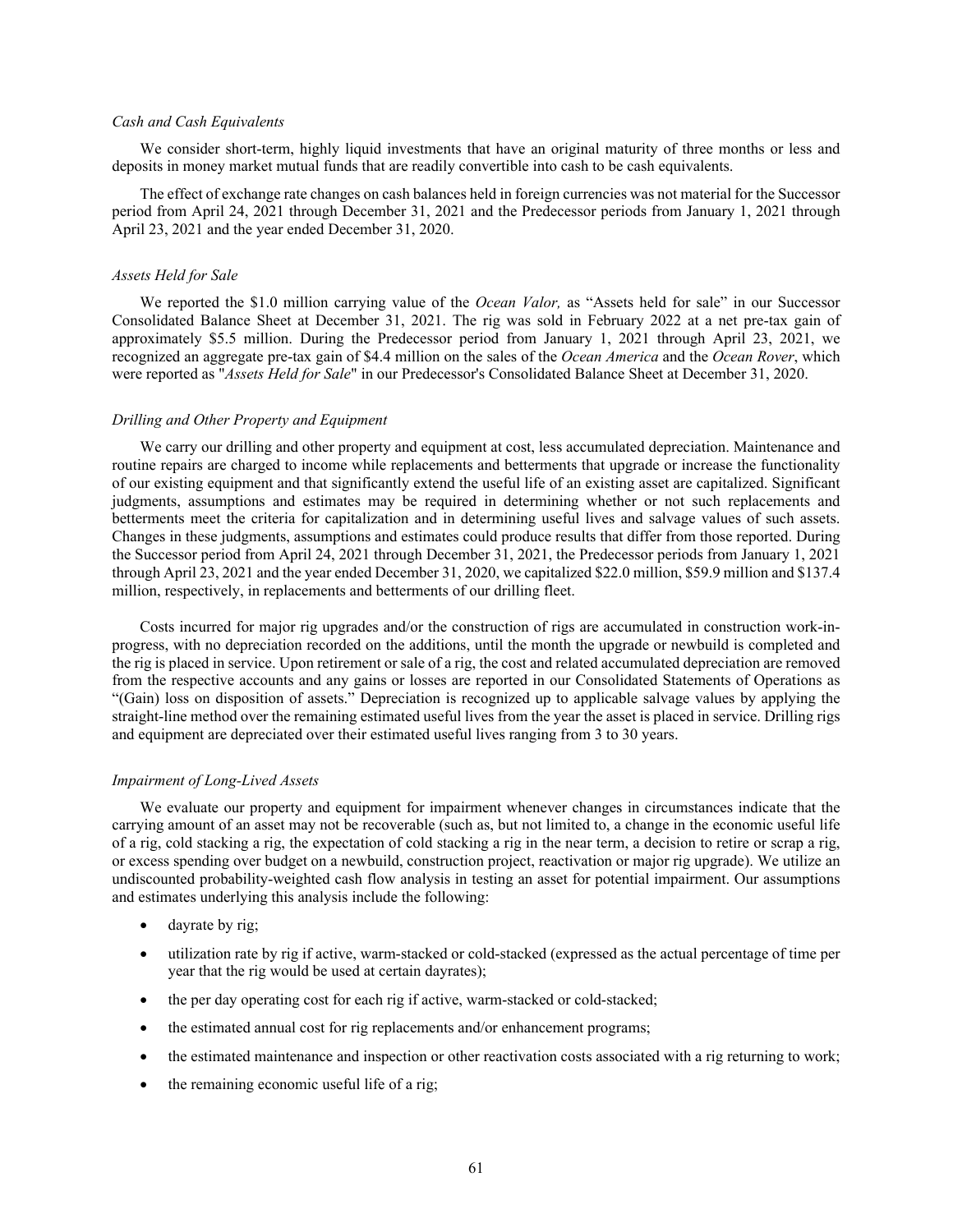### *Cash and Cash Equivalents*

We consider short-term, highly liquid investments that have an original maturity of three months or less and deposits in money market mutual funds that are readily convertible into cash to be cash equivalents.

The effect of exchange rate changes on cash balances held in foreign currencies was not material for the Successor period from April 24, 2021 through December 31, 2021 and the Predecessor periods from January 1, 2021 through April 23, 2021 and the year ended December 31, 2020.

### *Assets Held for Sale*

We reported the \$1.0 million carrying value of the *Ocean Valor,* as "Assets held for sale" in our Successor Consolidated Balance Sheet at December 31, 2021. The rig was sold in February 2022 at a net pre-tax gain of approximately \$5.5 million. During the Predecessor period from January 1, 2021 through April 23, 2021, we recognized an aggregate pre-tax gain of \$4.4 million on the sales of the *Ocean America* and the *Ocean Rover*, which were reported as "*Assets Held for Sale*" in our Predecessor's Consolidated Balance Sheet at December 31, 2020.

### *Drilling and Other Property and Equipment*

We carry our drilling and other property and equipment at cost, less accumulated depreciation. Maintenance and routine repairs are charged to income while replacements and betterments that upgrade or increase the functionality of our existing equipment and that significantly extend the useful life of an existing asset are capitalized. Significant judgments, assumptions and estimates may be required in determining whether or not such replacements and betterments meet the criteria for capitalization and in determining useful lives and salvage values of such assets. Changes in these judgments, assumptions and estimates could produce results that differ from those reported. During the Successor period from April 24, 2021 through December 31, 2021, the Predecessor periods from January 1, 2021 through April 23, 2021 and the year ended December 31, 2020, we capitalized \$22.0 million, \$59.9 million and \$137.4 million, respectively, in replacements and betterments of our drilling fleet.

Costs incurred for major rig upgrades and/or the construction of rigs are accumulated in construction work-inprogress, with no depreciation recorded on the additions, until the month the upgrade or newbuild is completed and the rig is placed in service. Upon retirement or sale of a rig, the cost and related accumulated depreciation are removed from the respective accounts and any gains or losses are reported in our Consolidated Statements of Operations as "(Gain) loss on disposition of assets." Depreciation is recognized up to applicable salvage values by applying the straight-line method over the remaining estimated useful lives from the year the asset is placed in service. Drilling rigs and equipment are depreciated over their estimated useful lives ranging from 3 to 30 years.

### *Impairment of Long-Lived Assets*

We evaluate our property and equipment for impairment whenever changes in circumstances indicate that the carrying amount of an asset may not be recoverable (such as, but not limited to, a change in the economic useful life of a rig, cold stacking a rig, the expectation of cold stacking a rig in the near term, a decision to retire or scrap a rig, or excess spending over budget on a newbuild, construction project, reactivation or major rig upgrade). We utilize an undiscounted probability-weighted cash flow analysis in testing an asset for potential impairment. Our assumptions and estimates underlying this analysis include the following:

- dayrate by rig;
- utilization rate by rig if active, warm-stacked or cold-stacked (expressed as the actual percentage of time per year that the rig would be used at certain dayrates);
- the per day operating cost for each rig if active, warm-stacked or cold-stacked;
- the estimated annual cost for rig replacements and/or enhancement programs;
- the estimated maintenance and inspection or other reactivation costs associated with a rig returning to work;
- the remaining economic useful life of a rig;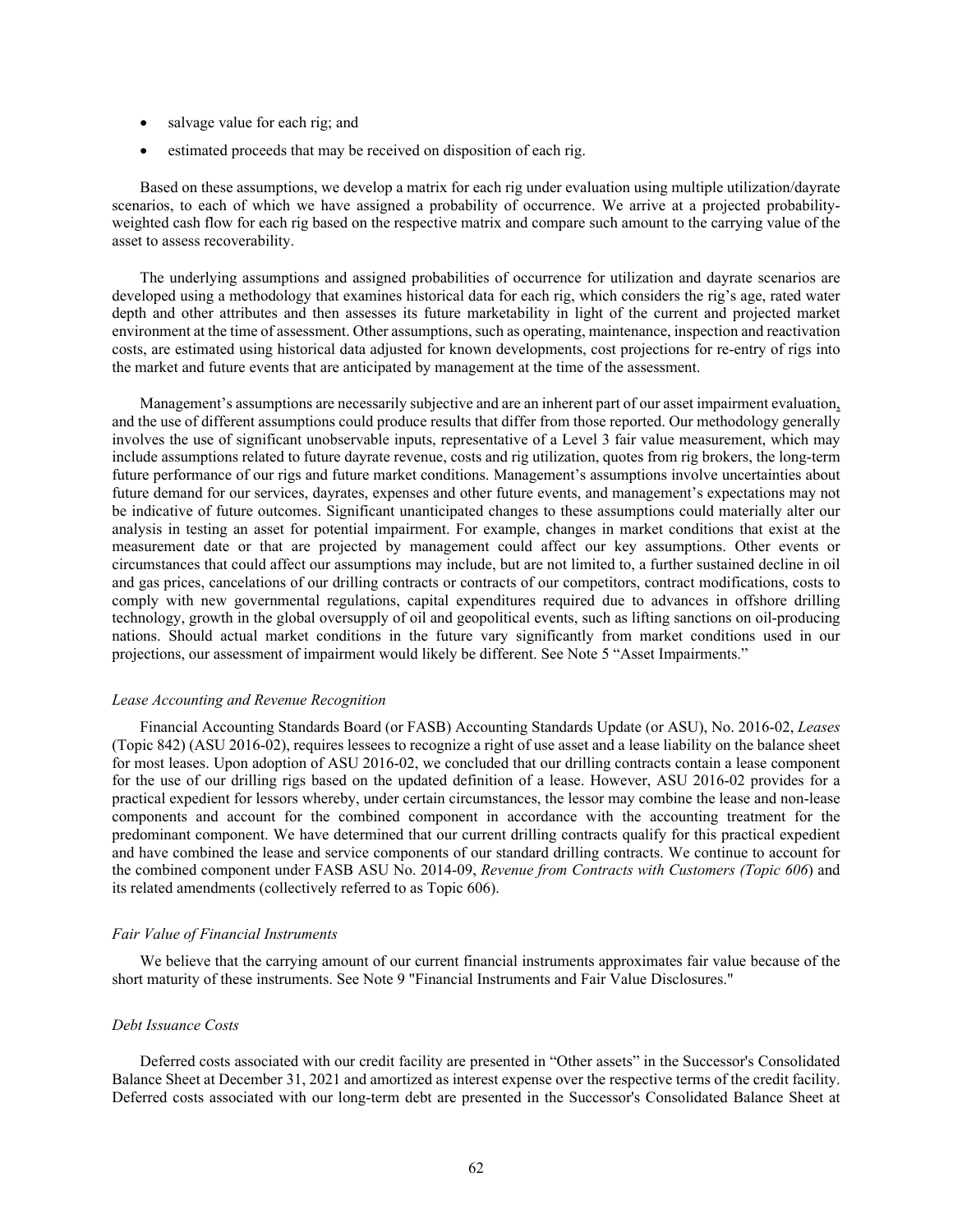- salvage value for each rig; and
- estimated proceeds that may be received on disposition of each rig.

Based on these assumptions, we develop a matrix for each rig under evaluation using multiple utilization/dayrate scenarios, to each of which we have assigned a probability of occurrence. We arrive at a projected probabilityweighted cash flow for each rig based on the respective matrix and compare such amount to the carrying value of the asset to assess recoverability.

The underlying assumptions and assigned probabilities of occurrence for utilization and dayrate scenarios are developed using a methodology that examines historical data for each rig, which considers the rig's age, rated water depth and other attributes and then assesses its future marketability in light of the current and projected market environment at the time of assessment. Other assumptions, such as operating, maintenance, inspection and reactivation costs, are estimated using historical data adjusted for known developments, cost projections for re-entry of rigs into the market and future events that are anticipated by management at the time of the assessment.

Management's assumptions are necessarily subjective and are an inherent part of our asset impairment evaluation, and the use of different assumptions could produce results that differ from those reported. Our methodology generally involves the use of significant unobservable inputs, representative of a Level 3 fair value measurement, which may include assumptions related to future dayrate revenue, costs and rig utilization, quotes from rig brokers, the long-term future performance of our rigs and future market conditions. Management's assumptions involve uncertainties about future demand for our services, dayrates, expenses and other future events, and management's expectations may not be indicative of future outcomes. Significant unanticipated changes to these assumptions could materially alter our analysis in testing an asset for potential impairment. For example, changes in market conditions that exist at the measurement date or that are projected by management could affect our key assumptions. Other events or circumstances that could affect our assumptions may include, but are not limited to, a further sustained decline in oil and gas prices, cancelations of our drilling contracts or contracts of our competitors, contract modifications, costs to comply with new governmental regulations, capital expenditures required due to advances in offshore drilling technology, growth in the global oversupply of oil and geopolitical events, such as lifting sanctions on oil-producing nations. Should actual market conditions in the future vary significantly from market conditions used in our projections, our assessment of impairment would likely be different. See Note 5 "Asset Impairments."

### *Lease Accounting and Revenue Recognition*

Financial Accounting Standards Board (or FASB) Accounting Standards Update (or ASU), No. 2016-02, *Leases* (Topic 842) (ASU 2016-02), requires lessees to recognize a right of use asset and a lease liability on the balance sheet for most leases. Upon adoption of ASU 2016-02, we concluded that our drilling contracts contain a lease component for the use of our drilling rigs based on the updated definition of a lease. However, ASU 2016-02 provides for a practical expedient for lessors whereby, under certain circumstances, the lessor may combine the lease and non-lease components and account for the combined component in accordance with the accounting treatment for the predominant component. We have determined that our current drilling contracts qualify for this practical expedient and have combined the lease and service components of our standard drilling contracts. We continue to account for the combined component under FASB ASU No. 2014-09, *Revenue from Contracts with Customers (Topic 606*) and its related amendments (collectively referred to as Topic 606).

#### *Fair Value of Financial Instruments*

We believe that the carrying amount of our current financial instruments approximates fair value because of the short maturity of these instruments. See Note 9 "Financial Instruments and Fair Value Disclosures."

## *Debt Issuance Costs*

Deferred costs associated with our credit facility are presented in "Other assets" in the Successor's Consolidated Balance Sheet at December 31, 2021 and amortized as interest expense over the respective terms of the credit facility. Deferred costs associated with our long-term debt are presented in the Successor's Consolidated Balance Sheet at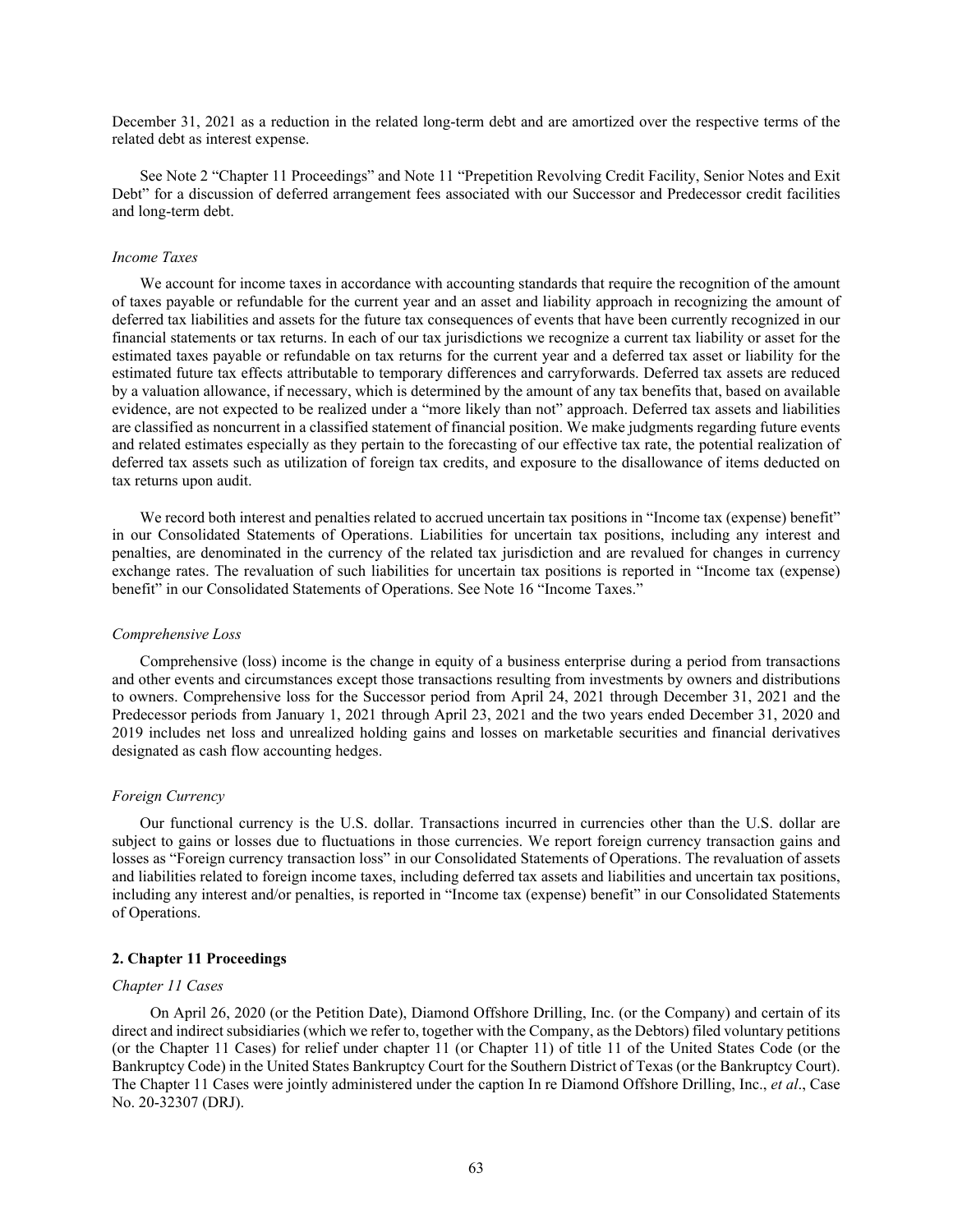December 31, 2021 as a reduction in the related long-term debt and are amortized over the respective terms of the related debt as interest expense.

See Note 2 "Chapter 11 Proceedings" and Note 11 "Prepetition Revolving Credit Facility, Senior Notes and Exit Debt" for a discussion of deferred arrangement fees associated with our Successor and Predecessor credit facilities and long-term debt.

### *Income Taxes*

We account for income taxes in accordance with accounting standards that require the recognition of the amount of taxes payable or refundable for the current year and an asset and liability approach in recognizing the amount of deferred tax liabilities and assets for the future tax consequences of events that have been currently recognized in our financial statements or tax returns. In each of our tax jurisdictions we recognize a current tax liability or asset for the estimated taxes payable or refundable on tax returns for the current year and a deferred tax asset or liability for the estimated future tax effects attributable to temporary differences and carryforwards. Deferred tax assets are reduced by a valuation allowance, if necessary, which is determined by the amount of any tax benefits that, based on available evidence, are not expected to be realized under a "more likely than not" approach. Deferred tax assets and liabilities are classified as noncurrent in a classified statement of financial position. We make judgments regarding future events and related estimates especially as they pertain to the forecasting of our effective tax rate, the potential realization of deferred tax assets such as utilization of foreign tax credits, and exposure to the disallowance of items deducted on tax returns upon audit.

We record both interest and penalties related to accrued uncertain tax positions in "Income tax (expense) benefit" in our Consolidated Statements of Operations. Liabilities for uncertain tax positions, including any interest and penalties, are denominated in the currency of the related tax jurisdiction and are revalued for changes in currency exchange rates. The revaluation of such liabilities for uncertain tax positions is reported in "Income tax (expense) benefit" in our Consolidated Statements of Operations. See Note 16 "Income Taxes."

## *Comprehensive Loss*

Comprehensive (loss) income is the change in equity of a business enterprise during a period from transactions and other events and circumstances except those transactions resulting from investments by owners and distributions to owners. Comprehensive loss for the Successor period from April 24, 2021 through December 31, 2021 and the Predecessor periods from January 1, 2021 through April 23, 2021 and the two years ended December 31, 2020 and 2019 includes net loss and unrealized holding gains and losses on marketable securities and financial derivatives designated as cash flow accounting hedges.

### *Foreign Currency*

Our functional currency is the U.S. dollar. Transactions incurred in currencies other than the U.S. dollar are subject to gains or losses due to fluctuations in those currencies. We report foreign currency transaction gains and losses as "Foreign currency transaction loss" in our Consolidated Statements of Operations. The revaluation of assets and liabilities related to foreign income taxes, including deferred tax assets and liabilities and uncertain tax positions, including any interest and/or penalties, is reported in "Income tax (expense) benefit" in our Consolidated Statements of Operations.

## **2. Chapter 11 Proceedings**

### *Chapter 11 Cases*

On April 26, 2020 (or the Petition Date), Diamond Offshore Drilling, Inc. (or the Company) and certain of its direct and indirect subsidiaries (which we refer to, together with the Company, as the Debtors) filed voluntary petitions (or the Chapter 11 Cases) for relief under chapter 11 (or Chapter 11) of title 11 of the United States Code (or the Bankruptcy Code) in the United States Bankruptcy Court for the Southern District of Texas (or the Bankruptcy Court). The Chapter 11 Cases were jointly administered under the caption In re Diamond Offshore Drilling, Inc., *et al*., Case No. 20-32307 (DRJ).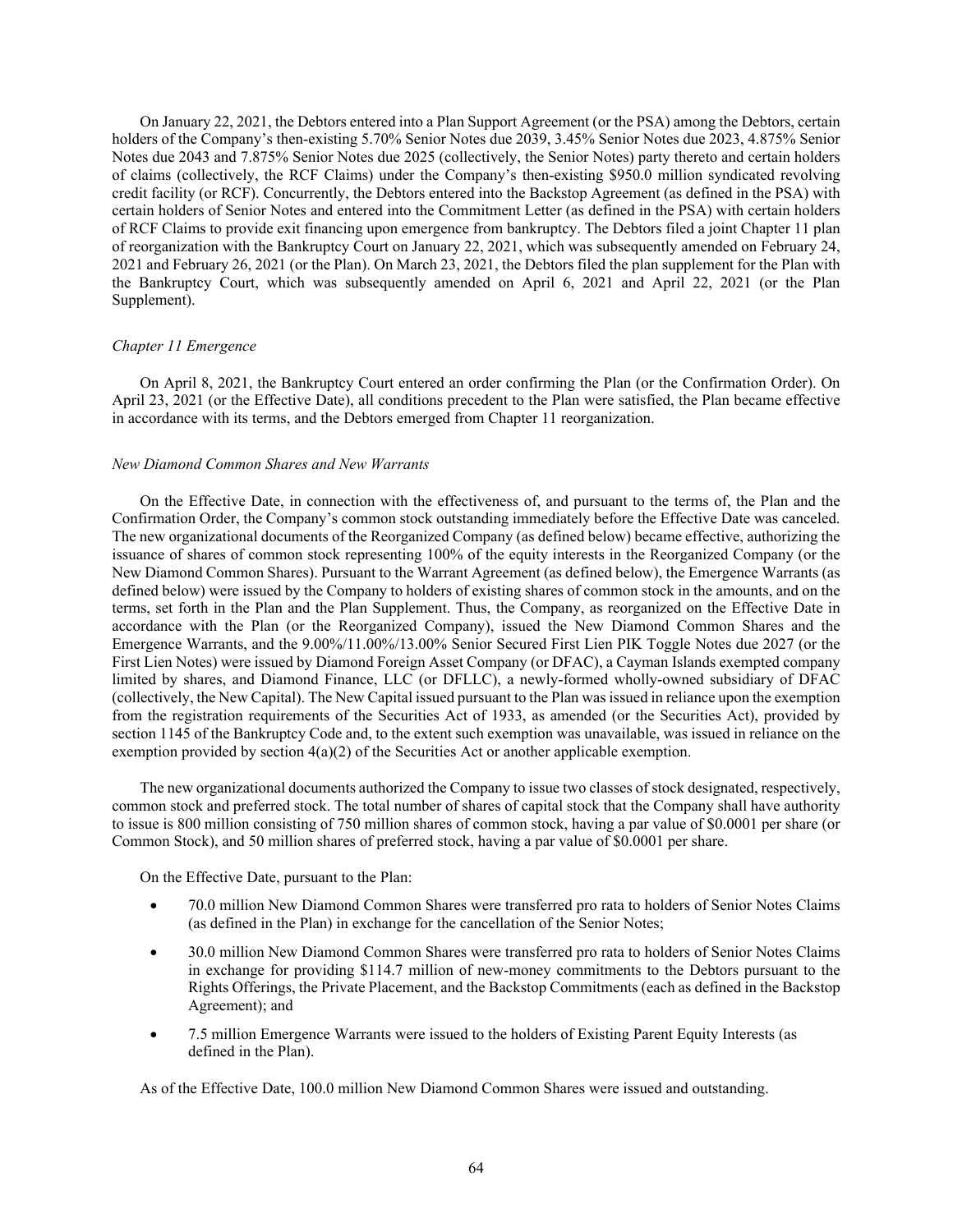On January 22, 2021, the Debtors entered into a Plan Support Agreement (or the PSA) among the Debtors, certain holders of the Company's then-existing 5.70% Senior Notes due 2039, 3.45% Senior Notes due 2023, 4.875% Senior Notes due 2043 and 7.875% Senior Notes due 2025 (collectively, the Senior Notes) party thereto and certain holders of claims (collectively, the RCF Claims) under the Company's then-existing \$950.0 million syndicated revolving credit facility (or RCF). Concurrently, the Debtors entered into the Backstop Agreement (as defined in the PSA) with certain holders of Senior Notes and entered into the Commitment Letter (as defined in the PSA) with certain holders of RCF Claims to provide exit financing upon emergence from bankruptcy. The Debtors filed a joint Chapter 11 plan of reorganization with the Bankruptcy Court on January 22, 2021, which was subsequently amended on February 24, 2021 and February 26, 2021 (or the Plan). On March 23, 2021, the Debtors filed the plan supplement for the Plan with the Bankruptcy Court, which was subsequently amended on April 6, 2021 and April 22, 2021 (or the Plan Supplement).

### *Chapter 11 Emergence*

On April 8, 2021, the Bankruptcy Court entered an order confirming the Plan (or the Confirmation Order). On April 23, 2021 (or the Effective Date), all conditions precedent to the Plan were satisfied, the Plan became effective in accordance with its terms, and the Debtors emerged from Chapter 11 reorganization.

## *New Diamond Common Shares and New Warrants*

On the Effective Date, in connection with the effectiveness of, and pursuant to the terms of, the Plan and the Confirmation Order, the Company's common stock outstanding immediately before the Effective Date was canceled. The new organizational documents of the Reorganized Company (as defined below) became effective, authorizing the issuance of shares of common stock representing 100% of the equity interests in the Reorganized Company (or the New Diamond Common Shares). Pursuant to the Warrant Agreement (as defined below), the Emergence Warrants (as defined below) were issued by the Company to holders of existing shares of common stock in the amounts, and on the terms, set forth in the Plan and the Plan Supplement. Thus, the Company, as reorganized on the Effective Date in accordance with the Plan (or the Reorganized Company), issued the New Diamond Common Shares and the Emergence Warrants, and the 9.00%/11.00%/13.00% Senior Secured First Lien PIK Toggle Notes due 2027 (or the First Lien Notes) were issued by Diamond Foreign Asset Company (or DFAC), a Cayman Islands exempted company limited by shares, and Diamond Finance, LLC (or DFLLC), a newly-formed wholly-owned subsidiary of DFAC (collectively, the New Capital). The New Capital issued pursuant to the Plan was issued in reliance upon the exemption from the registration requirements of the Securities Act of 1933, as amended (or the Securities Act), provided by section 1145 of the Bankruptcy Code and, to the extent such exemption was unavailable, was issued in reliance on the exemption provided by section  $4(a)(2)$  of the Securities Act or another applicable exemption.

The new organizational documents authorized the Company to issue two classes of stock designated, respectively, common stock and preferred stock. The total number of shares of capital stock that the Company shall have authority to issue is 800 million consisting of 750 million shares of common stock, having a par value of \$0.0001 per share (or Common Stock), and 50 million shares of preferred stock, having a par value of \$0.0001 per share.

On the Effective Date, pursuant to the Plan:

- 70.0 million New Diamond Common Shares were transferred pro rata to holders of Senior Notes Claims (as defined in the Plan) in exchange for the cancellation of the Senior Notes;
- 30.0 million New Diamond Common Shares were transferred pro rata to holders of Senior Notes Claims in exchange for providing \$114.7 million of new-money commitments to the Debtors pursuant to the Rights Offerings, the Private Placement, and the Backstop Commitments (each as defined in the Backstop Agreement); and
- 7.5 million Emergence Warrants were issued to the holders of Existing Parent Equity Interests (as defined in the Plan).

As of the Effective Date, 100.0 million New Diamond Common Shares were issued and outstanding.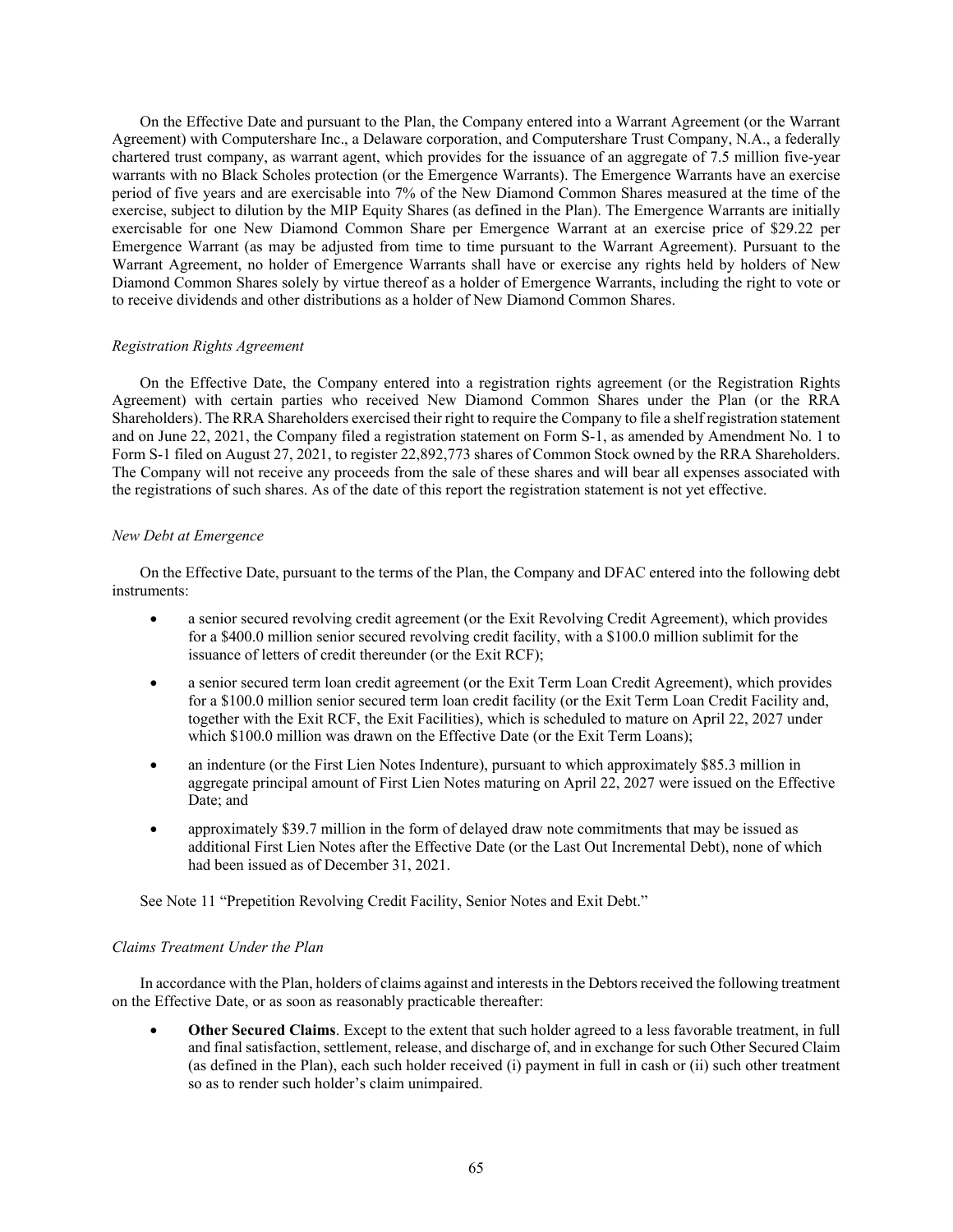On the Effective Date and pursuant to the Plan, the Company entered into a Warrant Agreement (or the Warrant Agreement) with Computershare Inc., a Delaware corporation, and Computershare Trust Company, N.A., a federally chartered trust company, as warrant agent, which provides for the issuance of an aggregate of 7.5 million five-year warrants with no Black Scholes protection (or the Emergence Warrants). The Emergence Warrants have an exercise period of five years and are exercisable into 7% of the New Diamond Common Shares measured at the time of the exercise, subject to dilution by the MIP Equity Shares (as defined in the Plan). The Emergence Warrants are initially exercisable for one New Diamond Common Share per Emergence Warrant at an exercise price of \$29.22 per Emergence Warrant (as may be adjusted from time to time pursuant to the Warrant Agreement). Pursuant to the Warrant Agreement, no holder of Emergence Warrants shall have or exercise any rights held by holders of New Diamond Common Shares solely by virtue thereof as a holder of Emergence Warrants, including the right to vote or to receive dividends and other distributions as a holder of New Diamond Common Shares.

## *Registration Rights Agreement*

On the Effective Date, the Company entered into a registration rights agreement (or the Registration Rights Agreement) with certain parties who received New Diamond Common Shares under the Plan (or the RRA Shareholders). The RRA Shareholders exercised their right to require the Company to file a shelf registration statement and on June 22, 2021, the Company filed a registration statement on Form S-1, as amended by Amendment No. 1 to Form S-1 filed on August 27, 2021, to register 22,892,773 shares of Common Stock owned by the RRA Shareholders. The Company will not receive any proceeds from the sale of these shares and will bear all expenses associated with the registrations of such shares. As of the date of this report the registration statement is not yet effective.

## *New Debt at Emergence*

On the Effective Date, pursuant to the terms of the Plan, the Company and DFAC entered into the following debt instruments:

- a senior secured revolving credit agreement (or the Exit Revolving Credit Agreement), which provides for a \$400.0 million senior secured revolving credit facility, with a \$100.0 million sublimit for the issuance of letters of credit thereunder (or the Exit RCF);
- a senior secured term loan credit agreement (or the Exit Term Loan Credit Agreement), which provides for a \$100.0 million senior secured term loan credit facility (or the Exit Term Loan Credit Facility and, together with the Exit RCF, the Exit Facilities), which is scheduled to mature on April 22, 2027 under which \$100.0 million was drawn on the Effective Date (or the Exit Term Loans);
- an indenture (or the First Lien Notes Indenture), pursuant to which approximately \$85.3 million in aggregate principal amount of First Lien Notes maturing on April 22, 2027 were issued on the Effective Date; and
- approximately \$39.7 million in the form of delayed draw note commitments that may be issued as additional First Lien Notes after the Effective Date (or the Last Out Incremental Debt), none of which had been issued as of December 31, 2021.

See Note 11 "Prepetition Revolving Credit Facility, Senior Notes and Exit Debt."

## *Claims Treatment Under the Plan*

In accordance with the Plan, holders of claims against and interests in the Debtors received the following treatment on the Effective Date, or as soon as reasonably practicable thereafter:

 **Other Secured Claims**. Except to the extent that such holder agreed to a less favorable treatment, in full and final satisfaction, settlement, release, and discharge of, and in exchange for such Other Secured Claim (as defined in the Plan), each such holder received (i) payment in full in cash or (ii) such other treatment so as to render such holder's claim unimpaired.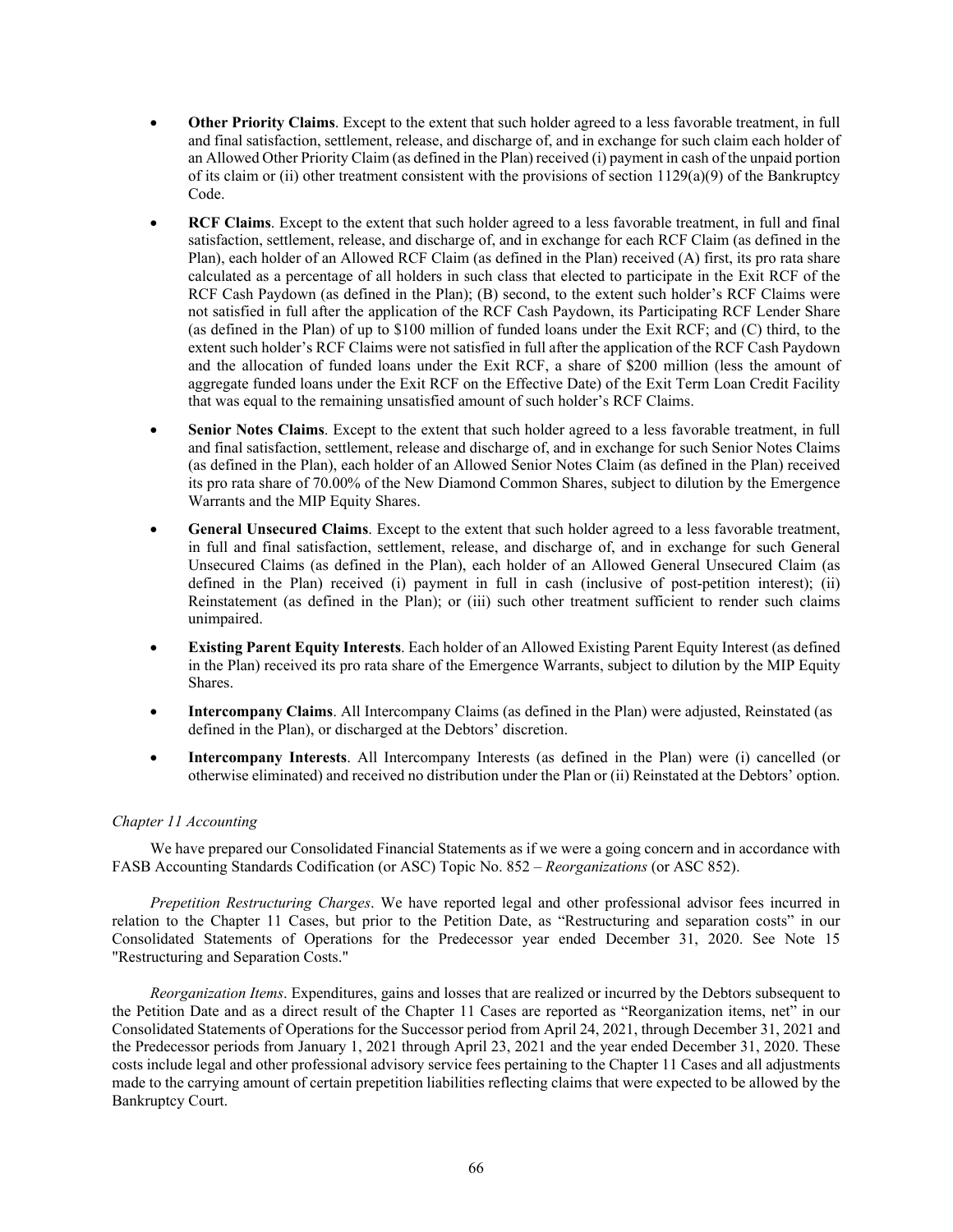- **Other Priority Claims**. Except to the extent that such holder agreed to a less favorable treatment, in full and final satisfaction, settlement, release, and discharge of, and in exchange for such claim each holder of an Allowed Other Priority Claim (as defined in the Plan) received (i) payment in cash of the unpaid portion of its claim or (ii) other treatment consistent with the provisions of section  $1129(a)(9)$  of the Bankruptcy Code.
- **RCF Claims**. Except to the extent that such holder agreed to a less favorable treatment, in full and final satisfaction, settlement, release, and discharge of, and in exchange for each RCF Claim (as defined in the Plan), each holder of an Allowed RCF Claim (as defined in the Plan) received (A) first, its pro rata share calculated as a percentage of all holders in such class that elected to participate in the Exit RCF of the RCF Cash Paydown (as defined in the Plan); (B) second, to the extent such holder's RCF Claims were not satisfied in full after the application of the RCF Cash Paydown, its Participating RCF Lender Share (as defined in the Plan) of up to \$100 million of funded loans under the Exit RCF; and (C) third, to the extent such holder's RCF Claims were not satisfied in full after the application of the RCF Cash Paydown and the allocation of funded loans under the Exit RCF, a share of \$200 million (less the amount of aggregate funded loans under the Exit RCF on the Effective Date) of the Exit Term Loan Credit Facility that was equal to the remaining unsatisfied amount of such holder's RCF Claims.
- **Senior Notes Claims**. Except to the extent that such holder agreed to a less favorable treatment, in full and final satisfaction, settlement, release and discharge of, and in exchange for such Senior Notes Claims (as defined in the Plan), each holder of an Allowed Senior Notes Claim (as defined in the Plan) received its pro rata share of 70.00% of the New Diamond Common Shares, subject to dilution by the Emergence Warrants and the MIP Equity Shares.
- **General Unsecured Claims**. Except to the extent that such holder agreed to a less favorable treatment, in full and final satisfaction, settlement, release, and discharge of, and in exchange for such General Unsecured Claims (as defined in the Plan), each holder of an Allowed General Unsecured Claim (as defined in the Plan) received (i) payment in full in cash (inclusive of post-petition interest); (ii) Reinstatement (as defined in the Plan); or (iii) such other treatment sufficient to render such claims unimpaired.
- **Existing Parent Equity Interests**. Each holder of an Allowed Existing Parent Equity Interest (as defined in the Plan) received its pro rata share of the Emergence Warrants, subject to dilution by the MIP Equity **Shares**
- **Intercompany Claims**. All Intercompany Claims (as defined in the Plan) were adjusted, Reinstated (as defined in the Plan), or discharged at the Debtors' discretion.
- **Intercompany Interests**. All Intercompany Interests (as defined in the Plan) were (i) cancelled (or otherwise eliminated) and received no distribution under the Plan or (ii) Reinstated at the Debtors' option.

## *Chapter 11 Accounting*

We have prepared our Consolidated Financial Statements as if we were a going concern and in accordance with FASB Accounting Standards Codification (or ASC) Topic No. 852 – *Reorganizations* (or ASC 852).

*Prepetition Restructuring Charges*. We have reported legal and other professional advisor fees incurred in relation to the Chapter 11 Cases, but prior to the Petition Date, as "Restructuring and separation costs" in our Consolidated Statements of Operations for the Predecessor year ended December 31, 2020. See Note 15 "Restructuring and Separation Costs."

*Reorganization Items*. Expenditures, gains and losses that are realized or incurred by the Debtors subsequent to the Petition Date and as a direct result of the Chapter 11 Cases are reported as "Reorganization items, net" in our Consolidated Statements of Operations for the Successor period from April 24, 2021, through December 31, 2021 and the Predecessor periods from January 1, 2021 through April 23, 2021 and the year ended December 31, 2020. These costs include legal and other professional advisory service fees pertaining to the Chapter 11 Cases and all adjustments made to the carrying amount of certain prepetition liabilities reflecting claims that were expected to be allowed by the Bankruptcy Court.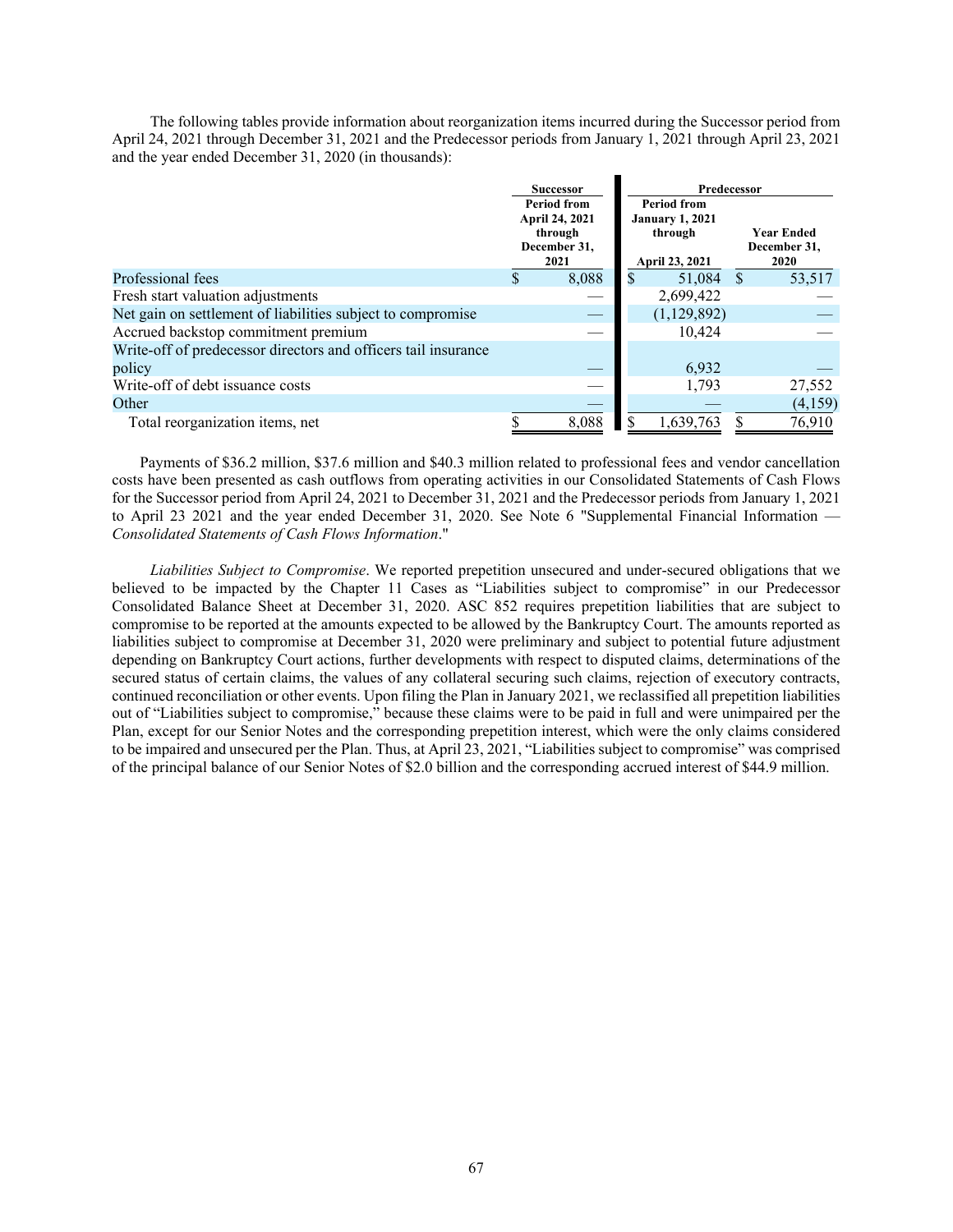The following tables provide information about reorganization items incurred during the Successor period from April 24, 2021 through December 31, 2021 and the Predecessor periods from January 1, 2021 through April 23, 2021 and the year ended December 31, 2020 (in thousands):

|                                                                | <b>Successor</b><br><b>Period from</b><br>April 24, 2021<br>through |                      |  | Predecessor<br><b>Period from</b><br><b>January 1, 2021</b><br>through |    | <b>Year Ended</b>    |
|----------------------------------------------------------------|---------------------------------------------------------------------|----------------------|--|------------------------------------------------------------------------|----|----------------------|
|                                                                |                                                                     | December 31,<br>2021 |  | April 23, 2021                                                         |    | December 31,<br>2020 |
| Professional fees                                              | S                                                                   | 8,088                |  | 51,084                                                                 | -S | 53,517               |
| Fresh start valuation adjustments                              |                                                                     |                      |  | 2,699,422                                                              |    |                      |
| Net gain on settlement of liabilities subject to compromise    |                                                                     |                      |  | (1,129,892)                                                            |    |                      |
| Accrued backstop commitment premium                            |                                                                     |                      |  | 10,424                                                                 |    |                      |
| Write-off of predecessor directors and officers tail insurance |                                                                     |                      |  |                                                                        |    |                      |
| policy                                                         |                                                                     |                      |  | 6,932                                                                  |    |                      |
| Write-off of debt issuance costs                               |                                                                     |                      |  | 1,793                                                                  |    | 27,552               |
| Other                                                          |                                                                     |                      |  |                                                                        |    | (4,159)              |
| Total reorganization items, net                                |                                                                     | 8,088                |  | 1,639,763                                                              |    | 76,910               |

Payments of \$36.2 million, \$37.6 million and \$40.3 million related to professional fees and vendor cancellation costs have been presented as cash outflows from operating activities in our Consolidated Statements of Cash Flows for the Successor period from April 24, 2021 to December 31, 2021 and the Predecessor periods from January 1, 2021 to April 23 2021 and the year ended December 31, 2020. See Note 6 "Supplemental Financial Information — *Consolidated Statements of Cash Flows Information*."

*Liabilities Subject to Compromise*. We reported prepetition unsecured and under-secured obligations that we believed to be impacted by the Chapter 11 Cases as "Liabilities subject to compromise" in our Predecessor Consolidated Balance Sheet at December 31, 2020. ASC 852 requires prepetition liabilities that are subject to compromise to be reported at the amounts expected to be allowed by the Bankruptcy Court. The amounts reported as liabilities subject to compromise at December 31, 2020 were preliminary and subject to potential future adjustment depending on Bankruptcy Court actions, further developments with respect to disputed claims, determinations of the secured status of certain claims, the values of any collateral securing such claims, rejection of executory contracts, continued reconciliation or other events. Upon filing the Plan in January 2021, we reclassified all prepetition liabilities out of "Liabilities subject to compromise," because these claims were to be paid in full and were unimpaired per the Plan, except for our Senior Notes and the corresponding prepetition interest, which were the only claims considered to be impaired and unsecured per the Plan. Thus, at April 23, 2021, "Liabilities subject to compromise" was comprised of the principal balance of our Senior Notes of \$2.0 billion and the corresponding accrued interest of \$44.9 million.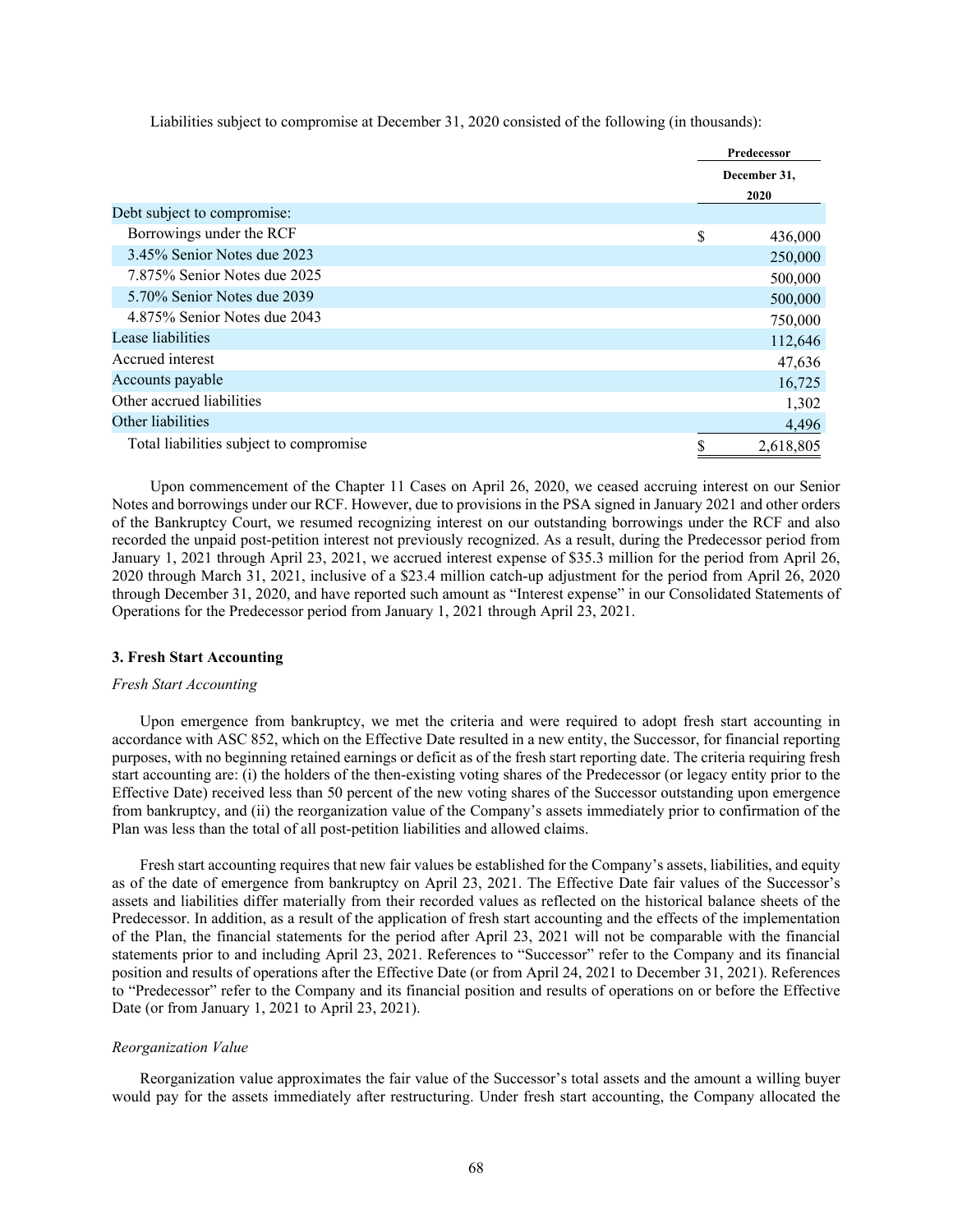Liabilities subject to compromise at December 31, 2020 consisted of the following (in thousands):

|                                         | Predecessor     |
|-----------------------------------------|-----------------|
|                                         | December 31,    |
|                                         | 2020            |
| Debt subject to compromise:             |                 |
| Borrowings under the RCF                | \$<br>436,000   |
| 3.45% Senior Notes due 2023             | 250,000         |
| 7.875% Senior Notes due 2025            | 500,000         |
| 5.70% Senior Notes due 2039             | 500,000         |
| 4.875% Senior Notes due 2043            | 750,000         |
| Lease liabilities                       | 112,646         |
| Accrued interest                        | 47,636          |
| Accounts payable                        | 16,725          |
| Other accrued liabilities               | 1,302           |
| Other liabilities                       | 4,496           |
| Total liabilities subject to compromise | \$<br>2,618,805 |

Upon commencement of the Chapter 11 Cases on April 26, 2020, we ceased accruing interest on our Senior Notes and borrowings under our RCF. However, due to provisions in the PSA signed in January 2021 and other orders of the Bankruptcy Court, we resumed recognizing interest on our outstanding borrowings under the RCF and also recorded the unpaid post-petition interest not previously recognized. As a result, during the Predecessor period from January 1, 2021 through April 23, 2021, we accrued interest expense of \$35.3 million for the period from April 26, 2020 through March 31, 2021, inclusive of a \$23.4 million catch-up adjustment for the period from April 26, 2020 through December 31, 2020, and have reported such amount as "Interest expense" in our Consolidated Statements of Operations for the Predecessor period from January 1, 2021 through April 23, 2021.

## **3. Fresh Start Accounting**

### *Fresh Start Accounting*

Upon emergence from bankruptcy, we met the criteria and were required to adopt fresh start accounting in accordance with ASC 852, which on the Effective Date resulted in a new entity, the Successor, for financial reporting purposes, with no beginning retained earnings or deficit as of the fresh start reporting date. The criteria requiring fresh start accounting are: (i) the holders of the then-existing voting shares of the Predecessor (or legacy entity prior to the Effective Date) received less than 50 percent of the new voting shares of the Successor outstanding upon emergence from bankruptcy, and (ii) the reorganization value of the Company's assets immediately prior to confirmation of the Plan was less than the total of all post-petition liabilities and allowed claims.

Fresh start accounting requires that new fair values be established for the Company's assets, liabilities, and equity as of the date of emergence from bankruptcy on April 23, 2021. The Effective Date fair values of the Successor's assets and liabilities differ materially from their recorded values as reflected on the historical balance sheets of the Predecessor. In addition, as a result of the application of fresh start accounting and the effects of the implementation of the Plan, the financial statements for the period after April 23, 2021 will not be comparable with the financial statements prior to and including April 23, 2021. References to "Successor" refer to the Company and its financial position and results of operations after the Effective Date (or from April 24, 2021 to December 31, 2021). References to "Predecessor" refer to the Company and its financial position and results of operations on or before the Effective Date (or from January 1, 2021 to April 23, 2021).

## *Reorganization Value*

Reorganization value approximates the fair value of the Successor's total assets and the amount a willing buyer would pay for the assets immediately after restructuring. Under fresh start accounting, the Company allocated the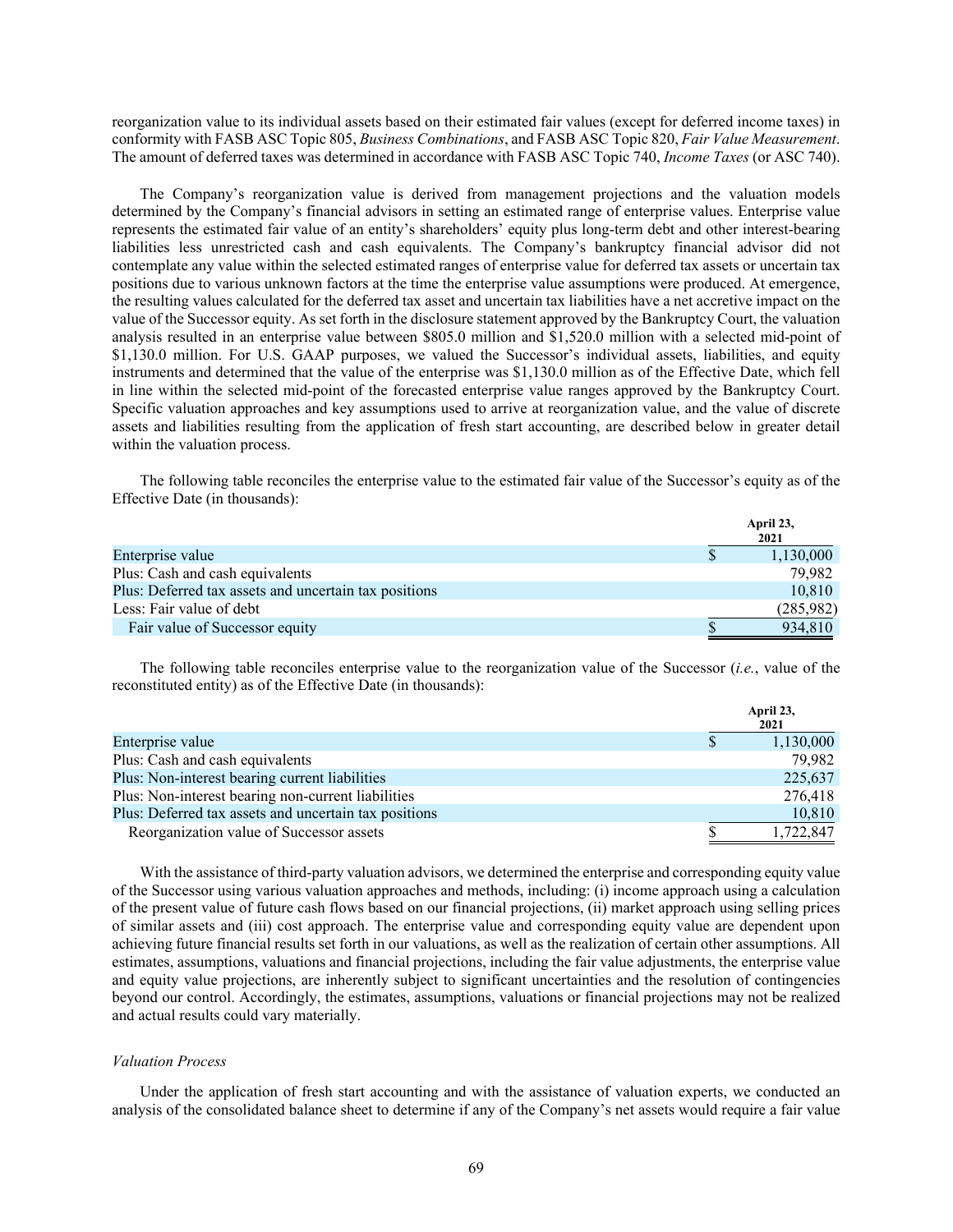reorganization value to its individual assets based on their estimated fair values (except for deferred income taxes) in conformity with FASB ASC Topic 805, *Business Combinations*, and FASB ASC Topic 820, *Fair Value Measurement*. The amount of deferred taxes was determined in accordance with FASB ASC Topic 740, *Income Taxes* (or ASC 740).

The Company's reorganization value is derived from management projections and the valuation models determined by the Company's financial advisors in setting an estimated range of enterprise values. Enterprise value represents the estimated fair value of an entity's shareholders' equity plus long-term debt and other interest-bearing liabilities less unrestricted cash and cash equivalents. The Company's bankruptcy financial advisor did not contemplate any value within the selected estimated ranges of enterprise value for deferred tax assets or uncertain tax positions due to various unknown factors at the time the enterprise value assumptions were produced. At emergence, the resulting values calculated for the deferred tax asset and uncertain tax liabilities have a net accretive impact on the value of the Successor equity. As set forth in the disclosure statement approved by the Bankruptcy Court, the valuation analysis resulted in an enterprise value between \$805.0 million and \$1,520.0 million with a selected mid-point of \$1,130.0 million. For U.S. GAAP purposes, we valued the Successor's individual assets, liabilities, and equity instruments and determined that the value of the enterprise was \$1,130.0 million as of the Effective Date, which fell in line within the selected mid-point of the forecasted enterprise value ranges approved by the Bankruptcy Court. Specific valuation approaches and key assumptions used to arrive at reorganization value, and the value of discrete assets and liabilities resulting from the application of fresh start accounting, are described below in greater detail within the valuation process.

The following table reconciles the enterprise value to the estimated fair value of the Successor's equity as of the Effective Date (in thousands):

|                                                       | April 23,<br>2021 |
|-------------------------------------------------------|-------------------|
| Enterprise value                                      | 1,130,000         |
| Plus: Cash and cash equivalents                       | 79.982            |
| Plus: Deferred tax assets and uncertain tax positions | 10.810            |
| Less: Fair value of debt                              | (285,982)         |
| Fair value of Successor equity                        | 934,810           |

The following table reconciles enterprise value to the reorganization value of the Successor (*i.e.*, value of the reconstituted entity) as of the Effective Date (in thousands):

|                                                       | April 23,<br>2021 |
|-------------------------------------------------------|-------------------|
| Enterprise value                                      | 1,130,000         |
| Plus: Cash and cash equivalents                       | 79.982            |
| Plus: Non-interest bearing current liabilities        | 225,637           |
| Plus: Non-interest bearing non-current liabilities    | 276,418           |
| Plus: Deferred tax assets and uncertain tax positions | 10,810            |
| Reorganization value of Successor assets              | 1,722,847         |

With the assistance of third-party valuation advisors, we determined the enterprise and corresponding equity value of the Successor using various valuation approaches and methods, including: (i) income approach using a calculation of the present value of future cash flows based on our financial projections, (ii) market approach using selling prices of similar assets and (iii) cost approach. The enterprise value and corresponding equity value are dependent upon achieving future financial results set forth in our valuations, as well as the realization of certain other assumptions. All estimates, assumptions, valuations and financial projections, including the fair value adjustments, the enterprise value and equity value projections, are inherently subject to significant uncertainties and the resolution of contingencies beyond our control. Accordingly, the estimates, assumptions, valuations or financial projections may not be realized and actual results could vary materially.

## *Valuation Process*

Under the application of fresh start accounting and with the assistance of valuation experts, we conducted an analysis of the consolidated balance sheet to determine if any of the Company's net assets would require a fair value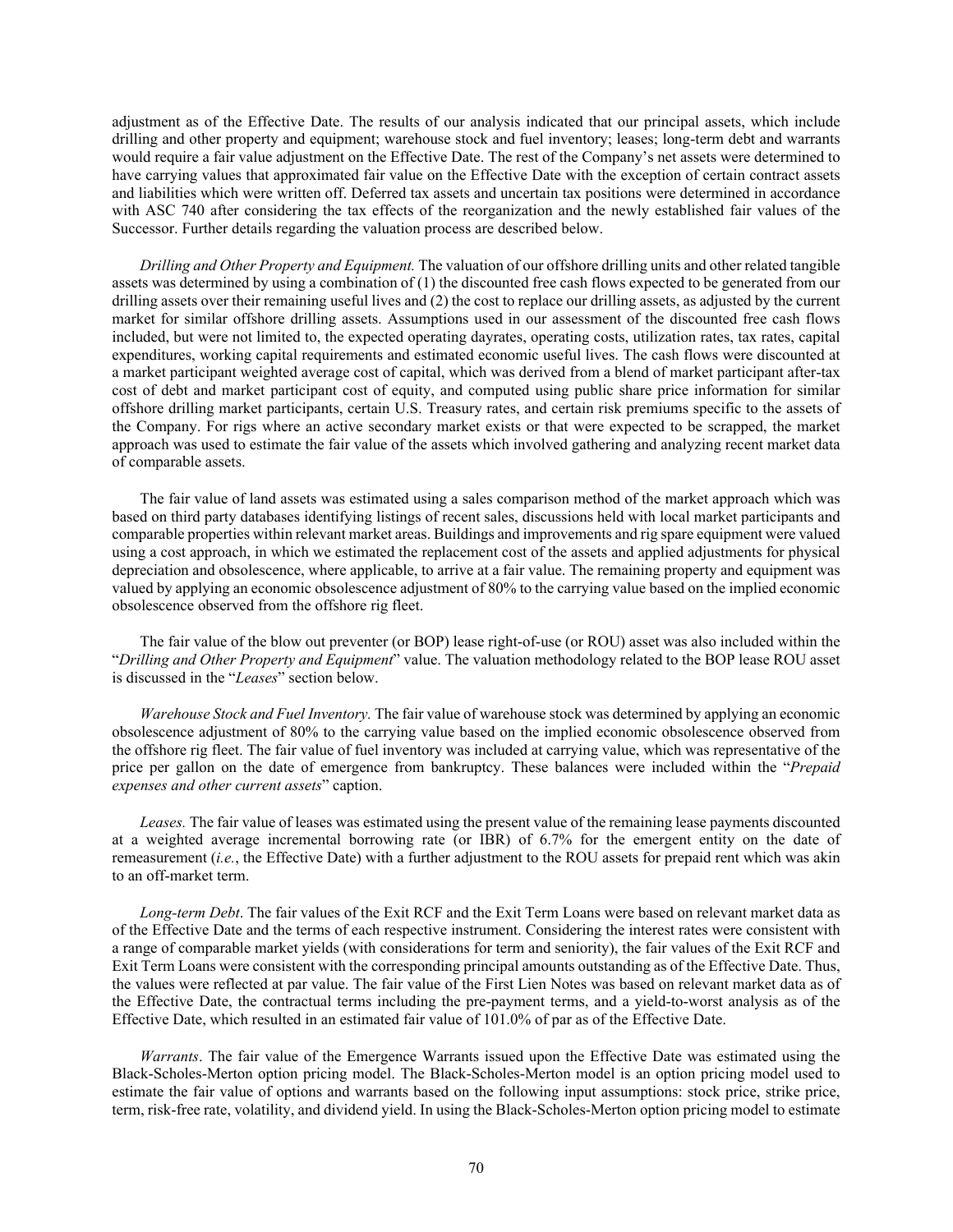adjustment as of the Effective Date. The results of our analysis indicated that our principal assets, which include drilling and other property and equipment; warehouse stock and fuel inventory; leases; long-term debt and warrants would require a fair value adjustment on the Effective Date. The rest of the Company's net assets were determined to have carrying values that approximated fair value on the Effective Date with the exception of certain contract assets and liabilities which were written off. Deferred tax assets and uncertain tax positions were determined in accordance with ASC 740 after considering the tax effects of the reorganization and the newly established fair values of the Successor. Further details regarding the valuation process are described below.

*Drilling and Other Property and Equipment.* The valuation of our offshore drilling units and other related tangible assets was determined by using a combination of (1) the discounted free cash flows expected to be generated from our drilling assets over their remaining useful lives and (2) the cost to replace our drilling assets, as adjusted by the current market for similar offshore drilling assets. Assumptions used in our assessment of the discounted free cash flows included, but were not limited to, the expected operating dayrates, operating costs, utilization rates, tax rates, capital expenditures, working capital requirements and estimated economic useful lives. The cash flows were discounted at a market participant weighted average cost of capital, which was derived from a blend of market participant after-tax cost of debt and market participant cost of equity, and computed using public share price information for similar offshore drilling market participants, certain U.S. Treasury rates, and certain risk premiums specific to the assets of the Company. For rigs where an active secondary market exists or that were expected to be scrapped, the market approach was used to estimate the fair value of the assets which involved gathering and analyzing recent market data of comparable assets.

The fair value of land assets was estimated using a sales comparison method of the market approach which was based on third party databases identifying listings of recent sales, discussions held with local market participants and comparable properties within relevant market areas. Buildings and improvements and rig spare equipment were valued using a cost approach, in which we estimated the replacement cost of the assets and applied adjustments for physical depreciation and obsolescence, where applicable, to arrive at a fair value. The remaining property and equipment was valued by applying an economic obsolescence adjustment of 80% to the carrying value based on the implied economic obsolescence observed from the offshore rig fleet.

The fair value of the blow out preventer (or BOP) lease right-of-use (or ROU) asset was also included within the "*Drilling and Other Property and Equipment*" value. The valuation methodology related to the BOP lease ROU asset is discussed in the "*Leases*" section below.

*Warehouse Stock and Fuel Inventory.* The fair value of warehouse stock was determined by applying an economic obsolescence adjustment of 80% to the carrying value based on the implied economic obsolescence observed from the offshore rig fleet. The fair value of fuel inventory was included at carrying value, which was representative of the price per gallon on the date of emergence from bankruptcy. These balances were included within the "*Prepaid expenses and other current assets*" caption.

*Leases.* The fair value of leases was estimated using the present value of the remaining lease payments discounted at a weighted average incremental borrowing rate (or IBR) of 6.7% for the emergent entity on the date of remeasurement (*i.e.*, the Effective Date) with a further adjustment to the ROU assets for prepaid rent which was akin to an off-market term.

*Long-term Debt*. The fair values of the Exit RCF and the Exit Term Loans were based on relevant market data as of the Effective Date and the terms of each respective instrument. Considering the interest rates were consistent with a range of comparable market yields (with considerations for term and seniority), the fair values of the Exit RCF and Exit Term Loans were consistent with the corresponding principal amounts outstanding as of the Effective Date. Thus, the values were reflected at par value. The fair value of the First Lien Notes was based on relevant market data as of the Effective Date, the contractual terms including the pre-payment terms, and a yield-to-worst analysis as of the Effective Date, which resulted in an estimated fair value of 101.0% of par as of the Effective Date.

*Warrants*. The fair value of the Emergence Warrants issued upon the Effective Date was estimated using the Black-Scholes-Merton option pricing model. The Black-Scholes-Merton model is an option pricing model used to estimate the fair value of options and warrants based on the following input assumptions: stock price, strike price, term, risk-free rate, volatility, and dividend yield. In using the Black-Scholes-Merton option pricing model to estimate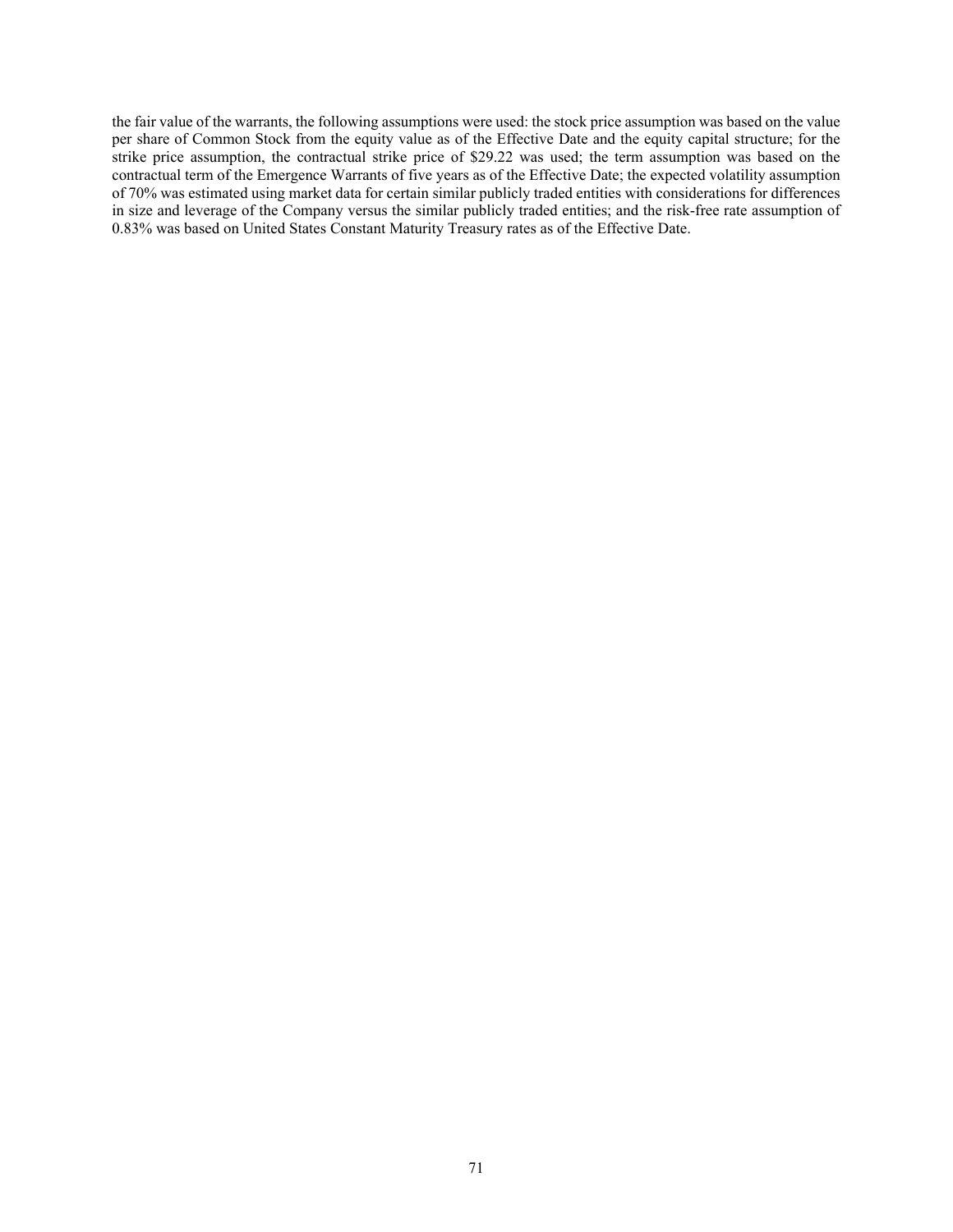the fair value of the warrants, the following assumptions were used: the stock price assumption was based on the value per share of Common Stock from the equity value as of the Effective Date and the equity capital structure; for the strike price assumption, the contractual strike price of \$29.22 was used; the term assumption was based on the contractual term of the Emergence Warrants of five years as of the Effective Date; the expected volatility assumption of 70% was estimated using market data for certain similar publicly traded entities with considerations for differences in size and leverage of the Company versus the similar publicly traded entities; and the risk-free rate assumption of 0.83% was based on United States Constant Maturity Treasury rates as of the Effective Date.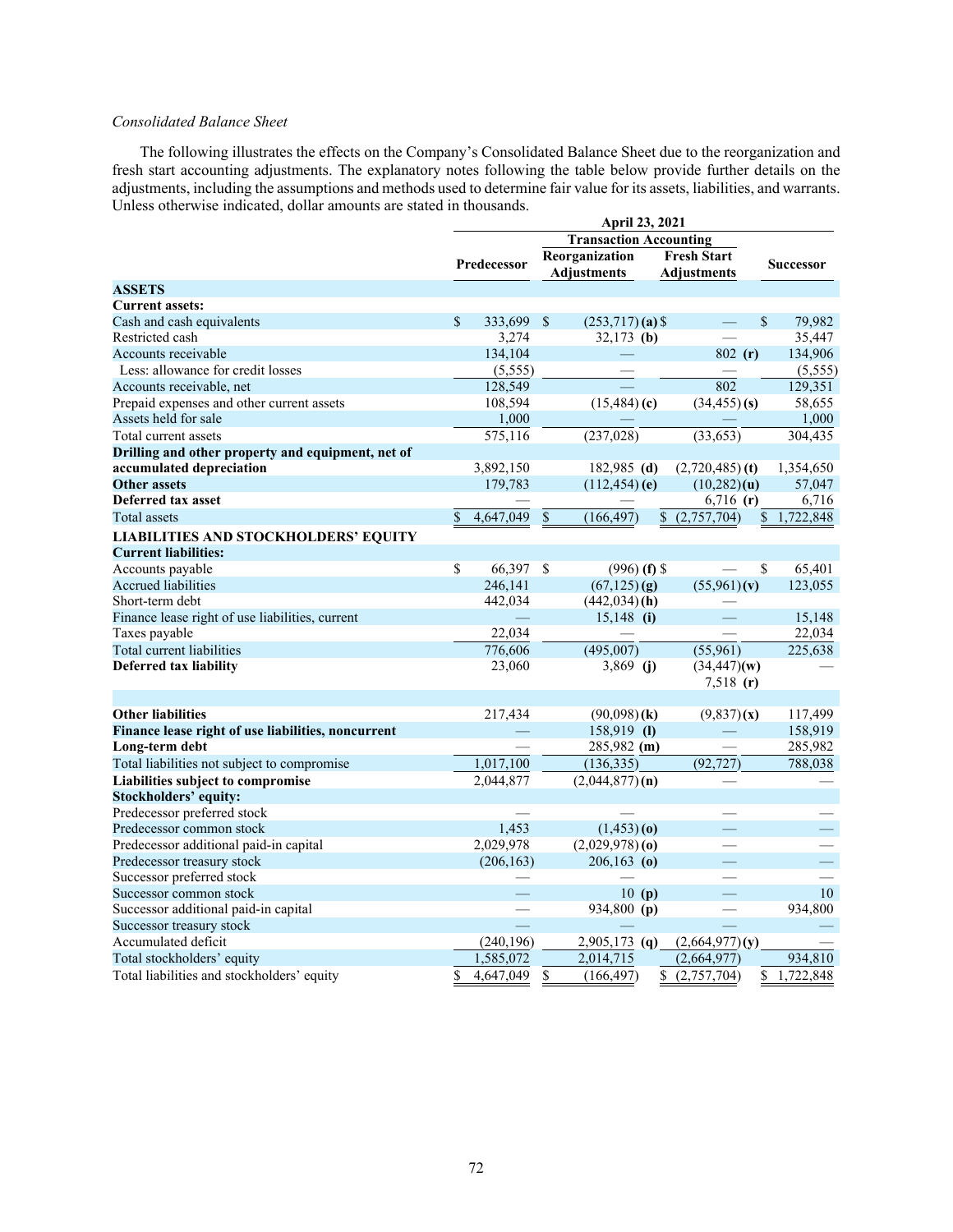# *Consolidated Balance Sheet*

The following illustrates the effects on the Company's Consolidated Balance Sheet due to the reorganization and fresh start accounting adjustments. The explanatory notes following the table below provide further details on the adjustments, including the assumptions and methods used to determine fair value for its assets, liabilities, and warrants. Unless otherwise indicated, dollar amounts are stated in thousands. **April 23, 2021**

|                                                    | April 23, 2021 |                               |                                      |                    |                                          |               |                  |  |
|----------------------------------------------------|----------------|-------------------------------|--------------------------------------|--------------------|------------------------------------------|---------------|------------------|--|
|                                                    |                | <b>Transaction Accounting</b> |                                      |                    |                                          |               |                  |  |
|                                                    | Predecessor    |                               | Reorganization<br><b>Adjustments</b> |                    | <b>Fresh Start</b><br><b>Adjustments</b> |               | <b>Successor</b> |  |
| <b>ASSETS</b>                                      |                |                               |                                      |                    |                                          |               |                  |  |
| <b>Current assets:</b>                             |                |                               |                                      |                    |                                          |               |                  |  |
| Cash and cash equivalents                          | $\mathbf S$    | 333,699                       | <sup>\$</sup>                        | $(253,717)$ (a) \$ |                                          | $\mathcal{S}$ | 79,982           |  |
| Restricted cash                                    |                | 3,274                         |                                      | $32,173$ (b)       |                                          |               | 35,447           |  |
| Accounts receivable                                |                | 134,104                       |                                      |                    | 802(r)                                   |               | 134,906          |  |
| Less: allowance for credit losses                  |                | (5, 555)                      |                                      |                    |                                          |               | (5, 555)         |  |
| Accounts receivable, net                           |                | 128,549                       |                                      |                    | $\overline{802}$                         |               | 129,351          |  |
| Prepaid expenses and other current assets          |                | 108,594                       |                                      | $(15, 484)$ (c)    | $(34, 455)$ (s)                          |               | 58,655           |  |
| Assets held for sale                               |                | 1,000                         |                                      |                    |                                          |               | 1,000            |  |
| Total current assets                               |                | $\overline{575,116}$          |                                      | (237, 028)         | (33, 653)                                |               | 304,435          |  |
| Drilling and other property and equipment, net of  |                |                               |                                      |                    |                                          |               |                  |  |
| accumulated depreciation                           |                | 3,892,150                     |                                      | $182,985$ (d)      | $(2,720,485)$ (t)                        |               | 1,354,650        |  |
| <b>Other assets</b>                                |                | 179,783                       |                                      | $(112, 454)$ (e)   | $(10,282)$ (u)                           |               | 57,047           |  |
| Deferred tax asset                                 |                |                               |                                      |                    | 6,716 (r)                                |               | 6,716            |  |
| <b>Total</b> assets                                | \$             | 4,647,049                     | $\mathbf S$                          | (166, 497)         | (2,757,704)                              | \$            | 1,722,848        |  |
| <b>LIABILITIES AND STOCKHOLDERS' EQUITY</b>        |                |                               |                                      |                    |                                          |               |                  |  |
| <b>Current liabilities:</b>                        |                |                               |                                      |                    |                                          |               |                  |  |
| Accounts payable                                   | \$             | 66,397 \$                     |                                      | $(996)$ (f) \$     |                                          | \$            | 65,401           |  |
| <b>Accrued liabilities</b>                         |                | 246,141                       |                                      | $(67, 125)$ (g)    | $(55,961)$ (v)                           |               | 123,055          |  |
| Short-term debt                                    |                | 442,034                       |                                      | $(442, 034)$ (h)   |                                          |               |                  |  |
| Finance lease right of use liabilities, current    |                |                               |                                      | $15,148$ (i)       |                                          |               | 15,148           |  |
| Taxes payable                                      |                | 22,034                        |                                      |                    |                                          |               | 22,034           |  |
| Total current liabilities                          |                | 776,606                       |                                      | (495,007)          | (55,961)                                 |               | 225,638          |  |
| <b>Deferred tax liability</b>                      |                | 23,060                        |                                      | $3,869$ (j)        | (34, 447)(w)                             |               |                  |  |
|                                                    |                |                               |                                      |                    | 7,518 (r)                                |               |                  |  |
| <b>Other liabilities</b>                           |                | 217,434                       |                                      | $(90,098)$ (k)     | $(9,837)$ (x)                            |               | 117,499          |  |
| Finance lease right of use liabilities, noncurrent |                |                               |                                      | 158,919 (I)        |                                          |               | 158,919          |  |
| Long-term debt                                     |                |                               |                                      | $285,982$ (m)      |                                          |               | 285,982          |  |
| Total liabilities not subject to compromise        |                | 1,017,100                     |                                      | (136, 335)         | (92, 727)                                |               | 788,038          |  |
| Liabilities subject to compromise                  |                | 2,044,877                     |                                      | $(2,044,877)$ (n)  |                                          |               |                  |  |
| <b>Stockholders' equity:</b>                       |                |                               |                                      |                    |                                          |               |                  |  |
| Predecessor preferred stock                        |                |                               |                                      |                    |                                          |               |                  |  |
| Predecessor common stock                           |                | 1,453                         |                                      | $(1,453)$ (0)      |                                          |               |                  |  |
| Predecessor additional paid-in capital             |                | 2,029,978                     |                                      | $(2,029,978)$ (o)  |                                          |               |                  |  |
| Predecessor treasury stock                         |                | (206, 163)                    |                                      | $206,163$ (o)      |                                          |               |                  |  |
| Successor preferred stock                          |                |                               |                                      |                    |                                          |               |                  |  |
| Successor common stock                             |                |                               |                                      | 10(p)              |                                          |               | 10               |  |
| Successor additional paid-in capital               |                |                               |                                      | 934,800 (p)        |                                          |               | 934,800          |  |
| Successor treasury stock                           |                |                               |                                      |                    |                                          |               |                  |  |
| Accumulated deficit                                |                | (240, 196)                    |                                      | $2,905,173$ (q)    | (2,664,977)(y)                           |               |                  |  |
| Total stockholders' equity                         |                | 1,585,072                     |                                      | 2,014,715          | (2,664,977)                              |               | 934,810          |  |
| Total liabilities and stockholders' equity         | \$             | 4,647,049                     | \$                                   | (166, 497)         | (2,757,704)<br>\$                        | \$            | 1,722,848        |  |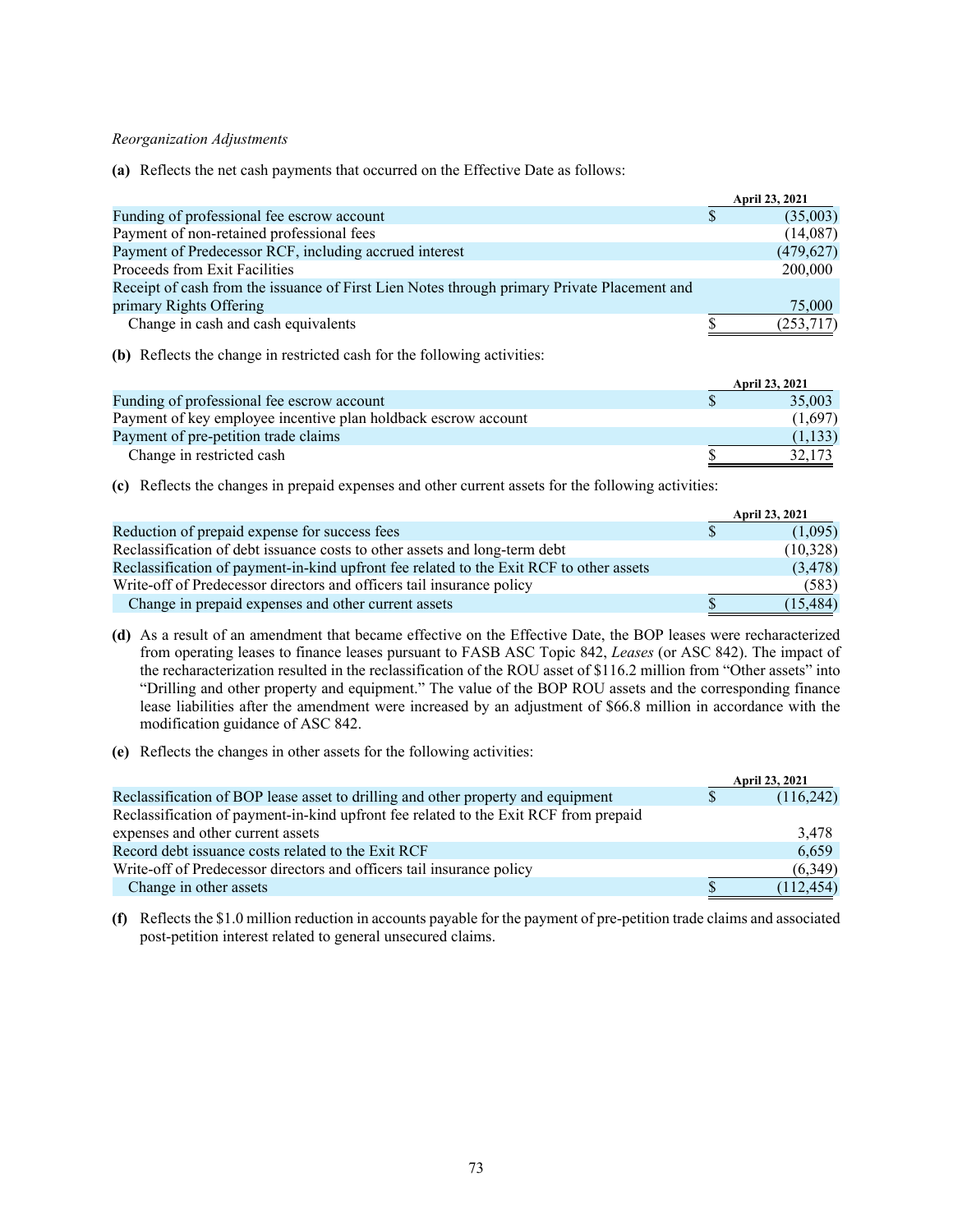### *Reorganization Adjustments*

**(a)** Reflects the net cash payments that occurred on the Effective Date as follows:

|                                                                                             | <b>April 23, 2021</b> |
|---------------------------------------------------------------------------------------------|-----------------------|
| Funding of professional fee escrow account                                                  | (35,003)              |
| Payment of non-retained professional fees                                                   | (14,087)              |
| Payment of Predecessor RCF, including accrued interest                                      | (479,627)             |
| Proceeds from Exit Facilities                                                               | 200,000               |
| Receipt of cash from the issuance of First Lien Notes through primary Private Placement and |                       |
| primary Rights Offering                                                                     | 75,000                |
| Change in cash and cash equivalents                                                         | (253, 717)            |

**(b)** Reflects the change in restricted cash for the following activities:

|                                                                | <b>April 23, 2021</b> |  |
|----------------------------------------------------------------|-----------------------|--|
| Funding of professional fee escrow account                     | 35,003                |  |
| Payment of key employee incentive plan holdback escrow account | (1.697)               |  |
| Payment of pre-petition trade claims                           | (1.133)               |  |
| Change in restricted cash                                      | 32.173                |  |

**(c)** Reflects the changes in prepaid expenses and other current assets for the following activities:

|                                                                                         | April 23, 2021 |
|-----------------------------------------------------------------------------------------|----------------|
| Reduction of prepaid expense for success fees                                           | (1,095)        |
| Reclassification of debt issuance costs to other assets and long-term debt              | (10,328)       |
| Reclassification of payment-in-kind upfront fee related to the Exit RCF to other assets | (3, 478)       |
| Write-off of Predecessor directors and officers tail insurance policy                   | (583)          |
| Change in prepaid expenses and other current assets                                     | (15, 484)      |

- **(d)** As a result of an amendment that became effective on the Effective Date, the BOP leases were recharacterized from operating leases to finance leases pursuant to FASB ASC Topic 842, *Leases* (or ASC 842). The impact of the recharacterization resulted in the reclassification of the ROU asset of \$116.2 million from "Other assets" into "Drilling and other property and equipment." The value of the BOP ROU assets and the corresponding finance lease liabilities after the amendment were increased by an adjustment of \$66.8 million in accordance with the modification guidance of ASC 842.
- **(e)** Reflects the changes in other assets for the following activities:

|                                                                                      | April 23, 2021 |
|--------------------------------------------------------------------------------------|----------------|
| Reclassification of BOP lease asset to drilling and other property and equipment     | (116,242)      |
| Reclassification of payment-in-kind upfront fee related to the Exit RCF from prepaid |                |
| expenses and other current assets                                                    | 3,478          |
| Record debt issuance costs related to the Exit RCF                                   | 6,659          |
| Write-off of Predecessor directors and officers tail insurance policy                | (6,349)        |
| Change in other assets                                                               | (112, 454)     |

**(f)** Reflects the \$1.0 million reduction in accounts payable for the payment of pre-petition trade claims and associated post-petition interest related to general unsecured claims.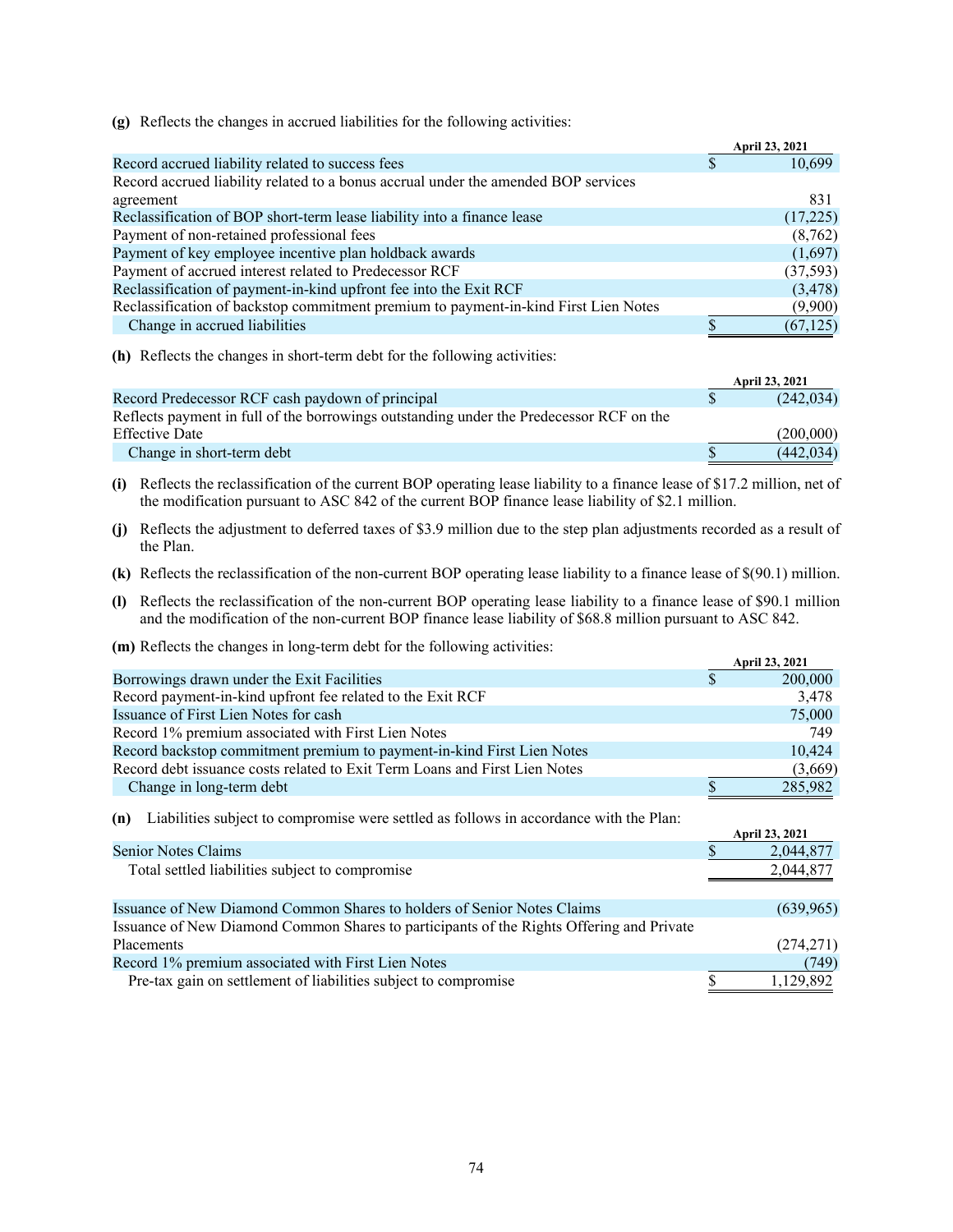**(g)** Reflects the changes in accrued liabilities for the following activities:

|                                                                                     | <b>April 23, 2021</b> |
|-------------------------------------------------------------------------------------|-----------------------|
| Record accrued liability related to success fees                                    | 10,699                |
| Record accrued liability related to a bonus accrual under the amended BOP services  |                       |
| agreement                                                                           | 831                   |
| Reclassification of BOP short-term lease liability into a finance lease             | (17,225)              |
| Payment of non-retained professional fees                                           | (8,762)               |
| Payment of key employee incentive plan holdback awards                              | (1,697)               |
| Payment of accrued interest related to Predecessor RCF                              | (37, 593)             |
| Reclassification of payment-in-kind upfront fee into the Exit RCF                   | (3, 478)              |
| Reclassification of backstop commitment premium to payment-in-kind First Lien Notes | (9,900)               |
| Change in accrued liabilities                                                       | (67, 125)             |

**(h)** Reflects the changes in short-term debt for the following activities:

|                                                                                         | <b>April 23, 2021</b> |            |
|-----------------------------------------------------------------------------------------|-----------------------|------------|
| Record Predecessor RCF cash paydown of principal                                        |                       | (242, 034) |
| Reflects payment in full of the borrowings outstanding under the Predecessor RCF on the |                       |            |
| <b>Effective Date</b>                                                                   |                       | (200,000)  |
| Change in short-term debt                                                               |                       | (442.034)  |

**(i)** Reflects the reclassification of the current BOP operating lease liability to a finance lease of \$17.2 million, net of the modification pursuant to ASC 842 of the current BOP finance lease liability of \$2.1 million.

- **(j)** Reflects the adjustment to deferred taxes of \$3.9 million due to the step plan adjustments recorded as a result of the Plan.
- **(k)** Reflects the reclassification of the non-current BOP operating lease liability to a finance lease of \$(90.1) million.
- **(l)** Reflects the reclassification of the non-current BOP operating lease liability to a finance lease of \$90.1 million and the modification of the non-current BOP finance lease liability of \$68.8 million pursuant to ASC 842.
- **(m)** Reflects the changes in long-term debt for the following activities:

|                                                                                               | April 23, 2021        |
|-----------------------------------------------------------------------------------------------|-----------------------|
| Borrowings drawn under the Exit Facilities                                                    | \$<br>200,000         |
| Record payment-in-kind upfront fee related to the Exit RCF                                    | 3,478                 |
| Issuance of First Lien Notes for cash                                                         | 75,000                |
| Record 1% premium associated with First Lien Notes                                            | 749                   |
| Record backstop commitment premium to payment-in-kind First Lien Notes                        | 10,424                |
| Record debt issuance costs related to Exit Term Loans and First Lien Notes                    | (3,669)               |
| Change in long-term debt                                                                      | 285,982               |
| Liabilities subject to compromise were settled as follows in accordance with the Plan:<br>(n) |                       |
|                                                                                               | <b>April 23, 2021</b> |
| <b>Senior Notes Claims</b>                                                                    | 2,044,877             |
| Total settled liabilities subject to compromise                                               | 2,044,877             |
|                                                                                               |                       |
| Issuance of New Diamond Common Shares to holders of Senior Notes Claims                       | (639, 965)            |
| Issuance of New Diamond Common Shares to participants of the Rights Offering and Private      |                       |
| Placements                                                                                    | (274, 271)            |
| Record 1% premium associated with First Lien Notes                                            | (749)                 |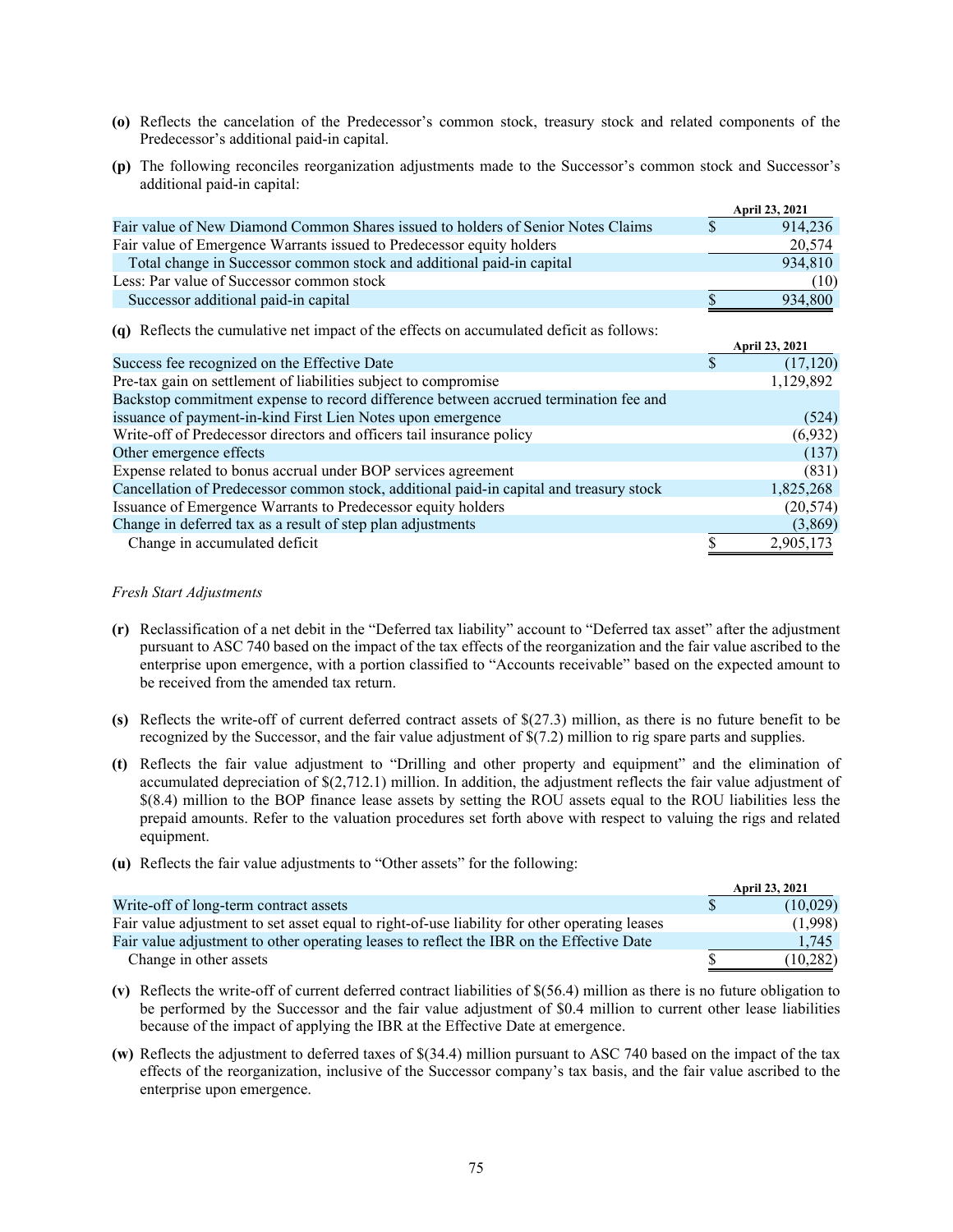- **(o)** Reflects the cancelation of the Predecessor's common stock, treasury stock and related components of the Predecessor's additional paid-in capital.
- **(p)** The following reconciles reorganization adjustments made to the Successor's common stock and Successor's additional paid-in capital:

|                                                                                  |               | <b>April 23, 2021</b> |
|----------------------------------------------------------------------------------|---------------|-----------------------|
| Fair value of New Diamond Common Shares issued to holders of Senior Notes Claims | <sup>\$</sup> | 914.236               |
| Fair value of Emergence Warrants issued to Predecessor equity holders            |               | 20,574                |
| Total change in Successor common stock and additional paid-in capital            |               | 934.810               |
| Less: Par value of Successor common stock                                        |               | (10)                  |
| Successor additional paid-in capital                                             |               | 934.800               |

**(q)** Reflects the cumulative net impact of the effects on accumulated deficit as follows:

|                                                                                         | April 23, 2021 |
|-----------------------------------------------------------------------------------------|----------------|
| Success fee recognized on the Effective Date                                            | (17, 120)      |
| Pre-tax gain on settlement of liabilities subject to compromise                         | 1,129,892      |
| Backstop commitment expense to record difference between accrued termination fee and    |                |
| issuance of payment-in-kind First Lien Notes upon emergence                             | (524)          |
| Write-off of Predecessor directors and officers tail insurance policy                   | (6,932)        |
| Other emergence effects                                                                 | (137)          |
| Expense related to bonus accrual under BOP services agreement                           | (831)          |
| Cancellation of Predecessor common stock, additional paid-in capital and treasury stock | 1,825,268      |
| Issuance of Emergence Warrants to Predecessor equity holders                            | (20, 574)      |
| Change in deferred tax as a result of step plan adjustments                             | (3,869)        |
| Change in accumulated deficit                                                           | 2,905,173      |

### *Fresh Start Adjustments*

- **(r)** Reclassification of a net debit in the "Deferred tax liability" account to "Deferred tax asset" after the adjustment pursuant to ASC 740 based on the impact of the tax effects of the reorganization and the fair value ascribed to the enterprise upon emergence, with a portion classified to "Accounts receivable" based on the expected amount to be received from the amended tax return.
- **(s)** Reflects the write-off of current deferred contract assets of \$(27.3) million, as there is no future benefit to be recognized by the Successor, and the fair value adjustment of \$(7.2) million to rig spare parts and supplies.
- **(t)** Reflects the fair value adjustment to "Drilling and other property and equipment" and the elimination of accumulated depreciation of \$(2,712.1) million. In addition, the adjustment reflects the fair value adjustment of \$(8.4) million to the BOP finance lease assets by setting the ROU assets equal to the ROU liabilities less the prepaid amounts. Refer to the valuation procedures set forth above with respect to valuing the rigs and related equipment.
- **(u)** Reflects the fair value adjustments to "Other assets" for the following:

|                                                                                               | April 23, 2021 |
|-----------------------------------------------------------------------------------------------|----------------|
| Write-off of long-term contract assets                                                        | (10,029)       |
| Fair value adjustment to set asset equal to right-of-use liability for other operating leases | (1.998)        |
| Fair value adjustment to other operating leases to reflect the IBR on the Effective Date      | 1.745          |
| Change in other assets                                                                        | (10, 282)      |

- **(v)** Reflects the write-off of current deferred contract liabilities of \$(56.4) million as there is no future obligation to be performed by the Successor and the fair value adjustment of \$0.4 million to current other lease liabilities because of the impact of applying the IBR at the Effective Date at emergence.
- **(w)** Reflects the adjustment to deferred taxes of \$(34.4) million pursuant to ASC 740 based on the impact of the tax effects of the reorganization, inclusive of the Successor company's tax basis, and the fair value ascribed to the enterprise upon emergence.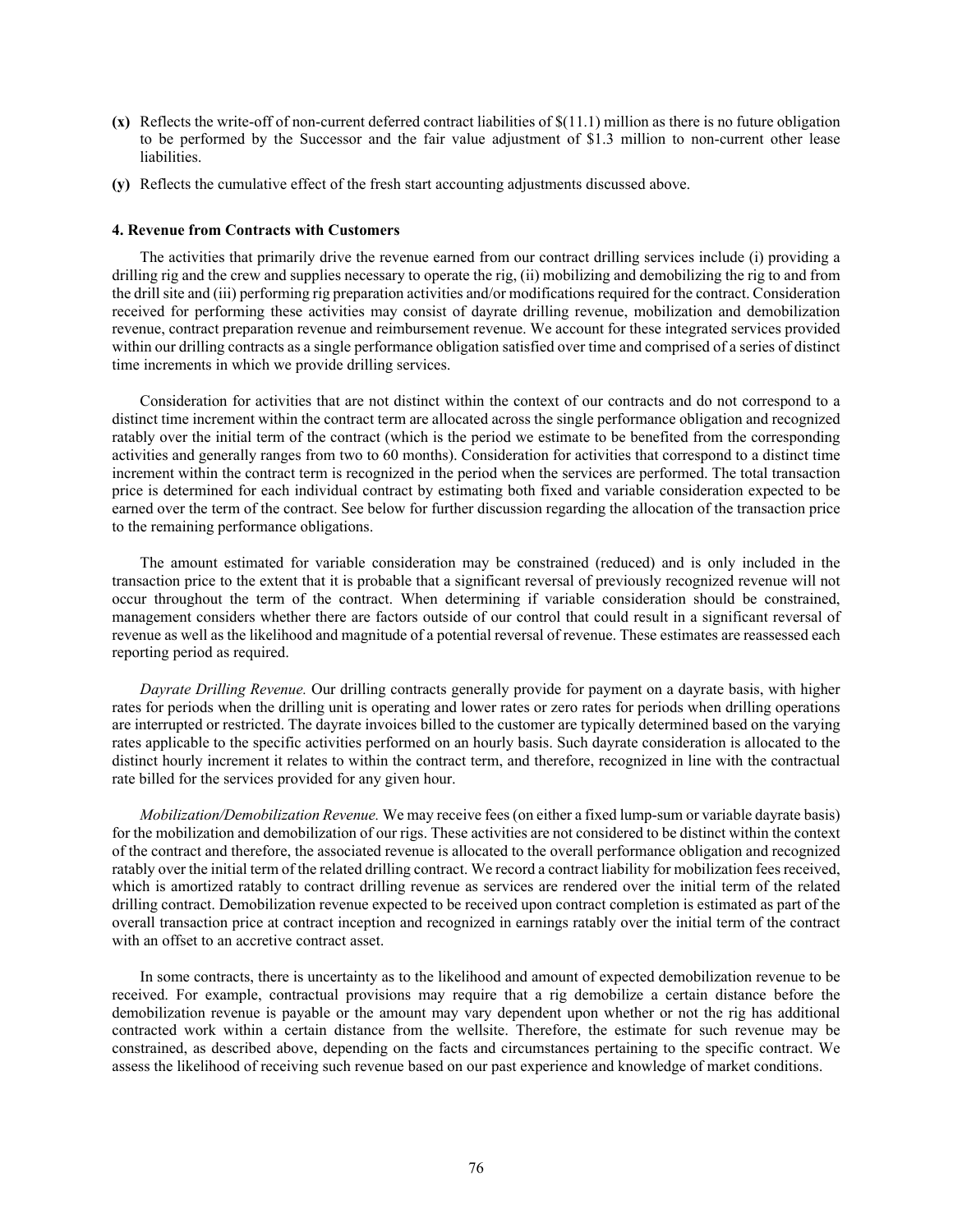- **(x)** Reflects the write-off of non-current deferred contract liabilities of \$(11.1) million as there is no future obligation to be performed by the Successor and the fair value adjustment of \$1.3 million to non-current other lease liabilities.
- **(y)** Reflects the cumulative effect of the fresh start accounting adjustments discussed above.

### **4. Revenue from Contracts with Customers**

The activities that primarily drive the revenue earned from our contract drilling services include (i) providing a drilling rig and the crew and supplies necessary to operate the rig, (ii) mobilizing and demobilizing the rig to and from the drill site and (iii) performing rig preparation activities and/or modifications required for the contract. Consideration received for performing these activities may consist of dayrate drilling revenue, mobilization and demobilization revenue, contract preparation revenue and reimbursement revenue. We account for these integrated services provided within our drilling contracts as a single performance obligation satisfied over time and comprised of a series of distinct time increments in which we provide drilling services.

Consideration for activities that are not distinct within the context of our contracts and do not correspond to a distinct time increment within the contract term are allocated across the single performance obligation and recognized ratably over the initial term of the contract (which is the period we estimate to be benefited from the corresponding activities and generally ranges from two to 60 months). Consideration for activities that correspond to a distinct time increment within the contract term is recognized in the period when the services are performed. The total transaction price is determined for each individual contract by estimating both fixed and variable consideration expected to be earned over the term of the contract. See below for further discussion regarding the allocation of the transaction price to the remaining performance obligations.

The amount estimated for variable consideration may be constrained (reduced) and is only included in the transaction price to the extent that it is probable that a significant reversal of previously recognized revenue will not occur throughout the term of the contract. When determining if variable consideration should be constrained, management considers whether there are factors outside of our control that could result in a significant reversal of revenue as well as the likelihood and magnitude of a potential reversal of revenue. These estimates are reassessed each reporting period as required.

*Dayrate Drilling Revenue.* Our drilling contracts generally provide for payment on a dayrate basis, with higher rates for periods when the drilling unit is operating and lower rates or zero rates for periods when drilling operations are interrupted or restricted. The dayrate invoices billed to the customer are typically determined based on the varying rates applicable to the specific activities performed on an hourly basis. Such dayrate consideration is allocated to the distinct hourly increment it relates to within the contract term, and therefore, recognized in line with the contractual rate billed for the services provided for any given hour.

*Mobilization/Demobilization Revenue.* We may receive fees (on either a fixed lump-sum or variable dayrate basis) for the mobilization and demobilization of our rigs. These activities are not considered to be distinct within the context of the contract and therefore, the associated revenue is allocated to the overall performance obligation and recognized ratably over the initial term of the related drilling contract. We record a contract liability for mobilization fees received, which is amortized ratably to contract drilling revenue as services are rendered over the initial term of the related drilling contract. Demobilization revenue expected to be received upon contract completion is estimated as part of the overall transaction price at contract inception and recognized in earnings ratably over the initial term of the contract with an offset to an accretive contract asset.

In some contracts, there is uncertainty as to the likelihood and amount of expected demobilization revenue to be received. For example, contractual provisions may require that a rig demobilize a certain distance before the demobilization revenue is payable or the amount may vary dependent upon whether or not the rig has additional contracted work within a certain distance from the wellsite. Therefore, the estimate for such revenue may be constrained, as described above, depending on the facts and circumstances pertaining to the specific contract. We assess the likelihood of receiving such revenue based on our past experience and knowledge of market conditions.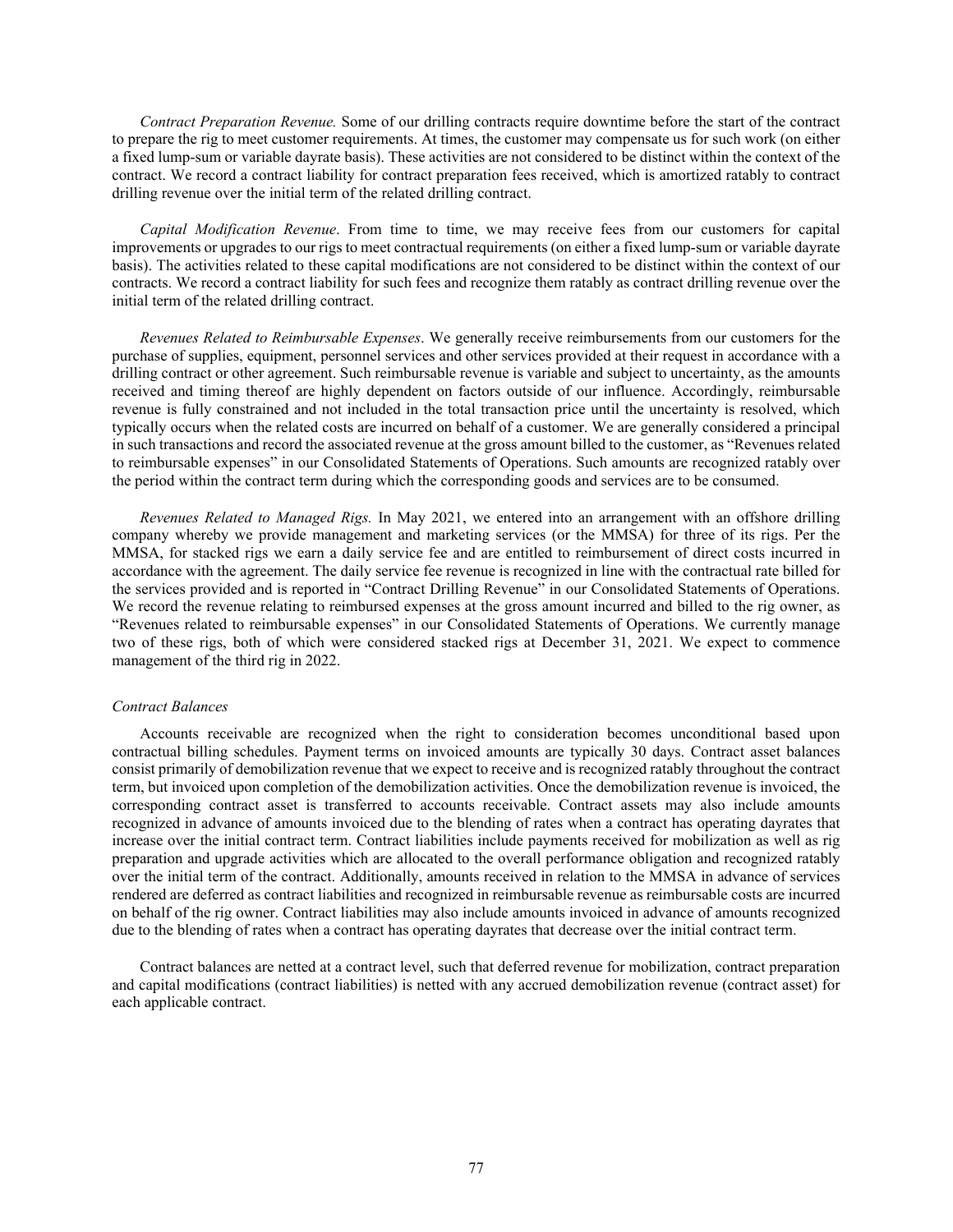*Contract Preparation Revenue.* Some of our drilling contracts require downtime before the start of the contract to prepare the rig to meet customer requirements. At times, the customer may compensate us for such work (on either a fixed lump-sum or variable dayrate basis). These activities are not considered to be distinct within the context of the contract. We record a contract liability for contract preparation fees received, which is amortized ratably to contract drilling revenue over the initial term of the related drilling contract.

*Capital Modification Revenue*. From time to time, we may receive fees from our customers for capital improvements or upgrades to our rigs to meet contractual requirements (on either a fixed lump-sum or variable dayrate basis). The activities related to these capital modifications are not considered to be distinct within the context of our contracts. We record a contract liability for such fees and recognize them ratably as contract drilling revenue over the initial term of the related drilling contract.

*Revenues Related to Reimbursable Expenses*. We generally receive reimbursements from our customers for the purchase of supplies, equipment, personnel services and other services provided at their request in accordance with a drilling contract or other agreement. Such reimbursable revenue is variable and subject to uncertainty, as the amounts received and timing thereof are highly dependent on factors outside of our influence. Accordingly, reimbursable revenue is fully constrained and not included in the total transaction price until the uncertainty is resolved, which typically occurs when the related costs are incurred on behalf of a customer. We are generally considered a principal in such transactions and record the associated revenue at the gross amount billed to the customer, as "Revenues related to reimbursable expenses" in our Consolidated Statements of Operations. Such amounts are recognized ratably over the period within the contract term during which the corresponding goods and services are to be consumed.

*Revenues Related to Managed Rigs.* In May 2021, we entered into an arrangement with an offshore drilling company whereby we provide management and marketing services (or the MMSA) for three of its rigs. Per the MMSA, for stacked rigs we earn a daily service fee and are entitled to reimbursement of direct costs incurred in accordance with the agreement. The daily service fee revenue is recognized in line with the contractual rate billed for the services provided and is reported in "Contract Drilling Revenue" in our Consolidated Statements of Operations. We record the revenue relating to reimbursed expenses at the gross amount incurred and billed to the rig owner, as "Revenues related to reimbursable expenses" in our Consolidated Statements of Operations. We currently manage two of these rigs, both of which were considered stacked rigs at December 31, 2021. We expect to commence management of the third rig in 2022.

#### *Contract Balances*

Accounts receivable are recognized when the right to consideration becomes unconditional based upon contractual billing schedules. Payment terms on invoiced amounts are typically 30 days. Contract asset balances consist primarily of demobilization revenue that we expect to receive and is recognized ratably throughout the contract term, but invoiced upon completion of the demobilization activities. Once the demobilization revenue is invoiced, the corresponding contract asset is transferred to accounts receivable. Contract assets may also include amounts recognized in advance of amounts invoiced due to the blending of rates when a contract has operating dayrates that increase over the initial contract term. Contract liabilities include payments received for mobilization as well as rig preparation and upgrade activities which are allocated to the overall performance obligation and recognized ratably over the initial term of the contract. Additionally, amounts received in relation to the MMSA in advance of services rendered are deferred as contract liabilities and recognized in reimbursable revenue as reimbursable costs are incurred on behalf of the rig owner. Contract liabilities may also include amounts invoiced in advance of amounts recognized due to the blending of rates when a contract has operating dayrates that decrease over the initial contract term.

Contract balances are netted at a contract level, such that deferred revenue for mobilization, contract preparation and capital modifications (contract liabilities) is netted with any accrued demobilization revenue (contract asset) for each applicable contract.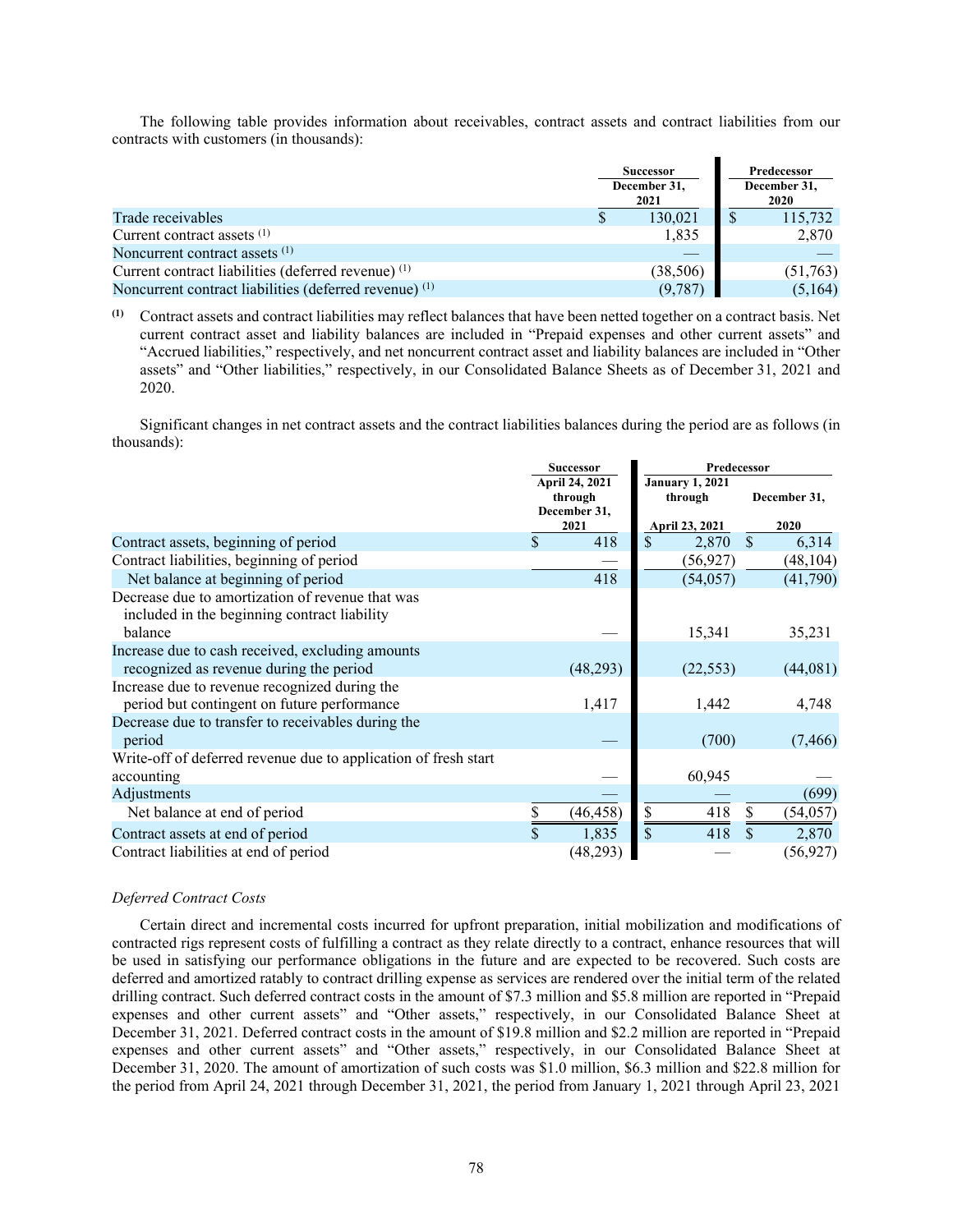The following table provides information about receivables, contract assets and contract liabilities from our contracts with customers (in thousands):

|                                                        |   | <b>Successor</b><br>December 31.<br>2021 |  | Predecessor<br>December 31,<br>2020 |
|--------------------------------------------------------|---|------------------------------------------|--|-------------------------------------|
| Trade receivables                                      | Ъ | 130,021                                  |  | 115,732                             |
| Current contract assets $(1)$                          |   | 1,835                                    |  | 2,870                               |
| Noncurrent contract assets $(1)$                       |   |                                          |  |                                     |
| Current contract liabilities (deferred revenue) (1)    |   | (38, 506)                                |  | (51,763)                            |
| Noncurrent contract liabilities (deferred revenue) (1) |   | (9, 787)                                 |  | (5,164)                             |

**(1)** Contract assets and contract liabilities may reflect balances that have been netted together on a contract basis. Net current contract asset and liability balances are included in "Prepaid expenses and other current assets" and "Accrued liabilities," respectively, and net noncurrent contract asset and liability balances are included in "Other assets" and "Other liabilities," respectively, in our Consolidated Balance Sheets as of December 31, 2021 and 2020.

Significant changes in net contract assets and the contract liabilities balances during the period are as follows (in thousands):

|                                                                 | <b>Successor</b>     | Predecessor |                        |             |              |
|-----------------------------------------------------------------|----------------------|-------------|------------------------|-------------|--------------|
|                                                                 | April 24, 2021       |             | <b>January 1, 2021</b> |             |              |
|                                                                 | through              |             | through                |             | December 31, |
|                                                                 | December 31,<br>2021 |             | April 23, 2021         |             | 2020         |
| Contract assets, beginning of period                            | \$<br>418            |             | 2,870                  | $\mathbf S$ | 6,314        |
| Contract liabilities, beginning of period                       |                      |             | (56, 927)              |             | (48, 104)    |
| Net balance at beginning of period                              | 418                  |             | (54, 057)              |             | (41,790)     |
| Decrease due to amortization of revenue that was                |                      |             |                        |             |              |
| included in the beginning contract liability                    |                      |             |                        |             |              |
| balance                                                         |                      |             |                        |             |              |
|                                                                 |                      |             | 15,341                 |             | 35,231       |
| Increase due to cash received, excluding amounts                |                      |             |                        |             |              |
| recognized as revenue during the period                         | (48, 293)            |             | (22, 553)              |             | (44,081)     |
| Increase due to revenue recognized during the                   |                      |             |                        |             |              |
| period but contingent on future performance                     | 1,417                |             | 1,442                  |             | 4,748        |
| Decrease due to transfer to receivables during the              |                      |             |                        |             |              |
| period                                                          |                      |             | (700)                  |             | (7, 466)     |
| Write-off of deferred revenue due to application of fresh start |                      |             |                        |             |              |
| accounting                                                      |                      |             | 60,945                 |             |              |
| Adjustments                                                     |                      |             |                        |             | (699)        |
| Net balance at end of period                                    | (46, 458)            |             | 418                    |             | (54, 057)    |
| Contract assets at end of period                                | \$<br>1,835          |             | 418                    | \$          | 2,870        |
| Contract liabilities at end of period                           | (48, 293)            |             |                        |             | (56, 927)    |

# *Deferred Contract Costs*

Certain direct and incremental costs incurred for upfront preparation, initial mobilization and modifications of contracted rigs represent costs of fulfilling a contract as they relate directly to a contract, enhance resources that will be used in satisfying our performance obligations in the future and are expected to be recovered. Such costs are deferred and amortized ratably to contract drilling expense as services are rendered over the initial term of the related drilling contract. Such deferred contract costs in the amount of \$7.3 million and \$5.8 million are reported in "Prepaid expenses and other current assets" and "Other assets," respectively, in our Consolidated Balance Sheet at December 31, 2021. Deferred contract costs in the amount of \$19.8 million and \$2.2 million are reported in "Prepaid expenses and other current assets" and "Other assets," respectively, in our Consolidated Balance Sheet at December 31, 2020. The amount of amortization of such costs was \$1.0 million, \$6.3 million and \$22.8 million for the period from April 24, 2021 through December 31, 2021, the period from January 1, 2021 through April 23, 2021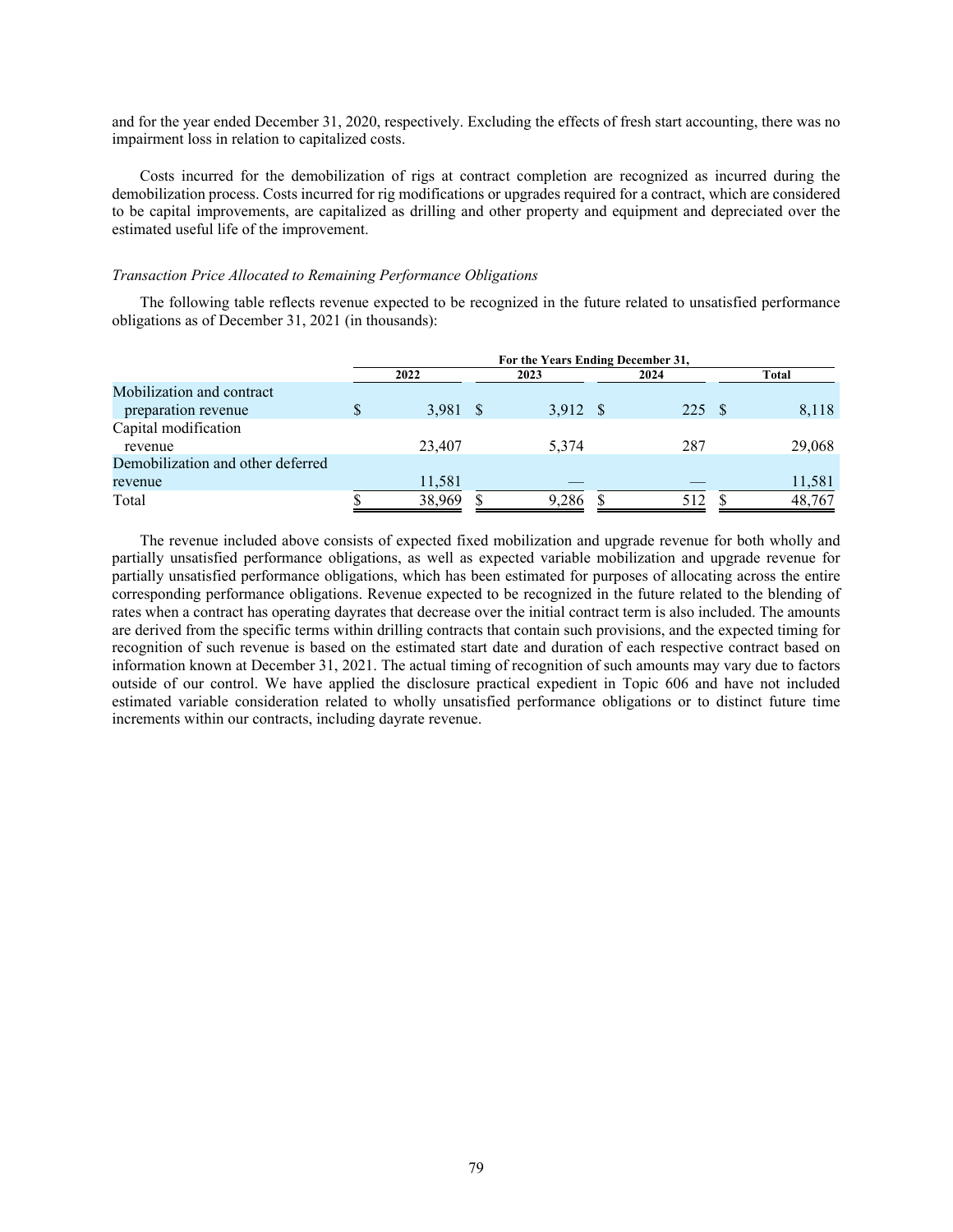and for the year ended December 31, 2020, respectively. Excluding the effects of fresh start accounting, there was no impairment loss in relation to capitalized costs.

Costs incurred for the demobilization of rigs at contract completion are recognized as incurred during the demobilization process. Costs incurred for rig modifications or upgrades required for a contract, which are considered to be capital improvements, are capitalized as drilling and other property and equipment and depreciated over the estimated useful life of the improvement.

#### *Transaction Price Allocated to Remaining Performance Obligations*

The following table reflects revenue expected to be recognized in the future related to unsatisfied performance obligations as of December 31, 2021 (in thousands):

|                                   | For the Years Ending December 31, |          |  |            |  |      |  |        |
|-----------------------------------|-----------------------------------|----------|--|------------|--|------|--|--------|
|                                   |                                   | 2022     |  | 2023       |  | 2024 |  | Total  |
| Mobilization and contract         |                                   |          |  |            |  |      |  |        |
| preparation revenue               |                                   | 3,981 \$ |  | $3,912$ \$ |  | 225S |  | 8,118  |
| Capital modification              |                                   |          |  |            |  |      |  |        |
| revenue                           |                                   | 23,407   |  | 5,374      |  | 287  |  | 29,068 |
| Demobilization and other deferred |                                   |          |  |            |  |      |  |        |
| revenue                           |                                   | 11,581   |  |            |  |      |  | 11,581 |
| Total                             |                                   | 38,969   |  | 9,286      |  | 512  |  | 48,767 |

The revenue included above consists of expected fixed mobilization and upgrade revenue for both wholly and partially unsatisfied performance obligations, as well as expected variable mobilization and upgrade revenue for partially unsatisfied performance obligations, which has been estimated for purposes of allocating across the entire corresponding performance obligations. Revenue expected to be recognized in the future related to the blending of rates when a contract has operating dayrates that decrease over the initial contract term is also included. The amounts are derived from the specific terms within drilling contracts that contain such provisions, and the expected timing for recognition of such revenue is based on the estimated start date and duration of each respective contract based on information known at December 31, 2021. The actual timing of recognition of such amounts may vary due to factors outside of our control. We have applied the disclosure practical expedient in Topic 606 and have not included estimated variable consideration related to wholly unsatisfied performance obligations or to distinct future time increments within our contracts, including dayrate revenue.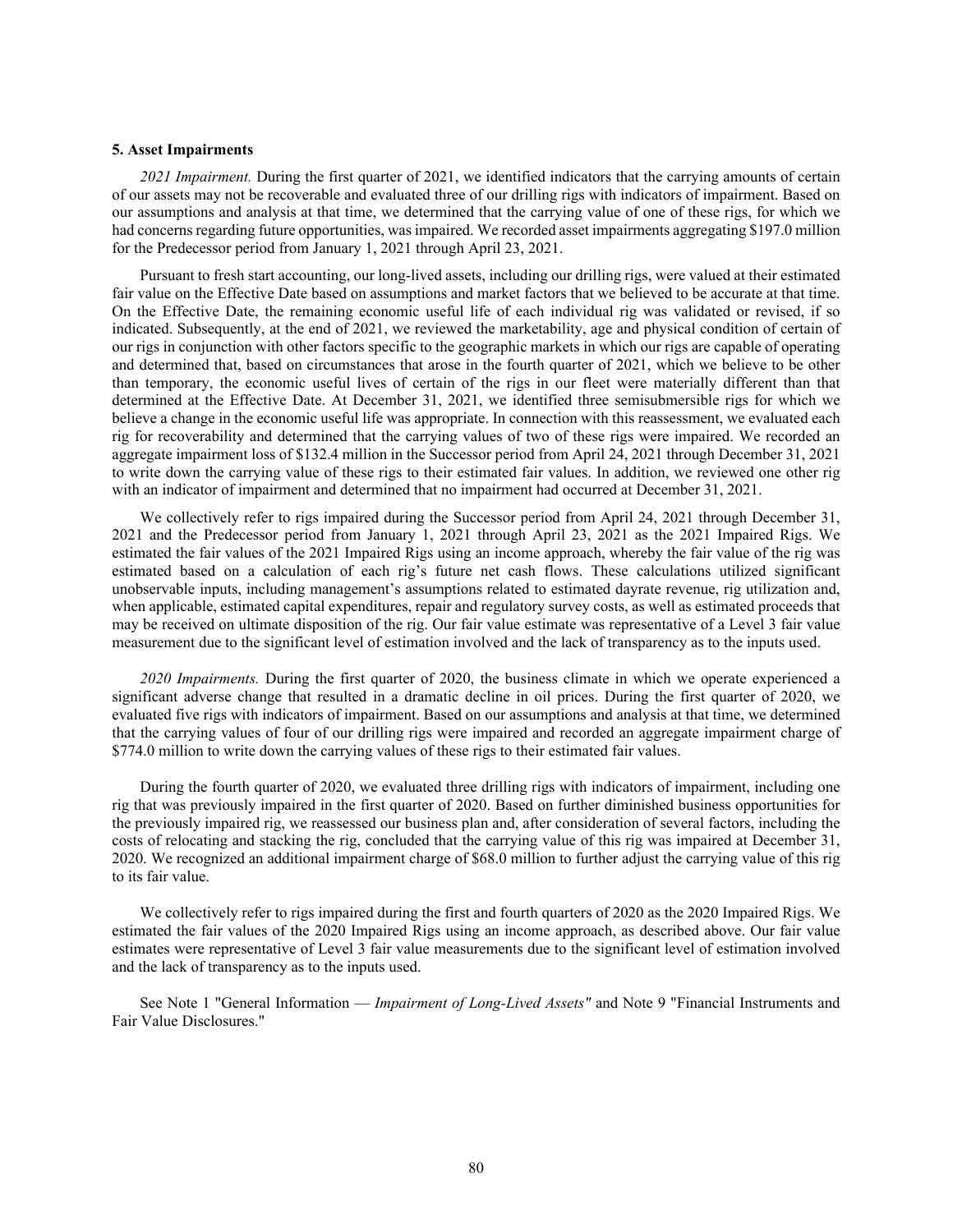#### **5. Asset Impairments**

*2021 Impairment.* During the first quarter of 2021, we identified indicators that the carrying amounts of certain of our assets may not be recoverable and evaluated three of our drilling rigs with indicators of impairment. Based on our assumptions and analysis at that time, we determined that the carrying value of one of these rigs, for which we had concerns regarding future opportunities, was impaired. We recorded asset impairments aggregating \$197.0 million for the Predecessor period from January 1, 2021 through April 23, 2021.

Pursuant to fresh start accounting, our long-lived assets, including our drilling rigs, were valued at their estimated fair value on the Effective Date based on assumptions and market factors that we believed to be accurate at that time. On the Effective Date, the remaining economic useful life of each individual rig was validated or revised, if so indicated. Subsequently, at the end of 2021, we reviewed the marketability, age and physical condition of certain of our rigs in conjunction with other factors specific to the geographic markets in which our rigs are capable of operating and determined that, based on circumstances that arose in the fourth quarter of 2021, which we believe to be other than temporary, the economic useful lives of certain of the rigs in our fleet were materially different than that determined at the Effective Date. At December 31, 2021, we identified three semisubmersible rigs for which we believe a change in the economic useful life was appropriate. In connection with this reassessment, we evaluated each rig for recoverability and determined that the carrying values of two of these rigs were impaired. We recorded an aggregate impairment loss of \$132.4 million in the Successor period from April 24, 2021 through December 31, 2021 to write down the carrying value of these rigs to their estimated fair values. In addition, we reviewed one other rig with an indicator of impairment and determined that no impairment had occurred at December 31, 2021.

We collectively refer to rigs impaired during the Successor period from April 24, 2021 through December 31, 2021 and the Predecessor period from January 1, 2021 through April 23, 2021 as the 2021 Impaired Rigs. We estimated the fair values of the 2021 Impaired Rigs using an income approach, whereby the fair value of the rig was estimated based on a calculation of each rig's future net cash flows. These calculations utilized significant unobservable inputs, including management's assumptions related to estimated dayrate revenue, rig utilization and, when applicable, estimated capital expenditures, repair and regulatory survey costs, as well as estimated proceeds that may be received on ultimate disposition of the rig. Our fair value estimate was representative of a Level 3 fair value measurement due to the significant level of estimation involved and the lack of transparency as to the inputs used.

*2020 Impairments.* During the first quarter of 2020, the business climate in which we operate experienced a significant adverse change that resulted in a dramatic decline in oil prices. During the first quarter of 2020, we evaluated five rigs with indicators of impairment. Based on our assumptions and analysis at that time, we determined that the carrying values of four of our drilling rigs were impaired and recorded an aggregate impairment charge of \$774.0 million to write down the carrying values of these rigs to their estimated fair values.

During the fourth quarter of 2020, we evaluated three drilling rigs with indicators of impairment, including one rig that was previously impaired in the first quarter of 2020. Based on further diminished business opportunities for the previously impaired rig, we reassessed our business plan and, after consideration of several factors, including the costs of relocating and stacking the rig, concluded that the carrying value of this rig was impaired at December 31, 2020. We recognized an additional impairment charge of \$68.0 million to further adjust the carrying value of this rig to its fair value.

We collectively refer to rigs impaired during the first and fourth quarters of 2020 as the 2020 Impaired Rigs. We estimated the fair values of the 2020 Impaired Rigs using an income approach, as described above. Our fair value estimates were representative of Level 3 fair value measurements due to the significant level of estimation involved and the lack of transparency as to the inputs used.

See Note 1 "General Information — *Impairment of Long-Lived Assets"* and Note 9 "Financial Instruments and Fair Value Disclosures."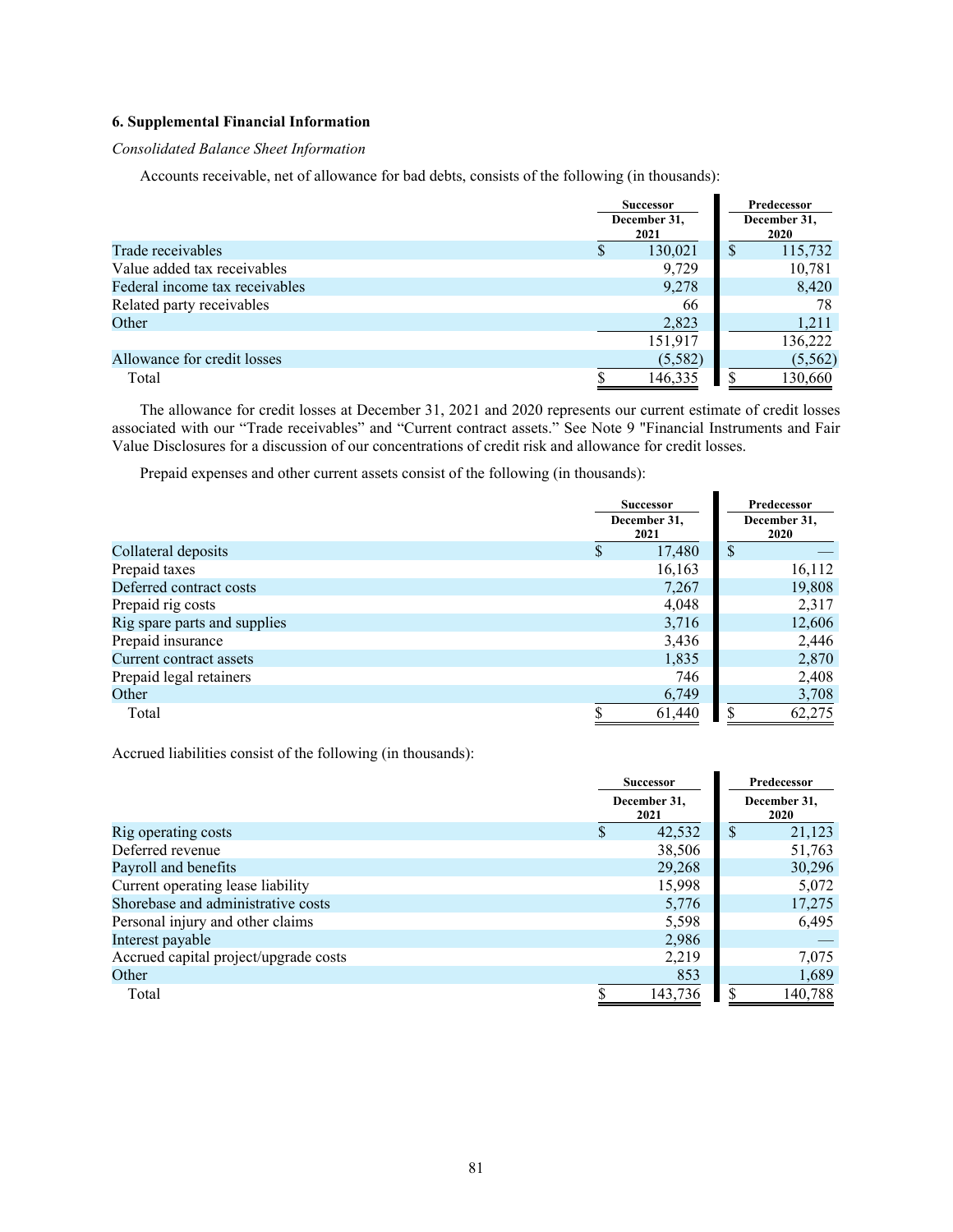# **6. Supplemental Financial Information**

### *Consolidated Balance Sheet Information*

Accounts receivable, net of allowance for bad debts, consists of the following (in thousands):

|                                |   | <b>Successor</b> |              | Predecessor |  |
|--------------------------------|---|------------------|--------------|-------------|--|
|                                |   | December 31,     | December 31, |             |  |
|                                |   | 2021             | 2020         |             |  |
| Trade receivables              | S | 130,021          | \$           | 115,732     |  |
| Value added tax receivables    |   | 9,729            |              | 10,781      |  |
| Federal income tax receivables |   | 9,278            |              | 8,420       |  |
| Related party receivables      |   | 66               |              | 78          |  |
| Other                          |   | 2,823            |              | 1,211       |  |
|                                |   | 151,917          |              | 136,222     |  |
| Allowance for credit losses    |   | (5,582)          |              | (5,562)     |  |
| Total                          |   | 146,335          |              | 130,660     |  |

The allowance for credit losses at December 31, 2021 and 2020 represents our current estimate of credit losses associated with our "Trade receivables" and "Current contract assets." See Note 9 "Financial Instruments and Fair Value Disclosures for a discussion of our concentrations of credit risk and allowance for credit losses.

 $\blacksquare$ 

Prepaid expenses and other current assets consist of the following (in thousands):

|                              | <b>Successor</b><br>December 31.<br>2021 | Predecessor<br>December 31,<br>2020 |
|------------------------------|------------------------------------------|-------------------------------------|
| Collateral deposits          | 17,480<br>\$                             | $\boldsymbol{\mathsf{S}}$           |
| Prepaid taxes                | 16,163                                   | 16,112                              |
| Deferred contract costs      | 7,267                                    | 19,808                              |
| Prepaid rig costs            | 4,048                                    | 2,317                               |
| Rig spare parts and supplies | 3,716                                    | 12,606                              |
| Prepaid insurance            | 3,436                                    | 2,446                               |
| Current contract assets      | 1,835                                    | 2,870                               |
| Prepaid legal retainers      | 746                                      | 2,408                               |
| Other                        | 6,749                                    | 3,708                               |
| Total                        | 61,440                                   | Φ<br>62,275                         |

Accrued liabilities consist of the following (in thousands):

|                                       | <b>Successor</b>     |                      | Predecessor |  |
|---------------------------------------|----------------------|----------------------|-------------|--|
|                                       | December 31,<br>2021 | December 31,<br>2020 |             |  |
| Rig operating costs                   | \$<br>42,532         | \$                   | 21,123      |  |
| Deferred revenue                      | 38,506               |                      | 51,763      |  |
| Payroll and benefits                  | 29,268               |                      | 30,296      |  |
| Current operating lease liability     | 15,998               |                      | 5,072       |  |
| Shorebase and administrative costs    | 5,776                |                      | 17,275      |  |
| Personal injury and other claims      | 5,598                |                      | 6,495       |  |
| Interest payable                      | 2,986                |                      |             |  |
| Accrued capital project/upgrade costs | 2,219                |                      | 7,075       |  |
| Other                                 | 853                  |                      | 1,689       |  |
| Total                                 | 143,736              | \$                   | 140,788     |  |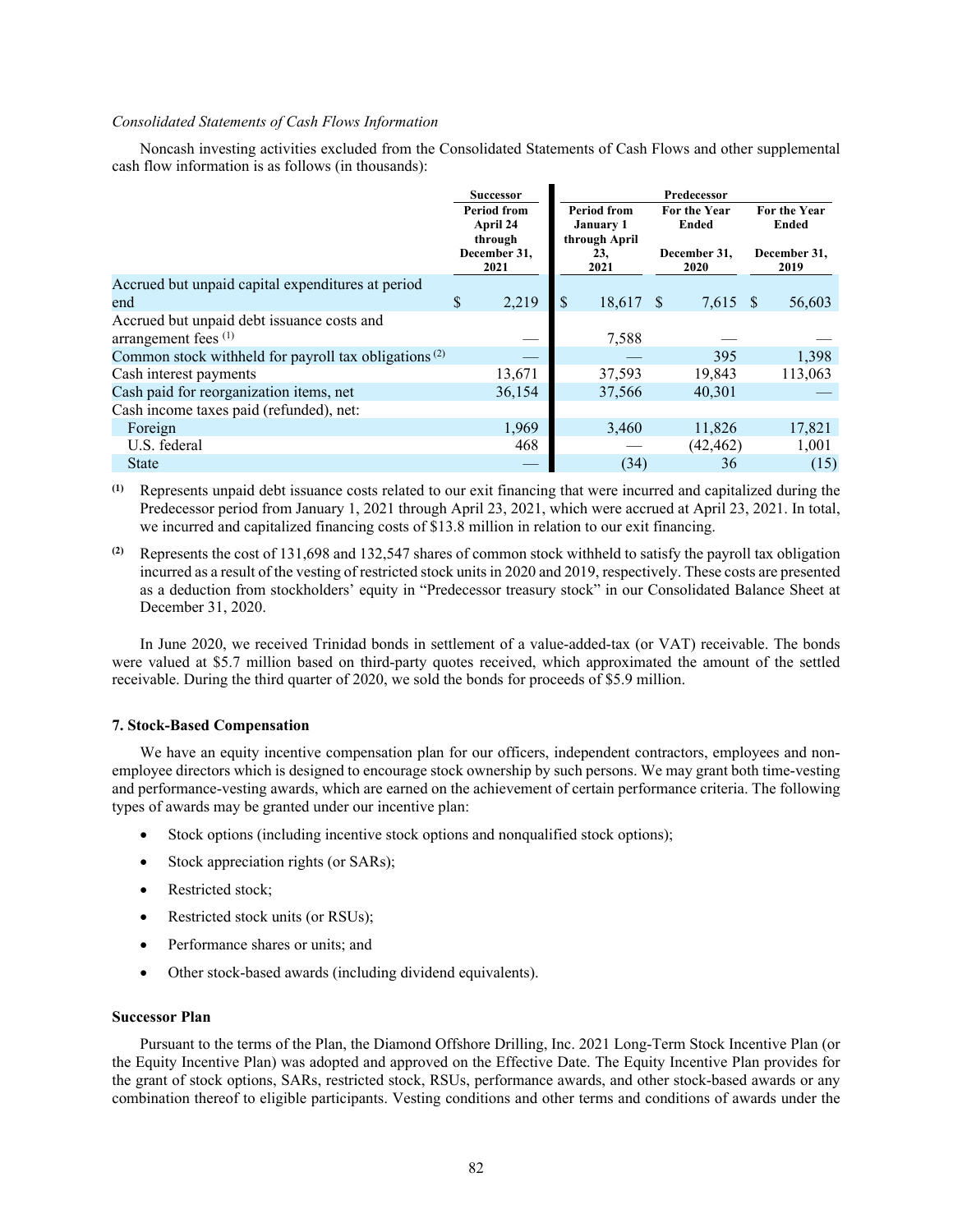#### *Consolidated Statements of Cash Flows Information*

Noncash investing activities excluded from the Consolidated Statements of Cash Flows and other supplemental cash flow information is as follows (in thousands):

|                                                                  | <b>Successor</b><br><b>Period from</b><br>April 24<br>through<br>December 31,<br>2021 | <b>Period from</b><br><b>January 1</b><br>through April<br>23,<br>2021 |           | Predecessor<br>For the Year<br><b>Ended</b><br>December 31,<br>2020 | <b>For the Year</b><br>Ended<br>December 31,<br>2019 |
|------------------------------------------------------------------|---------------------------------------------------------------------------------------|------------------------------------------------------------------------|-----------|---------------------------------------------------------------------|------------------------------------------------------|
| Accrued but unpaid capital expenditures at period                |                                                                                       |                                                                        |           |                                                                     |                                                      |
| end                                                              | 2,219<br>\$                                                                           | $\sqrt{S}$                                                             | 18,617 \$ | 7,615 \$                                                            | 56,603                                               |
| Accrued but unpaid debt issuance costs and                       |                                                                                       |                                                                        |           |                                                                     |                                                      |
| arrangement fees (1)                                             |                                                                                       |                                                                        | 7,588     |                                                                     |                                                      |
| Common stock withheld for payroll tax obligations <sup>(2)</sup> |                                                                                       |                                                                        |           | 395                                                                 | 1,398                                                |
| Cash interest payments                                           | 13,671                                                                                | 37,593                                                                 |           | 19,843                                                              | 113,063                                              |
| Cash paid for reorganization items, net                          | 36,154                                                                                | 37,566                                                                 |           | 40,301                                                              |                                                      |
| Cash income taxes paid (refunded), net:                          |                                                                                       |                                                                        |           |                                                                     |                                                      |
| Foreign                                                          | 1,969                                                                                 |                                                                        | 3,460     | 11,826                                                              | 17,821                                               |
| U.S. federal                                                     | 468                                                                                   |                                                                        |           | (42, 462)                                                           | 1,001                                                |
| <b>State</b>                                                     |                                                                                       |                                                                        | (34)      | 36                                                                  | (15)                                                 |

**(1)** Represents unpaid debt issuance costs related to our exit financing that were incurred and capitalized during the Predecessor period from January 1, 2021 through April 23, 2021, which were accrued at April 23, 2021. In total, we incurred and capitalized financing costs of \$13.8 million in relation to our exit financing.

**(2)** Represents the cost of 131,698 and 132,547 shares of common stock withheld to satisfy the payroll tax obligation incurred as a result of the vesting of restricted stock units in 2020 and 2019, respectively. These costs are presented as a deduction from stockholders' equity in "Predecessor treasury stock" in our Consolidated Balance Sheet at December 31, 2020.

In June 2020, we received Trinidad bonds in settlement of a value-added-tax (or VAT) receivable. The bonds were valued at \$5.7 million based on third-party quotes received, which approximated the amount of the settled receivable. During the third quarter of 2020, we sold the bonds for proceeds of \$5.9 million.

### **7. Stock-Based Compensation**

We have an equity incentive compensation plan for our officers, independent contractors, employees and nonemployee directors which is designed to encourage stock ownership by such persons. We may grant both time-vesting and performance-vesting awards, which are earned on the achievement of certain performance criteria. The following types of awards may be granted under our incentive plan:

- Stock options (including incentive stock options and nonqualified stock options);
- Stock appreciation rights (or SARs);
- Restricted stock;
- Restricted stock units (or RSUs);
- Performance shares or units; and
- Other stock-based awards (including dividend equivalents).

### **Successor Plan**

Pursuant to the terms of the Plan, the Diamond Offshore Drilling, Inc. 2021 Long-Term Stock Incentive Plan (or the Equity Incentive Plan) was adopted and approved on the Effective Date. The Equity Incentive Plan provides for the grant of stock options, SARs, restricted stock, RSUs, performance awards, and other stock-based awards or any combination thereof to eligible participants. Vesting conditions and other terms and conditions of awards under the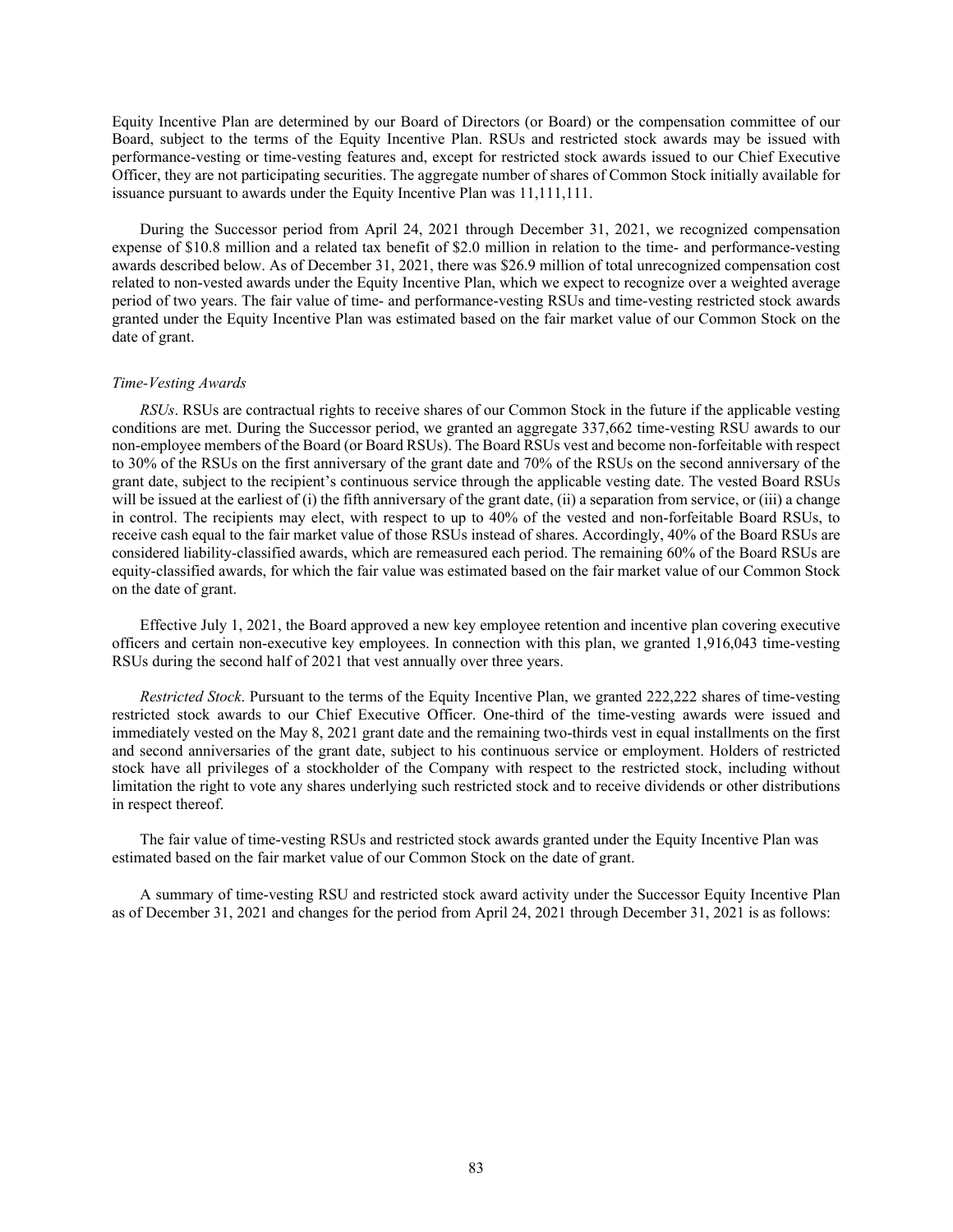Equity Incentive Plan are determined by our Board of Directors (or Board) or the compensation committee of our Board, subject to the terms of the Equity Incentive Plan. RSUs and restricted stock awards may be issued with performance-vesting or time-vesting features and, except for restricted stock awards issued to our Chief Executive Officer, they are not participating securities. The aggregate number of shares of Common Stock initially available for issuance pursuant to awards under the Equity Incentive Plan was 11,111,111.

During the Successor period from April 24, 2021 through December 31, 2021, we recognized compensation expense of \$10.8 million and a related tax benefit of \$2.0 million in relation to the time- and performance-vesting awards described below. As of December 31, 2021, there was \$26.9 million of total unrecognized compensation cost related to non-vested awards under the Equity Incentive Plan, which we expect to recognize over a weighted average period of two years. The fair value of time- and performance-vesting RSUs and time-vesting restricted stock awards granted under the Equity Incentive Plan was estimated based on the fair market value of our Common Stock on the date of grant.

#### *Time-Vesting Awards*

*RSUs*. RSUs are contractual rights to receive shares of our Common Stock in the future if the applicable vesting conditions are met. During the Successor period, we granted an aggregate 337,662 time-vesting RSU awards to our non-employee members of the Board (or Board RSUs). The Board RSUs vest and become non-forfeitable with respect to 30% of the RSUs on the first anniversary of the grant date and 70% of the RSUs on the second anniversary of the grant date, subject to the recipient's continuous service through the applicable vesting date. The vested Board RSUs will be issued at the earliest of (i) the fifth anniversary of the grant date, (ii) a separation from service, or (iii) a change in control. The recipients may elect, with respect to up to 40% of the vested and non-forfeitable Board RSUs, to receive cash equal to the fair market value of those RSUs instead of shares. Accordingly, 40% of the Board RSUs are considered liability-classified awards, which are remeasured each period. The remaining 60% of the Board RSUs are equity-classified awards, for which the fair value was estimated based on the fair market value of our Common Stock on the date of grant.

Effective July 1, 2021, the Board approved a new key employee retention and incentive plan covering executive officers and certain non-executive key employees. In connection with this plan, we granted 1,916,043 time-vesting RSUs during the second half of 2021 that vest annually over three years.

*Restricted Stock*. Pursuant to the terms of the Equity Incentive Plan, we granted 222,222 shares of time-vesting restricted stock awards to our Chief Executive Officer. One-third of the time-vesting awards were issued and immediately vested on the May 8, 2021 grant date and the remaining two-thirds vest in equal installments on the first and second anniversaries of the grant date, subject to his continuous service or employment. Holders of restricted stock have all privileges of a stockholder of the Company with respect to the restricted stock, including without limitation the right to vote any shares underlying such restricted stock and to receive dividends or other distributions in respect thereof.

The fair value of time-vesting RSUs and restricted stock awards granted under the Equity Incentive Plan was estimated based on the fair market value of our Common Stock on the date of grant.

A summary of time-vesting RSU and restricted stock award activity under the Successor Equity Incentive Plan as of December 31, 2021 and changes for the period from April 24, 2021 through December 31, 2021 is as follows: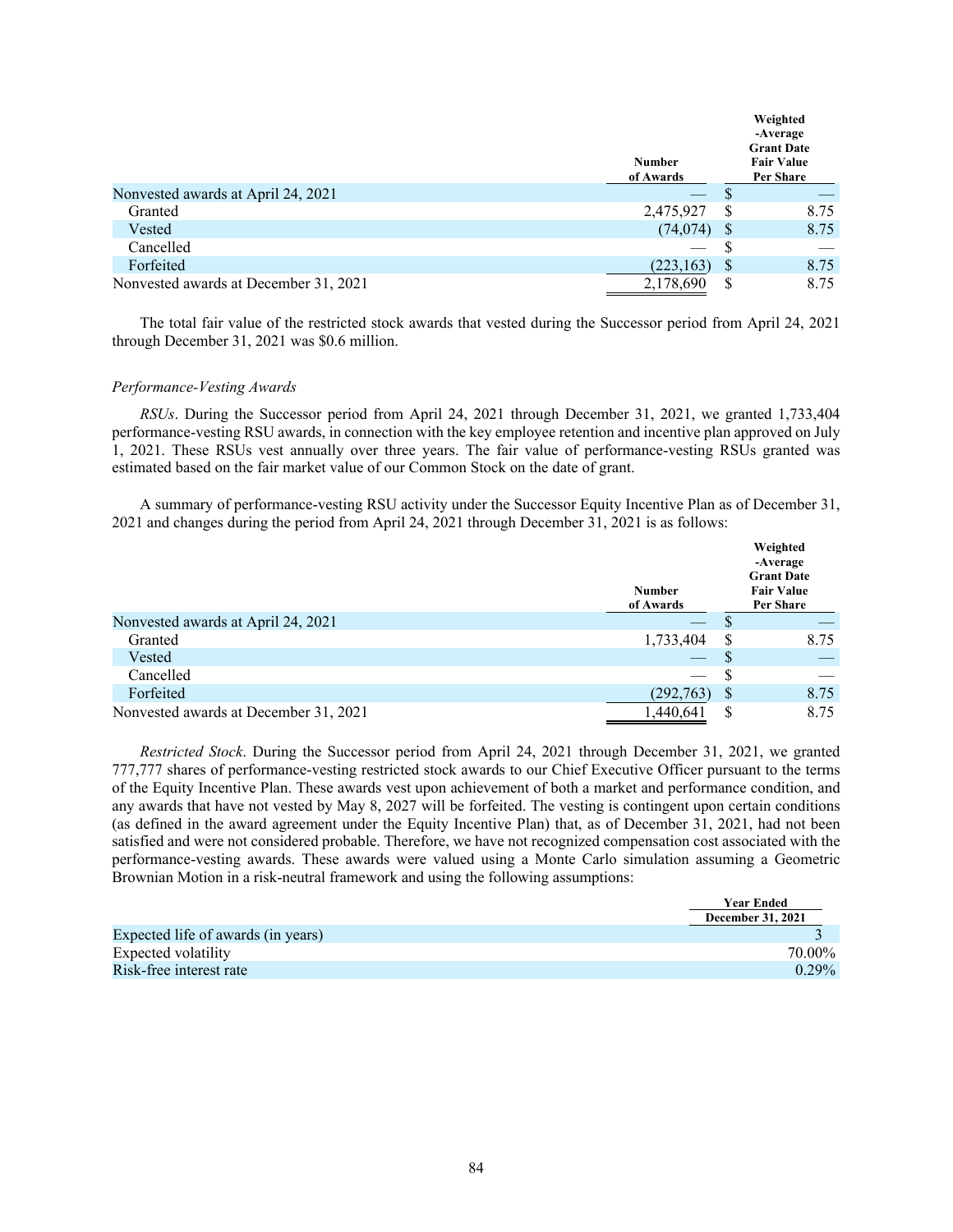|                                       | <b>Number</b><br>of Awards |   | Weighted<br>-Average<br><b>Grant Date</b><br><b>Fair Value</b><br>Per Share |
|---------------------------------------|----------------------------|---|-----------------------------------------------------------------------------|
| Nonvested awards at April 24, 2021    |                            |   |                                                                             |
| Granted                               | 2,475,927                  | S | 8.75                                                                        |
| Vested                                | (74, 074)                  | S | 8.75                                                                        |
| Cancelled                             |                            |   |                                                                             |
| Forfeited                             | (223, 163)                 | S | 8.75                                                                        |
| Nonvested awards at December 31, 2021 | 2,178,690                  | S | 8.75                                                                        |

The total fair value of the restricted stock awards that vested during the Successor period from April 24, 2021 through December 31, 2021 was \$0.6 million.

### *Performance-Vesting Awards*

*RSUs*. During the Successor period from April 24, 2021 through December 31, 2021, we granted 1,733,404 performance-vesting RSU awards, in connection with the key employee retention and incentive plan approved on July 1, 2021. These RSUs vest annually over three years. The fair value of performance-vesting RSUs granted was estimated based on the fair market value of our Common Stock on the date of grant.

A summary of performance-vesting RSU activity under the Successor Equity Incentive Plan as of December 31, 2021 and changes during the period from April 24, 2021 through December 31, 2021 is as follows:

|                                       | <b>Number</b><br>of Awards |   | Weighted<br>-Average<br><b>Grant Date</b><br><b>Fair Value</b><br>Per Share |
|---------------------------------------|----------------------------|---|-----------------------------------------------------------------------------|
| Nonvested awards at April 24, 2021    |                            |   |                                                                             |
| Granted                               | 1,733,404                  | S | 8.75                                                                        |
| Vested                                |                            | S |                                                                             |
| Cancelled                             |                            | S |                                                                             |
| Forfeited                             | (292, 763)                 | S | 8.75                                                                        |
| Nonvested awards at December 31, 2021 | 1,440,641                  | S | 8.75                                                                        |

*Restricted Stock*. During the Successor period from April 24, 2021 through December 31, 2021, we granted 777,777 shares of performance-vesting restricted stock awards to our Chief Executive Officer pursuant to the terms of the Equity Incentive Plan. These awards vest upon achievement of both a market and performance condition, and any awards that have not vested by May 8, 2027 will be forfeited. The vesting is contingent upon certain conditions (as defined in the award agreement under the Equity Incentive Plan) that, as of December 31, 2021, had not been satisfied and were not considered probable. Therefore, we have not recognized compensation cost associated with the performance-vesting awards. These awards were valued using a Monte Carlo simulation assuming a Geometric Brownian Motion in a risk-neutral framework and using the following assumptions:

|                                    | Year Ended               |
|------------------------------------|--------------------------|
|                                    | <b>December 31, 2021</b> |
| Expected life of awards (in years) |                          |
| Expected volatility                | 70.00%                   |
| Risk-free interest rate            | 0.29%                    |

**Year Ended**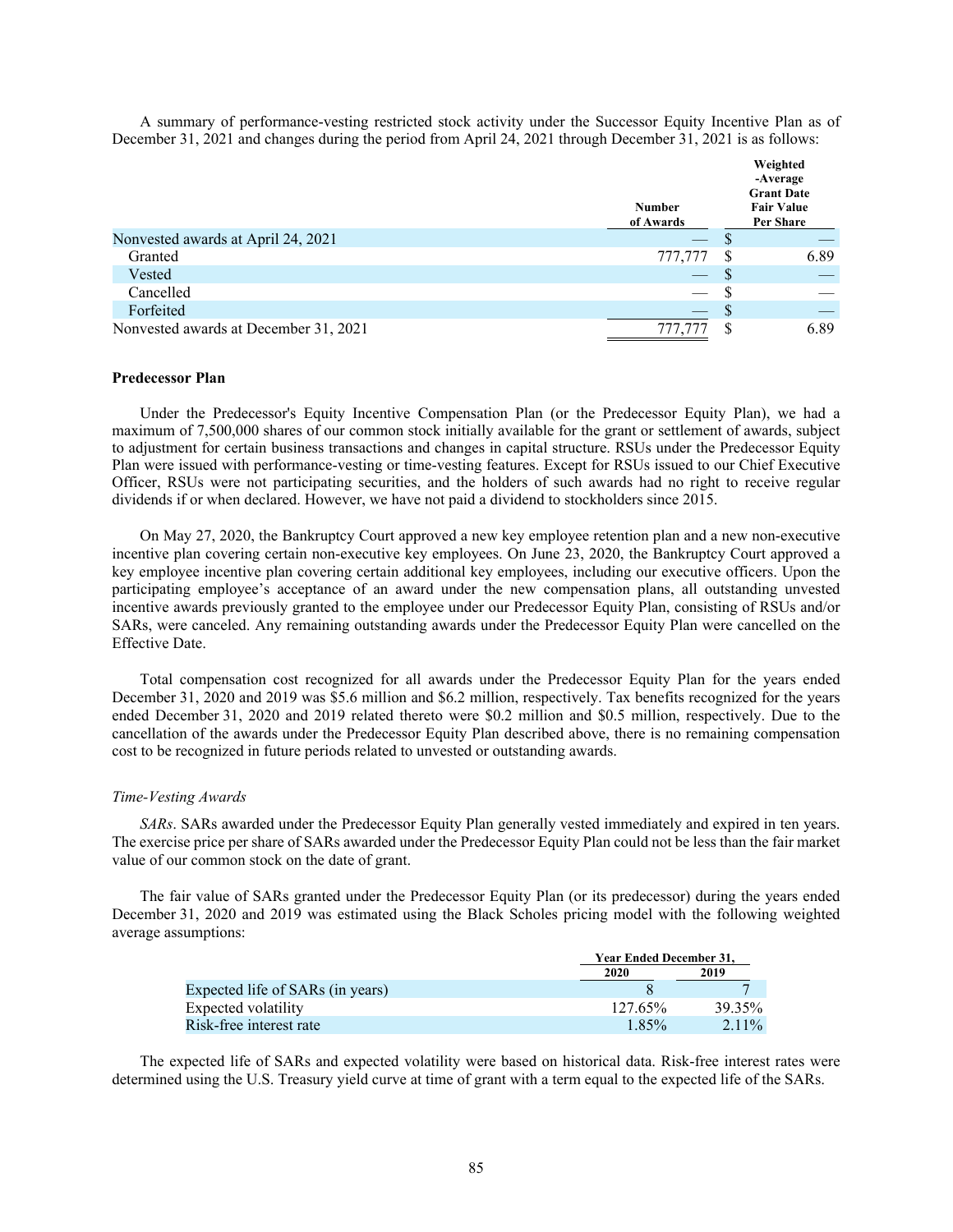A summary of performance-vesting restricted stock activity under the Successor Equity Incentive Plan as of December 31, 2021 and changes during the period from April 24, 2021 through December 31, 2021 is as follows:

|                                       | <b>Number</b><br>of Awards     |   | Weighted<br>-Average<br><b>Grant Date</b><br><b>Fair Value</b><br>Per Share |
|---------------------------------------|--------------------------------|---|-----------------------------------------------------------------------------|
| Nonvested awards at April 24, 2021    |                                |   |                                                                             |
| Granted                               | 777,777                        |   | 6.89                                                                        |
| Vested                                |                                | S |                                                                             |
| Cancelled                             | $\overbrace{\hspace{25mm}}^{}$ |   |                                                                             |
| Forfeited                             |                                | S |                                                                             |
| Nonvested awards at December 31, 2021 |                                |   | 6.89                                                                        |

#### **Predecessor Plan**

Under the Predecessor's Equity Incentive Compensation Plan (or the Predecessor Equity Plan), we had a maximum of 7,500,000 shares of our common stock initially available for the grant or settlement of awards, subject to adjustment for certain business transactions and changes in capital structure. RSUs under the Predecessor Equity Plan were issued with performance-vesting or time-vesting features. Except for RSUs issued to our Chief Executive Officer, RSUs were not participating securities, and the holders of such awards had no right to receive regular dividends if or when declared. However, we have not paid a dividend to stockholders since 2015.

On May 27, 2020, the Bankruptcy Court approved a new key employee retention plan and a new non-executive incentive plan covering certain non-executive key employees. On June 23, 2020, the Bankruptcy Court approved a key employee incentive plan covering certain additional key employees, including our executive officers. Upon the participating employee's acceptance of an award under the new compensation plans, all outstanding unvested incentive awards previously granted to the employee under our Predecessor Equity Plan, consisting of RSUs and/or SARs, were canceled. Any remaining outstanding awards under the Predecessor Equity Plan were cancelled on the Effective Date.

Total compensation cost recognized for all awards under the Predecessor Equity Plan for the years ended December 31, 2020 and 2019 was \$5.6 million and \$6.2 million, respectively. Tax benefits recognized for the years ended December 31, 2020 and 2019 related thereto were \$0.2 million and \$0.5 million, respectively. Due to the cancellation of the awards under the Predecessor Equity Plan described above, there is no remaining compensation cost to be recognized in future periods related to unvested or outstanding awards.

### *Time-Vesting Awards*

*SARs*. SARs awarded under the Predecessor Equity Plan generally vested immediately and expired in ten years. The exercise price per share of SARs awarded under the Predecessor Equity Plan could not be less than the fair market value of our common stock on the date of grant.

The fair value of SARs granted under the Predecessor Equity Plan (or its predecessor) during the years ended December 31, 2020 and 2019 was estimated using the Black Scholes pricing model with the following weighted average assumptions:

|                                  | <b>Year Ended December 31.</b> |          |
|----------------------------------|--------------------------------|----------|
|                                  | 2020                           | 2019     |
| Expected life of SARs (in years) |                                |          |
| Expected volatility              | 127.65%                        | 39.35%   |
| Risk-free interest rate          | 1.85%                          | $2.11\%$ |

The expected life of SARs and expected volatility were based on historical data. Risk-free interest rates were determined using the U.S. Treasury yield curve at time of grant with a term equal to the expected life of the SARs.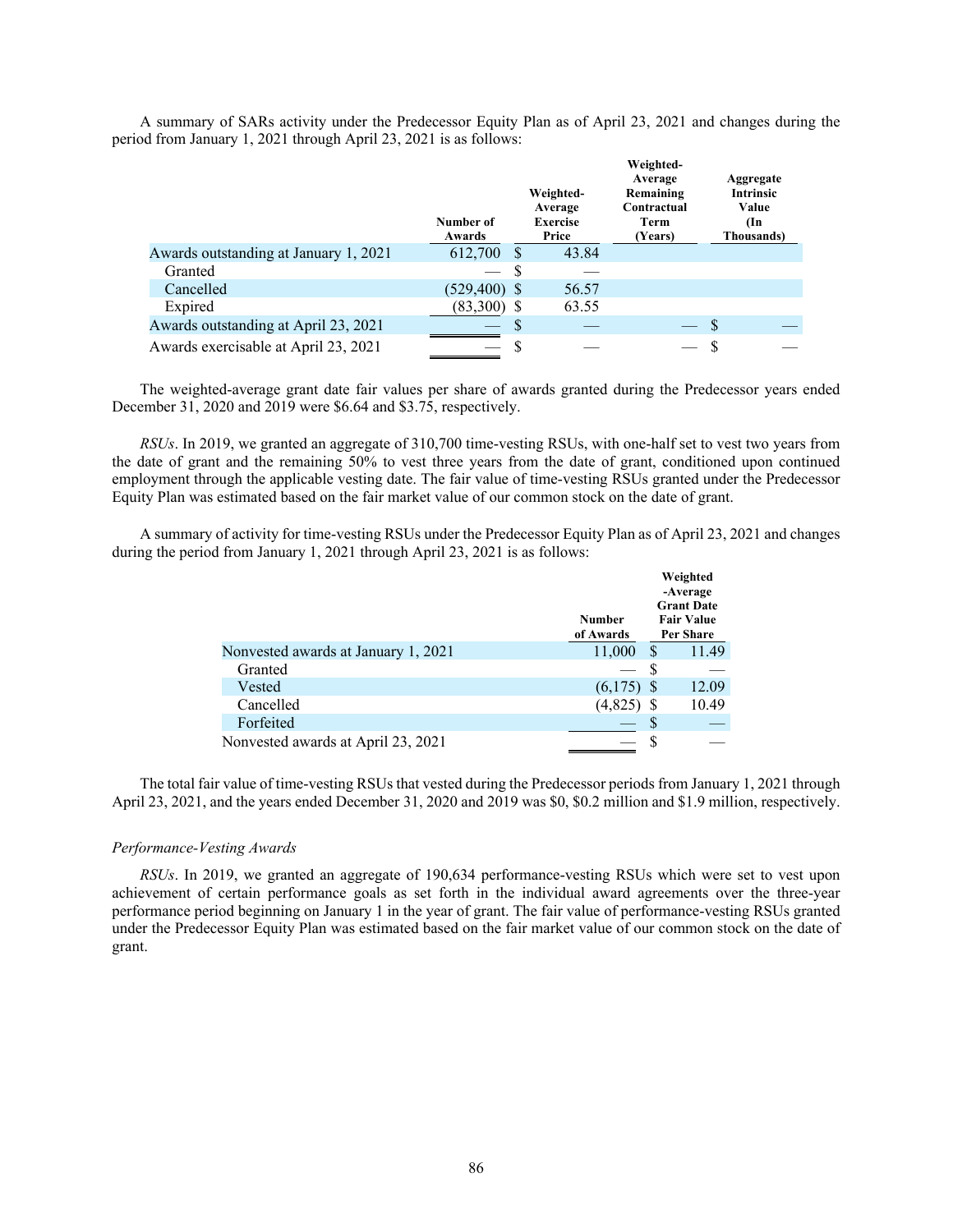A summary of SARs activity under the Predecessor Equity Plan as of April 23, 2021 and changes during the period from January 1, 2021 through April 23, 2021 is as follows:

|                                       | Number of<br>Awards |               | Weighted-<br>Average<br><b>Exercise</b><br>Price | Weighted-<br>Average<br>Remaining<br>Contractual<br>Term<br>(Years) | Aggregate<br><b>Intrinsic</b><br>Value<br>(In<br>Thousands) |  |
|---------------------------------------|---------------------|---------------|--------------------------------------------------|---------------------------------------------------------------------|-------------------------------------------------------------|--|
| Awards outstanding at January 1, 2021 | 612,700             | <sup>\$</sup> | 43.84                                            |                                                                     |                                                             |  |
| Granted                               |                     | S             |                                                  |                                                                     |                                                             |  |
| Cancelled                             | $(529, 400)$ \$     |               | 56.57                                            |                                                                     |                                                             |  |
| Expired                               | $(83,300)$ \$       |               | 63.55                                            |                                                                     |                                                             |  |
| Awards outstanding at April 23, 2021  |                     | S             |                                                  |                                                                     |                                                             |  |
| Awards exercisable at April 23, 2021  |                     | S             |                                                  |                                                                     |                                                             |  |

The weighted-average grant date fair values per share of awards granted during the Predecessor years ended December 31, 2020 and 2019 were \$6.64 and \$3.75, respectively.

*RSUs*. In 2019, we granted an aggregate of 310,700 time-vesting RSUs, with one-half set to vest two years from the date of grant and the remaining 50% to vest three years from the date of grant, conditioned upon continued employment through the applicable vesting date. The fair value of time-vesting RSUs granted under the Predecessor Equity Plan was estimated based on the fair market value of our common stock on the date of grant.

A summary of activity for time-vesting RSUs under the Predecessor Equity Plan as of April 23, 2021 and changes during the period from January 1, 2021 through April 23, 2021 is as follows:

|                                     | <b>Number</b><br>of Awards |              | Weighted<br>-Average<br><b>Grant Date</b><br><b>Fair Value</b><br>Per Share |
|-------------------------------------|----------------------------|--------------|-----------------------------------------------------------------------------|
| Nonvested awards at January 1, 2021 | 11,000                     | \$.          | 11.49                                                                       |
| Granted                             |                            |              |                                                                             |
| Vested                              | $(6,175)$ \$               |              | 12.09                                                                       |
| Cancelled                           | $(4,825)$ \$               |              | 10.49                                                                       |
| Forfeited                           |                            | <sup>8</sup> |                                                                             |
| Nonvested awards at April 23, 2021  |                            |              |                                                                             |

The total fair value of time-vesting RSUs that vested during the Predecessor periods from January 1, 2021 through April 23, 2021, and the years ended December 31, 2020 and 2019 was \$0, \$0.2 million and \$1.9 million, respectively.

### *Performance-Vesting Awards*

*RSUs*. In 2019, we granted an aggregate of 190,634 performance-vesting RSUs which were set to vest upon achievement of certain performance goals as set forth in the individual award agreements over the three-year performance period beginning on January 1 in the year of grant. The fair value of performance-vesting RSUs granted under the Predecessor Equity Plan was estimated based on the fair market value of our common stock on the date of grant.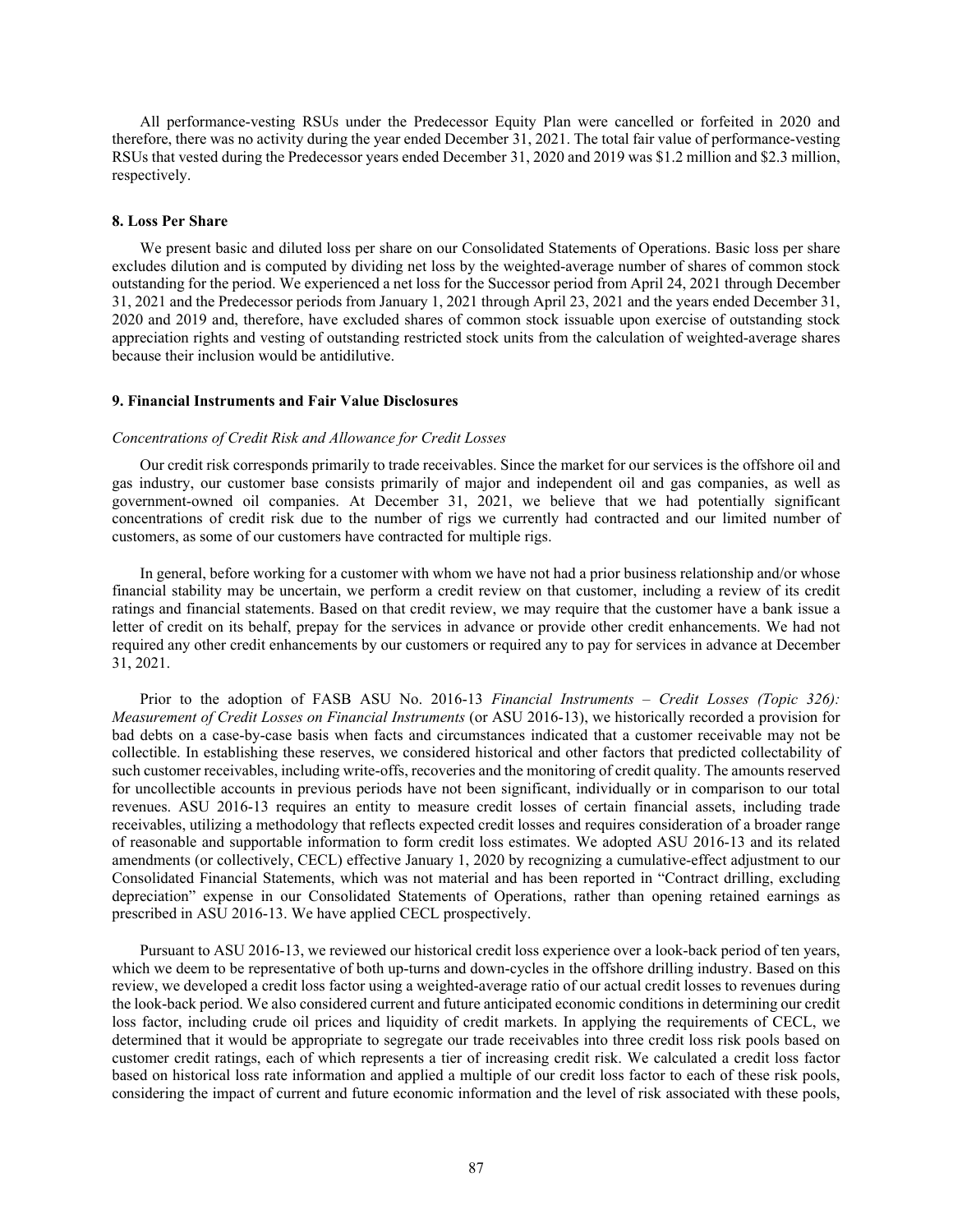All performance-vesting RSUs under the Predecessor Equity Plan were cancelled or forfeited in 2020 and therefore, there was no activity during the year ended December 31, 2021. The total fair value of performance-vesting RSUs that vested during the Predecessor years ended December 31, 2020 and 2019 was \$1.2 million and \$2.3 million, respectively.

### **8. Loss Per Share**

We present basic and diluted loss per share on our Consolidated Statements of Operations. Basic loss per share excludes dilution and is computed by dividing net loss by the weighted-average number of shares of common stock outstanding for the period. We experienced a net loss for the Successor period from April 24, 2021 through December 31, 2021 and the Predecessor periods from January 1, 2021 through April 23, 2021 and the years ended December 31, 2020 and 2019 and, therefore, have excluded shares of common stock issuable upon exercise of outstanding stock appreciation rights and vesting of outstanding restricted stock units from the calculation of weighted-average shares because their inclusion would be antidilutive.

#### **9. Financial Instruments and Fair Value Disclosures**

#### *Concentrations of Credit Risk and Allowance for Credit Losses*

Our credit risk corresponds primarily to trade receivables. Since the market for our services is the offshore oil and gas industry, our customer base consists primarily of major and independent oil and gas companies, as well as government-owned oil companies. At December 31, 2021, we believe that we had potentially significant concentrations of credit risk due to the number of rigs we currently had contracted and our limited number of customers, as some of our customers have contracted for multiple rigs.

In general, before working for a customer with whom we have not had a prior business relationship and/or whose financial stability may be uncertain, we perform a credit review on that customer, including a review of its credit ratings and financial statements. Based on that credit review, we may require that the customer have a bank issue a letter of credit on its behalf, prepay for the services in advance or provide other credit enhancements. We had not required any other credit enhancements by our customers or required any to pay for services in advance at December 31, 2021.

Prior to the adoption of FASB ASU No. 2016-13 *Financial Instruments – Credit Losses (Topic 326): Measurement of Credit Losses on Financial Instruments* (or ASU 2016-13), we historically recorded a provision for bad debts on a case-by-case basis when facts and circumstances indicated that a customer receivable may not be collectible. In establishing these reserves, we considered historical and other factors that predicted collectability of such customer receivables, including write-offs, recoveries and the monitoring of credit quality. The amounts reserved for uncollectible accounts in previous periods have not been significant, individually or in comparison to our total revenues. ASU 2016-13 requires an entity to measure credit losses of certain financial assets, including trade receivables, utilizing a methodology that reflects expected credit losses and requires consideration of a broader range of reasonable and supportable information to form credit loss estimates. We adopted ASU 2016-13 and its related amendments (or collectively, CECL) effective January 1, 2020 by recognizing a cumulative-effect adjustment to our Consolidated Financial Statements, which was not material and has been reported in "Contract drilling, excluding depreciation" expense in our Consolidated Statements of Operations, rather than opening retained earnings as prescribed in ASU 2016-13. We have applied CECL prospectively.

Pursuant to ASU 2016-13, we reviewed our historical credit loss experience over a look-back period of ten years, which we deem to be representative of both up-turns and down-cycles in the offshore drilling industry. Based on this review, we developed a credit loss factor using a weighted-average ratio of our actual credit losses to revenues during the look-back period. We also considered current and future anticipated economic conditions in determining our credit loss factor, including crude oil prices and liquidity of credit markets. In applying the requirements of CECL, we determined that it would be appropriate to segregate our trade receivables into three credit loss risk pools based on customer credit ratings, each of which represents a tier of increasing credit risk. We calculated a credit loss factor based on historical loss rate information and applied a multiple of our credit loss factor to each of these risk pools, considering the impact of current and future economic information and the level of risk associated with these pools,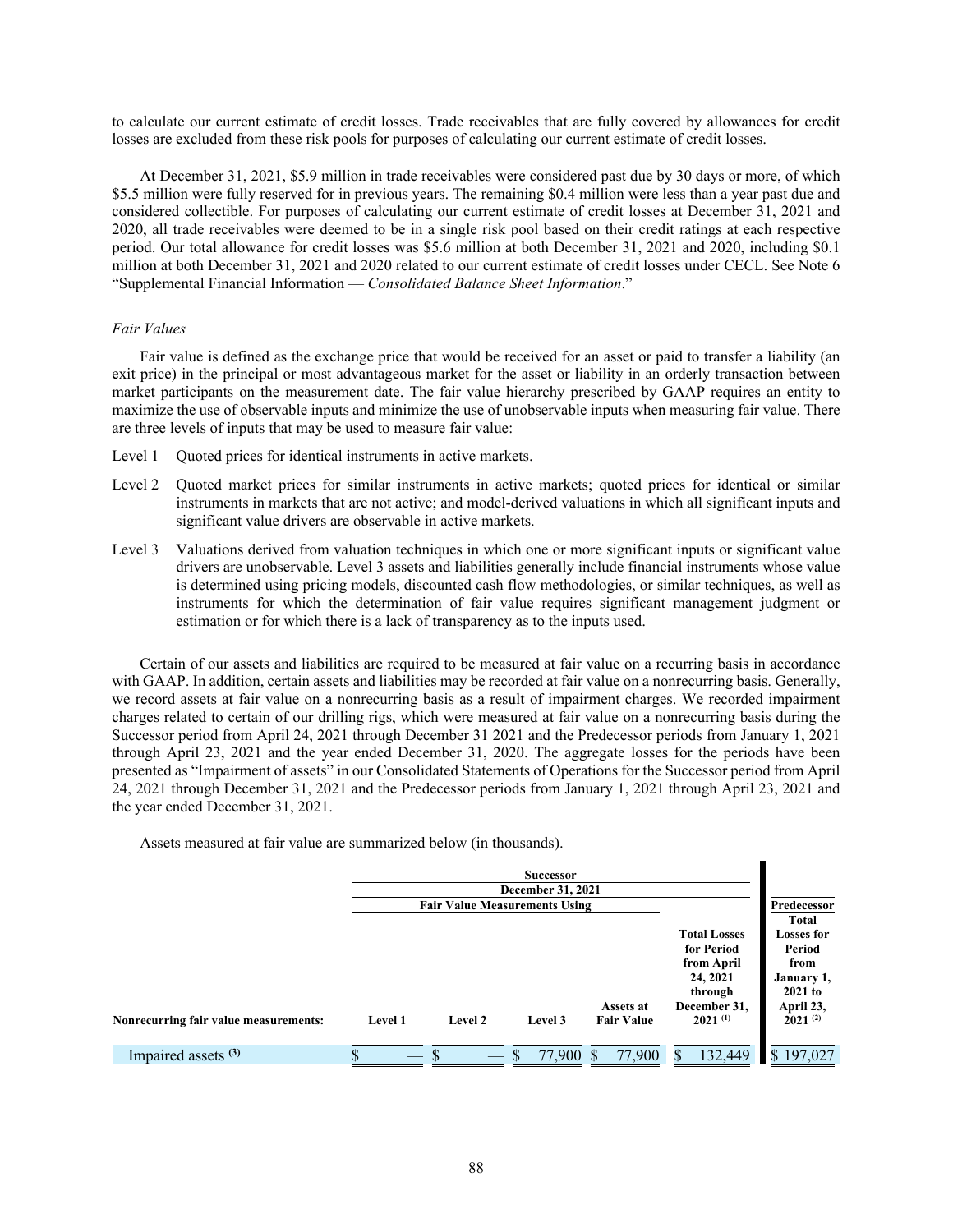to calculate our current estimate of credit losses. Trade receivables that are fully covered by allowances for credit losses are excluded from these risk pools for purposes of calculating our current estimate of credit losses.

At December 31, 2021, \$5.9 million in trade receivables were considered past due by 30 days or more, of which \$5.5 million were fully reserved for in previous years. The remaining \$0.4 million were less than a year past due and considered collectible. For purposes of calculating our current estimate of credit losses at December 31, 2021 and 2020, all trade receivables were deemed to be in a single risk pool based on their credit ratings at each respective period. Our total allowance for credit losses was \$5.6 million at both December 31, 2021 and 2020, including \$0.1 million at both December 31, 2021 and 2020 related to our current estimate of credit losses under CECL. See Note 6 "Supplemental Financial Information — *Consolidated Balance Sheet Information*."

#### *Fair Values*

Fair value is defined as the exchange price that would be received for an asset or paid to transfer a liability (an exit price) in the principal or most advantageous market for the asset or liability in an orderly transaction between market participants on the measurement date. The fair value hierarchy prescribed by GAAP requires an entity to maximize the use of observable inputs and minimize the use of unobservable inputs when measuring fair value. There are three levels of inputs that may be used to measure fair value:

- Level 1 Quoted prices for identical instruments in active markets.
- Level 2 Quoted market prices for similar instruments in active markets; quoted prices for identical or similar instruments in markets that are not active; and model-derived valuations in which all significant inputs and significant value drivers are observable in active markets.
- Level 3 Valuations derived from valuation techniques in which one or more significant inputs or significant value drivers are unobservable. Level 3 assets and liabilities generally include financial instruments whose value is determined using pricing models, discounted cash flow methodologies, or similar techniques, as well as instruments for which the determination of fair value requires significant management judgment or estimation or for which there is a lack of transparency as to the inputs used.

Certain of our assets and liabilities are required to be measured at fair value on a recurring basis in accordance with GAAP. In addition, certain assets and liabilities may be recorded at fair value on a nonrecurring basis. Generally, we record assets at fair value on a nonrecurring basis as a result of impairment charges. We recorded impairment charges related to certain of our drilling rigs, which were measured at fair value on a nonrecurring basis during the Successor period from April 24, 2021 through December 31 2021 and the Predecessor periods from January 1, 2021 through April 23, 2021 and the year ended December 31, 2020. The aggregate losses for the periods have been presented as "Impairment of assets" in our Consolidated Statements of Operations for the Successor period from April 24, 2021 through December 31, 2021 and the Predecessor periods from January 1, 2021 through April 23, 2021 and the year ended December 31, 2021.

Assets measured at fair value are summarized below (in thousands).

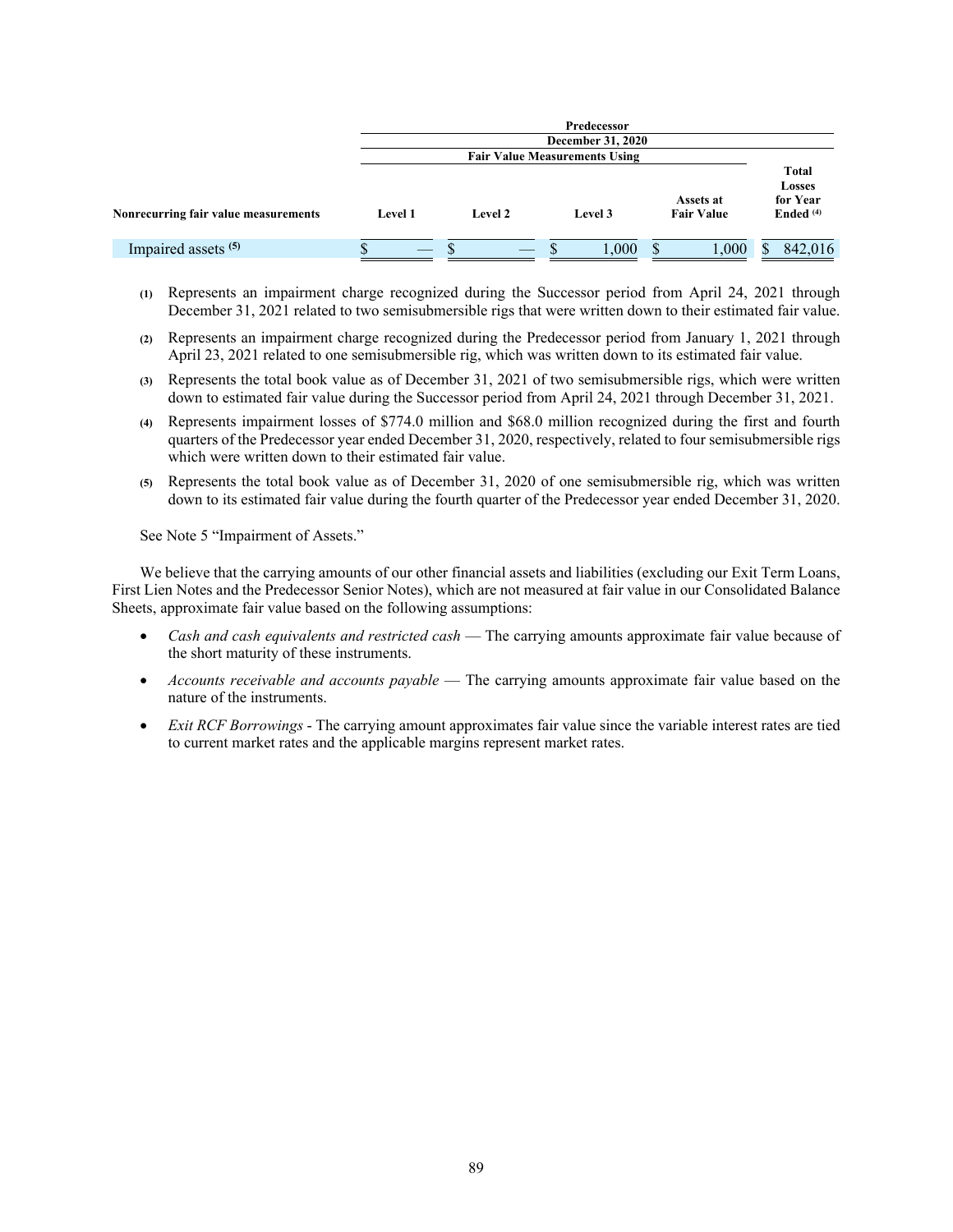|                                      | Predecessor<br><b>December 31, 2020</b> |                                      |         |                                |                                                   |  |  |  |  |  |  |  |
|--------------------------------------|-----------------------------------------|--------------------------------------|---------|--------------------------------|---------------------------------------------------|--|--|--|--|--|--|--|
|                                      |                                         | <b>Fair Value Measurements Using</b> |         |                                |                                                   |  |  |  |  |  |  |  |
| Nonrecurring fair value measurements | <b>Level 1</b>                          | Level 2                              | Level 3 | Assets at<br><b>Fair Value</b> | Total<br><b>Losses</b><br>for Year<br>Ended $(4)$ |  |  |  |  |  |  |  |
| Impaired assets (5)                  |                                         |                                      | .000    | 1,000                          | 842,016<br>S                                      |  |  |  |  |  |  |  |

- **(1)** Represents an impairment charge recognized during the Successor period from April 24, 2021 through December 31, 2021 related to two semisubmersible rigs that were written down to their estimated fair value.
- **(2)** Represents an impairment charge recognized during the Predecessor period from January 1, 2021 through April 23, 2021 related to one semisubmersible rig, which was written down to its estimated fair value.
- **(3)** Represents the total book value as of December 31, 2021 of two semisubmersible rigs, which were written down to estimated fair value during the Successor period from April 24, 2021 through December 31, 2021.
- **(4)** Represents impairment losses of \$774.0 million and \$68.0 million recognized during the first and fourth quarters of the Predecessor year ended December 31, 2020, respectively, related to four semisubmersible rigs which were written down to their estimated fair value.
- **(5)** Represents the total book value as of December 31, 2020 of one semisubmersible rig, which was written down to its estimated fair value during the fourth quarter of the Predecessor year ended December 31, 2020.

See Note 5 "Impairment of Assets."

We believe that the carrying amounts of our other financial assets and liabilities (excluding our Exit Term Loans, First Lien Notes and the Predecessor Senior Notes), which are not measured at fair value in our Consolidated Balance Sheets, approximate fair value based on the following assumptions:

- *Cash and cash equivalents and restricted cash* The carrying amounts approximate fair value because of the short maturity of these instruments.
- *Accounts receivable and accounts payable* The carrying amounts approximate fair value based on the nature of the instruments.
- *Exit RCF Borrowings* The carrying amount approximates fair value since the variable interest rates are tied to current market rates and the applicable margins represent market rates.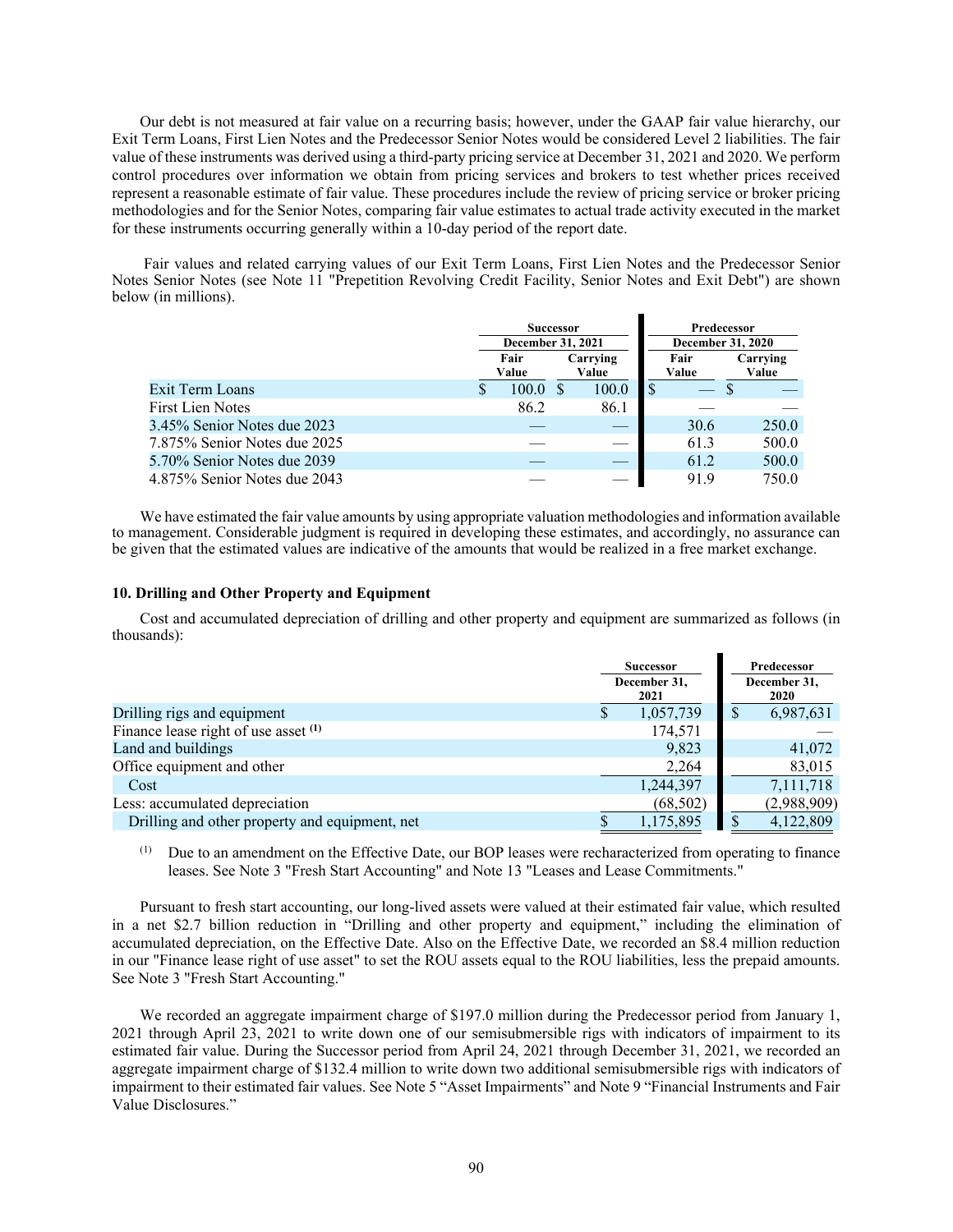Our debt is not measured at fair value on a recurring basis; however, under the GAAP fair value hierarchy, our Exit Term Loans, First Lien Notes and the Predecessor Senior Notes would be considered Level 2 liabilities. The fair value of these instruments was derived using a third-party pricing service at December 31, 2021 and 2020. We perform control procedures over information we obtain from pricing services and brokers to test whether prices received represent a reasonable estimate of fair value. These procedures include the review of pricing service or broker pricing methodologies and for the Senior Notes, comparing fair value estimates to actual trade activity executed in the market for these instruments occurring generally within a 10-day period of the report date.

 Fair values and related carrying values of our Exit Term Loans, First Lien Notes and the Predecessor Senior Notes Senior Notes (see Note 11 "Prepetition Revolving Credit Facility, Senior Notes and Exit Debt") are shown below (in millions).

|                              |   | <b>Successor</b><br><b>December 31, 2021</b> |  |                          |  | Predecessor<br><b>December 31, 2020</b> |  |       |  |  |  |                   |  |  |               |  |                   |  |
|------------------------------|---|----------------------------------------------|--|--------------------------|--|-----------------------------------------|--|-------|--|--|--|-------------------|--|--|---------------|--|-------------------|--|
|                              |   | Fair<br>Value                                |  |                          |  |                                         |  |       |  |  |  | Carrying<br>Value |  |  | Fair<br>Value |  | Carrying<br>Value |  |
| Exit Term Loans              | S | 100.0                                        |  | 100.0                    |  |                                         |  |       |  |  |  |                   |  |  |               |  |                   |  |
| <b>First Lien Notes</b>      |   | 86.2                                         |  | 86.1                     |  |                                         |  |       |  |  |  |                   |  |  |               |  |                   |  |
| 3.45% Senior Notes due 2023  |   |                                              |  |                          |  | 30.6                                    |  | 250.0 |  |  |  |                   |  |  |               |  |                   |  |
| 7.875% Senior Notes due 2025 |   |                                              |  | -                        |  | 61.3                                    |  | 500.0 |  |  |  |                   |  |  |               |  |                   |  |
| 5.70% Senior Notes due 2039  |   |                                              |  | $\overline{\phantom{0}}$ |  | 61.2                                    |  | 500.0 |  |  |  |                   |  |  |               |  |                   |  |
| 4.875% Senior Notes due 2043 |   |                                              |  |                          |  | 91.9                                    |  | 750.0 |  |  |  |                   |  |  |               |  |                   |  |

We have estimated the fair value amounts by using appropriate valuation methodologies and information available to management. Considerable judgment is required in developing these estimates, and accordingly, no assurance can be given that the estimated values are indicative of the amounts that would be realized in a free market exchange.

### **10. Drilling and Other Property and Equipment**

Cost and accumulated depreciation of drilling and other property and equipment are summarized as follows (in thousands):

|                                                | <b>Successor</b><br>December 31,<br>2021 | Predecessor<br>December 31,<br>2020 |
|------------------------------------------------|------------------------------------------|-------------------------------------|
| Drilling rigs and equipment                    | 1,057,739<br>D                           | 6,987,631<br>S                      |
| Finance lease right of use asset (1)           | 174,571                                  |                                     |
| Land and buildings                             | 9,823                                    | 41,072                              |
| Office equipment and other                     | 2,264                                    | 83,015                              |
| Cost                                           | 1,244,397                                | 7,111,718                           |
| Less: accumulated depreciation                 | (68, 502)                                | (2,988,909)                         |
| Drilling and other property and equipment, net | 1,175,895                                | 4.122.809                           |

(1) Due to an amendment on the Effective Date, our BOP leases were recharacterized from operating to finance leases. See Note 3 "Fresh Start Accounting" and Note 13 "Leases and Lease Commitments."

Pursuant to fresh start accounting, our long-lived assets were valued at their estimated fair value, which resulted in a net \$2.7 billion reduction in "Drilling and other property and equipment," including the elimination of accumulated depreciation, on the Effective Date. Also on the Effective Date, we recorded an \$8.4 million reduction in our "Finance lease right of use asset" to set the ROU assets equal to the ROU liabilities, less the prepaid amounts. See Note 3 "Fresh Start Accounting."

We recorded an aggregate impairment charge of \$197.0 million during the Predecessor period from January 1, 2021 through April 23, 2021 to write down one of our semisubmersible rigs with indicators of impairment to its estimated fair value. During the Successor period from April 24, 2021 through December 31, 2021, we recorded an aggregate impairment charge of \$132.4 million to write down two additional semisubmersible rigs with indicators of impairment to their estimated fair values. See Note 5 "Asset Impairments" and Note 9 "Financial Instruments and Fair Value Disclosures."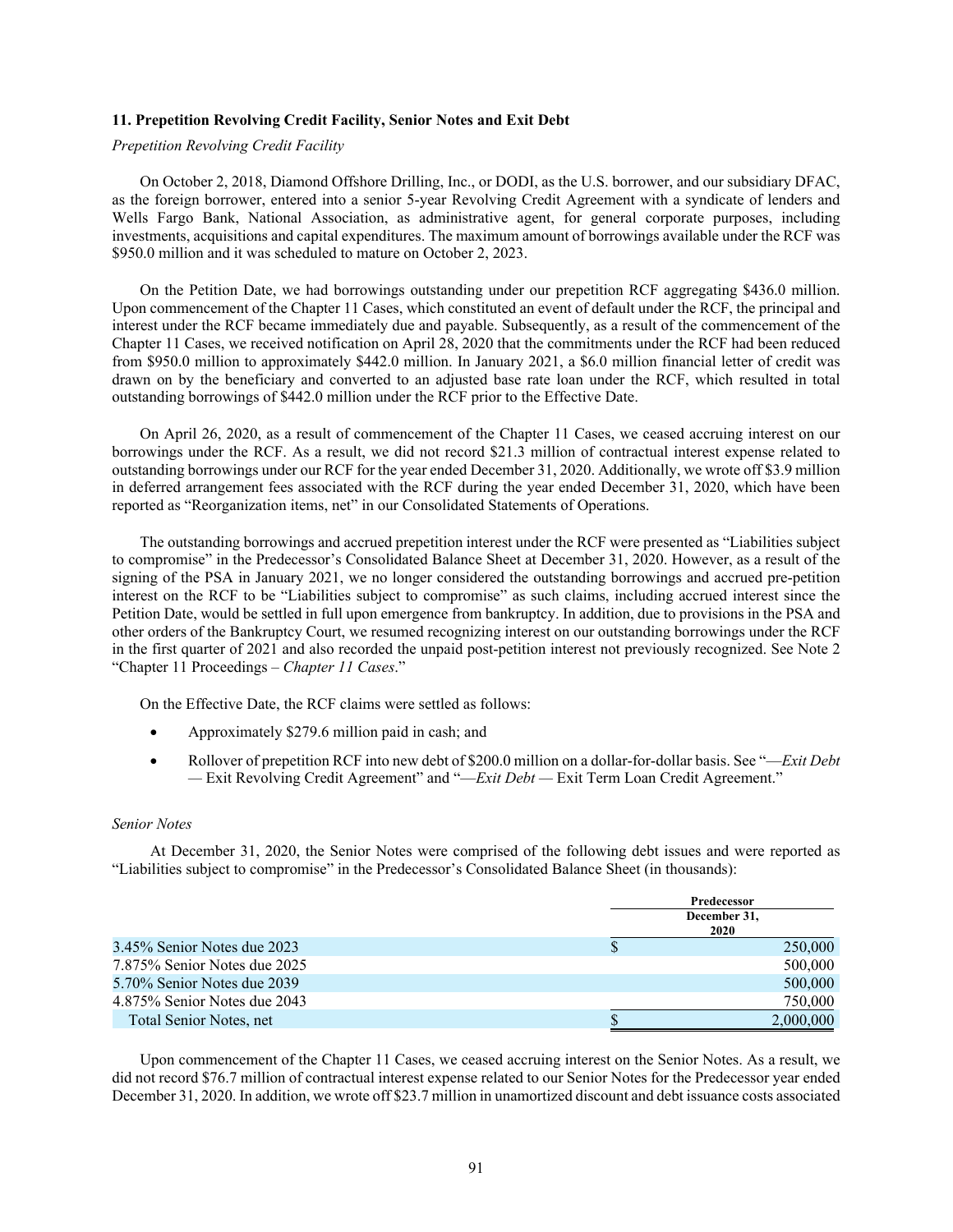### **11. Prepetition Revolving Credit Facility, Senior Notes and Exit Debt**

### *Prepetition Revolving Credit Facility*

On October 2, 2018, Diamond Offshore Drilling, Inc., or DODI, as the U.S. borrower, and our subsidiary DFAC, as the foreign borrower, entered into a senior 5-year Revolving Credit Agreement with a syndicate of lenders and Wells Fargo Bank, National Association, as administrative agent, for general corporate purposes, including investments, acquisitions and capital expenditures. The maximum amount of borrowings available under the RCF was \$950.0 million and it was scheduled to mature on October 2, 2023.

On the Petition Date, we had borrowings outstanding under our prepetition RCF aggregating \$436.0 million. Upon commencement of the Chapter 11 Cases, which constituted an event of default under the RCF, the principal and interest under the RCF became immediately due and payable. Subsequently, as a result of the commencement of the Chapter 11 Cases, we received notification on April 28, 2020 that the commitments under the RCF had been reduced from \$950.0 million to approximately \$442.0 million. In January 2021, a \$6.0 million financial letter of credit was drawn on by the beneficiary and converted to an adjusted base rate loan under the RCF, which resulted in total outstanding borrowings of \$442.0 million under the RCF prior to the Effective Date.

On April 26, 2020, as a result of commencement of the Chapter 11 Cases, we ceased accruing interest on our borrowings under the RCF. As a result, we did not record \$21.3 million of contractual interest expense related to outstanding borrowings under our RCF for the year ended December 31, 2020. Additionally, we wrote off \$3.9 million in deferred arrangement fees associated with the RCF during the year ended December 31, 2020, which have been reported as "Reorganization items, net" in our Consolidated Statements of Operations.

The outstanding borrowings and accrued prepetition interest under the RCF were presented as "Liabilities subject to compromise" in the Predecessor's Consolidated Balance Sheet at December 31, 2020. However, as a result of the signing of the PSA in January 2021, we no longer considered the outstanding borrowings and accrued pre-petition interest on the RCF to be "Liabilities subject to compromise" as such claims, including accrued interest since the Petition Date, would be settled in full upon emergence from bankruptcy. In addition, due to provisions in the PSA and other orders of the Bankruptcy Court, we resumed recognizing interest on our outstanding borrowings under the RCF in the first quarter of 2021 and also recorded the unpaid post-petition interest not previously recognized. See Note 2 "Chapter 11 Proceedings – *Chapter 11 Cases*."

On the Effective Date, the RCF claims were settled as follows:

- Approximately \$279.6 million paid in cash; and
- Rollover of prepetition RCF into new debt of \$200.0 million on a dollar-for-dollar basis. See "—*Exit Debt —* Exit Revolving Credit Agreement" and "—*Exit Debt —* Exit Term Loan Credit Agreement."

#### *Senior Notes*

At December 31, 2020, the Senior Notes were comprised of the following debt issues and were reported as "Liabilities subject to compromise" in the Predecessor's Consolidated Balance Sheet (in thousands):

|                              | Predecessor          |
|------------------------------|----------------------|
|                              | December 31,<br>2020 |
| 3.45% Senior Notes due 2023  | 250,000              |
| 7.875% Senior Notes due 2025 | 500,000              |
| 5.70% Senior Notes due 2039  | 500,000              |
| 4.875% Senior Notes due 2043 | 750,000              |
| Total Senior Notes, net      | 2,000,000            |

Upon commencement of the Chapter 11 Cases, we ceased accruing interest on the Senior Notes. As a result, we did not record \$76.7 million of contractual interest expense related to our Senior Notes for the Predecessor year ended December 31, 2020. In addition, we wrote off \$23.7 million in unamortized discount and debt issuance costs associated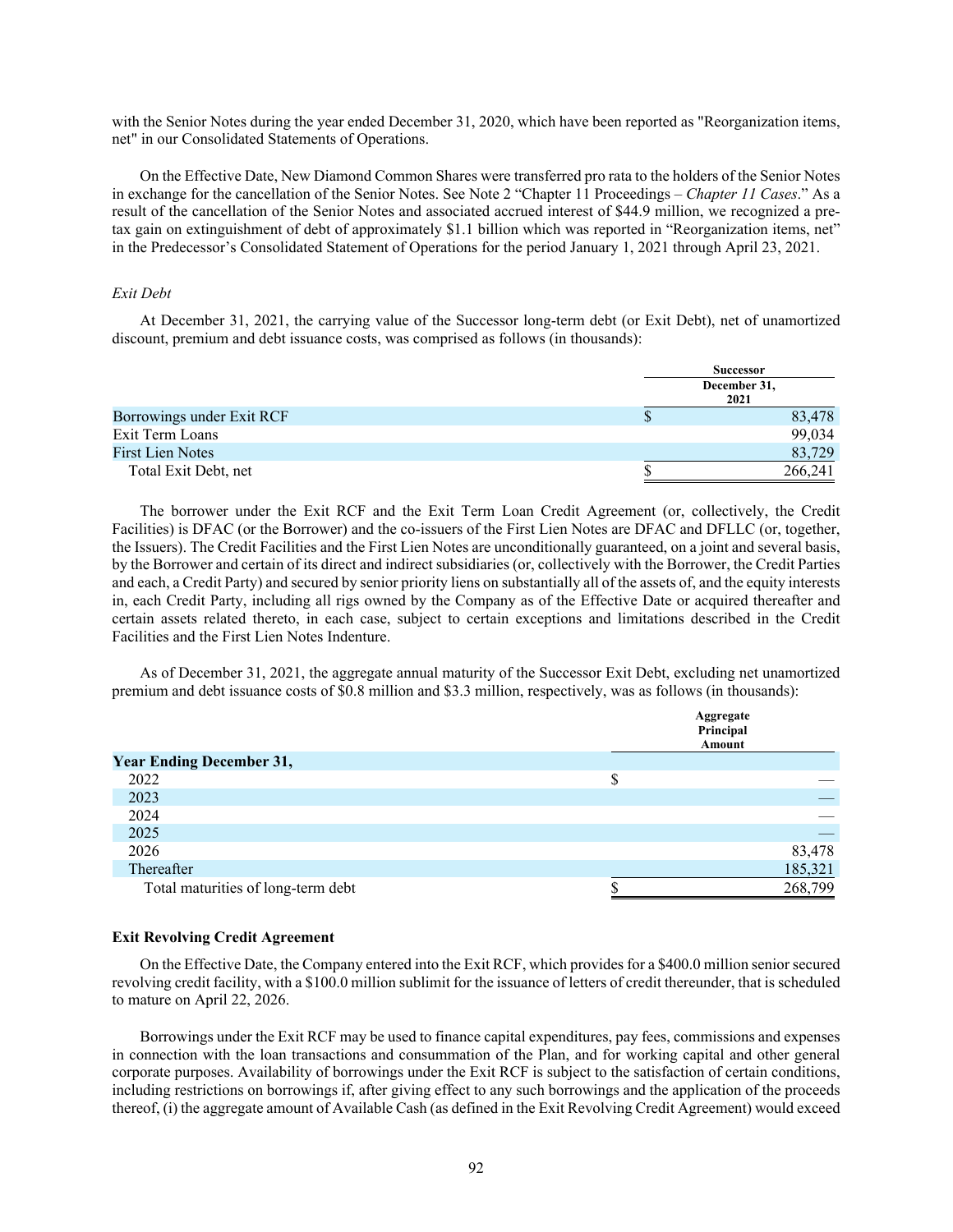with the Senior Notes during the year ended December 31, 2020, which have been reported as "Reorganization items, net" in our Consolidated Statements of Operations.

On the Effective Date, New Diamond Common Shares were transferred pro rata to the holders of the Senior Notes in exchange for the cancellation of the Senior Notes. See Note 2 "Chapter 11 Proceedings – *Chapter 11 Cases*." As a result of the cancellation of the Senior Notes and associated accrued interest of \$44.9 million, we recognized a pretax gain on extinguishment of debt of approximately \$1.1 billion which was reported in "Reorganization items, net" in the Predecessor's Consolidated Statement of Operations for the period January 1, 2021 through April 23, 2021.

#### *Exit Debt*

At December 31, 2021, the carrying value of the Successor long-term debt (or Exit Debt), net of unamortized discount, premium and debt issuance costs, was comprised as follows (in thousands):

|                           | <b>Successor</b><br>December 31,<br>2021 |
|---------------------------|------------------------------------------|
| Borrowings under Exit RCF | 83,478                                   |
| Exit Term Loans           | 99,034                                   |
| First Lien Notes          | 83,729                                   |
| Total Exit Debt, net      | 266,241                                  |

The borrower under the Exit RCF and the Exit Term Loan Credit Agreement (or, collectively, the Credit Facilities) is DFAC (or the Borrower) and the co-issuers of the First Lien Notes are DFAC and DFLLC (or, together, the Issuers). The Credit Facilities and the First Lien Notes are unconditionally guaranteed, on a joint and several basis, by the Borrower and certain of its direct and indirect subsidiaries (or, collectively with the Borrower, the Credit Parties and each, a Credit Party) and secured by senior priority liens on substantially all of the assets of, and the equity interests in, each Credit Party, including all rigs owned by the Company as of the Effective Date or acquired thereafter and certain assets related thereto, in each case, subject to certain exceptions and limitations described in the Credit Facilities and the First Lien Notes Indenture.

As of December 31, 2021, the aggregate annual maturity of the Successor Exit Debt, excluding net unamortized premium and debt issuance costs of \$0.8 million and \$3.3 million, respectively, was as follows (in thousands):

|                                    | Aggregate<br>Principal<br>Amount |         |
|------------------------------------|----------------------------------|---------|
| <b>Year Ending December 31,</b>    |                                  |         |
| 2022                               |                                  |         |
| 2023                               |                                  |         |
| 2024                               |                                  |         |
| 2025                               |                                  |         |
| 2026                               |                                  | 83,478  |
| Thereafter                         |                                  | 185,321 |
| Total maturities of long-term debt |                                  | 268,799 |

### **Exit Revolving Credit Agreement**

On the Effective Date, the Company entered into the Exit RCF, which provides for a \$400.0 million senior secured revolving credit facility, with a \$100.0 million sublimit for the issuance of letters of credit thereunder, that is scheduled to mature on April 22, 2026.

Borrowings under the Exit RCF may be used to finance capital expenditures, pay fees, commissions and expenses in connection with the loan transactions and consummation of the Plan, and for working capital and other general corporate purposes. Availability of borrowings under the Exit RCF is subject to the satisfaction of certain conditions, including restrictions on borrowings if, after giving effect to any such borrowings and the application of the proceeds thereof, (i) the aggregate amount of Available Cash (as defined in the Exit Revolving Credit Agreement) would exceed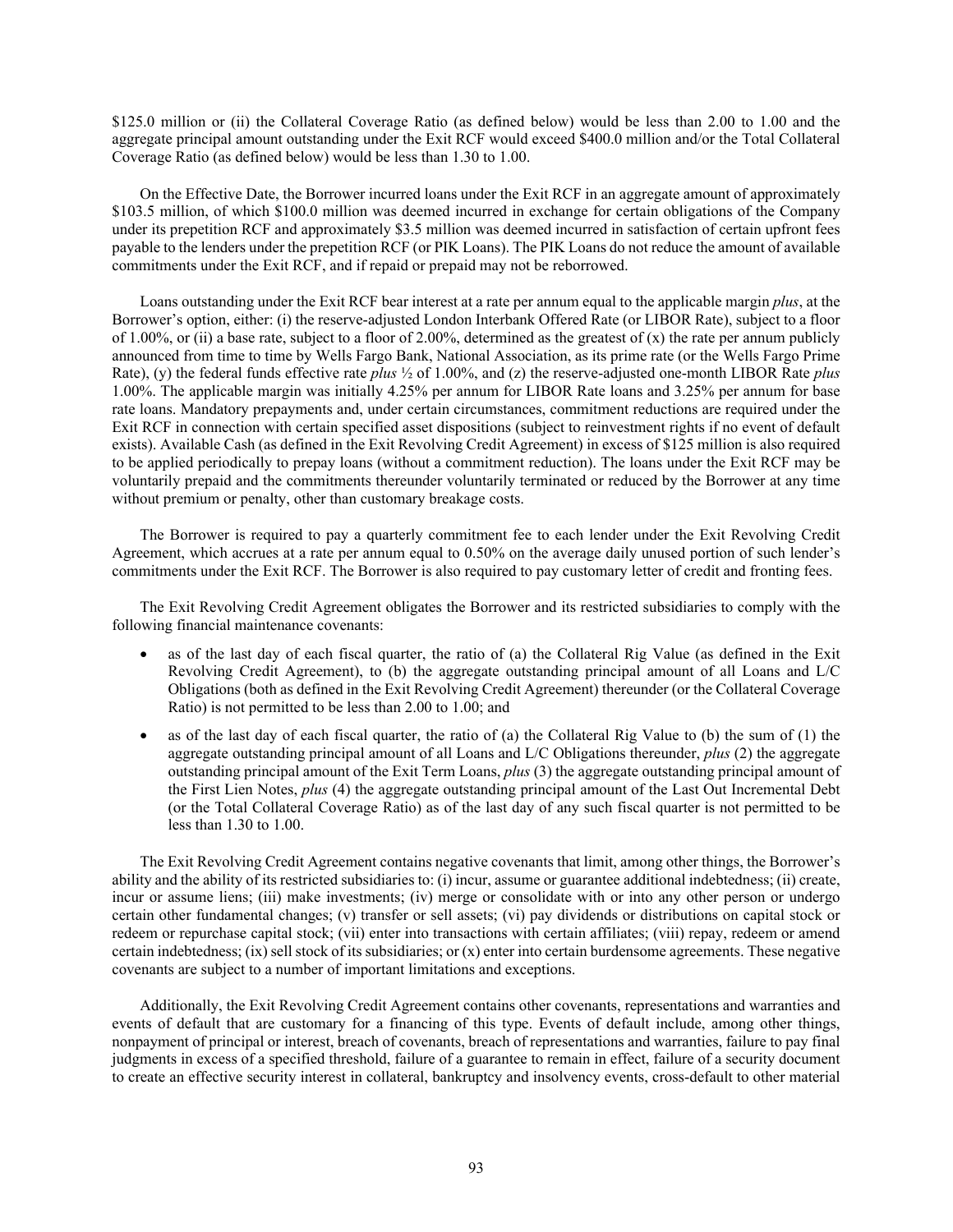\$125.0 million or (ii) the Collateral Coverage Ratio (as defined below) would be less than 2.00 to 1.00 and the aggregate principal amount outstanding under the Exit RCF would exceed \$400.0 million and/or the Total Collateral Coverage Ratio (as defined below) would be less than 1.30 to 1.00.

On the Effective Date, the Borrower incurred loans under the Exit RCF in an aggregate amount of approximately \$103.5 million, of which \$100.0 million was deemed incurred in exchange for certain obligations of the Company under its prepetition RCF and approximately \$3.5 million was deemed incurred in satisfaction of certain upfront fees payable to the lenders under the prepetition RCF (or PIK Loans). The PIK Loans do not reduce the amount of available commitments under the Exit RCF, and if repaid or prepaid may not be reborrowed.

Loans outstanding under the Exit RCF bear interest at a rate per annum equal to the applicable margin *plus*, at the Borrower's option, either: (i) the reserve-adjusted London Interbank Offered Rate (or LIBOR Rate), subject to a floor of 1.00%, or (ii) a base rate, subject to a floor of 2.00%, determined as the greatest of  $(x)$  the rate per annum publicly announced from time to time by Wells Fargo Bank, National Association, as its prime rate (or the Wells Fargo Prime Rate), (y) the federal funds effective rate *plus* ½ of 1.00%, and (z) the reserve-adjusted one-month LIBOR Rate *plus* 1.00%. The applicable margin was initially 4.25% per annum for LIBOR Rate loans and 3.25% per annum for base rate loans. Mandatory prepayments and, under certain circumstances, commitment reductions are required under the Exit RCF in connection with certain specified asset dispositions (subject to reinvestment rights if no event of default exists). Available Cash (as defined in the Exit Revolving Credit Agreement) in excess of \$125 million is also required to be applied periodically to prepay loans (without a commitment reduction). The loans under the Exit RCF may be voluntarily prepaid and the commitments thereunder voluntarily terminated or reduced by the Borrower at any time without premium or penalty, other than customary breakage costs.

The Borrower is required to pay a quarterly commitment fee to each lender under the Exit Revolving Credit Agreement, which accrues at a rate per annum equal to 0.50% on the average daily unused portion of such lender's commitments under the Exit RCF. The Borrower is also required to pay customary letter of credit and fronting fees.

The Exit Revolving Credit Agreement obligates the Borrower and its restricted subsidiaries to comply with the following financial maintenance covenants:

- as of the last day of each fiscal quarter, the ratio of (a) the Collateral Rig Value (as defined in the Exit Revolving Credit Agreement), to (b) the aggregate outstanding principal amount of all Loans and L/C Obligations (both as defined in the Exit Revolving Credit Agreement) thereunder (or the Collateral Coverage Ratio) is not permitted to be less than 2.00 to 1.00; and
- as of the last day of each fiscal quarter, the ratio of (a) the Collateral Rig Value to (b) the sum of (1) the aggregate outstanding principal amount of all Loans and L/C Obligations thereunder, *plus* (2) the aggregate outstanding principal amount of the Exit Term Loans, *plus* (3) the aggregate outstanding principal amount of the First Lien Notes, *plus* (4) the aggregate outstanding principal amount of the Last Out Incremental Debt (or the Total Collateral Coverage Ratio) as of the last day of any such fiscal quarter is not permitted to be less than 1.30 to 1.00.

The Exit Revolving Credit Agreement contains negative covenants that limit, among other things, the Borrower's ability and the ability of its restricted subsidiaries to: (i) incur, assume or guarantee additional indebtedness; (ii) create, incur or assume liens; (iii) make investments; (iv) merge or consolidate with or into any other person or undergo certain other fundamental changes; (v) transfer or sell assets; (vi) pay dividends or distributions on capital stock or redeem or repurchase capital stock; (vii) enter into transactions with certain affiliates; (viii) repay, redeem or amend certain indebtedness;  $(ix)$  sell stock of its subsidiaries; or  $(x)$  enter into certain burdensome agreements. These negative covenants are subject to a number of important limitations and exceptions.

Additionally, the Exit Revolving Credit Agreement contains other covenants, representations and warranties and events of default that are customary for a financing of this type. Events of default include, among other things, nonpayment of principal or interest, breach of covenants, breach of representations and warranties, failure to pay final judgments in excess of a specified threshold, failure of a guarantee to remain in effect, failure of a security document to create an effective security interest in collateral, bankruptcy and insolvency events, cross-default to other material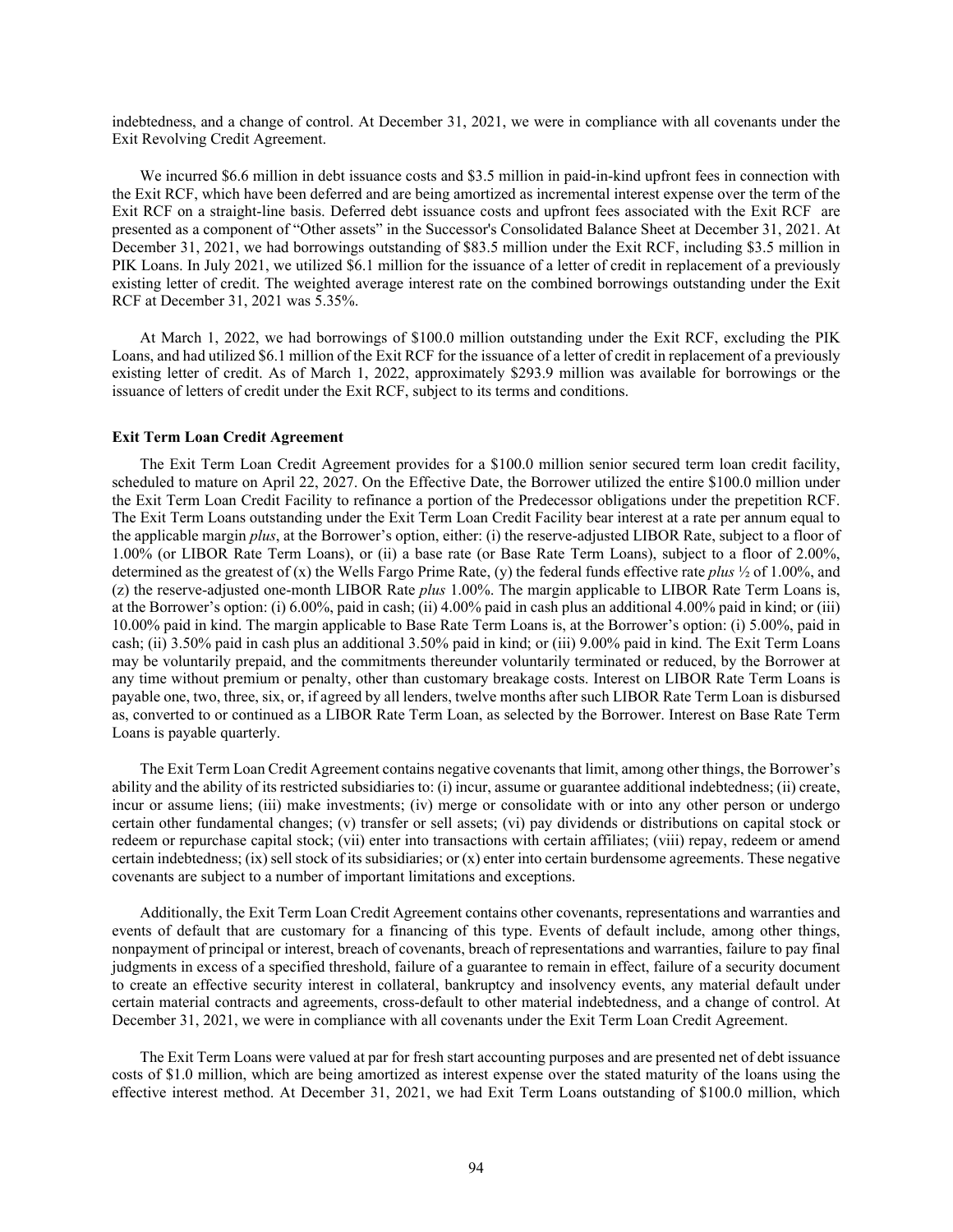indebtedness, and a change of control. At December 31, 2021, we were in compliance with all covenants under the Exit Revolving Credit Agreement.

We incurred \$6.6 million in debt issuance costs and \$3.5 million in paid-in-kind upfront fees in connection with the Exit RCF, which have been deferred and are being amortized as incremental interest expense over the term of the Exit RCF on a straight-line basis. Deferred debt issuance costs and upfront fees associated with the Exit RCF are presented as a component of "Other assets" in the Successor's Consolidated Balance Sheet at December 31, 2021. At December 31, 2021, we had borrowings outstanding of \$83.5 million under the Exit RCF, including \$3.5 million in PIK Loans. In July 2021, we utilized \$6.1 million for the issuance of a letter of credit in replacement of a previously existing letter of credit. The weighted average interest rate on the combined borrowings outstanding under the Exit RCF at December 31, 2021 was 5.35%.

At March 1, 2022, we had borrowings of \$100.0 million outstanding under the Exit RCF, excluding the PIK Loans, and had utilized \$6.1 million of the Exit RCF for the issuance of a letter of credit in replacement of a previously existing letter of credit. As of March 1, 2022, approximately \$293.9 million was available for borrowings or the issuance of letters of credit under the Exit RCF, subject to its terms and conditions.

### **Exit Term Loan Credit Agreement**

The Exit Term Loan Credit Agreement provides for a \$100.0 million senior secured term loan credit facility, scheduled to mature on April 22, 2027. On the Effective Date, the Borrower utilized the entire \$100.0 million under the Exit Term Loan Credit Facility to refinance a portion of the Predecessor obligations under the prepetition RCF. The Exit Term Loans outstanding under the Exit Term Loan Credit Facility bear interest at a rate per annum equal to the applicable margin *plus*, at the Borrower's option, either: (i) the reserve-adjusted LIBOR Rate, subject to a floor of 1.00% (or LIBOR Rate Term Loans), or (ii) a base rate (or Base Rate Term Loans), subject to a floor of 2.00%, determined as the greatest of (x) the Wells Fargo Prime Rate, (y) the federal funds effective rate *plus* ½ of 1.00%, and (z) the reserve-adjusted one-month LIBOR Rate *plus* 1.00%. The margin applicable to LIBOR Rate Term Loans is, at the Borrower's option: (i) 6.00%, paid in cash; (ii) 4.00% paid in cash plus an additional 4.00% paid in kind; or (iii) 10.00% paid in kind. The margin applicable to Base Rate Term Loans is, at the Borrower's option: (i) 5.00%, paid in cash; (ii) 3.50% paid in cash plus an additional 3.50% paid in kind; or (iii) 9.00% paid in kind. The Exit Term Loans may be voluntarily prepaid, and the commitments thereunder voluntarily terminated or reduced, by the Borrower at any time without premium or penalty, other than customary breakage costs. Interest on LIBOR Rate Term Loans is payable one, two, three, six, or, if agreed by all lenders, twelve months after such LIBOR Rate Term Loan is disbursed as, converted to or continued as a LIBOR Rate Term Loan, as selected by the Borrower. Interest on Base Rate Term Loans is payable quarterly.

The Exit Term Loan Credit Agreement contains negative covenants that limit, among other things, the Borrower's ability and the ability of its restricted subsidiaries to: (i) incur, assume or guarantee additional indebtedness; (ii) create, incur or assume liens; (iii) make investments; (iv) merge or consolidate with or into any other person or undergo certain other fundamental changes; (v) transfer or sell assets; (vi) pay dividends or distributions on capital stock or redeem or repurchase capital stock; (vii) enter into transactions with certain affiliates; (viii) repay, redeem or amend certain indebtedness; (ix) sell stock of its subsidiaries; or  $(x)$  enter into certain burdensome agreements. These negative covenants are subject to a number of important limitations and exceptions.

Additionally, the Exit Term Loan Credit Agreement contains other covenants, representations and warranties and events of default that are customary for a financing of this type. Events of default include, among other things, nonpayment of principal or interest, breach of covenants, breach of representations and warranties, failure to pay final judgments in excess of a specified threshold, failure of a guarantee to remain in effect, failure of a security document to create an effective security interest in collateral, bankruptcy and insolvency events, any material default under certain material contracts and agreements, cross-default to other material indebtedness, and a change of control. At December 31, 2021, we were in compliance with all covenants under the Exit Term Loan Credit Agreement.

The Exit Term Loans were valued at par for fresh start accounting purposes and are presented net of debt issuance costs of \$1.0 million, which are being amortized as interest expense over the stated maturity of the loans using the effective interest method. At December 31, 2021, we had Exit Term Loans outstanding of \$100.0 million, which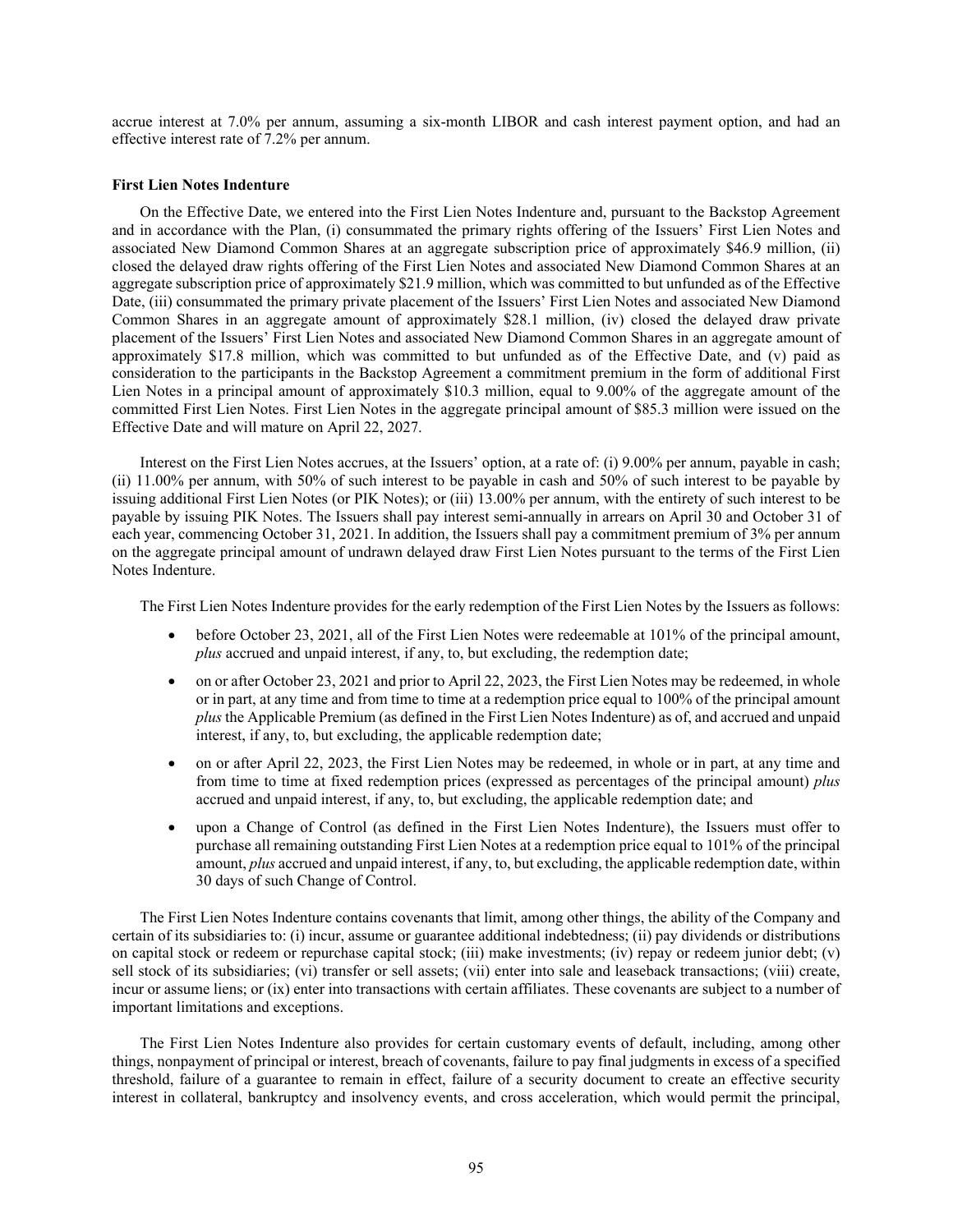accrue interest at 7.0% per annum, assuming a six-month LIBOR and cash interest payment option, and had an effective interest rate of 7.2% per annum.

#### **First Lien Notes Indenture**

On the Effective Date, we entered into the First Lien Notes Indenture and, pursuant to the Backstop Agreement and in accordance with the Plan, (i) consummated the primary rights offering of the Issuers' First Lien Notes and associated New Diamond Common Shares at an aggregate subscription price of approximately \$46.9 million, (ii) closed the delayed draw rights offering of the First Lien Notes and associated New Diamond Common Shares at an aggregate subscription price of approximately \$21.9 million, which was committed to but unfunded as of the Effective Date, (iii) consummated the primary private placement of the Issuers' First Lien Notes and associated New Diamond Common Shares in an aggregate amount of approximately \$28.1 million, (iv) closed the delayed draw private placement of the Issuers' First Lien Notes and associated New Diamond Common Shares in an aggregate amount of approximately \$17.8 million, which was committed to but unfunded as of the Effective Date, and (v) paid as consideration to the participants in the Backstop Agreement a commitment premium in the form of additional First Lien Notes in a principal amount of approximately \$10.3 million, equal to 9.00% of the aggregate amount of the committed First Lien Notes. First Lien Notes in the aggregate principal amount of \$85.3 million were issued on the Effective Date and will mature on April 22, 2027.

Interest on the First Lien Notes accrues, at the Issuers' option, at a rate of: (i) 9.00% per annum, payable in cash; (ii) 11.00% per annum, with 50% of such interest to be payable in cash and 50% of such interest to be payable by issuing additional First Lien Notes (or PIK Notes); or (iii) 13.00% per annum, with the entirety of such interest to be payable by issuing PIK Notes. The Issuers shall pay interest semi-annually in arrears on April 30 and October 31 of each year, commencing October 31, 2021. In addition, the Issuers shall pay a commitment premium of 3% per annum on the aggregate principal amount of undrawn delayed draw First Lien Notes pursuant to the terms of the First Lien Notes Indenture.

The First Lien Notes Indenture provides for the early redemption of the First Lien Notes by the Issuers as follows:

- before October 23, 2021, all of the First Lien Notes were redeemable at 101% of the principal amount, *plus* accrued and unpaid interest, if any, to, but excluding, the redemption date;
- on or after October 23, 2021 and prior to April 22, 2023, the First Lien Notes may be redeemed, in whole or in part, at any time and from time to time at a redemption price equal to 100% of the principal amount *plus* the Applicable Premium (as defined in the First Lien Notes Indenture) as of, and accrued and unpaid interest, if any, to, but excluding, the applicable redemption date;
- on or after April 22, 2023, the First Lien Notes may be redeemed, in whole or in part, at any time and from time to time at fixed redemption prices (expressed as percentages of the principal amount) *plus* accrued and unpaid interest, if any, to, but excluding, the applicable redemption date; and
- upon a Change of Control (as defined in the First Lien Notes Indenture), the Issuers must offer to purchase all remaining outstanding First Lien Notes at a redemption price equal to 101% of the principal amount, *plus* accrued and unpaid interest, if any, to, but excluding, the applicable redemption date, within 30 days of such Change of Control.

The First Lien Notes Indenture contains covenants that limit, among other things, the ability of the Company and certain of its subsidiaries to: (i) incur, assume or guarantee additional indebtedness; (ii) pay dividends or distributions on capital stock or redeem or repurchase capital stock; (iii) make investments; (iv) repay or redeem junior debt; (v) sell stock of its subsidiaries; (vi) transfer or sell assets; (vii) enter into sale and leaseback transactions; (viii) create, incur or assume liens; or (ix) enter into transactions with certain affiliates. These covenants are subject to a number of important limitations and exceptions.

The First Lien Notes Indenture also provides for certain customary events of default, including, among other things, nonpayment of principal or interest, breach of covenants, failure to pay final judgments in excess of a specified threshold, failure of a guarantee to remain in effect, failure of a security document to create an effective security interest in collateral, bankruptcy and insolvency events, and cross acceleration, which would permit the principal,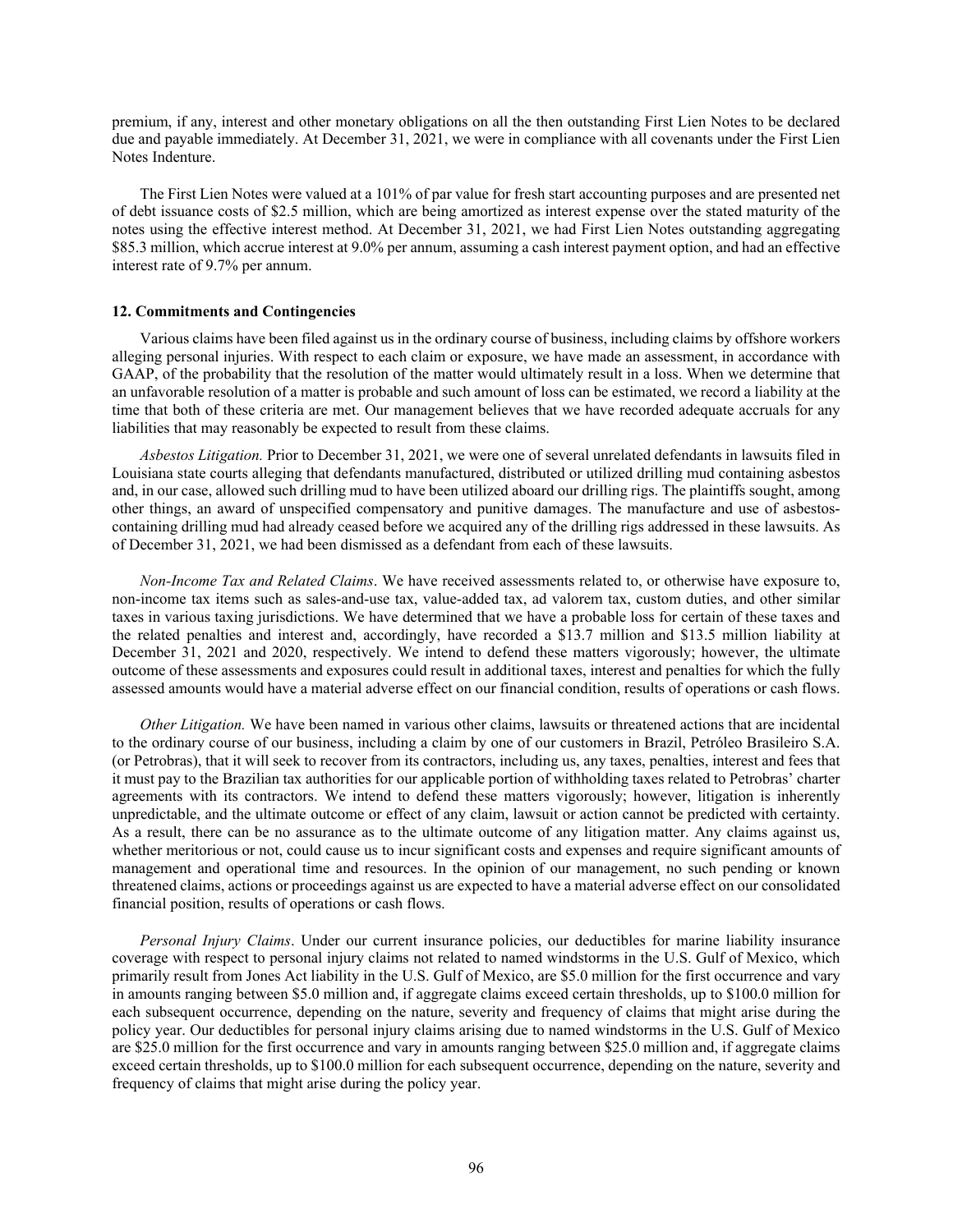premium, if any, interest and other monetary obligations on all the then outstanding First Lien Notes to be declared due and payable immediately. At December 31, 2021, we were in compliance with all covenants under the First Lien Notes Indenture.

The First Lien Notes were valued at a 101% of par value for fresh start accounting purposes and are presented net of debt issuance costs of \$2.5 million, which are being amortized as interest expense over the stated maturity of the notes using the effective interest method. At December 31, 2021, we had First Lien Notes outstanding aggregating \$85.3 million, which accrue interest at 9.0% per annum, assuming a cash interest payment option, and had an effective interest rate of 9.7% per annum.

### **12. Commitments and Contingencies**

Various claims have been filed against us in the ordinary course of business, including claims by offshore workers alleging personal injuries. With respect to each claim or exposure, we have made an assessment, in accordance with GAAP, of the probability that the resolution of the matter would ultimately result in a loss. When we determine that an unfavorable resolution of a matter is probable and such amount of loss can be estimated, we record a liability at the time that both of these criteria are met. Our management believes that we have recorded adequate accruals for any liabilities that may reasonably be expected to result from these claims.

*Asbestos Litigation.* Prior to December 31, 2021, we were one of several unrelated defendants in lawsuits filed in Louisiana state courts alleging that defendants manufactured, distributed or utilized drilling mud containing asbestos and, in our case, allowed such drilling mud to have been utilized aboard our drilling rigs. The plaintiffs sought, among other things, an award of unspecified compensatory and punitive damages. The manufacture and use of asbestoscontaining drilling mud had already ceased before we acquired any of the drilling rigs addressed in these lawsuits. As of December 31, 2021, we had been dismissed as a defendant from each of these lawsuits.

*Non-Income Tax and Related Claims*. We have received assessments related to, or otherwise have exposure to, non-income tax items such as sales-and-use tax, value-added tax, ad valorem tax, custom duties, and other similar taxes in various taxing jurisdictions. We have determined that we have a probable loss for certain of these taxes and the related penalties and interest and, accordingly, have recorded a \$13.7 million and \$13.5 million liability at December 31, 2021 and 2020, respectively. We intend to defend these matters vigorously; however, the ultimate outcome of these assessments and exposures could result in additional taxes, interest and penalties for which the fully assessed amounts would have a material adverse effect on our financial condition, results of operations or cash flows.

*Other Litigation.* We have been named in various other claims, lawsuits or threatened actions that are incidental to the ordinary course of our business, including a claim by one of our customers in Brazil, Petróleo Brasileiro S.A. (or Petrobras), that it will seek to recover from its contractors, including us, any taxes, penalties, interest and fees that it must pay to the Brazilian tax authorities for our applicable portion of withholding taxes related to Petrobras' charter agreements with its contractors. We intend to defend these matters vigorously; however, litigation is inherently unpredictable, and the ultimate outcome or effect of any claim, lawsuit or action cannot be predicted with certainty. As a result, there can be no assurance as to the ultimate outcome of any litigation matter. Any claims against us, whether meritorious or not, could cause us to incur significant costs and expenses and require significant amounts of management and operational time and resources. In the opinion of our management, no such pending or known threatened claims, actions or proceedings against us are expected to have a material adverse effect on our consolidated financial position, results of operations or cash flows.

*Personal Injury Claims*. Under our current insurance policies, our deductibles for marine liability insurance coverage with respect to personal injury claims not related to named windstorms in the U.S. Gulf of Mexico, which primarily result from Jones Act liability in the U.S. Gulf of Mexico, are \$5.0 million for the first occurrence and vary in amounts ranging between \$5.0 million and, if aggregate claims exceed certain thresholds, up to \$100.0 million for each subsequent occurrence, depending on the nature, severity and frequency of claims that might arise during the policy year. Our deductibles for personal injury claims arising due to named windstorms in the U.S. Gulf of Mexico are \$25.0 million for the first occurrence and vary in amounts ranging between \$25.0 million and, if aggregate claims exceed certain thresholds, up to \$100.0 million for each subsequent occurrence, depending on the nature, severity and frequency of claims that might arise during the policy year.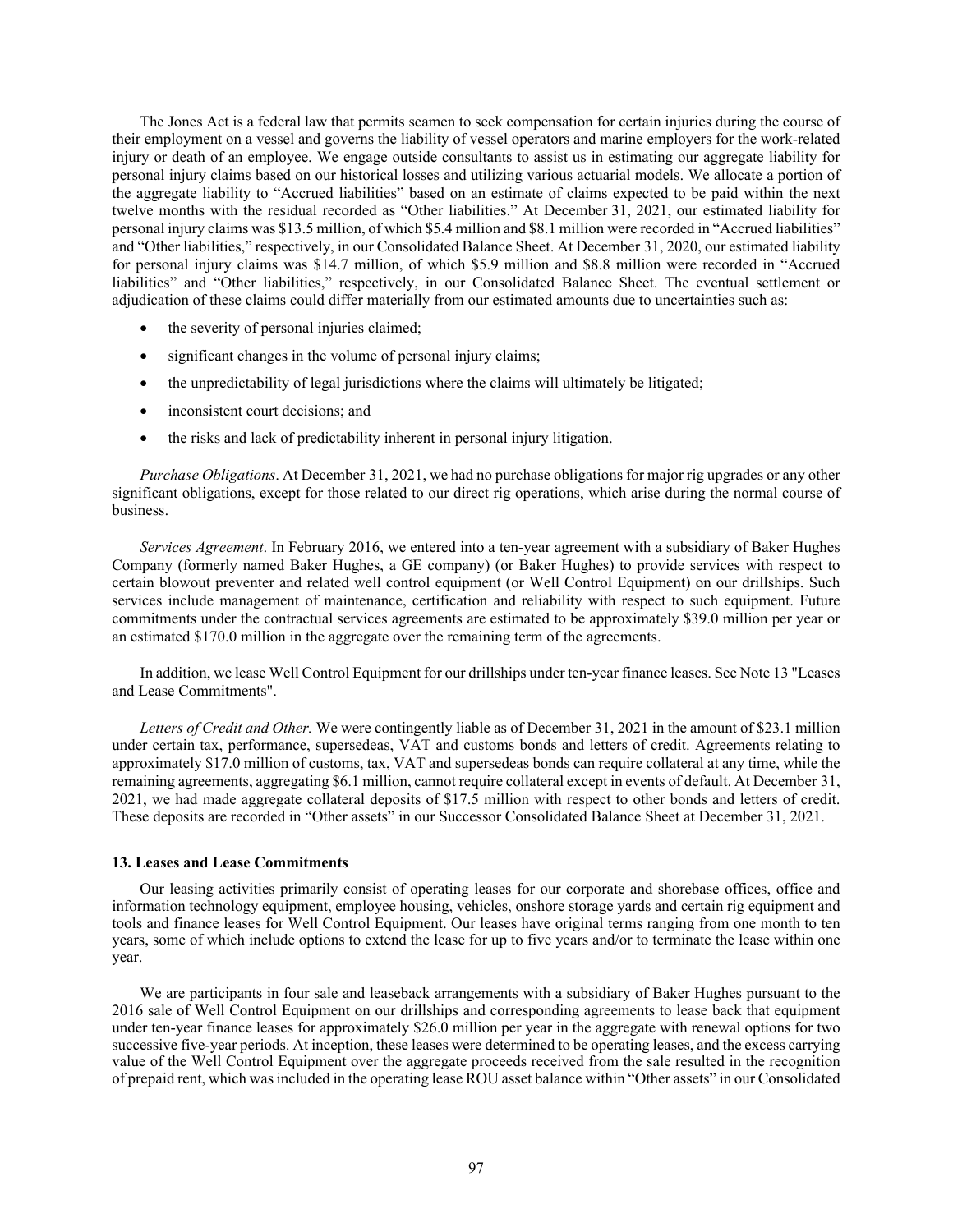The Jones Act is a federal law that permits seamen to seek compensation for certain injuries during the course of their employment on a vessel and governs the liability of vessel operators and marine employers for the work-related injury or death of an employee. We engage outside consultants to assist us in estimating our aggregate liability for personal injury claims based on our historical losses and utilizing various actuarial models. We allocate a portion of the aggregate liability to "Accrued liabilities" based on an estimate of claims expected to be paid within the next twelve months with the residual recorded as "Other liabilities." At December 31, 2021, our estimated liability for personal injury claims was \$13.5 million, of which \$5.4 million and \$8.1 million were recorded in "Accrued liabilities" and "Other liabilities," respectively, in our Consolidated Balance Sheet. At December 31, 2020, our estimated liability for personal injury claims was \$14.7 million, of which \$5.9 million and \$8.8 million were recorded in "Accrued liabilities" and "Other liabilities," respectively, in our Consolidated Balance Sheet. The eventual settlement or adjudication of these claims could differ materially from our estimated amounts due to uncertainties such as:

- the severity of personal injuries claimed;
- significant changes in the volume of personal injury claims;
- the unpredictability of legal jurisdictions where the claims will ultimately be litigated;
- inconsistent court decisions; and
- the risks and lack of predictability inherent in personal injury litigation.

*Purchase Obligations*. At December 31, 2021, we had no purchase obligations for major rig upgrades or any other significant obligations, except for those related to our direct rig operations, which arise during the normal course of business.

*Services Agreement*. In February 2016, we entered into a ten-year agreement with a subsidiary of Baker Hughes Company (formerly named Baker Hughes, a GE company) (or Baker Hughes) to provide services with respect to certain blowout preventer and related well control equipment (or Well Control Equipment) on our drillships. Such services include management of maintenance, certification and reliability with respect to such equipment. Future commitments under the contractual services agreements are estimated to be approximately \$39.0 million per year or an estimated \$170.0 million in the aggregate over the remaining term of the agreements.

In addition, we lease Well Control Equipment for our drillships under ten-year finance leases. See Note 13 "Leases and Lease Commitments".

*Letters of Credit and Other.* We were contingently liable as of December 31, 2021 in the amount of \$23.1 million under certain tax, performance, supersedeas, VAT and customs bonds and letters of credit. Agreements relating to approximately \$17.0 million of customs, tax, VAT and supersedeas bonds can require collateral at any time, while the remaining agreements, aggregating \$6.1 million, cannot require collateral except in events of default. At December 31, 2021, we had made aggregate collateral deposits of \$17.5 million with respect to other bonds and letters of credit. These deposits are recorded in "Other assets" in our Successor Consolidated Balance Sheet at December 31, 2021.

#### **13. Leases and Lease Commitments**

Our leasing activities primarily consist of operating leases for our corporate and shorebase offices, office and information technology equipment, employee housing, vehicles, onshore storage yards and certain rig equipment and tools and finance leases for Well Control Equipment. Our leases have original terms ranging from one month to ten years, some of which include options to extend the lease for up to five years and/or to terminate the lease within one year.

We are participants in four sale and leaseback arrangements with a subsidiary of Baker Hughes pursuant to the 2016 sale of Well Control Equipment on our drillships and corresponding agreements to lease back that equipment under ten-year finance leases for approximately \$26.0 million per year in the aggregate with renewal options for two successive five-year periods. At inception, these leases were determined to be operating leases, and the excess carrying value of the Well Control Equipment over the aggregate proceeds received from the sale resulted in the recognition of prepaid rent, which was included in the operating lease ROU asset balance within "Other assets" in our Consolidated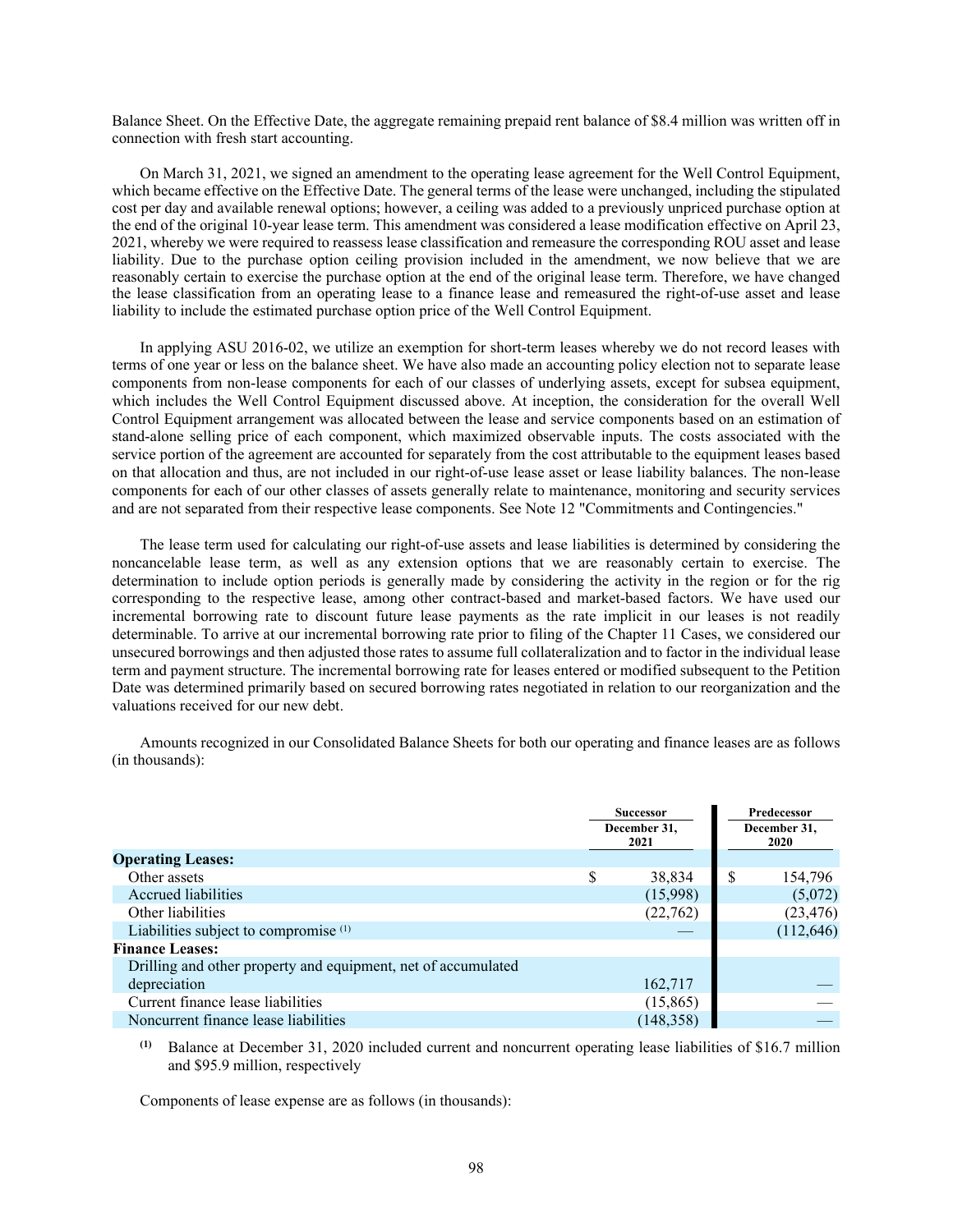Balance Sheet. On the Effective Date, the aggregate remaining prepaid rent balance of \$8.4 million was written off in connection with fresh start accounting.

On March 31, 2021, we signed an amendment to the operating lease agreement for the Well Control Equipment, which became effective on the Effective Date. The general terms of the lease were unchanged, including the stipulated cost per day and available renewal options; however, a ceiling was added to a previously unpriced purchase option at the end of the original 10-year lease term. This amendment was considered a lease modification effective on April 23, 2021, whereby we were required to reassess lease classification and remeasure the corresponding ROU asset and lease liability. Due to the purchase option ceiling provision included in the amendment, we now believe that we are reasonably certain to exercise the purchase option at the end of the original lease term. Therefore, we have changed the lease classification from an operating lease to a finance lease and remeasured the right-of-use asset and lease liability to include the estimated purchase option price of the Well Control Equipment.

In applying ASU 2016-02, we utilize an exemption for short-term leases whereby we do not record leases with terms of one year or less on the balance sheet. We have also made an accounting policy election not to separate lease components from non-lease components for each of our classes of underlying assets, except for subsea equipment, which includes the Well Control Equipment discussed above. At inception, the consideration for the overall Well Control Equipment arrangement was allocated between the lease and service components based on an estimation of stand-alone selling price of each component, which maximized observable inputs. The costs associated with the service portion of the agreement are accounted for separately from the cost attributable to the equipment leases based on that allocation and thus, are not included in our right-of-use lease asset or lease liability balances. The non-lease components for each of our other classes of assets generally relate to maintenance, monitoring and security services and are not separated from their respective lease components. See Note 12 "Commitments and Contingencies."

The lease term used for calculating our right-of-use assets and lease liabilities is determined by considering the noncancelable lease term, as well as any extension options that we are reasonably certain to exercise. The determination to include option periods is generally made by considering the activity in the region or for the rig corresponding to the respective lease, among other contract-based and market-based factors. We have used our incremental borrowing rate to discount future lease payments as the rate implicit in our leases is not readily determinable. To arrive at our incremental borrowing rate prior to filing of the Chapter 11 Cases, we considered our unsecured borrowings and then adjusted those rates to assume full collateralization and to factor in the individual lease term and payment structure. The incremental borrowing rate for leases entered or modified subsequent to the Petition Date was determined primarily based on secured borrowing rates negotiated in relation to our reorganization and the valuations received for our new debt.

Amounts recognized in our Consolidated Balance Sheets for both our operating and finance leases are as follows (in thousands):

|                                                               | <b>Successor</b> |   | Predecessor  |
|---------------------------------------------------------------|------------------|---|--------------|
|                                                               | December 31.     |   | December 31, |
|                                                               | 2021             |   | 2020         |
| <b>Operating Leases:</b>                                      |                  |   |              |
| Other assets                                                  | \$<br>38,834     | S | 154,796      |
| Accrued liabilities                                           | (15,998)         |   | (5,072)      |
| Other liabilities                                             | (22,762)         |   | (23, 476)    |
| Liabilities subject to compromise <sup>(1)</sup>              |                  |   | (112, 646)   |
| <b>Finance Leases:</b>                                        |                  |   |              |
| Drilling and other property and equipment, net of accumulated |                  |   |              |
| depreciation                                                  | 162,717          |   |              |
| Current finance lease liabilities                             | (15,865)         |   |              |
| Noncurrent finance lease liabilities                          | (148, 358)       |   |              |

**(1)** Balance at December 31, 2020 included current and noncurrent operating lease liabilities of \$16.7 million and \$95.9 million, respectively

Components of lease expense are as follows (in thousands):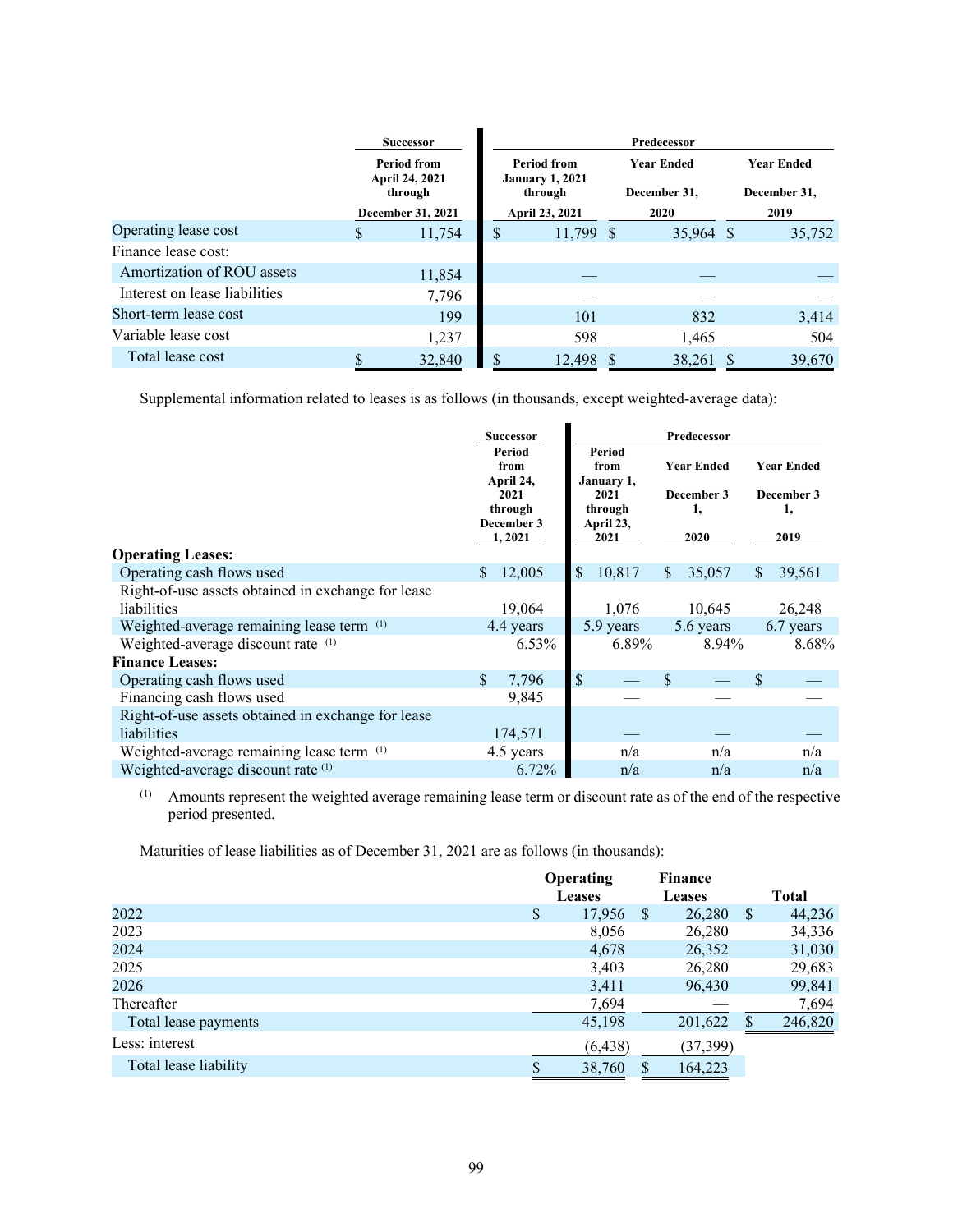|                               | <b>Successor</b>                                       | Predecessor |                                                         |  |                                   |  |                                   |  |  |
|-------------------------------|--------------------------------------------------------|-------------|---------------------------------------------------------|--|-----------------------------------|--|-----------------------------------|--|--|
|                               | <b>Period from</b><br><b>April 24, 2021</b><br>through |             | <b>Period from</b><br><b>January 1, 2021</b><br>through |  | <b>Year Ended</b><br>December 31. |  | <b>Year Ended</b><br>December 31, |  |  |
|                               | December 31, 2021                                      |             | April 23, 2021                                          |  | 2020                              |  | 2019                              |  |  |
| Operating lease cost          | \$<br>11,754                                           | \$          | 11,799 \$                                               |  | 35,964 \$                         |  | 35,752                            |  |  |
| Finance lease cost:           |                                                        |             |                                                         |  |                                   |  |                                   |  |  |
| Amortization of ROU assets    | 11,854                                                 |             |                                                         |  |                                   |  |                                   |  |  |
| Interest on lease liabilities | 7,796                                                  |             |                                                         |  |                                   |  |                                   |  |  |
| Short-term lease cost         | 199                                                    |             | 101                                                     |  | 832                               |  | 3,414                             |  |  |
| Variable lease cost           | 1,237                                                  |             | 598                                                     |  | 1,465                             |  | 504                               |  |  |
| Total lease cost              | 32,840                                                 |             | 12,498                                                  |  | 38,261                            |  | 39,670                            |  |  |

Supplemental information related to leases is as follows (in thousands, except weighted-average data):

|                                                    |              | <b>Successor</b><br>Period<br>from<br>April 24,<br>2021<br>through<br>December 3<br>1,2021 | <b>Period</b><br>from<br>January 1,<br>2021<br>through<br>April 23,<br>2021 |              | Predecessor<br><b>Year Ended</b><br>December 3<br>1,<br>2020 |              | <b>Year Ended</b><br>December 3<br>1,<br>2019 |
|----------------------------------------------------|--------------|--------------------------------------------------------------------------------------------|-----------------------------------------------------------------------------|--------------|--------------------------------------------------------------|--------------|-----------------------------------------------|
| <b>Operating Leases:</b>                           |              |                                                                                            |                                                                             |              |                                                              |              |                                               |
| Operating cash flows used                          | $\mathbb{S}$ | 12,005                                                                                     | \$<br>10,817                                                                | <sup>S</sup> | 35,057                                                       | <sup>S</sup> | 39,561                                        |
| Right-of-use assets obtained in exchange for lease |              |                                                                                            |                                                                             |              |                                                              |              |                                               |
| liabilities                                        |              | 19,064                                                                                     | 1,076                                                                       |              | 10,645                                                       |              | 26,248                                        |
| Weighted-average remaining lease term (1)          |              | 4.4 years                                                                                  | 5.9 years                                                                   |              | 5.6 years                                                    |              | 6.7 years                                     |
| Weighted-average discount rate (1)                 |              | 6.53%                                                                                      | $6.89\%$                                                                    |              | 8.94%                                                        |              | 8.68%                                         |
| <b>Finance Leases:</b>                             |              |                                                                                            |                                                                             |              |                                                              |              |                                               |
| Operating cash flows used                          | \$           | 7,796                                                                                      | \$                                                                          | \$           |                                                              | \$.          |                                               |
| Financing cash flows used                          |              | 9,845                                                                                      |                                                                             |              |                                                              |              |                                               |
| Right-of-use assets obtained in exchange for lease |              |                                                                                            |                                                                             |              |                                                              |              |                                               |
| liabilities                                        |              | 174,571                                                                                    |                                                                             |              |                                                              |              |                                               |
| Weighted-average remaining lease term (1)          |              | 4.5 years                                                                                  | n/a                                                                         |              | n/a                                                          |              | n/a                                           |
| Weighted-average discount rate (1)                 |              | 6.72%                                                                                      | n/a                                                                         |              | n/a                                                          |              | n/a                                           |

(1) Amounts represent the weighted average remaining lease term or discount rate as of the end of the respective period presented.

Maturities of lease liabilities as of December 31, 2021 are as follows (in thousands):

|                       | <b>Operating</b> |              | Finance       |    |              |
|-----------------------|------------------|--------------|---------------|----|--------------|
|                       | <b>Leases</b>    |              | <b>Leases</b> |    | <b>Total</b> |
| 2022                  | \$               | 17,956<br>-S | 26,280        | -S | 44,236       |
| 2023                  |                  | 8,056        | 26,280        |    | 34,336       |
| 2024                  |                  | 4,678        | 26,352        |    | 31,030       |
| 2025                  |                  | 3,403        | 26,280        |    | 29,683       |
| 2026                  |                  | 3,411        | 96,430        |    | 99,841       |
| Thereafter            |                  | 7,694        |               |    | 7,694        |
| Total lease payments  |                  | 45,198       | 201,622       |    | 246,820      |
| Less: interest        |                  | (6, 438)     | (37, 399)     |    |              |
| Total lease liability |                  | 38,760       | 164,223       |    |              |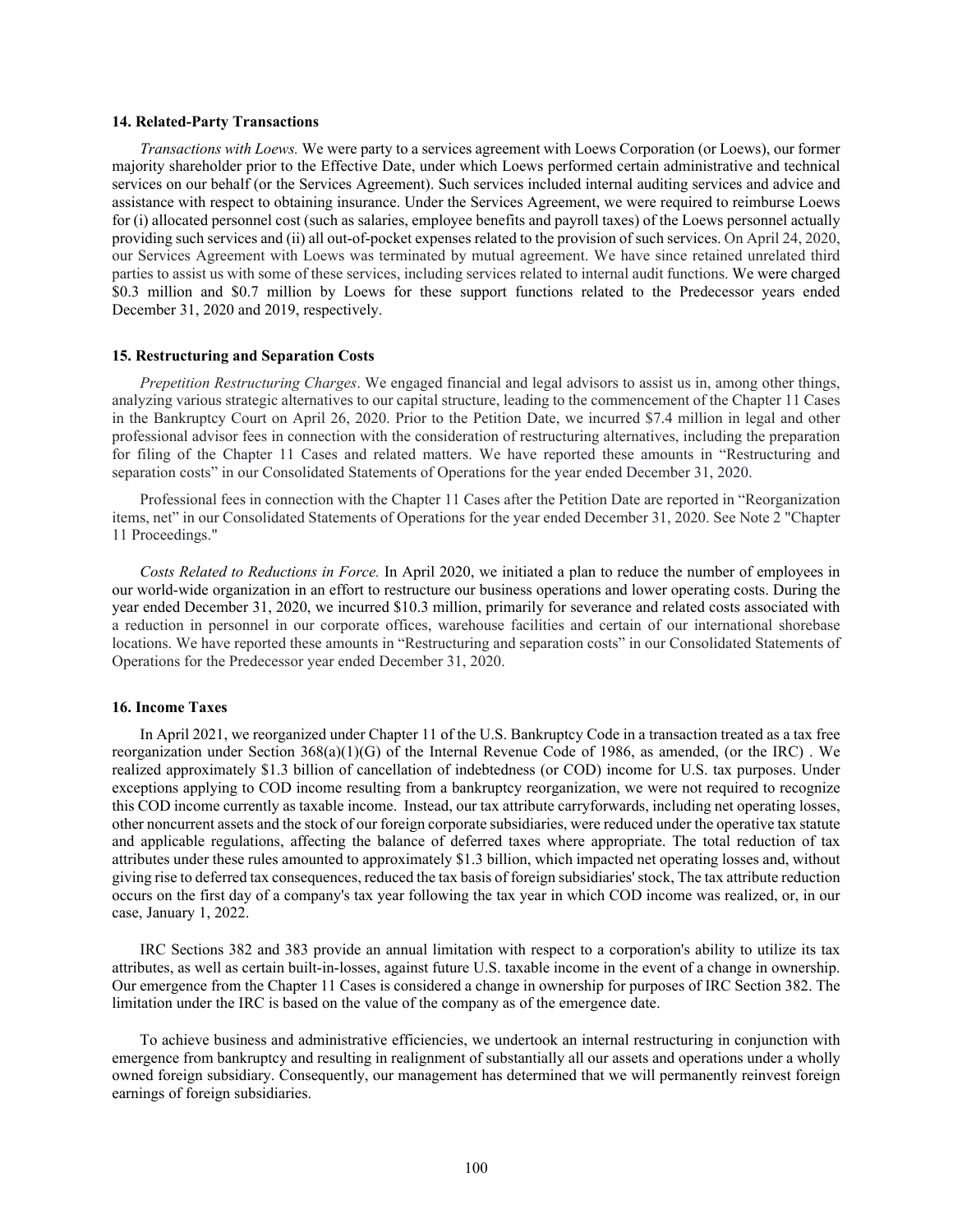#### **14. Related-Party Transactions**

*Transactions with Loews.* We were party to a services agreement with Loews Corporation (or Loews), our former majority shareholder prior to the Effective Date, under which Loews performed certain administrative and technical services on our behalf (or the Services Agreement). Such services included internal auditing services and advice and assistance with respect to obtaining insurance. Under the Services Agreement, we were required to reimburse Loews for (i) allocated personnel cost (such as salaries, employee benefits and payroll taxes) of the Loews personnel actually providing such services and (ii) all out-of-pocket expenses related to the provision of such services. On April 24, 2020, our Services Agreement with Loews was terminated by mutual agreement. We have since retained unrelated third parties to assist us with some of these services, including services related to internal audit functions. We were charged \$0.3 million and \$0.7 million by Loews for these support functions related to the Predecessor years ended December 31, 2020 and 2019, respectively.

#### **15. Restructuring and Separation Costs**

*Prepetition Restructuring Charges*. We engaged financial and legal advisors to assist us in, among other things, analyzing various strategic alternatives to our capital structure, leading to the commencement of the Chapter 11 Cases in the Bankruptcy Court on April 26, 2020. Prior to the Petition Date, we incurred \$7.4 million in legal and other professional advisor fees in connection with the consideration of restructuring alternatives, including the preparation for filing of the Chapter 11 Cases and related matters. We have reported these amounts in "Restructuring and separation costs" in our Consolidated Statements of Operations for the year ended December 31, 2020.

Professional fees in connection with the Chapter 11 Cases after the Petition Date are reported in "Reorganization items, net" in our Consolidated Statements of Operations for the year ended December 31, 2020. See Note 2 "Chapter 11 Proceedings."

*Costs Related to Reductions in Force.* In April 2020, we initiated a plan to reduce the number of employees in our world-wide organization in an effort to restructure our business operations and lower operating costs. During the year ended December 31, 2020, we incurred \$10.3 million, primarily for severance and related costs associated with a reduction in personnel in our corporate offices, warehouse facilities and certain of our international shorebase locations. We have reported these amounts in "Restructuring and separation costs" in our Consolidated Statements of Operations for the Predecessor year ended December 31, 2020.

#### **16. Income Taxes**

In April 2021, we reorganized under Chapter 11 of the U.S. Bankruptcy Code in a transaction treated as a tax free reorganization under Section 368(a)(1)(G) of the Internal Revenue Code of 1986, as amended, (or the IRC) . We realized approximately \$1.3 billion of cancellation of indebtedness (or COD) income for U.S. tax purposes. Under exceptions applying to COD income resulting from a bankruptcy reorganization, we were not required to recognize this COD income currently as taxable income. Instead, our tax attribute carryforwards, including net operating losses, other noncurrent assets and the stock of our foreign corporate subsidiaries, were reduced under the operative tax statute and applicable regulations, affecting the balance of deferred taxes where appropriate. The total reduction of tax attributes under these rules amounted to approximately \$1.3 billion, which impacted net operating losses and, without giving rise to deferred tax consequences, reduced the tax basis of foreign subsidiaries' stock, The tax attribute reduction occurs on the first day of a company's tax year following the tax year in which COD income was realized, or, in our case, January 1, 2022.

IRC Sections 382 and 383 provide an annual limitation with respect to a corporation's ability to utilize its tax attributes, as well as certain built-in-losses, against future U.S. taxable income in the event of a change in ownership. Our emergence from the Chapter 11 Cases is considered a change in ownership for purposes of IRC Section 382. The limitation under the IRC is based on the value of the company as of the emergence date.

To achieve business and administrative efficiencies, we undertook an internal restructuring in conjunction with emergence from bankruptcy and resulting in realignment of substantially all our assets and operations under a wholly owned foreign subsidiary. Consequently, our management has determined that we will permanently reinvest foreign earnings of foreign subsidiaries.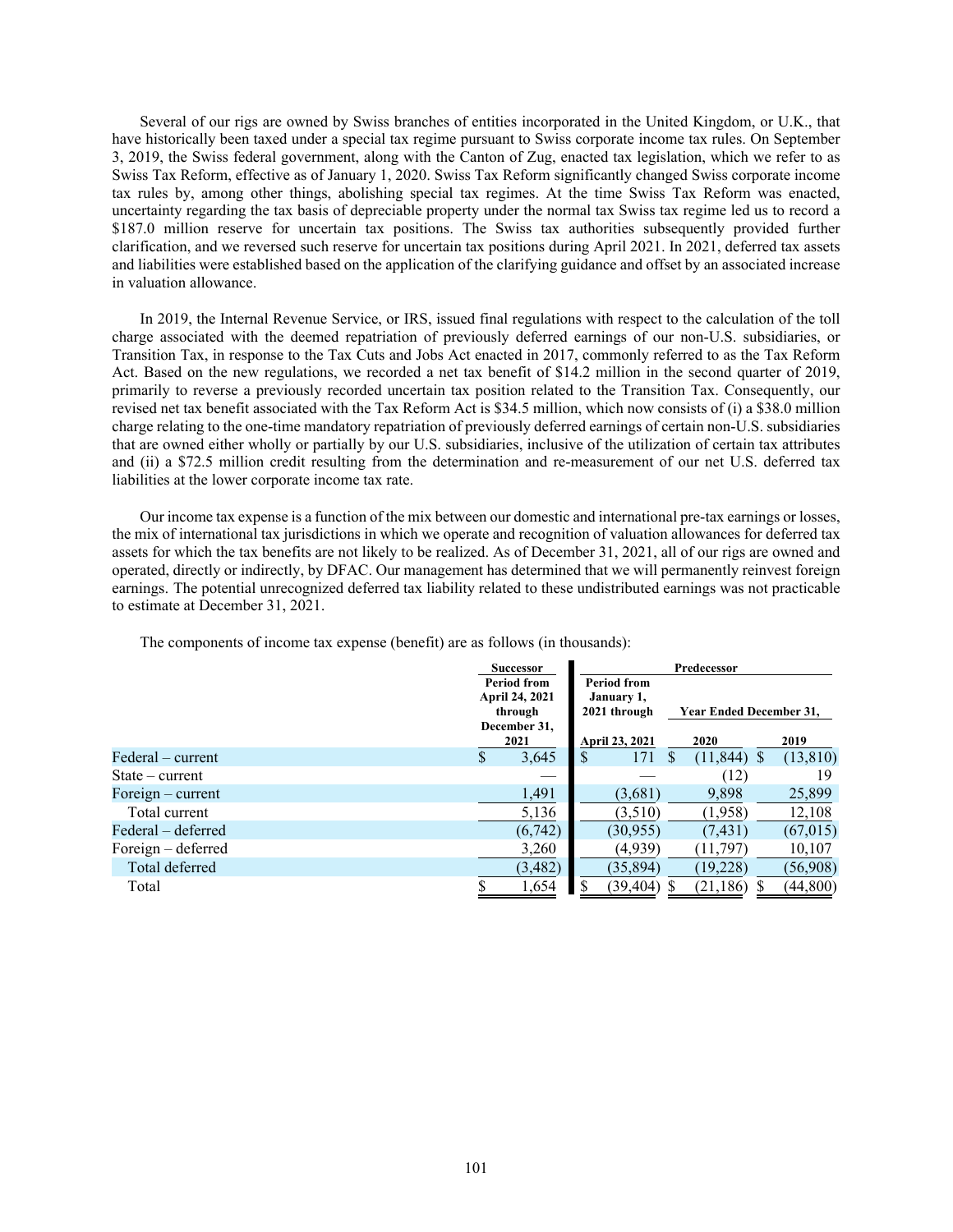Several of our rigs are owned by Swiss branches of entities incorporated in the United Kingdom, or U.K., that have historically been taxed under a special tax regime pursuant to Swiss corporate income tax rules. On September 3, 2019, the Swiss federal government, along with the Canton of Zug, enacted tax legislation, which we refer to as Swiss Tax Reform, effective as of January 1, 2020. Swiss Tax Reform significantly changed Swiss corporate income tax rules by, among other things, abolishing special tax regimes. At the time Swiss Tax Reform was enacted, uncertainty regarding the tax basis of depreciable property under the normal tax Swiss tax regime led us to record a \$187.0 million reserve for uncertain tax positions. The Swiss tax authorities subsequently provided further clarification, and we reversed such reserve for uncertain tax positions during April 2021. In 2021, deferred tax assets and liabilities were established based on the application of the clarifying guidance and offset by an associated increase in valuation allowance.

In 2019, the Internal Revenue Service, or IRS, issued final regulations with respect to the calculation of the toll charge associated with the deemed repatriation of previously deferred earnings of our non-U.S. subsidiaries, or Transition Tax, in response to the Tax Cuts and Jobs Act enacted in 2017, commonly referred to as the Tax Reform Act. Based on the new regulations, we recorded a net tax benefit of \$14.2 million in the second quarter of 2019, primarily to reverse a previously recorded uncertain tax position related to the Transition Tax. Consequently, our revised net tax benefit associated with the Tax Reform Act is \$34.5 million, which now consists of (i) a \$38.0 million charge relating to the one-time mandatory repatriation of previously deferred earnings of certain non-U.S. subsidiaries that are owned either wholly or partially by our U.S. subsidiaries, inclusive of the utilization of certain tax attributes and (ii) a \$72.5 million credit resulting from the determination and re-measurement of our net U.S. deferred tax liabilities at the lower corporate income tax rate.

Our income tax expense is a function of the mix between our domestic and international pre-tax earnings or losses, the mix of international tax jurisdictions in which we operate and recognition of valuation allowances for deferred tax assets for which the tax benefits are not likely to be realized. As of December 31, 2021, all of our rigs are owned and operated, directly or indirectly, by DFAC. Our management has determined that we will permanently reinvest foreign earnings. The potential unrecognized deferred tax liability related to these undistributed earnings was not practicable to estimate at December 31, 2021.

The components of income tax expense (benefit) are as follows (in thousands):

|                     | <b>Successor</b><br><b>Period from</b><br>April 24, 2021<br>through<br>December 31, |          | <b>Period from</b><br>January 1,<br>2021 through<br>April 23, 2021<br>2021 |  |                        | <b>Year Ended December 31,</b><br>2019 |
|---------------------|-------------------------------------------------------------------------------------|----------|----------------------------------------------------------------------------|--|------------------------|----------------------------------------|
| Federal – current   | S.                                                                                  | 3,645    | \$<br>171                                                                  |  | 2020<br>$(11, 844)$ \$ | (13, 810)                              |
| $State$ – current   |                                                                                     |          |                                                                            |  | (12)                   | 19                                     |
| Foreign $-$ current |                                                                                     | 1,491    | (3,681)                                                                    |  | 9,898                  | 25,899                                 |
| Total current       |                                                                                     | 5,136    | (3,510)                                                                    |  | (1,958)                | 12,108                                 |
| Federal – deferred  |                                                                                     | (6,742)  | (30, 955)                                                                  |  | (7, 431)               | (67, 015)                              |
| Foreign – deferred  |                                                                                     | 3,260    | (4,939)                                                                    |  | (11, 797)              | 10,107                                 |
| Total deferred      |                                                                                     | (3, 482) | (35, 894)                                                                  |  | (19,228)               | (56,908)                               |
| Total               |                                                                                     | 1,654    | (39, 404)                                                                  |  | (21, 186)              | (44, 800)                              |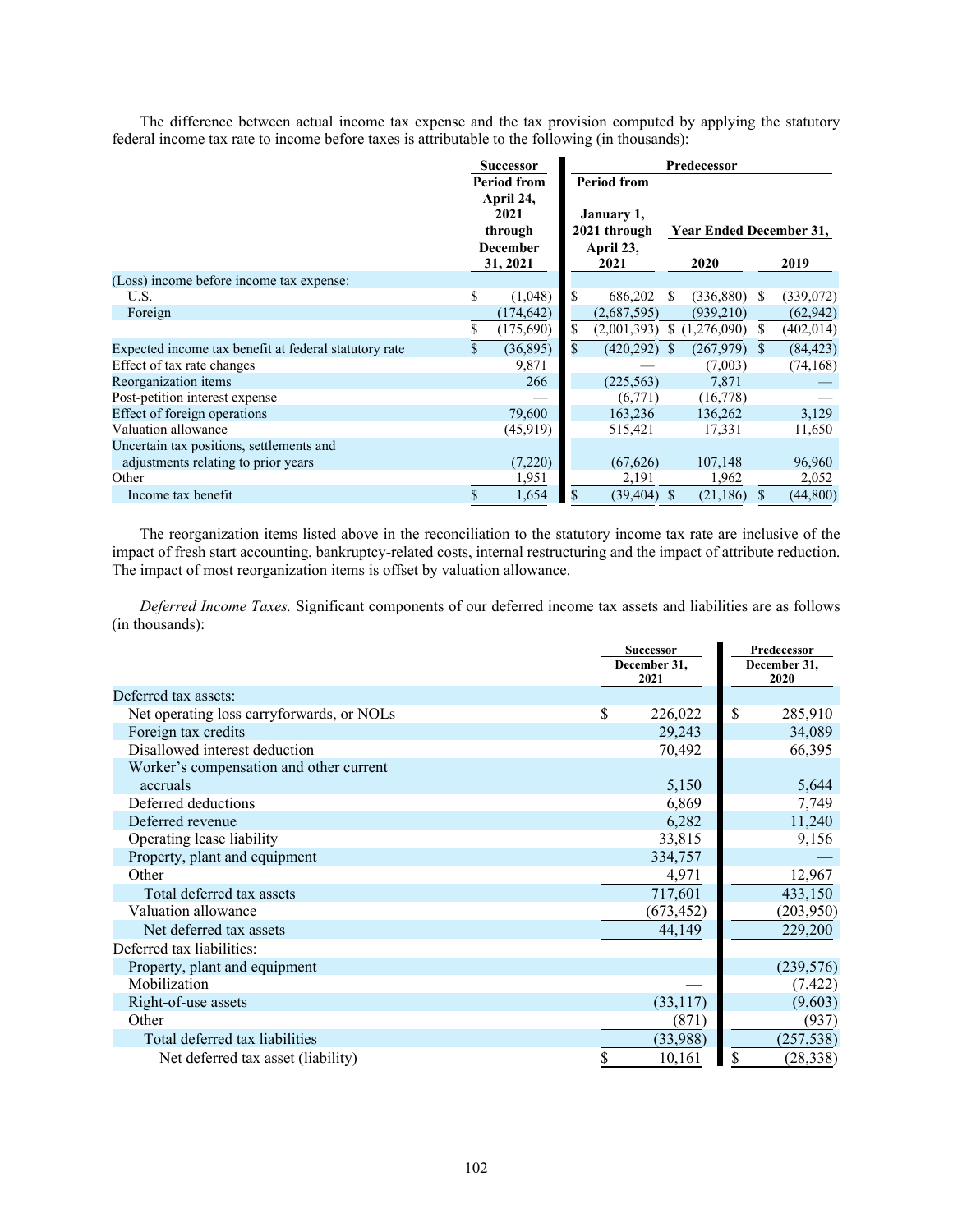The difference between actual income tax expense and the tax provision computed by applying the statutory federal income tax rate to income before taxes is attributable to the following (in thousands):

|                                                       |   | <b>Successor</b>                | Predecessor                |                    |               |                         |             |            |  |  |  |
|-------------------------------------------------------|---|---------------------------------|----------------------------|--------------------|---------------|-------------------------|-------------|------------|--|--|--|
|                                                       |   | <b>Period from</b><br>April 24, |                            | <b>Period from</b> |               |                         |             |            |  |  |  |
|                                                       |   | 2021<br>through                 | January 1,<br>2021 through |                    |               | Year Ended December 31, |             |            |  |  |  |
|                                                       |   | <b>December</b><br>31, 2021     |                            | April 23,<br>2021  | 2020          |                         |             | 2019       |  |  |  |
| (Loss) income before income tax expense:              |   |                                 |                            |                    |               |                         |             |            |  |  |  |
| U.S.                                                  | S | (1,048)                         | <b>S</b>                   | 686,202            | <sup>\$</sup> | $(336,880)$ \$          |             | (339,072)  |  |  |  |
| Foreign                                               |   | (174, 642)                      |                            | (2,687,595)        |               | (939, 210)              |             | (62, 942)  |  |  |  |
|                                                       |   | (175,690)                       |                            | (2,001,393)        | <sup>\$</sup> | (1,276,090)             | S.          | (402, 014) |  |  |  |
| Expected income tax benefit at federal statutory rate |   | (36, 895)                       | $\mathbf{s}$               | $(420, 292)$ \$    |               | (267,979)               | $\mathbf S$ | (84, 423)  |  |  |  |
| Effect of tax rate changes                            |   | 9,871                           |                            |                    |               | (7,003)                 |             | (74, 168)  |  |  |  |
| Reorganization items                                  |   | 266                             |                            | (225, 563)         |               | 7,871                   |             |            |  |  |  |
| Post-petition interest expense                        |   |                                 |                            | (6,771)            |               | (16,778)                |             |            |  |  |  |
| Effect of foreign operations                          |   | 79,600                          |                            | 163,236            |               | 136,262                 |             | 3,129      |  |  |  |
| Valuation allowance                                   |   | (45, 919)                       |                            | 515,421            |               | 17,331                  |             | 11,650     |  |  |  |
| Uncertain tax positions, settlements and              |   |                                 |                            |                    |               |                         |             |            |  |  |  |
| adjustments relating to prior years                   |   | (7,220)                         |                            | (67, 626)          |               | 107,148                 |             | 96,960     |  |  |  |
| Other                                                 |   | 1,951                           |                            | 2,191              |               | 1,962                   |             | 2,052      |  |  |  |
| Income tax benefit                                    |   | 1,654                           |                            | (39, 404)          | <sup>\$</sup> | (21, 186)               |             | (44, 800)  |  |  |  |

The reorganization items listed above in the reconciliation to the statutory income tax rate are inclusive of the impact of fresh start accounting, bankruptcy-related costs, internal restructuring and the impact of attribute reduction. The impact of most reorganization items is offset by valuation allowance.

*Deferred Income Taxes.* Significant components of our deferred income tax assets and liabilities are as follows (in thousands):

|                                           | <b>Successor</b>     | Predecessor          |            |  |
|-------------------------------------------|----------------------|----------------------|------------|--|
|                                           | December 31,<br>2021 | December 31,<br>2020 |            |  |
| Deferred tax assets:                      |                      |                      |            |  |
| Net operating loss carryforwards, or NOLs | \$<br>226,022        | \$                   | 285,910    |  |
| Foreign tax credits                       | 29,243               |                      | 34,089     |  |
| Disallowed interest deduction             | 70,492               |                      | 66,395     |  |
| Worker's compensation and other current   |                      |                      |            |  |
| accruals                                  | 5,150                |                      | 5,644      |  |
| Deferred deductions                       | 6,869                |                      | 7,749      |  |
| Deferred revenue                          | 6,282                |                      | 11,240     |  |
| Operating lease liability                 | 33,815               |                      | 9,156      |  |
| Property, plant and equipment             | 334,757              |                      |            |  |
| Other                                     | 4,971                |                      | 12,967     |  |
| Total deferred tax assets                 | 717,601              |                      | 433,150    |  |
| Valuation allowance                       | (673, 452)           |                      | (203,950)  |  |
| Net deferred tax assets                   | 44,149               |                      | 229,200    |  |
| Deferred tax liabilities:                 |                      |                      |            |  |
| Property, plant and equipment             |                      |                      | (239, 576) |  |
| Mobilization                              |                      |                      | (7, 422)   |  |
| Right-of-use assets                       | (33,117)             |                      | (9,603)    |  |
| Other                                     | (871)                |                      | (937)      |  |
| Total deferred tax liabilities            | (33,988)             |                      | (257, 538) |  |
| Net deferred tax asset (liability)        | \$<br>10,161         | \$                   | (28, 338)  |  |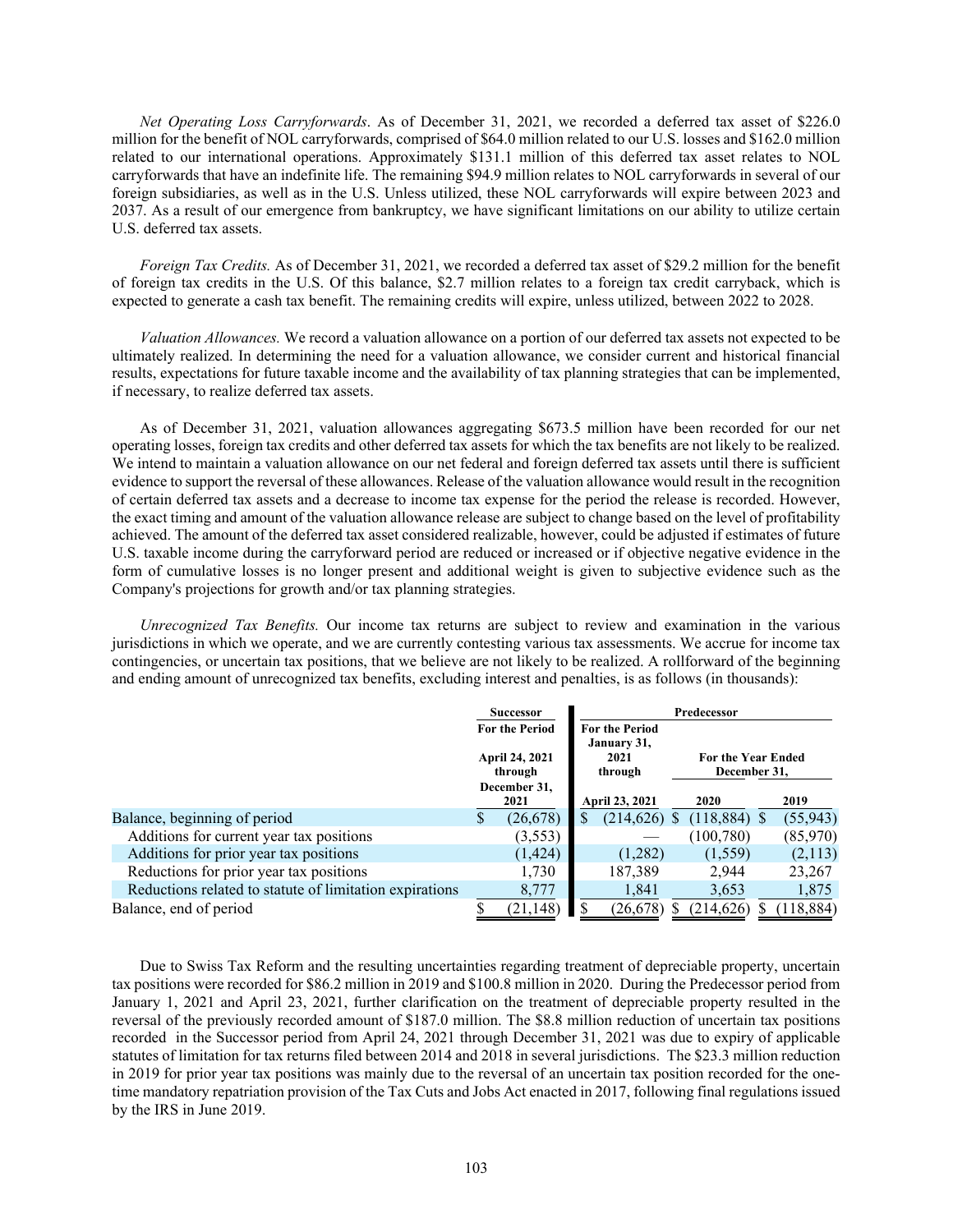*Net Operating Loss Carryforwards*. As of December 31, 2021, we recorded a deferred tax asset of \$226.0 million for the benefit of NOL carryforwards, comprised of \$64.0 million related to our U.S. losses and \$162.0 million related to our international operations. Approximately \$131.1 million of this deferred tax asset relates to NOL carryforwards that have an indefinite life. The remaining \$94.9 million relates to NOL carryforwards in several of our foreign subsidiaries, as well as in the U.S. Unless utilized, these NOL carryforwards will expire between 2023 and 2037. As a result of our emergence from bankruptcy, we have significant limitations on our ability to utilize certain U.S. deferred tax assets.

*Foreign Tax Credits.* As of December 31, 2021, we recorded a deferred tax asset of \$29.2 million for the benefit of foreign tax credits in the U.S. Of this balance, \$2.7 million relates to a foreign tax credit carryback, which is expected to generate a cash tax benefit. The remaining credits will expire, unless utilized, between 2022 to 2028.

*Valuation Allowances.* We record a valuation allowance on a portion of our deferred tax assets not expected to be ultimately realized. In determining the need for a valuation allowance, we consider current and historical financial results, expectations for future taxable income and the availability of tax planning strategies that can be implemented, if necessary, to realize deferred tax assets.

As of December 31, 2021, valuation allowances aggregating \$673.5 million have been recorded for our net operating losses, foreign tax credits and other deferred tax assets for which the tax benefits are not likely to be realized. We intend to maintain a valuation allowance on our net federal and foreign deferred tax assets until there is sufficient evidence to support the reversal of these allowances. Release of the valuation allowance would result in the recognition of certain deferred tax assets and a decrease to income tax expense for the period the release is recorded. However, the exact timing and amount of the valuation allowance release are subject to change based on the level of profitability achieved. The amount of the deferred tax asset considered realizable, however, could be adjusted if estimates of future U.S. taxable income during the carryforward period are reduced or increased or if objective negative evidence in the form of cumulative losses is no longer present and additional weight is given to subjective evidence such as the Company's projections for growth and/or tax planning strategies.

*Unrecognized Tax Benefits.* Our income tax returns are subject to review and examination in the various jurisdictions in which we operate, and we are currently contesting various tax assessments. We accrue for income tax contingencies, or uncertain tax positions, that we believe are not likely to be realized. A rollforward of the beginning and ending amount of unrecognized tax benefits, excluding interest and penalties, is as follows (in thousands):

|                                                         |     | <b>Successor</b>          | Predecessor                    |  |                                           |           |
|---------------------------------------------------------|-----|---------------------------|--------------------------------|--|-------------------------------------------|-----------|
|                                                         |     | <b>For the Period</b>     | <b>For the Period</b>          |  |                                           |           |
|                                                         |     | April 24, 2021<br>through | January 31,<br>2021<br>through |  | <b>For the Year Ended</b><br>December 31, |           |
|                                                         |     | December 31,<br>2021      | April 23, 2021                 |  | 2020                                      | 2019      |
| Balance, beginning of period                            | \$. | (26, 678)                 | \$<br>(214, 626)               |  | $(118, 884)$ \$                           | (55, 943) |
| Additions for current year tax positions                |     | (3, 553)                  |                                |  | (100, 780)                                | (85,970)  |
| Additions for prior year tax positions                  |     | (1, 424)                  | (1,282)                        |  | (1, 559)                                  | (2,113)   |
| Reductions for prior year tax positions                 |     | 1,730                     | 187,389                        |  | 2.944                                     | 23,267    |
| Reductions related to statute of limitation expirations |     | 8,777                     | 1,841                          |  | 3,653                                     | 1,875     |
| Balance, end of period                                  |     | (21, 148)                 | (26, 678)                      |  | (214, 626)                                | 118,884)  |

Due to Swiss Tax Reform and the resulting uncertainties regarding treatment of depreciable property, uncertain tax positions were recorded for \$86.2 million in 2019 and \$100.8 million in 2020. During the Predecessor period from January 1, 2021 and April 23, 2021, further clarification on the treatment of depreciable property resulted in the reversal of the previously recorded amount of \$187.0 million. The \$8.8 million reduction of uncertain tax positions recorded in the Successor period from April 24, 2021 through December 31, 2021 was due to expiry of applicable statutes of limitation for tax returns filed between 2014 and 2018 in several jurisdictions. The \$23.3 million reduction in 2019 for prior year tax positions was mainly due to the reversal of an uncertain tax position recorded for the onetime mandatory repatriation provision of the Tax Cuts and Jobs Act enacted in 2017, following final regulations issued by the IRS in June 2019.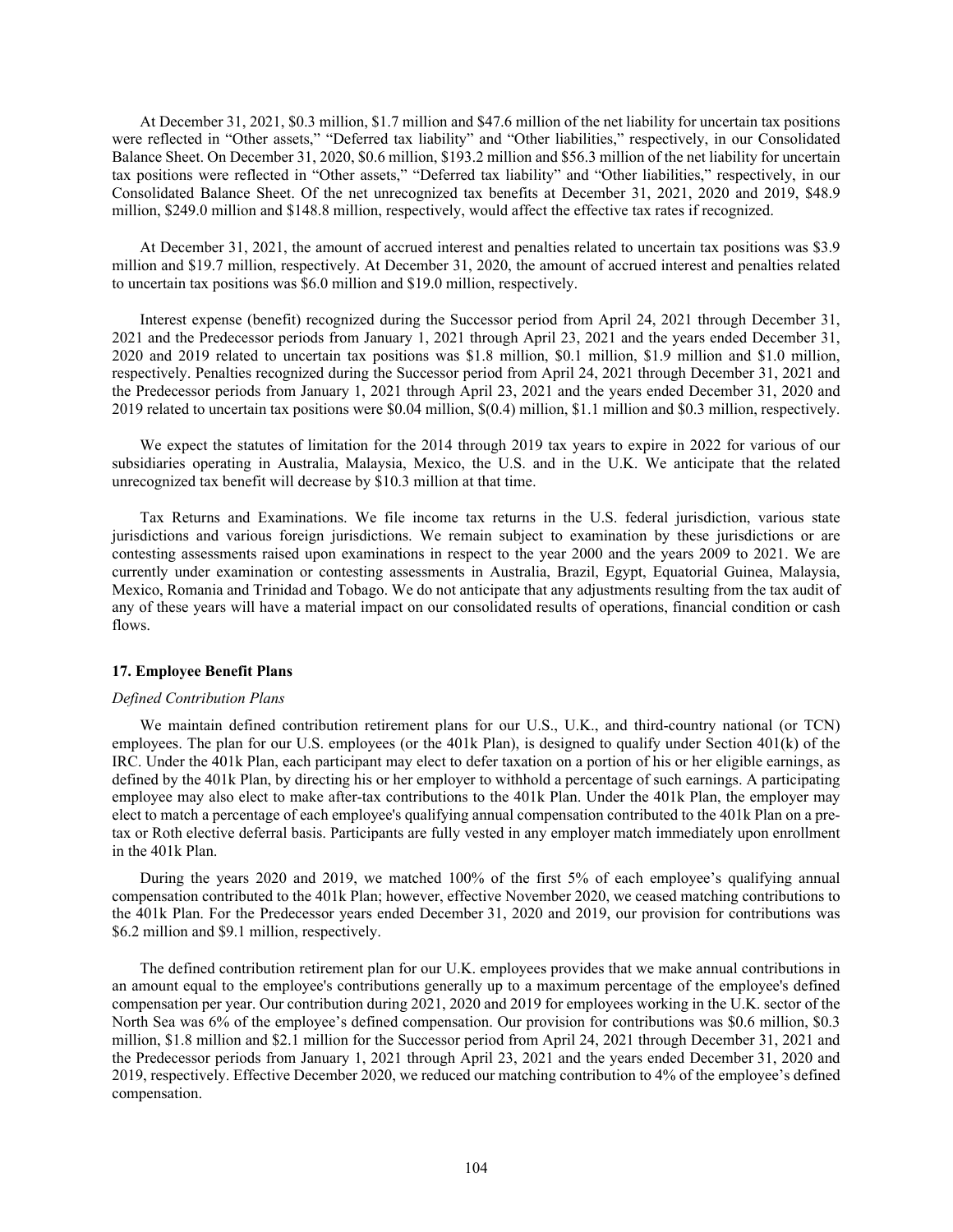At December 31, 2021, \$0.3 million, \$1.7 million and \$47.6 million of the net liability for uncertain tax positions were reflected in "Other assets," "Deferred tax liability" and "Other liabilities," respectively, in our Consolidated Balance Sheet. On December 31, 2020, \$0.6 million, \$193.2 million and \$56.3 million of the net liability for uncertain tax positions were reflected in "Other assets," "Deferred tax liability" and "Other liabilities," respectively, in our Consolidated Balance Sheet. Of the net unrecognized tax benefits at December 31, 2021, 2020 and 2019, \$48.9 million, \$249.0 million and \$148.8 million, respectively, would affect the effective tax rates if recognized.

At December 31, 2021, the amount of accrued interest and penalties related to uncertain tax positions was \$3.9 million and \$19.7 million, respectively. At December 31, 2020, the amount of accrued interest and penalties related to uncertain tax positions was \$6.0 million and \$19.0 million, respectively.

Interest expense (benefit) recognized during the Successor period from April 24, 2021 through December 31, 2021 and the Predecessor periods from January 1, 2021 through April 23, 2021 and the years ended December 31, 2020 and 2019 related to uncertain tax positions was \$1.8 million, \$0.1 million, \$1.9 million and \$1.0 million, respectively. Penalties recognized during the Successor period from April 24, 2021 through December 31, 2021 and the Predecessor periods from January 1, 2021 through April 23, 2021 and the years ended December 31, 2020 and 2019 related to uncertain tax positions were \$0.04 million, \$(0.4) million, \$1.1 million and \$0.3 million, respectively.

We expect the statutes of limitation for the 2014 through 2019 tax years to expire in 2022 for various of our subsidiaries operating in Australia, Malaysia, Mexico, the U.S. and in the U.K. We anticipate that the related unrecognized tax benefit will decrease by \$10.3 million at that time.

Tax Returns and Examinations. We file income tax returns in the U.S. federal jurisdiction, various state jurisdictions and various foreign jurisdictions. We remain subject to examination by these jurisdictions or are contesting assessments raised upon examinations in respect to the year 2000 and the years 2009 to 2021. We are currently under examination or contesting assessments in Australia, Brazil, Egypt, Equatorial Guinea, Malaysia, Mexico, Romania and Trinidad and Tobago. We do not anticipate that any adjustments resulting from the tax audit of any of these years will have a material impact on our consolidated results of operations, financial condition or cash flows.

### **17. Employee Benefit Plans**

#### *Defined Contribution Plans*

We maintain defined contribution retirement plans for our U.S., U.K., and third-country national (or TCN) employees. The plan for our U.S. employees (or the 401k Plan), is designed to qualify under Section 401(k) of the IRC. Under the 401k Plan, each participant may elect to defer taxation on a portion of his or her eligible earnings, as defined by the 401k Plan, by directing his or her employer to withhold a percentage of such earnings. A participating employee may also elect to make after-tax contributions to the 401k Plan. Under the 401k Plan, the employer may elect to match a percentage of each employee's qualifying annual compensation contributed to the 401k Plan on a pretax or Roth elective deferral basis. Participants are fully vested in any employer match immediately upon enrollment in the 401k Plan.

During the years 2020 and 2019, we matched 100% of the first 5% of each employee's qualifying annual compensation contributed to the 401k Plan; however, effective November 2020, we ceased matching contributions to the 401k Plan. For the Predecessor years ended December 31, 2020 and 2019, our provision for contributions was \$6.2 million and \$9.1 million, respectively.

The defined contribution retirement plan for our U.K. employees provides that we make annual contributions in an amount equal to the employee's contributions generally up to a maximum percentage of the employee's defined compensation per year. Our contribution during 2021, 2020 and 2019 for employees working in the U.K. sector of the North Sea was 6% of the employee's defined compensation. Our provision for contributions was \$0.6 million, \$0.3 million, \$1.8 million and \$2.1 million for the Successor period from April 24, 2021 through December 31, 2021 and the Predecessor periods from January 1, 2021 through April 23, 2021 and the years ended December 31, 2020 and 2019, respectively. Effective December 2020, we reduced our matching contribution to 4% of the employee's defined compensation.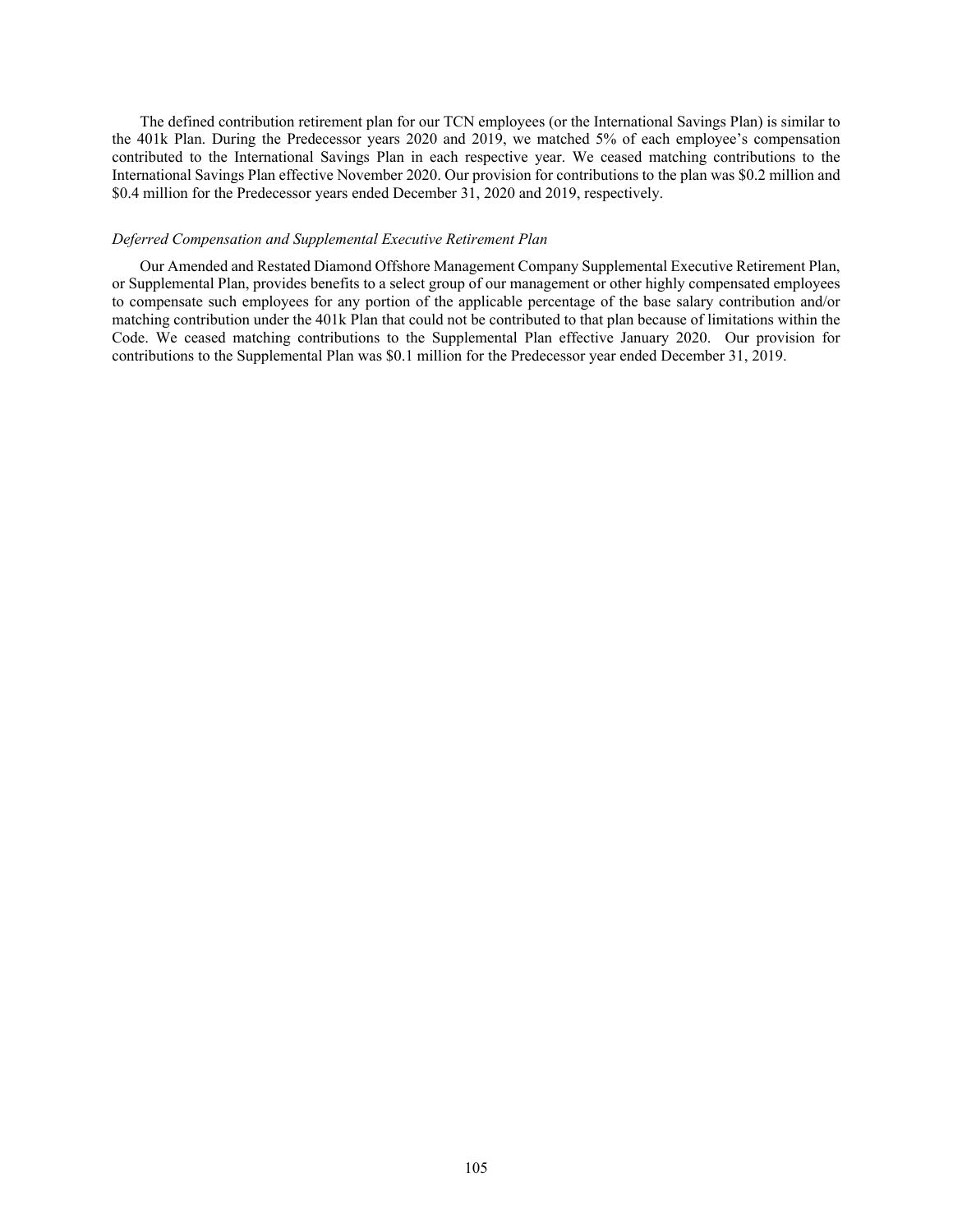The defined contribution retirement plan for our TCN employees (or the International Savings Plan) is similar to the 401k Plan. During the Predecessor years 2020 and 2019, we matched 5% of each employee's compensation contributed to the International Savings Plan in each respective year. We ceased matching contributions to the International Savings Plan effective November 2020. Our provision for contributions to the plan was \$0.2 million and \$0.4 million for the Predecessor years ended December 31, 2020 and 2019, respectively.

#### *Deferred Compensation and Supplemental Executive Retirement Plan*

Our Amended and Restated Diamond Offshore Management Company Supplemental Executive Retirement Plan, or Supplemental Plan, provides benefits to a select group of our management or other highly compensated employees to compensate such employees for any portion of the applicable percentage of the base salary contribution and/or matching contribution under the 401k Plan that could not be contributed to that plan because of limitations within the Code. We ceased matching contributions to the Supplemental Plan effective January 2020. Our provision for contributions to the Supplemental Plan was \$0.1 million for the Predecessor year ended December 31, 2019.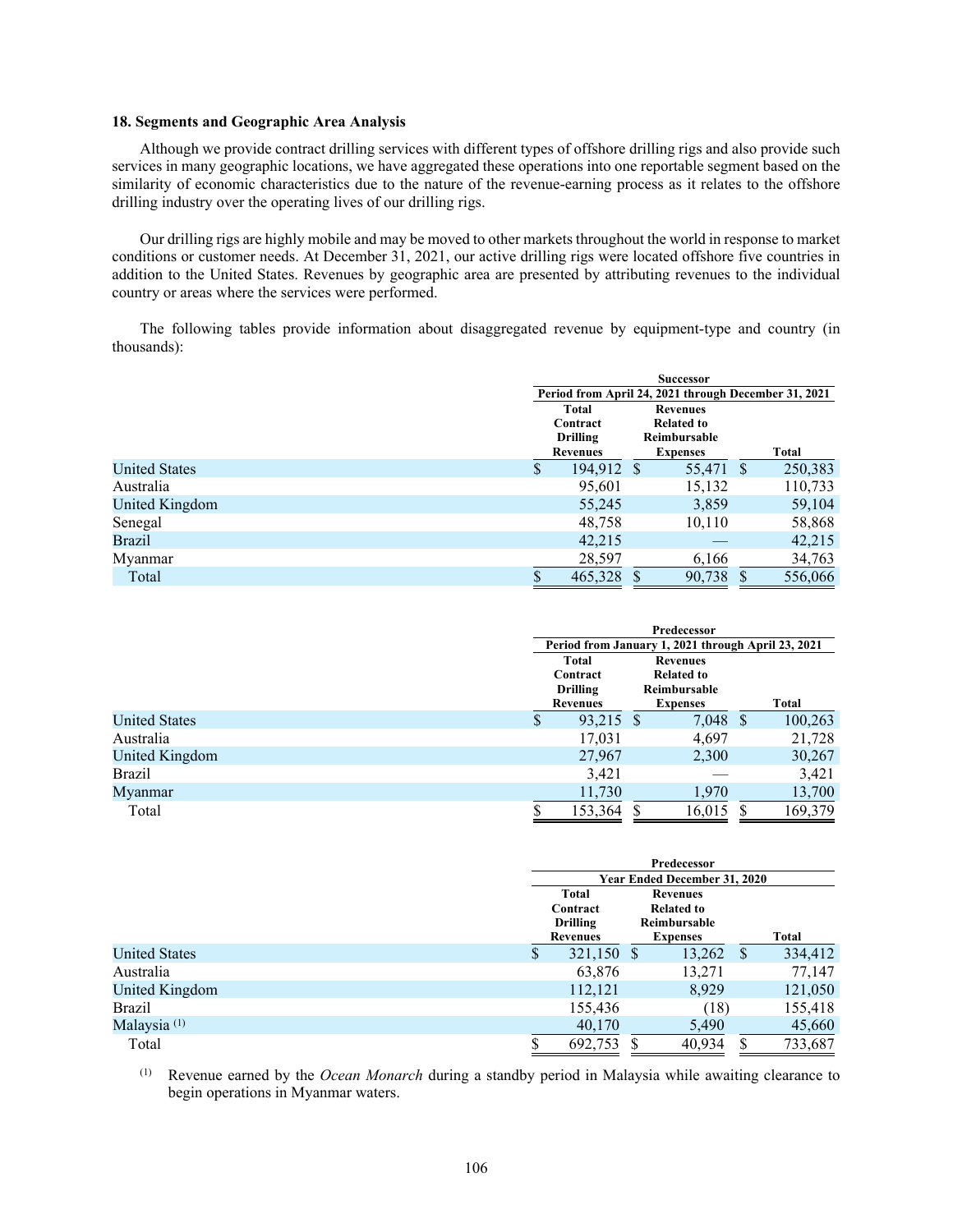### **18. Segments and Geographic Area Analysis**

Although we provide contract drilling services with different types of offshore drilling rigs and also provide such services in many geographic locations, we have aggregated these operations into one reportable segment based on the similarity of economic characteristics due to the nature of the revenue-earning process as it relates to the offshore drilling industry over the operating lives of our drilling rigs.

Our drilling rigs are highly mobile and may be moved to other markets throughout the world in response to market conditions or customer needs. At December 31, 2021, our active drilling rigs were located offshore five countries in addition to the United States. Revenues by geographic area are presented by attributing revenues to the individual country or areas where the services were performed.

The following tables provide information about disaggregated revenue by equipment-type and country (in thousands):

|                      | <b>Successor</b>                                     |                 |                   |                 |  |                 |  |  |
|----------------------|------------------------------------------------------|-----------------|-------------------|-----------------|--|-----------------|--|--|
|                      | Period from April 24, 2021 through December 31, 2021 |                 |                   |                 |  |                 |  |  |
|                      |                                                      | Total           |                   |                 |  | <b>Revenues</b> |  |  |
|                      |                                                      | Contract        | <b>Related to</b> |                 |  |                 |  |  |
|                      |                                                      | <b>Drilling</b> |                   | Reimbursable    |  |                 |  |  |
|                      |                                                      | <b>Revenues</b> |                   | <b>Expenses</b> |  | Total           |  |  |
| <b>United States</b> | \$                                                   | 194,912 \$      |                   | 55,471 \$       |  | 250,383         |  |  |
| Australia            |                                                      | 95,601          |                   | 15,132          |  | 110,733         |  |  |
| United Kingdom       |                                                      | 55,245          |                   | 3,859           |  | 59,104          |  |  |
| Senegal              |                                                      | 48,758          |                   | 10,110          |  | 58,868          |  |  |
| <b>Brazil</b>        |                                                      | 42,215          |                   |                 |  | 42,215          |  |  |
| Myanmar              |                                                      | 28,597          |                   | 6,166           |  | 34,763          |  |  |
| Total                |                                                      | 465,328         |                   | 90,738          |  | 556,066         |  |  |

|                      |   | Predecessor                                                                                  |                 |  |         |  |  |
|----------------------|---|----------------------------------------------------------------------------------------------|-----------------|--|---------|--|--|
|                      |   | Period from January 1, 2021 through April 23, 2021                                           |                 |  |         |  |  |
|                      |   | Total<br><b>Revenues</b><br><b>Related to</b><br>Contract<br><b>Drilling</b><br>Reimbursable |                 |  |         |  |  |
|                      |   | <b>Revenues</b>                                                                              | <b>Expenses</b> |  | Total   |  |  |
| <b>United States</b> | D | $93,215$ \$                                                                                  | 7,048 \$        |  | 100,263 |  |  |
| Australia            |   | 17,031                                                                                       | 4,697           |  | 21,728  |  |  |
| United Kingdom       |   | 27,967                                                                                       | 2,300           |  | 30,267  |  |  |
| <b>Brazil</b>        |   | 3,421                                                                                        |                 |  | 3,421   |  |  |
| Myanmar              |   | 11,730                                                                                       | 1,970           |  | 13,700  |  |  |
| Total                |   | 153,364                                                                                      | 16,015          |  | 169,379 |  |  |

|                         |   | Predecessor                 |                                     |             |  |         |  |
|-------------------------|---|-----------------------------|-------------------------------------|-------------|--|---------|--|
|                         |   |                             | <b>Year Ended December 31, 2020</b> |             |  |         |  |
|                         |   | Total                       | <b>Revenues</b>                     |             |  |         |  |
|                         |   | Contract<br><b>Drilling</b> | <b>Related to</b><br>Reimbursable   |             |  |         |  |
|                         |   | <b>Revenues</b>             | <b>Expenses</b>                     |             |  | Total   |  |
| <b>United States</b>    | D | 321,150 \$                  |                                     | $13,262$ \$ |  | 334,412 |  |
| Australia               |   | 63,876                      |                                     | 13,271      |  | 77,147  |  |
| United Kingdom          |   | 112,121                     |                                     | 8,929       |  | 121,050 |  |
| <b>Brazil</b>           |   | 155,436                     |                                     | (18)        |  | 155,418 |  |
| Malaysia <sup>(1)</sup> |   | 40,170                      |                                     | 5,490       |  | 45,660  |  |
| Total                   |   | 692,753                     |                                     | 40,934      |  | 733,687 |  |

(1) Revenue earned by the *Ocean Monarch* during a standby period in Malaysia while awaiting clearance to begin operations in Myanmar waters.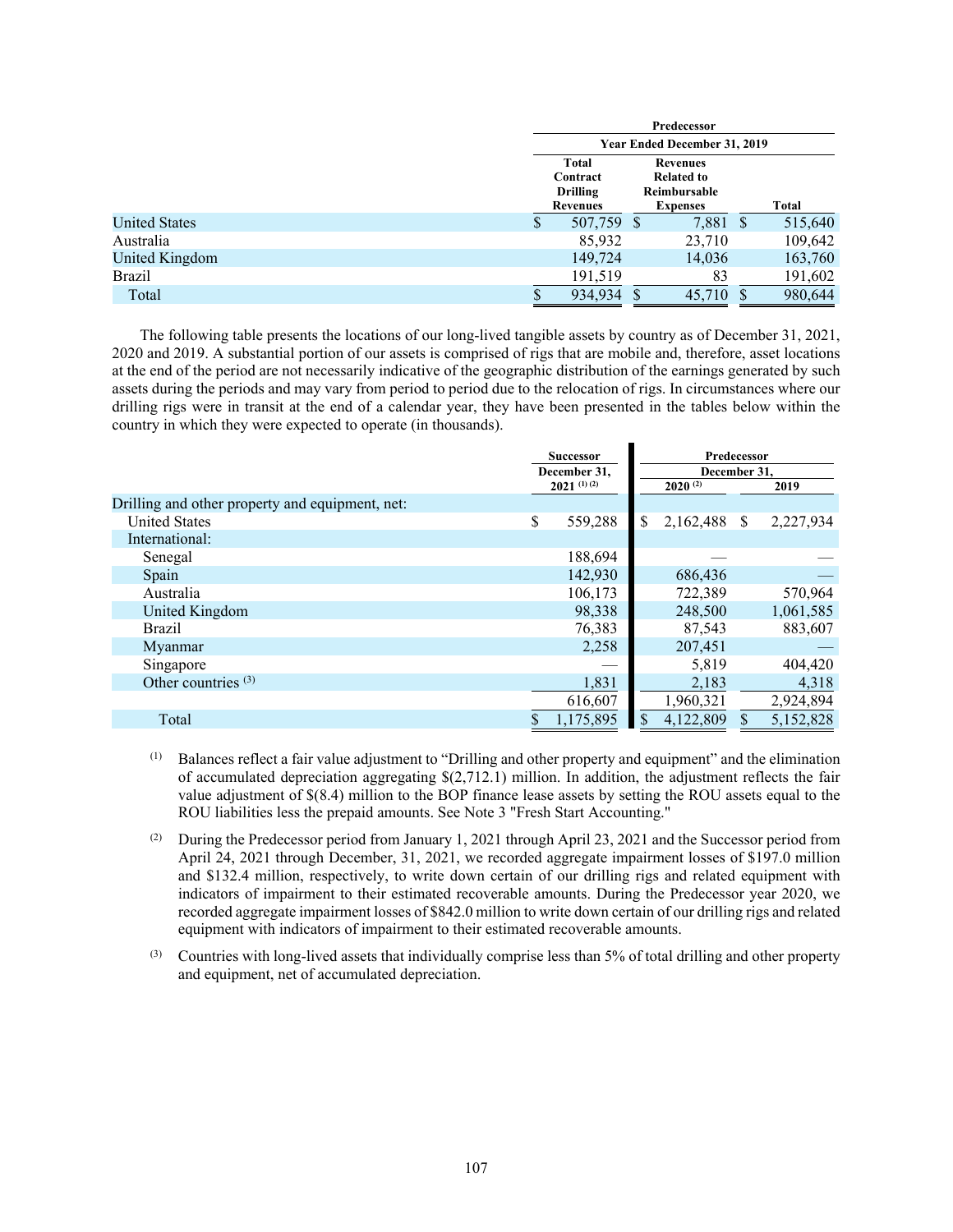|                      | Predecessor                          |                 |                                                      |                 |  |              |
|----------------------|--------------------------------------|-----------------|------------------------------------------------------|-----------------|--|--------------|
|                      | Year Ended December 31, 2019         |                 |                                                      |                 |  |              |
|                      | Total<br>Contract<br><b>Drilling</b> |                 | <b>Revenues</b><br><b>Related to</b><br>Reimbursable |                 |  |              |
|                      |                                      | <b>Revenues</b> |                                                      | <b>Expenses</b> |  | <b>Total</b> |
| <b>United States</b> | D                                    | 507,759 \$      |                                                      | 7,881 \$        |  | 515,640      |
| Australia            |                                      | 85,932          |                                                      | 23,710          |  | 109,642      |
| United Kingdom       |                                      | 149,724         |                                                      | 14,036          |  | 163,760      |
| <b>Brazil</b>        |                                      | 191,519         |                                                      | 83              |  | 191,602      |
| Total                |                                      | 934,934         |                                                      | 45,710          |  | 980,644      |

The following table presents the locations of our long-lived tangible assets by country as of December 31, 2021, 2020 and 2019. A substantial portion of our assets is comprised of rigs that are mobile and, therefore, asset locations at the end of the period are not necessarily indicative of the geographic distribution of the earnings generated by such assets during the periods and may vary from period to period due to the relocation of rigs. In circumstances where our drilling rigs were in transit at the end of a calendar year, they have been presented in the tables below within the country in which they were expected to operate (in thousands).

|                                                 | <b>Successor</b><br>December 31, |         | Predecessor<br>December 31, |               |           |
|-------------------------------------------------|----------------------------------|---------|-----------------------------|---------------|-----------|
|                                                 | $2021^{(1)(2)}$                  | 2020(2) |                             |               | 2019      |
| Drilling and other property and equipment, net: |                                  |         |                             |               |           |
| <b>United States</b>                            | \$<br>559,288                    | \$      | 2,162,488                   | <sup>\$</sup> | 2,227,934 |
| International:                                  |                                  |         |                             |               |           |
| Senegal                                         | 188,694                          |         |                             |               |           |
| Spain                                           | 142,930                          |         | 686,436                     |               |           |
| Australia                                       | 106,173                          |         | 722,389                     |               | 570,964   |
| United Kingdom                                  | 98,338                           |         | 248,500                     |               | 1,061,585 |
| <b>Brazil</b>                                   | 76,383                           |         | 87,543                      |               | 883,607   |
| Myanmar                                         | 2,258                            |         | 207,451                     |               |           |
| Singapore                                       |                                  |         | 5,819                       |               | 404,420   |
| Other countries <sup>(3)</sup>                  | 1,831                            |         | 2,183                       |               | 4,318     |
|                                                 | 616,607                          |         | 1,960,321                   |               | 2,924,894 |
| Total                                           | 1,175,895                        | \$.     | 4,122,809                   |               | 5,152,828 |

- (1) Balances reflect a fair value adjustment to "Drilling and other property and equipment" and the elimination of accumulated depreciation aggregating  $\S(2,712.1)$  million. In addition, the adjustment reflects the fair value adjustment of \$(8.4) million to the BOP finance lease assets by setting the ROU assets equal to the ROU liabilities less the prepaid amounts. See Note 3 "Fresh Start Accounting."
- (2) During the Predecessor period from January 1, 2021 through April 23, 2021 and the Successor period from April 24, 2021 through December, 31, 2021, we recorded aggregate impairment losses of \$197.0 million and \$132.4 million, respectively, to write down certain of our drilling rigs and related equipment with indicators of impairment to their estimated recoverable amounts. During the Predecessor year 2020, we recorded aggregate impairment losses of \$842.0 million to write down certain of our drilling rigs and related equipment with indicators of impairment to their estimated recoverable amounts.
- $^{(3)}$  Countries with long-lived assets that individually comprise less than 5% of total drilling and other property and equipment, net of accumulated depreciation.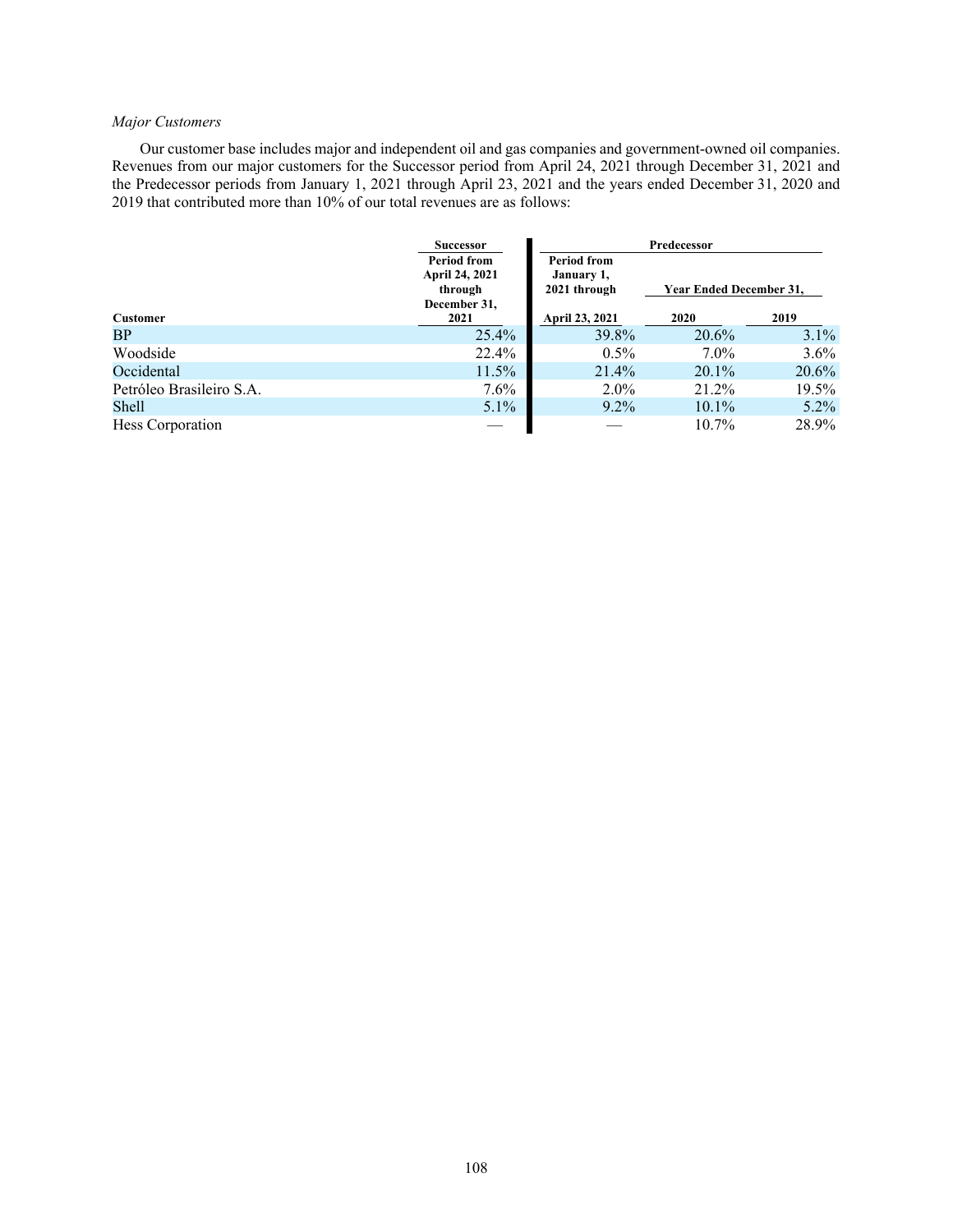# *Major Customers*

Our customer base includes major and independent oil and gas companies and government-owned oil companies. Revenues from our major customers for the Successor period from April 24, 2021 through December 31, 2021 and the Predecessor periods from January 1, 2021 through April 23, 2021 and the years ended December 31, 2020 and 2019 that contributed more than 10% of our total revenues are as follows:

|                          | <b>Successor</b>                                                       | Predecessor                                      |                                |         |
|--------------------------|------------------------------------------------------------------------|--------------------------------------------------|--------------------------------|---------|
|                          | <b>Period from</b><br><b>April 24, 2021</b><br>through<br>December 31, | <b>Period from</b><br>January 1,<br>2021 through | <b>Year Ended December 31,</b> |         |
| <b>Customer</b>          | 2021                                                                   | April 23, 2021                                   | 2020                           | 2019    |
| BP                       | 25.4%                                                                  | 39.8%                                            | 20.6%                          | 3.1%    |
| Woodside                 | 22.4%                                                                  | $0.5\%$                                          | $7.0\%$                        | 3.6%    |
| Occidental               | 11.5%                                                                  | 21.4%                                            | $20.1\%$                       | 20.6%   |
| Petróleo Brasileiro S.A. | $7.6\%$                                                                | $2.0\%$                                          | $21.2\%$                       | 19.5%   |
| Shell                    | $5.1\%$                                                                | $9.2\%$                                          | $10.1\%$                       | $5.2\%$ |
| Hess Corporation         |                                                                        |                                                  | $10.7\%$                       | 28.9%   |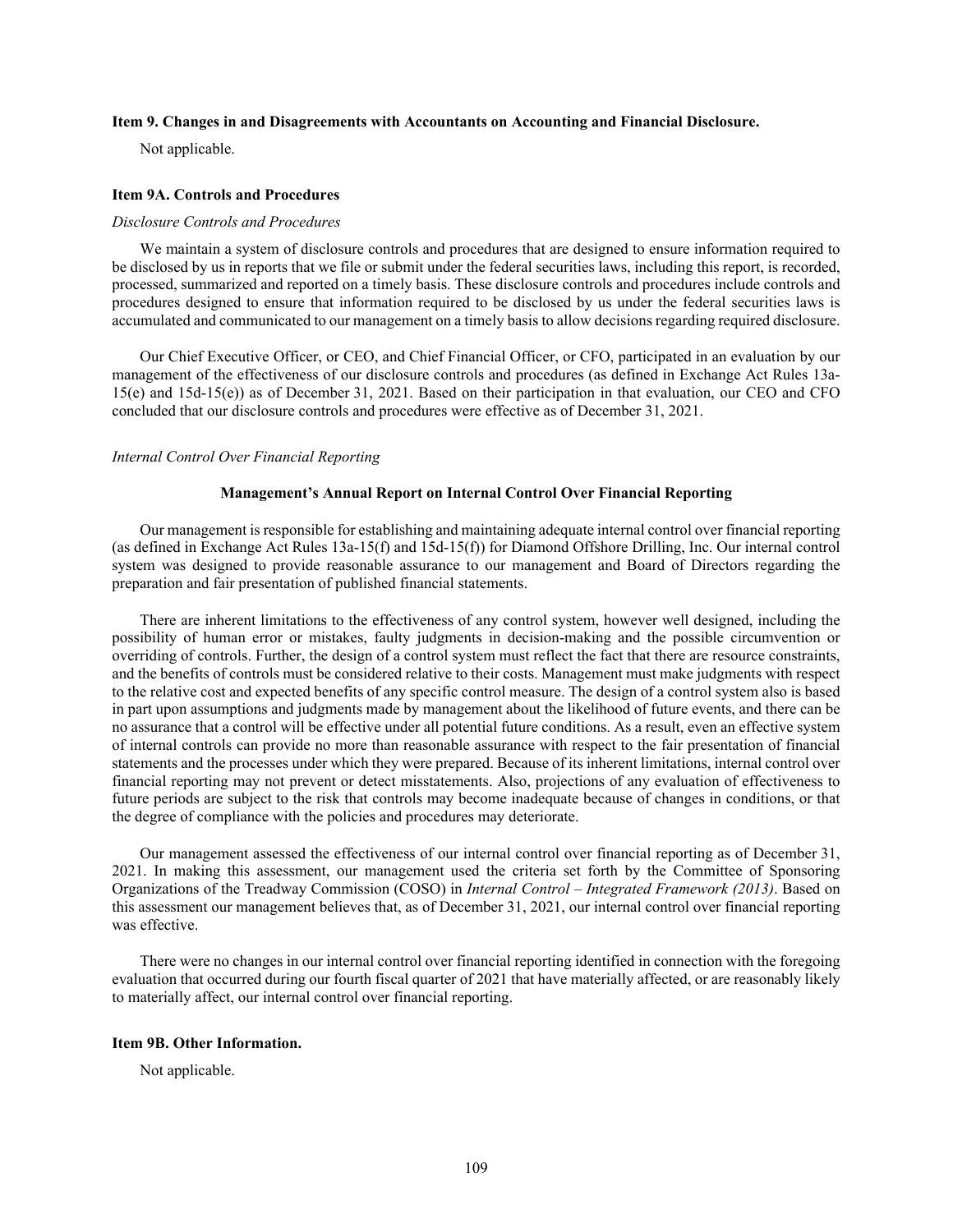#### **Item 9. Changes in and Disagreements with Accountants on Accounting and Financial Disclosure.**

Not applicable.

#### **Item 9A. Controls and Procedures**

#### *Disclosure Controls and Procedures*

We maintain a system of disclosure controls and procedures that are designed to ensure information required to be disclosed by us in reports that we file or submit under the federal securities laws, including this report, is recorded, processed, summarized and reported on a timely basis. These disclosure controls and procedures include controls and procedures designed to ensure that information required to be disclosed by us under the federal securities laws is accumulated and communicated to our management on a timely basis to allow decisions regarding required disclosure.

Our Chief Executive Officer, or CEO, and Chief Financial Officer, or CFO, participated in an evaluation by our management of the effectiveness of our disclosure controls and procedures (as defined in Exchange Act Rules 13a-15(e) and 15d-15(e)) as of December 31, 2021. Based on their participation in that evaluation, our CEO and CFO concluded that our disclosure controls and procedures were effective as of December 31, 2021.

#### *Internal Control Over Financial Reporting*

#### **Management's Annual Report on Internal Control Over Financial Reporting**

Our management is responsible for establishing and maintaining adequate internal control over financial reporting (as defined in Exchange Act Rules 13a-15(f) and 15d-15(f)) for Diamond Offshore Drilling, Inc. Our internal control system was designed to provide reasonable assurance to our management and Board of Directors regarding the preparation and fair presentation of published financial statements.

There are inherent limitations to the effectiveness of any control system, however well designed, including the possibility of human error or mistakes, faulty judgments in decision-making and the possible circumvention or overriding of controls. Further, the design of a control system must reflect the fact that there are resource constraints, and the benefits of controls must be considered relative to their costs. Management must make judgments with respect to the relative cost and expected benefits of any specific control measure. The design of a control system also is based in part upon assumptions and judgments made by management about the likelihood of future events, and there can be no assurance that a control will be effective under all potential future conditions. As a result, even an effective system of internal controls can provide no more than reasonable assurance with respect to the fair presentation of financial statements and the processes under which they were prepared. Because of its inherent limitations, internal control over financial reporting may not prevent or detect misstatements. Also, projections of any evaluation of effectiveness to future periods are subject to the risk that controls may become inadequate because of changes in conditions, or that the degree of compliance with the policies and procedures may deteriorate.

Our management assessed the effectiveness of our internal control over financial reporting as of December 31, 2021. In making this assessment, our management used the criteria set forth by the Committee of Sponsoring Organizations of the Treadway Commission (COSO) in *Internal Control – Integrated Framework (2013)*. Based on this assessment our management believes that, as of December 31, 2021, our internal control over financial reporting was effective.

There were no changes in our internal control over financial reporting identified in connection with the foregoing evaluation that occurred during our fourth fiscal quarter of 2021 that have materially affected, or are reasonably likely to materially affect, our internal control over financial reporting.

#### **Item 9B. Other Information.**

Not applicable.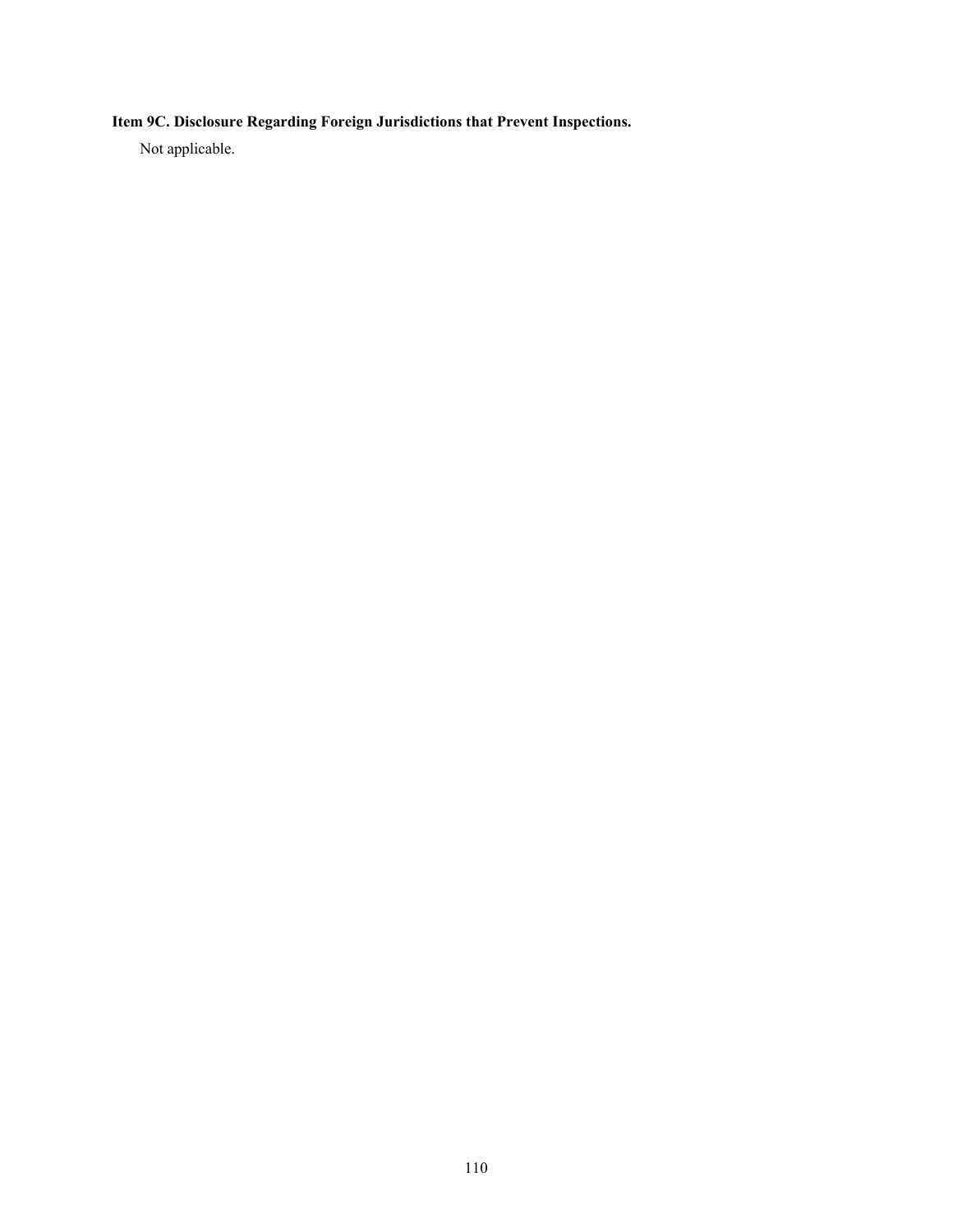# **Item 9C. Disclosure Regarding Foreign Jurisdictions that Prevent Inspections.**

Not applicable.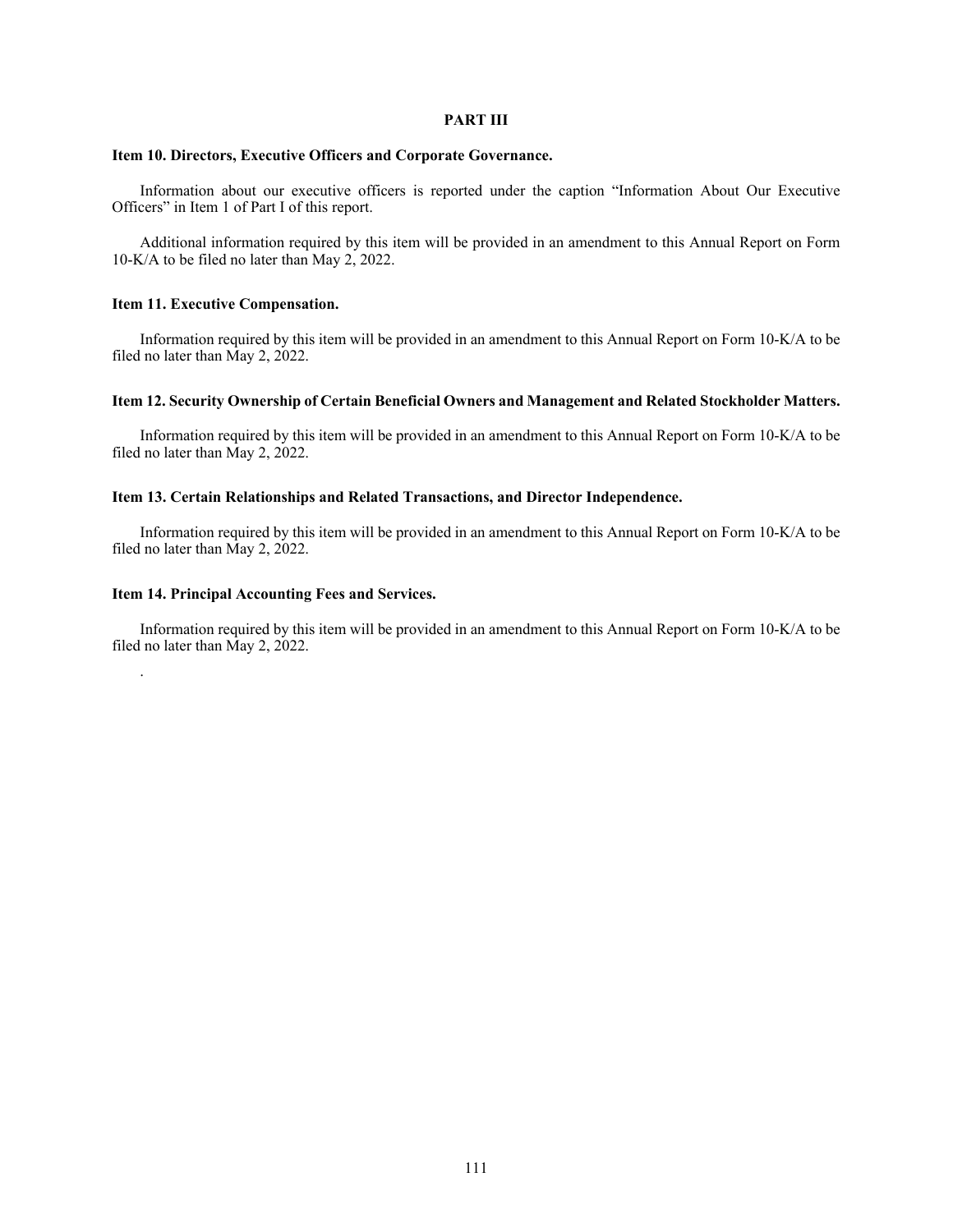## **PART III**

## **Item 10. Directors, Executive Officers and Corporate Governance.**

Information about our executive officers is reported under the caption "Information About Our Executive Officers" in Item 1 of Part I of this report.

Additional information required by this item will be provided in an amendment to this Annual Report on Form 10-K/A to be filed no later than May 2, 2022.

#### **Item 11. Executive Compensation.**

Information required by this item will be provided in an amendment to this Annual Report on Form 10-K/A to be filed no later than May 2, 2022.

#### **Item 12. Security Ownership of Certain Beneficial Owners and Management and Related Stockholder Matters.**

Information required by this item will be provided in an amendment to this Annual Report on Form 10-K/A to be filed no later than May 2, 2022.

#### **Item 13. Certain Relationships and Related Transactions, and Director Independence.**

Information required by this item will be provided in an amendment to this Annual Report on Form 10-K/A to be filed no later than May 2, 2022.

#### **Item 14. Principal Accounting Fees and Services.**

.

Information required by this item will be provided in an amendment to this Annual Report on Form 10-K/A to be filed no later than May 2, 2022.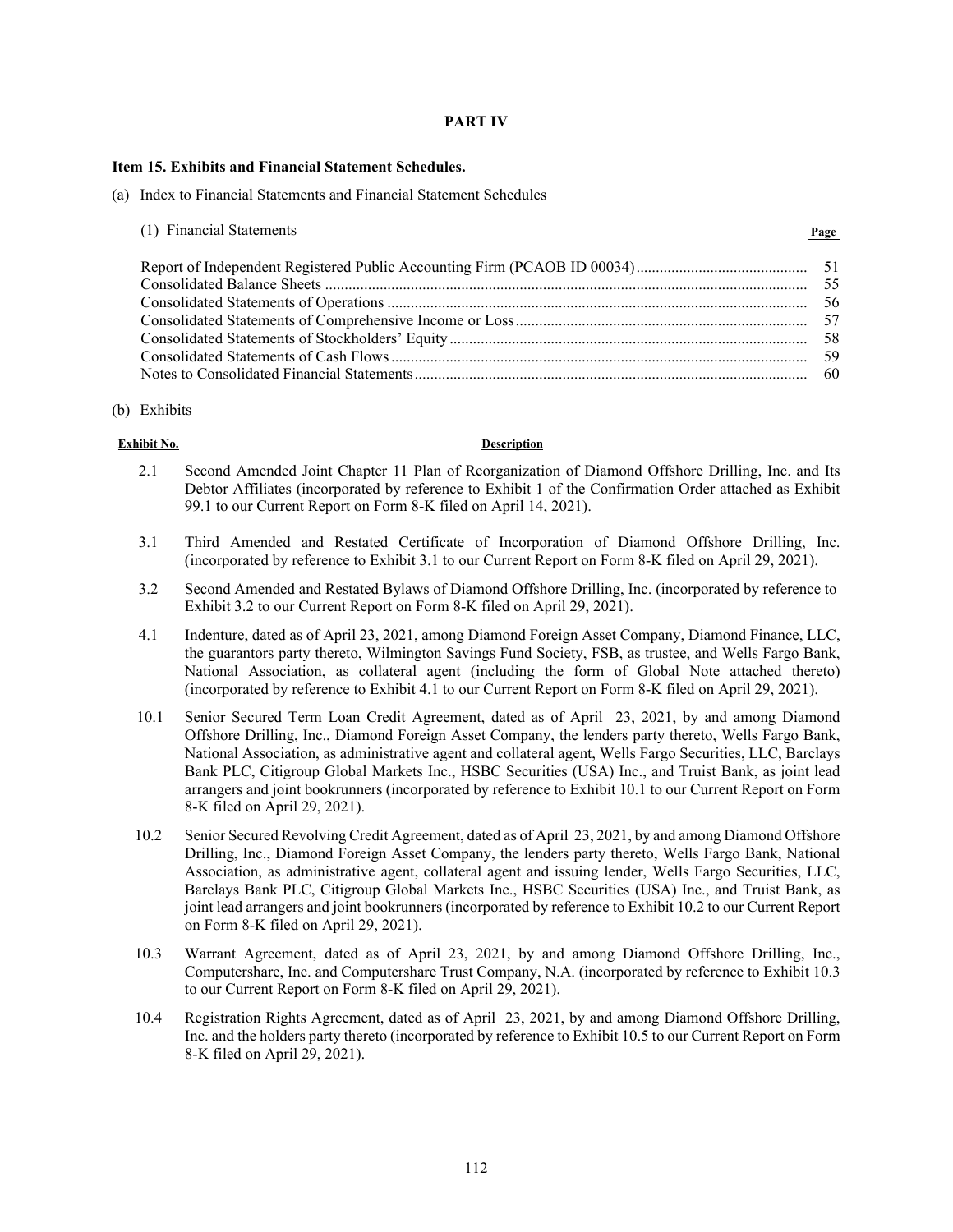# **PART IV**

#### **Item 15. Exhibits and Financial Statement Schedules.**

- (a) Index to Financial Statements and Financial Statement Schedules
	- (1) Financial Statements **Page**

(b) Exhibits

#### **Exhibit No. Description**

- 2.1 [Second Amended Joint Chapter 11 Plan of Reorganization of Diamond Offshore Drilling, Inc. and Its](https://www.sec.gov/Archives/edgar/data/949039/000119312521115558/d135254dex991.htm)  [Debtor Affiliates \(incorporated by reference to Exhibit 1 of the Confirmation Order attached as Exhibit](https://www.sec.gov/Archives/edgar/data/949039/000119312521115558/d135254dex991.htm)  [99.1 to our Current Report on Form 8-K filed on April 14, 2021\).](https://www.sec.gov/Archives/edgar/data/949039/000119312521115558/d135254dex991.htm)
- 3.1 [Third Amended and Restated Certificate of Incorporation of Diamond Offshore Drilling, Inc.](https://www.sec.gov/Archives/edgar/data/949039/000119312521140719/d176125dex31.htm)  [\(incorporated by reference to Exhibit 3.1 to our Current Report on Form 8-K filed on April 29, 2021\).](https://www.sec.gov/Archives/edgar/data/949039/000119312521140719/d176125dex31.htm)
- 3.2 [Second Amended and Restated Bylaws of Diamond Offshore Drilling, Inc. \(incorporated by reference to](https://www.sec.gov/Archives/edgar/data/949039/000119312521140719/d176125dex32.htm)  [Exhibit 3.2 to our Current Report on Form 8-K filed on April 29, 2021\).](https://www.sec.gov/Archives/edgar/data/949039/000119312521140719/d176125dex32.htm)
- 4.1 [Indenture, dated as of April 23, 2021, among Diamond Foreign Asset Company, Diamond Finance, LLC,](https://www.sec.gov/Archives/edgar/data/949039/000119312521140719/d176125dex41.htm)  [the guarantors party thereto, Wilmington Savings Fund Society, FSB, as trustee, and Wells Fargo Bank,](https://www.sec.gov/Archives/edgar/data/949039/000119312521140719/d176125dex41.htm)  [National Association, as collateral agent \(including the form of Global Note attached thereto\)](https://www.sec.gov/Archives/edgar/data/949039/000119312521140719/d176125dex41.htm)  [\(incorporated by reference to Exhibit 4.1 to our Current Report on Form 8-K filed on April 29, 2021\).](https://www.sec.gov/Archives/edgar/data/949039/000119312521140719/d176125dex41.htm)
- 10.1 [Senior Secured Term Loan Credit Agreement, dated as of April 23, 2021, by and among Diamond](https://www.sec.gov/Archives/edgar/data/949039/000119312521140719/d176125dex101.htm)  [Offshore Drilling, Inc., Diamond Foreign Asset Company, the lenders party thereto, Wells Fargo Bank,](https://www.sec.gov/Archives/edgar/data/949039/000119312521140719/d176125dex101.htm)  [National Association, as administrative agent and collateral agent, Wells Fargo Securities, LLC, Barclays](https://www.sec.gov/Archives/edgar/data/949039/000119312521140719/d176125dex101.htm)  [Bank PLC, Citigroup Global Markets Inc., HSBC Securities \(USA\) Inc., and Truist Bank, as joint lead](https://www.sec.gov/Archives/edgar/data/949039/000119312521140719/d176125dex101.htm)  [arrangers and joint bookrunners \(incorporated by reference to Exhibit 10.1 to our Current Report on Form](https://www.sec.gov/Archives/edgar/data/949039/000119312521140719/d176125dex101.htm)  [8-K filed on April 29, 2021\).](https://www.sec.gov/Archives/edgar/data/949039/000119312521140719/d176125dex101.htm)
- 10.2 [Senior Secured Revolving Credit Agreement, dated as of April 23, 2021, by and among Diamond Offshore](https://www.sec.gov/Archives/edgar/data/949039/000119312521140719/d176125dex102.htm)  [Drilling, Inc., Diamond Foreign Asset Company, the lenders party thereto, Wells Fargo Bank, National](https://www.sec.gov/Archives/edgar/data/949039/000119312521140719/d176125dex102.htm)  [Association, as administrative agent, collateral agent and issuing lender, Wells Fargo Securities, LLC,](https://www.sec.gov/Archives/edgar/data/949039/000119312521140719/d176125dex102.htm)  [Barclays Bank PLC, Citigroup Global Markets Inc., HSBC Securities \(USA\) Inc., and Truist Bank, as](https://www.sec.gov/Archives/edgar/data/949039/000119312521140719/d176125dex102.htm)  [joint lead arrangers and joint bookrunners \(incorporated by reference to Exhibit 10.2 to our Current Report](https://www.sec.gov/Archives/edgar/data/949039/000119312521140719/d176125dex102.htm)  [on Form 8-K filed on April 29, 2021\).](https://www.sec.gov/Archives/edgar/data/949039/000119312521140719/d176125dex102.htm)
- 10.3 [Warrant Agreement, dated as of April 23, 2021, by and among Diamond Offshore Drilling, Inc.,](https://www.sec.gov/Archives/edgar/data/949039/000119312521140719/d176125dex103.htm)  [Computershare, Inc. and Computershare Trust Company, N.A. \(incorporated by reference to Exhibit 10.3](https://www.sec.gov/Archives/edgar/data/949039/000119312521140719/d176125dex103.htm)  [to our Current Report on Form 8-K filed on April 29, 2021\).](https://www.sec.gov/Archives/edgar/data/949039/000119312521140719/d176125dex103.htm)
- 10.4 [Registration Rights Agreement, dated as of April 23, 2021, by and among Diamond Offshore Drilling,](https://www.sec.gov/Archives/edgar/data/949039/000119312521140719/d176125dex105.htm)  [Inc. and the holders party thereto \(incorporated by reference to Exhibit 10.5 to our Current Report on Form](https://www.sec.gov/Archives/edgar/data/949039/000119312521140719/d176125dex105.htm)  [8-K filed on April 29, 2021\).](https://www.sec.gov/Archives/edgar/data/949039/000119312521140719/d176125dex105.htm)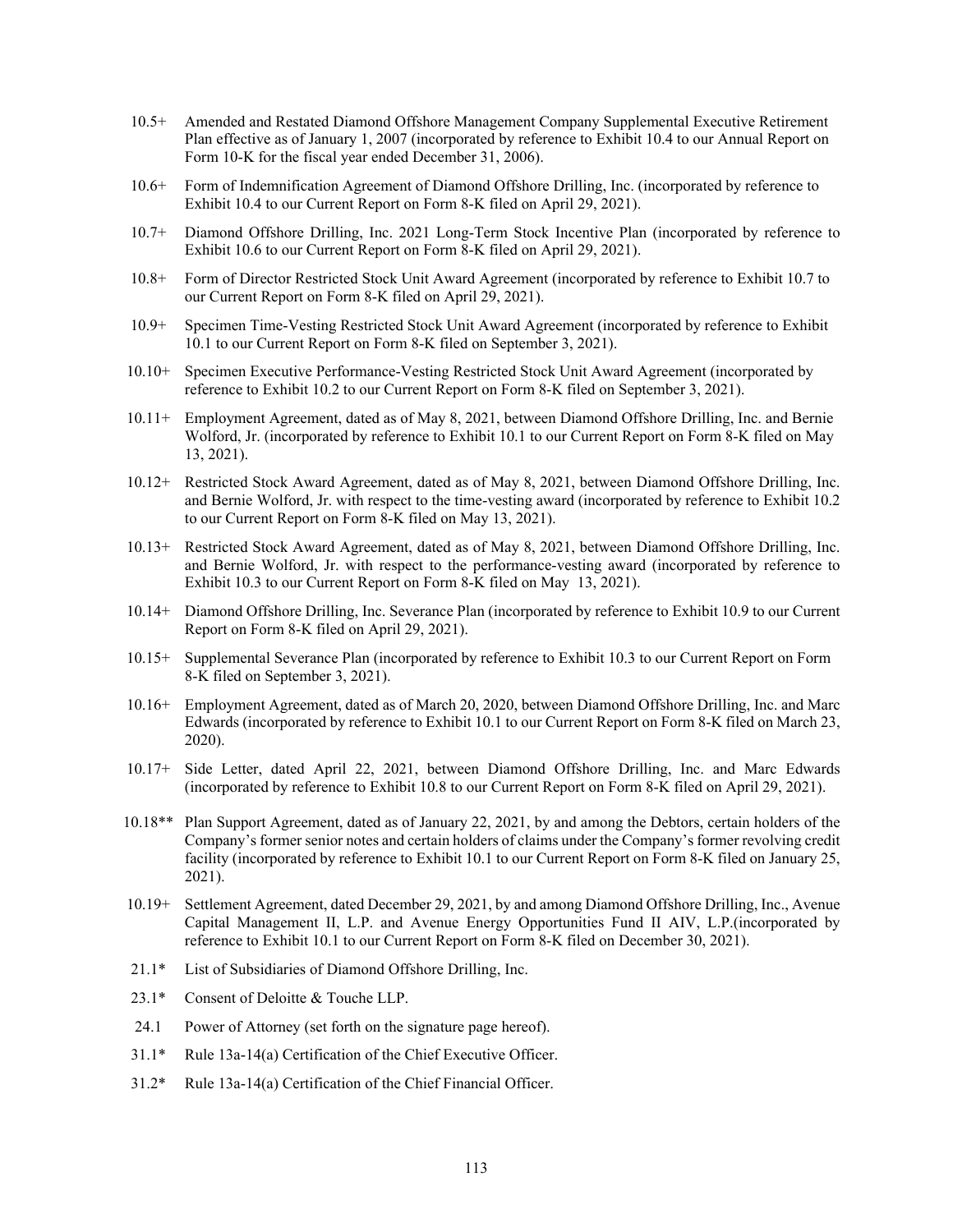- 10.5+ [Amended and Restated Diamond Offshore Management Company Supplemental Executive Retirement](https://www.sec.gov/Archives/edgar/data/949039/000095013407003960/h43845exv10w4.htm)  [Plan effective as of January 1, 2007 \(incorporated by reference to Exhibit 10.4 to our Annual Report on](https://www.sec.gov/Archives/edgar/data/949039/000095013407003960/h43845exv10w4.htm)  [Form 10-K for the fiscal year ended December 31, 2006\).](https://www.sec.gov/Archives/edgar/data/949039/000095013407003960/h43845exv10w4.htm)
- 10.6+ [Form of Indemnification Agreement of Diamond Offshore Drilling, Inc. \(incorporated by reference to](https://www.sec.gov/Archives/edgar/data/949039/000119312521140719/d176125dex104.htm)  [Exhibit 10.4 to our Current Report on Form 8-K filed on April 29, 2021\).](https://www.sec.gov/Archives/edgar/data/949039/000119312521140719/d176125dex104.htm)
- 10.7+ [Diamond Offshore Drilling, Inc. 2021 Long-Term Stock Incentive Plan \(incorporated by reference to](https://www.sec.gov/Archives/edgar/data/949039/000119312521140719/d176125dex106.htm)  [Exhibit 10.6 to our Current Report on Form 8-K filed on April 29, 2021\).](https://www.sec.gov/Archives/edgar/data/949039/000119312521140719/d176125dex106.htm)
- 10.8+ [Form of Director Restricted Stock Unit Award Agreement \(incorporated by reference to Exhibit 10.7 to](https://www.sec.gov/Archives/edgar/data/949039/000119312521140719/d176125dex107.htm)  [our Current Report on Form 8-K filed on April 29, 2021\).](https://www.sec.gov/Archives/edgar/data/949039/000119312521140719/d176125dex107.htm)
- 10.9+ [Specimen Time-Vesting Restricted Stock Unit Award Agreement \(incorporated by reference to Exhibit](https://www.sec.gov/Archives/edgar/data/949039/000119312521265520/d216389dex101.htm)  [10.1 to our Current Report on Form 8-K filed on September 3, 2021\).](https://www.sec.gov/Archives/edgar/data/949039/000119312521265520/d216389dex101.htm)
- 10.10+ [Specimen Executive Performance-Vesting Restricted Stock Unit Award Agreement \(incorporated by](https://www.sec.gov/Archives/edgar/data/949039/000119312521265520/d216389dex102.htm)  [reference to Exhibit 10.2 to our Current Report on Form 8-K filed on September 3, 2021\).](https://www.sec.gov/Archives/edgar/data/949039/000119312521265520/d216389dex102.htm)
- 10.11+ [Employment Agreement, dated as of May 8, 2021, between Diamond Offshore Drilling, Inc. and Bernie](https://www.sec.gov/Archives/edgar/data/949039/000119312521159947/d21180dex101.htm)  [Wolford, Jr. \(incorporated by reference to Exhibit 10.1 to our Current Report on Form 8-K filed on May](https://www.sec.gov/Archives/edgar/data/949039/000119312521159947/d21180dex101.htm)  [13, 2021\).](https://www.sec.gov/Archives/edgar/data/949039/000119312521159947/d21180dex101.htm)
- 10.12+ [Restricted Stock Award Agreement, dated as of May 8, 2021, between Diamond Offshore Drilling, Inc.](https://www.sec.gov/Archives/edgar/data/949039/000119312521159947/d21180dex102.htm)  [and Bernie Wolford, Jr. with respect to the time-vesting award \(incorporated by reference to Exhibit 10.2](https://www.sec.gov/Archives/edgar/data/949039/000119312521159947/d21180dex102.htm)  [to our Current Report on Form 8-K filed on May 13, 2021\).](https://www.sec.gov/Archives/edgar/data/949039/000119312521159947/d21180dex102.htm)
- 10.13+ [Restricted Stock Award Agreement, dated as of May 8, 2021, between Diamond Offshore Drilling, Inc.](https://www.sec.gov/Archives/edgar/data/949039/000119312521159947/d21180dex103.htm)  [and Bernie Wolford, Jr. with respect to the performance-vesting award \(incorporated by reference to](https://www.sec.gov/Archives/edgar/data/949039/000119312521159947/d21180dex103.htm)  [Exhibit 10.3 to our Current Report on Form 8-K filed on May 13, 2021\).](https://www.sec.gov/Archives/edgar/data/949039/000119312521159947/d21180dex103.htm)
- 10.14+ [Diamond Offshore Drilling, Inc. Severance Plan \(incorporated by reference to Exhibit 10.9 to our Current](https://www.sec.gov/Archives/edgar/data/949039/000119312521140719/d176125dex109.htm)  [Report on Form 8-K filed on April 29, 2021\).](https://www.sec.gov/Archives/edgar/data/949039/000119312521140719/d176125dex109.htm)
- 10.15+ [Supplemental Severance Plan \(incorporated by reference to Exhibit 10.3 to our Current Report on Form](https://www.sec.gov/Archives/edgar/data/949039/000119312521265520/d216389dex103.htm)  [8-K filed on September 3, 2021\).](https://www.sec.gov/Archives/edgar/data/949039/000119312521265520/d216389dex103.htm)
- 10.16+ [Employment Agreement, dated as of March 20, 2020, between Diamond Offshore Drilling, Inc. and Marc](https://www.sec.gov/Archives/edgar/data/949039/000119312520082469/d875287dex101.htm)  [Edwards \(incorporated by reference to Exhibit 10.1 to our Current Report on Form 8-K filed on March 23,](https://www.sec.gov/Archives/edgar/data/949039/000119312520082469/d875287dex101.htm)  [2020\).](https://www.sec.gov/Archives/edgar/data/949039/000119312520082469/d875287dex101.htm)
- 10.17+ [Side Letter, dated April 22, 2021, between Diamond Offshore Drilling, Inc. and Marc Edwards](https://www.sec.gov/Archives/edgar/data/949039/000119312521140719/d176125dex108.htm)  [\(incorporated by reference to Exhibit 10.8 to our Current Report on Form 8-K filed on April 29, 2021\).](https://www.sec.gov/Archives/edgar/data/949039/000119312521140719/d176125dex108.htm)
- 10.18\*\* [Plan Support Agreement, dated as of January 22, 2021, by and among the Debtors, certain holders of the](https://www.sec.gov/Archives/edgar/data/949039/000119312521015351/d284576dex101.htm)  [Company's former senior notes and certain holders of claims under the Company's former revolving credit](https://www.sec.gov/Archives/edgar/data/949039/000119312521015351/d284576dex101.htm)  [facility \(incorporated by reference to Exhibit 10.1 to our Current Report on Form 8-K filed on January 25,](https://www.sec.gov/Archives/edgar/data/949039/000119312521015351/d284576dex101.htm)  [2021\).](https://www.sec.gov/Archives/edgar/data/949039/000119312521015351/d284576dex101.htm)
- 10.19+ [Settlement Agreement, dated December 29, 2021, by and among Diamond Offshore Drilling, Inc., Avenue](https://www.sec.gov/Archives/edgar/data/949039/000119312521370582/d114513dex101.htm)  [Capital Management II, L.P. and Avenue Energy Opportunities Fund II AIV, L.P.\(incorporated by](https://www.sec.gov/Archives/edgar/data/949039/000119312521370582/d114513dex101.htm)  [reference to Exhibit 10.1 to our Current Report on Form 8-K filed on December 30, 2021\).](https://www.sec.gov/Archives/edgar/data/949039/000119312521370582/d114513dex101.htm)
- 21.1\* [List of Subsidiaries of Diamond Offshore Drilling, Inc.](/exhibit)
- 23.1\* [Consent of Deloitte & Touche LLP.](/exhibit)
- 24.1 [Power of Attorney \(set forth on the signature page hereof\)](#page-114-0).
- 31.1\* [Rule 13a-14\(a\) Certification of the Chief Executive Officer.](/exhibit)
- 31.2\* [Rule 13a-14\(a\) Certification of the Chief Financial Officer.](/exhibit)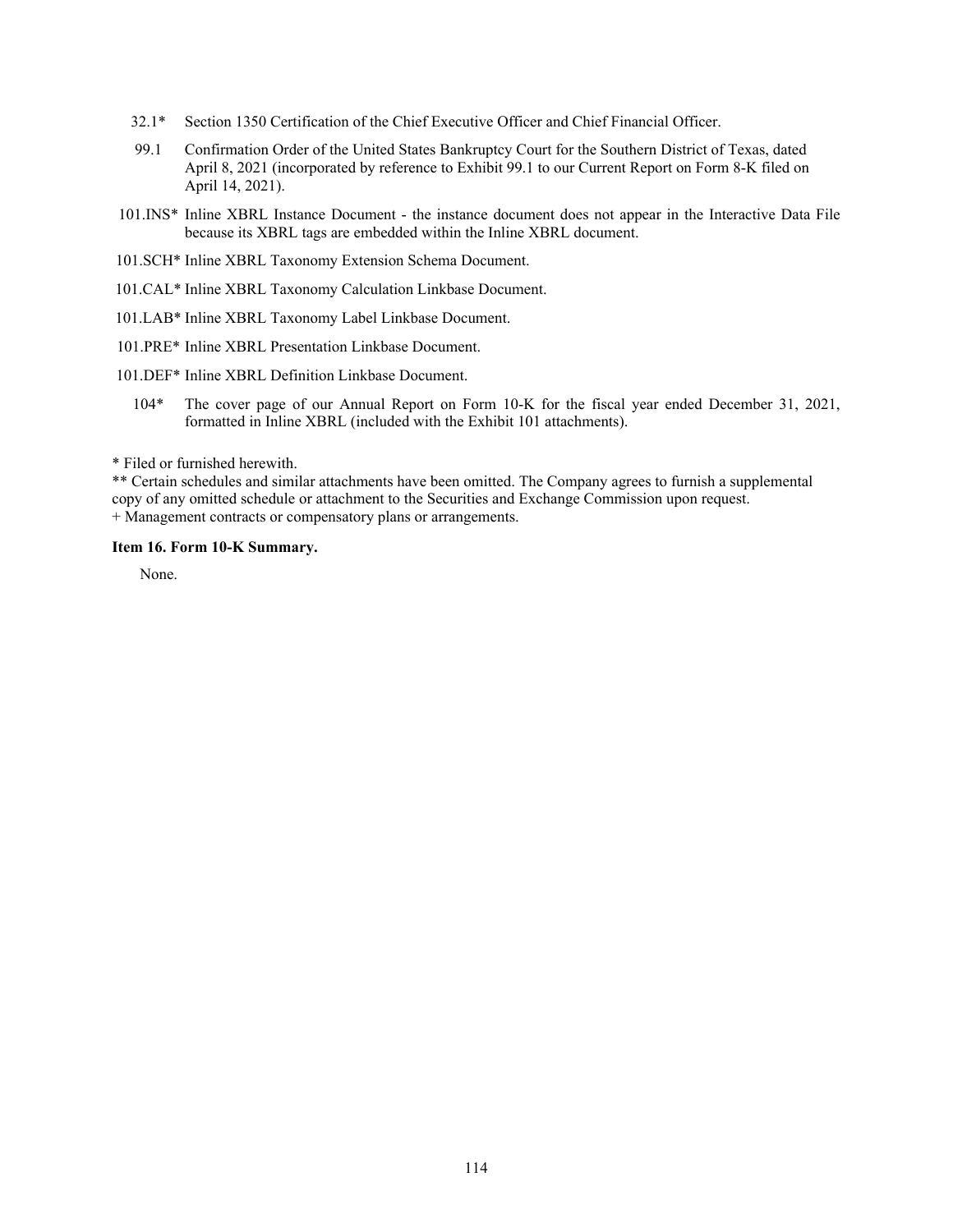- 32.1\* [Section 1350 Certification of the Chief Executive Officer and Chief Financial Officer.](/exhibit)
- 99.1 [Confirmation Order of the United States Bankruptcy Court for the Southern District of Texas, dated](https://www.sec.gov/Archives/edgar/data/949039/000119312521115558/d135254dex991.htm)  [April 8, 2021 \(incorporated by reference to Exhibit 99.1 to our Current Report on Form 8-K filed on](https://www.sec.gov/Archives/edgar/data/949039/000119312521115558/d135254dex991.htm)  [April 14, 2021\).](https://www.sec.gov/Archives/edgar/data/949039/000119312521115558/d135254dex991.htm)
- 101.INS\* Inline XBRL Instance Document the instance document does not appear in the Interactive Data File because its XBRL tags are embedded within the Inline XBRL document.
- 101.SCH\* Inline XBRL Taxonomy Extension Schema Document.
- 101.CAL\* Inline XBRL Taxonomy Calculation Linkbase Document.
- 101.LAB\* Inline XBRL Taxonomy Label Linkbase Document.
- 101.PRE\* Inline XBRL Presentation Linkbase Document.
- 101.DEF\* Inline XBRL Definition Linkbase Document.
	- 104\* The cover page of our Annual Report on Form 10-K for the fiscal year ended December 31, 2021, formatted in Inline XBRL (included with the Exhibit 101 attachments).
- \* Filed or furnished herewith.

\*\* Certain schedules and similar attachments have been omitted. The Company agrees to furnish a supplemental copy of any omitted schedule or attachment to the Securities and Exchange Commission upon request. + Management contracts or compensatory plans or arrangements.

# **Item 16. Form 10-K Summary.**

None.